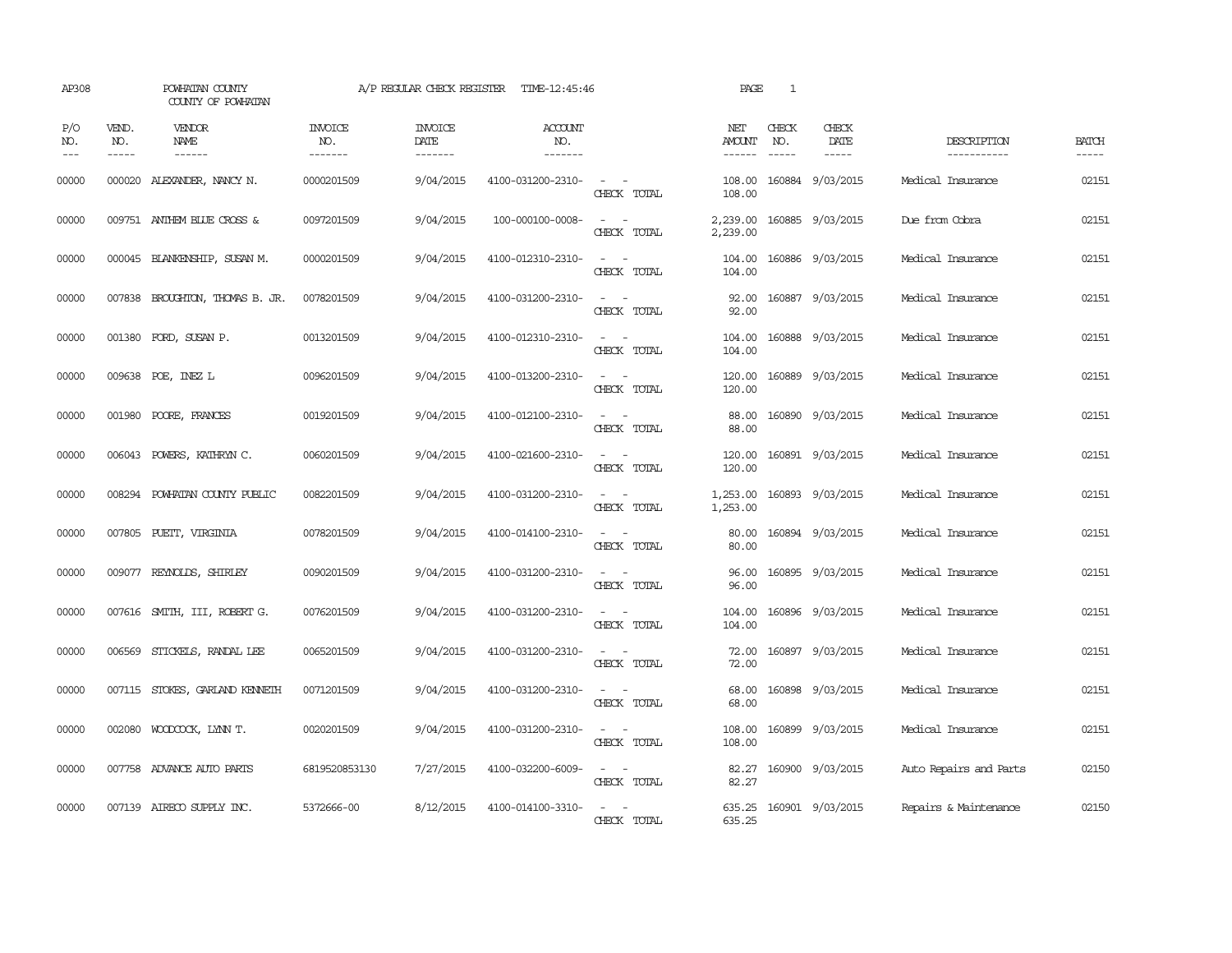| AP308               |                             | POWHATAN COUNTY<br>COUNTY OF POWHATAN  |                                  | A/P REGULAR CHECK REGISTER        | TIME-12:45:46                    |                                                                                                                                          | PAGE                    | 1                             |                              |                            |                       |
|---------------------|-----------------------------|----------------------------------------|----------------------------------|-----------------------------------|----------------------------------|------------------------------------------------------------------------------------------------------------------------------------------|-------------------------|-------------------------------|------------------------------|----------------------------|-----------------------|
| P/O<br>NO.<br>$---$ | VEND.<br>NO.<br>$- - - - -$ | <b>VENDOR</b><br>NAME<br>$- - - - - -$ | <b>INVOICE</b><br>NO.<br>------- | <b>INVOICE</b><br>DATE<br>------- | <b>ACCOUNT</b><br>NO.<br>------- |                                                                                                                                          | NET<br>AMOUNT<br>------ | CHECK<br>NO.<br>$\frac{1}{2}$ | CHECK<br>DATE<br>$- - - - -$ | DESCRIPTION<br>----------- | <b>BATCH</b><br>----- |
| 00000               |                             | 000020 ALEXANDER, NANCY N.             | 0000201509                       | 9/04/2015                         | 4100-031200-2310-                | $\sim$<br>$\sim$<br>CHECK TOTAL                                                                                                          | 108.00<br>108.00        |                               | 160884 9/03/2015             | Medical Insurance          | 02151                 |
| 00000               |                             | 009751 ANTHEM BLUE CROSS &             | 0097201509                       | 9/04/2015                         | 100-000100-0008-                 | $\sim$<br>CHECK TOTAL                                                                                                                    | 2,239.00<br>2,239.00    |                               | 160885 9/03/2015             | Due from Cobra             | 02151                 |
| 00000               |                             | 000045 BLANKENSHIP, SUSAN M.           | 0000201509                       | 9/04/2015                         | 4100-012310-2310-                | $\sim$ 10 $\sim$ 10 $\sim$<br>CHECK TOTAL                                                                                                | 104.00<br>104.00        |                               | 160886 9/03/2015             | Medical Insurance          | 02151                 |
| 00000               |                             | 007838 BROUGHTON, THOMAS B. JR.        | 0078201509                       | 9/04/2015                         | 4100-031200-2310-                | $\sim$ $\sim$<br>CHECK TOTAL                                                                                                             | 92.00<br>92.00          |                               | 160887 9/03/2015             | Medical Insurance          | 02151                 |
| 00000               |                             | 001380 FORD, SUSAN P.                  | 0013201509                       | 9/04/2015                         | 4100-012310-2310-                | $\sim$<br>CHECK TOTAL                                                                                                                    | 104.00<br>104.00        |                               | 160888 9/03/2015             | Medical Insurance          | 02151                 |
| 00000               |                             | 009638 POE, INEZ L                     | 0096201509                       | 9/04/2015                         | 4100-013200-2310-                | $\frac{1}{2} \left( \frac{1}{2} \right) \left( \frac{1}{2} \right) = \frac{1}{2} \left( \frac{1}{2} \right)$<br>CHECK TOTAL              | 120.00<br>120.00        |                               | 160889 9/03/2015             | Medical Insurance          | 02151                 |
| 00000               |                             | 001980 POORE, FRANCES                  | 0019201509                       | 9/04/2015                         | 4100-012100-2310-                | $\sim$ 10 $\sim$ 10 $\sim$<br>CHECK TOTAL                                                                                                | 88.00<br>88.00          |                               | 160890 9/03/2015             | Medical Insurance          | 02151                 |
| 00000               | 006043                      | POWERS, KATHRYN C.                     | 0060201509                       | 9/04/2015                         | 4100-021600-2310-                | $\frac{1}{2} \left( \frac{1}{2} \right) \left( \frac{1}{2} \right) \left( \frac{1}{2} \right) \left( \frac{1}{2} \right)$<br>CHECK TOTAL | 120.00<br>120.00        |                               | 160891 9/03/2015             | Medical Insurance          | 02151                 |
| 00000               | 008294                      | POWHATAN COUNTY PUBLIC                 | 0082201509                       | 9/04/2015                         | 4100-031200-2310-                | $\sim$ 100 $\sim$<br>CHECK TOTAL                                                                                                         | 1,253.00<br>1,253.00    |                               | 160893 9/03/2015             | Medical Insurance          | 02151                 |
| 00000               |                             | 007805 PUETT, VIRGINIA                 | 0078201509                       | 9/04/2015                         | 4100-014100-2310-                | $\frac{1}{2} \left( \frac{1}{2} \right) \left( \frac{1}{2} \right) = \frac{1}{2} \left( \frac{1}{2} \right)$<br>CHECK TOTAL              | 80.00<br>80.00          |                               | 160894 9/03/2015             | Medical Insurance          | 02151                 |
| 00000               |                             | 009077 REYNOLDS, SHIRLEY               | 0090201509                       | 9/04/2015                         | 4100-031200-2310-                | CHECK TOTAL                                                                                                                              | 96.00<br>96.00          |                               | 160895 9/03/2015             | Medical Insurance          | 02151                 |
| 00000               |                             | 007616 SMITH, III, ROBERT G.           | 0076201509                       | 9/04/2015                         | 4100-031200-2310-                | $\overline{\phantom{a}}$<br>$\sim$<br>CHECK TOTAL                                                                                        | 104.00<br>104.00        |                               | 160896 9/03/2015             | Medical Insurance          | 02151                 |
| 00000               | 006569                      | STICKELS, RANDAL LEE                   | 0065201509                       | 9/04/2015                         | 4100-031200-2310-                | $\frac{1}{2} \left( \frac{1}{2} \right) \left( \frac{1}{2} \right) = \frac{1}{2} \left( \frac{1}{2} \right)$<br>CHECK TOTAL              | 72.00<br>72.00          |                               | 160897 9/03/2015             | Medical Insurance          | 02151                 |
| 00000               |                             | 007115 STOKES, GARLAND KENNETH         | 0071201509                       | 9/04/2015                         | 4100-031200-2310-                | $\sim$<br>$\overline{\phantom{a}}$<br>CHECK TOTAL                                                                                        | 68.00<br>68.00          |                               | 160898 9/03/2015             | Medical Insurance          | 02151                 |
| 00000               |                             | 002080 WOODCOCK, LYNN T.               | 0020201509                       | 9/04/2015                         | 4100-031200-2310-                | $\frac{1}{2} \left( \frac{1}{2} \right) \left( \frac{1}{2} \right) = \frac{1}{2} \left( \frac{1}{2} \right)$<br>CHECK TOTAL              | 108.00<br>108.00        |                               | 160899 9/03/2015             | Medical Insurance          | 02151                 |
| 00000               |                             | 007758 ADVANCE AUTO PARTS              | 6819520853130                    | 7/27/2015                         | 4100-032200-6009-                | $\frac{1}{2} \left( \frac{1}{2} \right) \left( \frac{1}{2} \right) = \frac{1}{2} \left( \frac{1}{2} \right)$<br>CHECK TOTAL              | 82.27<br>82.27          |                               | 160900 9/03/2015             | Auto Repairs and Parts     | 02150                 |
| 00000               |                             | 007139 AIRECO SUPPLY INC.              | 5372666-00                       | 8/12/2015                         | 4100-014100-3310-                | . —<br>CHECK TOTAL                                                                                                                       | 635.25<br>635.25        |                               | 160901 9/03/2015             | Repairs & Maintenance      | 02150                 |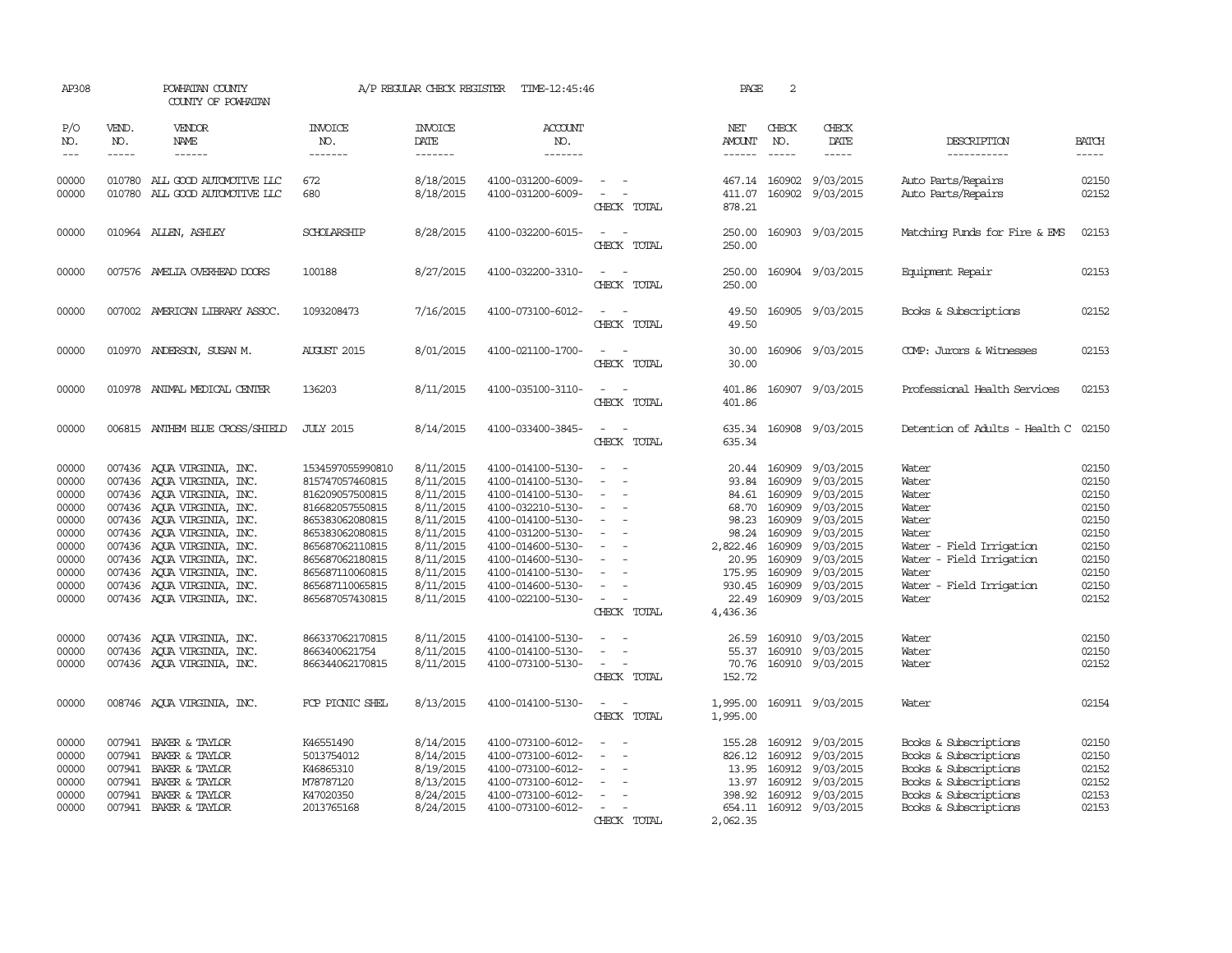| AP308                                                                                           |                               | POWHATAN COUNTY<br>COUNTY OF POWHATAN                                                                                                                                                                                                                                                                                                  |                                                                                                                                                                                                                | A/P REGULAR CHECK REGISTER                                                                                                                  | TIME-12:45:46                                                                                                                                                                                                                       |                                                                                                                                                                                                                                                                         | PAGE                                                                                                    | 2                                                                                                      |                                                                                                                                                    |                                                                                                                                                                |                                                                                                 |
|-------------------------------------------------------------------------------------------------|-------------------------------|----------------------------------------------------------------------------------------------------------------------------------------------------------------------------------------------------------------------------------------------------------------------------------------------------------------------------------------|----------------------------------------------------------------------------------------------------------------------------------------------------------------------------------------------------------------|---------------------------------------------------------------------------------------------------------------------------------------------|-------------------------------------------------------------------------------------------------------------------------------------------------------------------------------------------------------------------------------------|-------------------------------------------------------------------------------------------------------------------------------------------------------------------------------------------------------------------------------------------------------------------------|---------------------------------------------------------------------------------------------------------|--------------------------------------------------------------------------------------------------------|----------------------------------------------------------------------------------------------------------------------------------------------------|----------------------------------------------------------------------------------------------------------------------------------------------------------------|-------------------------------------------------------------------------------------------------|
| P/O<br>NO.<br>$---$                                                                             | VEND.<br>NO.<br>$\frac{1}{2}$ | VENDOR<br>NAME<br>------                                                                                                                                                                                                                                                                                                               | INVOICE<br>NO.<br>-------                                                                                                                                                                                      | <b>INVOICE</b><br>DATE<br>-------                                                                                                           | <b>ACCOUNT</b><br>NO.<br>-------                                                                                                                                                                                                    |                                                                                                                                                                                                                                                                         | NET<br><b>AMOUNT</b><br>$- - - - - -$                                                                   | CHECK<br>NO.<br>$\frac{1}{2}$                                                                          | CHECK<br><b>DATE</b><br>$\cdots \cdots \cdots$                                                                                                     | DESCRIPTION<br>-----------                                                                                                                                     | <b>BATCH</b><br>-----                                                                           |
| 00000<br>00000                                                                                  |                               | 010780 ALL GOOD AUTOMOTIVE LLC<br>010780 ALL GOOD AUTOMOTIVE LLC                                                                                                                                                                                                                                                                       | 672<br>680                                                                                                                                                                                                     | 8/18/2015<br>8/18/2015                                                                                                                      | 4100-031200-6009-<br>4100-031200-6009-                                                                                                                                                                                              | $\overline{\phantom{a}}$<br>$\equiv$<br>CHECK TOTAL                                                                                                                                                                                                                     | 411.07<br>878.21                                                                                        |                                                                                                        | 467.14 160902 9/03/2015<br>160902 9/03/2015                                                                                                        | Auto Parts/Repairs<br>Auto Parts/Repairs                                                                                                                       | 02150<br>02152                                                                                  |
| 00000                                                                                           |                               | 010964 ALLEN, ASHLEY                                                                                                                                                                                                                                                                                                                   | SCHOLARSHIP                                                                                                                                                                                                    | 8/28/2015                                                                                                                                   | 4100-032200-6015-                                                                                                                                                                                                                   | $ -$<br>CHECK TOTAL                                                                                                                                                                                                                                                     | 250.00<br>250.00                                                                                        |                                                                                                        | 160903 9/03/2015                                                                                                                                   | Matching Funds for Fire & EMS                                                                                                                                  | 02153                                                                                           |
| 00000                                                                                           |                               | 007576 AMELIA OVERHEAD DOORS                                                                                                                                                                                                                                                                                                           | 100188                                                                                                                                                                                                         | 8/27/2015                                                                                                                                   | 4100-032200-3310-                                                                                                                                                                                                                   | $\sim$<br>$\sim$<br>CHECK TOTAL                                                                                                                                                                                                                                         | 250.00<br>250.00                                                                                        |                                                                                                        | 160904 9/03/2015                                                                                                                                   | Equipment Repair                                                                                                                                               | 02153                                                                                           |
| 00000                                                                                           |                               | 007002 AMERICAN LIBRARY ASSOC.                                                                                                                                                                                                                                                                                                         | 1093208473                                                                                                                                                                                                     | 7/16/2015                                                                                                                                   | 4100-073100-6012-                                                                                                                                                                                                                   | $\equiv$<br>CHECK TOTAL                                                                                                                                                                                                                                                 | 49.50<br>49.50                                                                                          |                                                                                                        | 160905 9/03/2015                                                                                                                                   | Books & Subscriptions                                                                                                                                          | 02152                                                                                           |
| 00000                                                                                           |                               | 010970 ANDERSON, SUSAN M.                                                                                                                                                                                                                                                                                                              | <b>AUGUST 2015</b>                                                                                                                                                                                             | 8/01/2015                                                                                                                                   | 4100-021100-1700-                                                                                                                                                                                                                   | $\overline{\phantom{a}}$<br>CHECK TOTAL                                                                                                                                                                                                                                 | 30.00<br>30.00                                                                                          |                                                                                                        | 160906 9/03/2015                                                                                                                                   | COMP: Jurors & Witnesses                                                                                                                                       | 02153                                                                                           |
| 00000                                                                                           |                               | 010978 ANIMAL MEDICAL CENTER                                                                                                                                                                                                                                                                                                           | 136203                                                                                                                                                                                                         | 8/11/2015                                                                                                                                   | 4100-035100-3110-                                                                                                                                                                                                                   | CHECK TOTAL                                                                                                                                                                                                                                                             | 401.86<br>401.86                                                                                        |                                                                                                        | 160907 9/03/2015                                                                                                                                   | Professional Health Services                                                                                                                                   | 02153                                                                                           |
| 00000                                                                                           |                               | 006815 ANTHEM BLUE CROSS/SHIELD                                                                                                                                                                                                                                                                                                        | <b>JULY 2015</b>                                                                                                                                                                                               | 8/14/2015                                                                                                                                   | 4100-033400-3845-                                                                                                                                                                                                                   | $\frac{1}{2} \left( \frac{1}{2} \right) \left( \frac{1}{2} \right) = \frac{1}{2} \left( \frac{1}{2} \right)$<br>CHECK TOTAL                                                                                                                                             | 635.34<br>635.34                                                                                        |                                                                                                        | 160908 9/03/2015                                                                                                                                   | Detention of Adults - Health C 02150                                                                                                                           |                                                                                                 |
| 00000<br>00000<br>00000<br>00000<br>00000<br>00000<br>00000<br>00000<br>00000<br>00000<br>00000 |                               | 007436 AQUA VIRGINIA, INC.<br>007436 AOUA VIRGINIA, INC.<br>007436 AQUA VIRGINIA, INC.<br>007436 AQUA VIRGINIA, INC.<br>007436 AQUA VIRGINIA, INC.<br>007436 AQUA VIRGINIA, INC.<br>007436 AQUA VIRGINIA, INC.<br>007436 AQUA VIRGINIA, INC.<br>007436 AQUA VIRGINIA, INC.<br>007436 AQUA VIRGINIA, INC.<br>007436 AOUA VIRGINIA, INC. | 1534597055990810<br>815747057460815<br>816209057500815<br>816682057550815<br>865383062080815<br>865383062080815<br>865687062110815<br>865687062180815<br>865687110060815<br>865687110065815<br>865687057430815 | 8/11/2015<br>8/11/2015<br>8/11/2015<br>8/11/2015<br>8/11/2015<br>8/11/2015<br>8/11/2015<br>8/11/2015<br>8/11/2015<br>8/11/2015<br>8/11/2015 | 4100-014100-5130-<br>4100-014100-5130-<br>4100-014100-5130-<br>4100-032210-5130-<br>4100-014100-5130-<br>4100-031200-5130-<br>4100-014600-5130-<br>4100-014600-5130-<br>4100-014100-5130-<br>4100-014600-5130-<br>4100-022100-5130- | $\frac{1}{2} \left( \frac{1}{2} \right) \left( \frac{1}{2} \right) = \frac{1}{2} \left( \frac{1}{2} \right)$<br>$\equiv$<br>$\equiv$<br>$\overline{\phantom{a}}$<br>$\equiv$<br>$\equiv$<br>$\equiv$<br>$\overline{\phantom{a}}$<br>$\equiv$<br>$\equiv$<br>CHECK TOTAL | 93.84<br>84.61<br>68.70<br>98.23<br>98.24<br>2,822.46<br>20.95<br>175.95<br>930.45<br>22.49<br>4,436.36 | 20.44 160909<br>160909<br>160909<br>160909<br>160909<br>160909<br>160909<br>160909<br>160909<br>160909 | 9/03/2015<br>9/03/2015<br>9/03/2015<br>9/03/2015<br>9/03/2015<br>9/03/2015<br>9/03/2015<br>9/03/2015<br>9/03/2015<br>9/03/2015<br>160909 9/03/2015 | Water<br>Water<br>Water<br>Water<br>Water<br>Water<br>- Field Irrigation<br>Water<br>- Field Irrigation<br>Water<br>Water<br>Water - Field Irrigation<br>Water | 02150<br>02150<br>02150<br>02150<br>02150<br>02150<br>02150<br>02150<br>02150<br>02150<br>02152 |
| 00000<br>00000<br>00000                                                                         |                               | 007436 AQUA VIRGINIA, INC.<br>007436 AQUA VIRGINIA, INC.<br>007436 AQUA VIRGINIA, INC.                                                                                                                                                                                                                                                 | 866337062170815<br>8663400621754<br>866344062170815                                                                                                                                                            | 8/11/2015<br>8/11/2015<br>8/11/2015                                                                                                         | 4100-014100-5130-<br>4100-014100-5130-<br>4100-073100-5130-                                                                                                                                                                         | $\sim$<br>$\sim$<br>CHECK TOTAL                                                                                                                                                                                                                                         | 26.59<br>55.37<br>70.76<br>152.72                                                                       | 160910                                                                                                 | 160910 9/03/2015<br>9/03/2015<br>160910 9/03/2015                                                                                                  | Water<br>Water<br>Water                                                                                                                                        | 02150<br>02150<br>02152                                                                         |
| 00000                                                                                           |                               | 008746 AQUA VIRGINIA, INC.                                                                                                                                                                                                                                                                                                             | FCP PICNIC SHEL                                                                                                                                                                                                | 8/13/2015                                                                                                                                   | 4100-014100-5130-                                                                                                                                                                                                                   | $\sim$<br>CHECK TOTAL                                                                                                                                                                                                                                                   | 1,995.00<br>1,995.00                                                                                    |                                                                                                        | 160911 9/03/2015                                                                                                                                   | Water                                                                                                                                                          | 02154                                                                                           |
| 00000<br>00000<br>00000<br>00000<br>00000<br>00000                                              | 007941<br>007941<br>007941    | BAKER & TAYLOR<br>BAKER & TAYLOR<br>007941 BAKER & TAYLOR<br>007941 BAKER & TAYLOR<br>BAKER & TAYLOR<br>007941 BAKER & TAYLOR                                                                                                                                                                                                          | K46551490<br>5013754012<br>K46865310<br>M78787120<br>K47020350<br>2013765168                                                                                                                                   | 8/14/2015<br>8/14/2015<br>8/19/2015<br>8/13/2015<br>8/24/2015<br>8/24/2015                                                                  | 4100-073100-6012-<br>4100-073100-6012-<br>4100-073100-6012-<br>4100-073100-6012-<br>4100-073100-6012-<br>4100-073100-6012-                                                                                                          | $\equiv$<br>CHECK TOTAL                                                                                                                                                                                                                                                 | 155.28<br>826.12<br>13.95<br>13.97<br>398.92<br>2,062.35                                                |                                                                                                        | 160912 9/03/2015<br>160912 9/03/2015<br>160912 9/03/2015<br>160912 9/03/2015<br>160912 9/03/2015<br>654.11 160912 9/03/2015                        | Books & Subscriptions<br>Books & Subscriptions<br>Books & Subscriptions<br>Books & Subscriptions<br>Books & Subscriptions<br>Books & Subscriptions             | 02150<br>02150<br>02152<br>02152<br>02153<br>02153                                              |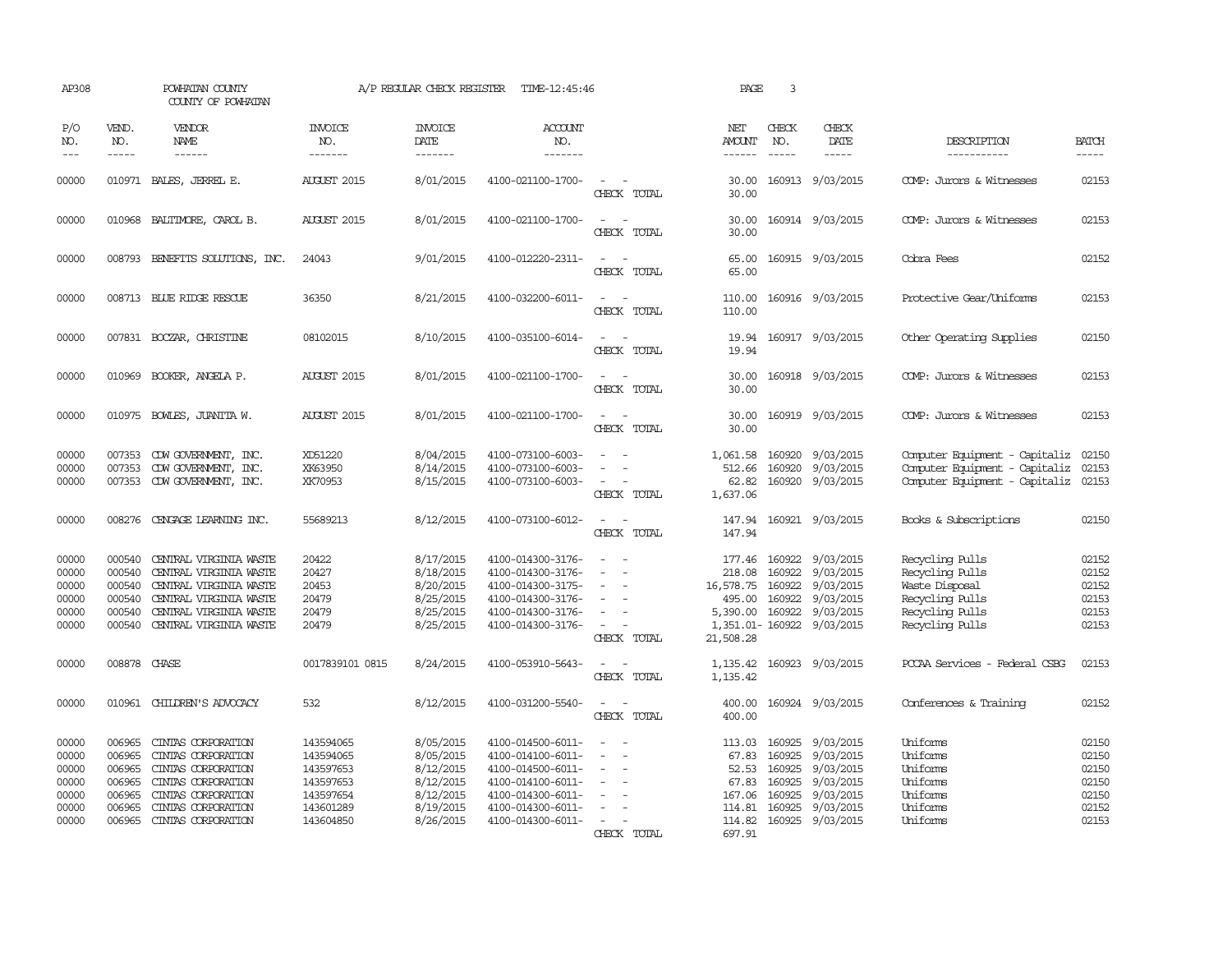| AP308                                                                                                                                                                                                                                                                                                                                                                                                      |                                                                    | POWHATAN COUNTY<br>COUNTY OF POWHATAN                                                                                                                    |                                                                                         | A/P REGULAR CHECK REGISTER                                                              | TIME-12:45:46                                                                                                                                   |                                         | PAGE                                                                      | 3                                                        |                                                                                                |                                                                                                               |                                                             |
|------------------------------------------------------------------------------------------------------------------------------------------------------------------------------------------------------------------------------------------------------------------------------------------------------------------------------------------------------------------------------------------------------------|--------------------------------------------------------------------|----------------------------------------------------------------------------------------------------------------------------------------------------------|-----------------------------------------------------------------------------------------|-----------------------------------------------------------------------------------------|-------------------------------------------------------------------------------------------------------------------------------------------------|-----------------------------------------|---------------------------------------------------------------------------|----------------------------------------------------------|------------------------------------------------------------------------------------------------|---------------------------------------------------------------------------------------------------------------|-------------------------------------------------------------|
| P/O<br>NO.<br>$\frac{1}{2} \frac{1}{2} \frac{1}{2} \frac{1}{2} \frac{1}{2} \frac{1}{2} \frac{1}{2} \frac{1}{2} \frac{1}{2} \frac{1}{2} \frac{1}{2} \frac{1}{2} \frac{1}{2} \frac{1}{2} \frac{1}{2} \frac{1}{2} \frac{1}{2} \frac{1}{2} \frac{1}{2} \frac{1}{2} \frac{1}{2} \frac{1}{2} \frac{1}{2} \frac{1}{2} \frac{1}{2} \frac{1}{2} \frac{1}{2} \frac{1}{2} \frac{1}{2} \frac{1}{2} \frac{1}{2} \frac{$ | VEND.<br>NO.<br>$- - - - -$                                        | VENDOR<br>NAME<br>$- - - - - -$                                                                                                                          | <b>INVOICE</b><br>NO.<br>-------                                                        | <b>INVOICE</b><br><b>DATE</b><br>-------                                                | <b>ACCOUNT</b><br>NO.<br>-------                                                                                                                |                                         | NET<br><b>AMOUNT</b><br>$- - - - - -$                                     | CHECK<br>NO.<br>$- - - - -$                              | CHECK<br>DATE<br>$- - - - -$                                                                   | DESCRIPTION<br>-----------                                                                                    | <b>BATCH</b><br>-----                                       |
| 00000                                                                                                                                                                                                                                                                                                                                                                                                      |                                                                    | 010971 BALES, JERREL E.                                                                                                                                  | <b>AUGUST 2015</b>                                                                      | 8/01/2015                                                                               | 4100-021100-1700-                                                                                                                               | $\overline{\phantom{a}}$<br>CHECK TOTAL | 30.00<br>30.00                                                            |                                                          | 160913 9/03/2015                                                                               | COMP: Jurors & Witnesses                                                                                      | 02153                                                       |
| 00000                                                                                                                                                                                                                                                                                                                                                                                                      |                                                                    | 010968 BALTIMORE, CAROL B.                                                                                                                               | <b>AUGUST 2015</b>                                                                      | 8/01/2015                                                                               | 4100-021100-1700-                                                                                                                               | CHECK TOTAL                             | 30.00<br>30.00                                                            |                                                          | 160914 9/03/2015                                                                               | COMP: Jurors & Witnesses                                                                                      | 02153                                                       |
| 00000                                                                                                                                                                                                                                                                                                                                                                                                      |                                                                    | 008793 BENEFITS SOLUTIONS, INC.                                                                                                                          | 24043                                                                                   | 9/01/2015                                                                               | 4100-012220-2311-                                                                                                                               | $\equiv$<br>CHECK TOTAL                 | 65.00<br>65.00                                                            |                                                          | 160915 9/03/2015                                                                               | Cobra Fees                                                                                                    | 02152                                                       |
| 00000                                                                                                                                                                                                                                                                                                                                                                                                      |                                                                    | 008713 BLUE RIDGE RESCUE                                                                                                                                 | 36350                                                                                   | 8/21/2015                                                                               | 4100-032200-6011-                                                                                                                               | $\sim$<br>$\sim$<br>CHECK TOTAL         | 110.00<br>110.00                                                          |                                                          | 160916 9/03/2015                                                                               | Protective Gear/Uniforms                                                                                      | 02153                                                       |
| 00000                                                                                                                                                                                                                                                                                                                                                                                                      |                                                                    | 007831 BOCZAR, CHRISTINE                                                                                                                                 | 08102015                                                                                | 8/10/2015                                                                               | 4100-035100-6014-                                                                                                                               | $\sim$<br>CHECK TOTAL                   | 19.94                                                                     |                                                          | 19.94 160917 9/03/2015                                                                         | Other Operating Supplies                                                                                      | 02150                                                       |
| 00000                                                                                                                                                                                                                                                                                                                                                                                                      | 010969                                                             | BOOKER, ANGELA P.                                                                                                                                        | <b>AUGUST 2015</b>                                                                      | 8/01/2015                                                                               | 4100-021100-1700-                                                                                                                               | CHECK TOTAL                             | 30.00<br>30.00                                                            |                                                          | 160918 9/03/2015                                                                               | COMP: Jurors & Witnesses                                                                                      | 02153                                                       |
| 00000                                                                                                                                                                                                                                                                                                                                                                                                      |                                                                    | 010975 BOWLES, JUANITA W.                                                                                                                                | <b>AUGUST 2015</b>                                                                      | 8/01/2015                                                                               | 4100-021100-1700-                                                                                                                               | CHECK TOTAL                             | 30.00<br>30.00                                                            |                                                          | 160919 9/03/2015                                                                               | COMP: Jurors & Witnesses                                                                                      | 02153                                                       |
| 00000<br>00000<br>00000                                                                                                                                                                                                                                                                                                                                                                                    | 007353<br>007353                                                   | CDW GOVERNMENT, INC.<br>CDW GOVERNMENT, INC.<br>007353 CDW GOVERNMENT, INC.                                                                              | XD51220<br>XK63950<br>XK70953                                                           | 8/04/2015<br>8/14/2015<br>8/15/2015                                                     | 4100-073100-6003-<br>4100-073100-6003-<br>4100-073100-6003-                                                                                     | $\sim$<br>CHECK TOTAL                   | 1,061.58<br>512.66<br>62.82<br>1,637.06                                   | 160920<br>160920<br>160920                               | 9/03/2015<br>9/03/2015<br>9/03/2015                                                            | Computer Equipment - Capitaliz<br>Computer Equipment - Capitaliz<br>Computer Equipment - Capitaliz            | 02150<br>02153<br>02153                                     |
| 00000                                                                                                                                                                                                                                                                                                                                                                                                      |                                                                    | 008276 CENGAGE LEARNING INC.                                                                                                                             | 55689213                                                                                | 8/12/2015                                                                               | 4100-073100-6012-                                                                                                                               | CHECK TOTAL                             | 147.94                                                                    |                                                          | 147.94 160921 9/03/2015                                                                        | Books & Subscriptions                                                                                         | 02150                                                       |
| 00000<br>00000<br>00000<br>00000<br>00000<br>00000                                                                                                                                                                                                                                                                                                                                                         | 000540<br>000540<br>000540<br>000540<br>000540<br>000540           | CENTRAL VIRGINIA WASTE<br>CENIRAL VIRGINIA WASTE<br>CENTRAL VIRGINIA WASTE<br>CENTRAL VIRGINIA WASTE<br>CENTRAL VIRGINIA WASTE<br>CENTRAL VIRGINIA WASTE | 20422<br>20427<br>20453<br>20479<br>20479<br>20479                                      | 8/17/2015<br>8/18/2015<br>8/20/2015<br>8/25/2015<br>8/25/2015<br>8/25/2015              | 4100-014300-3176-<br>4100-014300-3176-<br>4100-014300-3175-<br>4100-014300-3176-<br>4100-014300-3176-<br>4100-014300-3176-                      | $\overline{\phantom{a}}$<br>CHECK TOTAL | 177.46<br>218.08<br>16,578.75<br>495.00<br>5,390,00<br>21,508.28          | 160922<br>160922<br>160922<br>160922<br>160922           | 9/03/2015<br>9/03/2015<br>9/03/2015<br>9/03/2015<br>9/03/2015<br>1,351.01-160922 9/03/2015     | Recycling Pulls<br>Recycling Pulls<br>Waste Disposal<br>Recycling Pulls<br>Recycling Pulls<br>Recycling Pulls | 02152<br>02152<br>02152<br>02153<br>02153<br>02153          |
| 00000                                                                                                                                                                                                                                                                                                                                                                                                      | 008878 CHASE                                                       |                                                                                                                                                          | 0017839101 0815                                                                         | 8/24/2015                                                                               | 4100-053910-5643-                                                                                                                               | $\sim$<br>CHECK TOTAL                   | 1,135.42                                                                  |                                                          | 1,135.42 160923 9/03/2015                                                                      | PCCAA Services - Federal CSBG                                                                                 | 02153                                                       |
| 00000                                                                                                                                                                                                                                                                                                                                                                                                      |                                                                    | 010961 CHILDREN'S ADVOCACY                                                                                                                               | 532                                                                                     | 8/12/2015                                                                               | 4100-031200-5540-                                                                                                                               | $\overline{\phantom{a}}$<br>CHECK TOTAL | 400.00<br>400.00                                                          |                                                          | 160924 9/03/2015                                                                               | Conferences & Training                                                                                        | 02152                                                       |
| 00000<br>00000<br>00000<br>00000<br>00000<br>00000<br>00000                                                                                                                                                                                                                                                                                                                                                | 006965<br>006965<br>006965<br>006965<br>006965<br>006965<br>006965 | CINIAS CORPORATION<br>CINIAS CORPORATION<br>CINIAS CORPORATION<br>CINIAS CORPORATION<br>CINIAS CORPORATION<br>CINIAS CORPORATION<br>CINIAS CORPORATION   | 143594065<br>143594065<br>143597653<br>143597653<br>143597654<br>143601289<br>143604850 | 8/05/2015<br>8/05/2015<br>8/12/2015<br>8/12/2015<br>8/12/2015<br>8/19/2015<br>8/26/2015 | 4100-014500-6011-<br>4100-014100-6011-<br>4100-014500-6011-<br>4100-014100-6011-<br>4100-014300-6011-<br>4100-014300-6011-<br>4100-014300-6011- | $\equiv$<br>CHECK TOTAL                 | 113.03<br>67.83<br>52.53<br>67.83<br>167.06<br>114.81<br>114.82<br>697.91 | 160925<br>160925<br>160925<br>160925<br>160925<br>160925 | 9/03/2015<br>9/03/2015<br>9/03/2015<br>9/03/2015<br>9/03/2015<br>9/03/2015<br>160925 9/03/2015 | Uniforms<br>Uniforms<br>Uniforms<br>Uniforms<br>Uniforms<br>Uniforms<br>Uniforms                              | 02150<br>02150<br>02150<br>02150<br>02150<br>02152<br>02153 |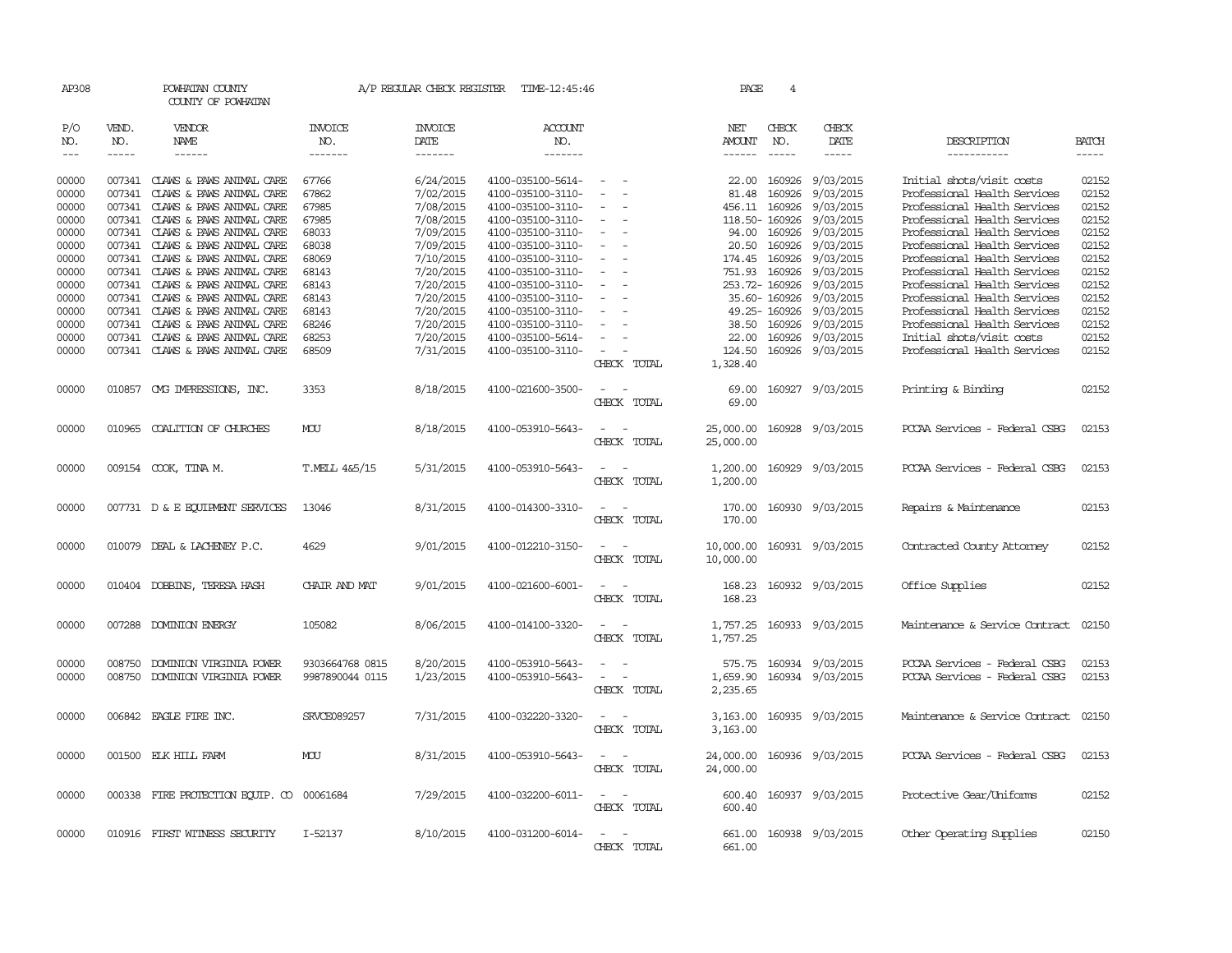| AP308                                                       |                             | POWHATAN COUNTY<br>COUNTY OF POWHATAN                                                                                                                                                                                                      |                                                             | A/P REGULAR CHECK REGISTER                                                              | TIME-12:45:46                                                                                                                                   |                                                     | PAGE                                           | 4                                                                                             |                                                                                                                                                                                                                                                                                                                                                                                                                                                                                                      |                                                                                                                                                                                                                           |                                                                                                                                                                                                                                                                                                                                                                                                                                                                                                     |
|-------------------------------------------------------------|-----------------------------|--------------------------------------------------------------------------------------------------------------------------------------------------------------------------------------------------------------------------------------------|-------------------------------------------------------------|-----------------------------------------------------------------------------------------|-------------------------------------------------------------------------------------------------------------------------------------------------|-----------------------------------------------------|------------------------------------------------|-----------------------------------------------------------------------------------------------|------------------------------------------------------------------------------------------------------------------------------------------------------------------------------------------------------------------------------------------------------------------------------------------------------------------------------------------------------------------------------------------------------------------------------------------------------------------------------------------------------|---------------------------------------------------------------------------------------------------------------------------------------------------------------------------------------------------------------------------|-----------------------------------------------------------------------------------------------------------------------------------------------------------------------------------------------------------------------------------------------------------------------------------------------------------------------------------------------------------------------------------------------------------------------------------------------------------------------------------------------------|
| P/O<br>NO.<br>$---$                                         | VEND.<br>NO.<br>$- - - - -$ | VENDOR<br>NAME<br>$- - - - - -$                                                                                                                                                                                                            | <b>INVOICE</b><br>NO.<br>-------                            | <b>INVOICE</b><br>DATE<br>-------                                                       | <b>ACCOUNT</b><br>NO.<br>-------                                                                                                                |                                                     | NET<br>AMOUNT<br>------                        | CHECK<br>NO.<br>$\qquad \qquad - - - - -$                                                     | CHECK<br>DATE<br>$\begin{tabular}{ccccc} \multicolumn{2}{c}{} & \multicolumn{2}{c}{} & \multicolumn{2}{c}{} & \multicolumn{2}{c}{} & \multicolumn{2}{c}{} & \multicolumn{2}{c}{} & \multicolumn{2}{c}{} & \multicolumn{2}{c}{} & \multicolumn{2}{c}{} & \multicolumn{2}{c}{} & \multicolumn{2}{c}{} & \multicolumn{2}{c}{} & \multicolumn{2}{c}{} & \multicolumn{2}{c}{} & \multicolumn{2}{c}{} & \multicolumn{2}{c}{} & \multicolumn{2}{c}{} & \multicolumn{2}{c}{} & \multicolumn{2}{c}{} & \mult$ | DESCRIPTION<br>-----------                                                                                                                                                                                                | <b>BATCH</b><br>$\begin{tabular}{ccccc} \multicolumn{2}{c}{} & \multicolumn{2}{c}{} & \multicolumn{2}{c}{} & \multicolumn{2}{c}{} & \multicolumn{2}{c}{} & \multicolumn{2}{c}{} & \multicolumn{2}{c}{} & \multicolumn{2}{c}{} & \multicolumn{2}{c}{} & \multicolumn{2}{c}{} & \multicolumn{2}{c}{} & \multicolumn{2}{c}{} & \multicolumn{2}{c}{} & \multicolumn{2}{c}{} & \multicolumn{2}{c}{} & \multicolumn{2}{c}{} & \multicolumn{2}{c}{} & \multicolumn{2}{c}{} & \multicolumn{2}{c}{} & \mult$ |
| 00000<br>00000<br>00000<br>00000<br>00000<br>00000<br>00000 | 007341<br>007341            | CLAWS & PAWS ANIMAL CARE<br>CLAWS & PAWS ANIMAL CARE<br>007341 CLAWS & PAWS ANIMAL CARE<br>007341 CLAWS & PAWS ANIMAL CARE<br>007341 CLAWS & PAWS ANIMAL CARE<br>007341 CLAWS & PAWS ANIMAL CARE<br>007341 CLAWS & PAWS ANIMAL CARE        | 67766<br>67862<br>67985<br>67985<br>68033<br>68038<br>68069 | 6/24/2015<br>7/02/2015<br>7/08/2015<br>7/08/2015<br>7/09/2015<br>7/09/2015<br>7/10/2015 | 4100-035100-5614-<br>4100-035100-3110-<br>4100-035100-3110-<br>4100-035100-3110-<br>4100-035100-3110-<br>4100-035100-3110-<br>4100-035100-3110- | $\equiv$<br>$\equiv$<br>$\sim$                      | 22.00<br>81.48<br>20.50                        | 160926<br>160926<br>456.11 160926<br>118.50-160926<br>94.00 160926<br>160926<br>174.45 160926 | 9/03/2015<br>9/03/2015<br>9/03/2015<br>9/03/2015<br>9/03/2015<br>9/03/2015<br>9/03/2015                                                                                                                                                                                                                                                                                                                                                                                                              | Initial shots/visit costs<br>Professional Health Services<br>Professional Health Services<br>Professional Health Services<br>Professional Health Services<br>Professional Health Services<br>Professional Health Services | 02152<br>02152<br>02152<br>02152<br>02152<br>02152<br>02152                                                                                                                                                                                                                                                                                                                                                                                                                                         |
| 00000<br>00000<br>00000<br>00000<br>00000<br>00000<br>00000 | 007341                      | 007341 CLAWS & PAWS ANIMAL CARE<br>007341 CLAWS & PAWS ANIMAL CARE<br>007341 CLAWS & PAWS ANIMAL CARE<br>CLAWS & PAWS ANIMAL CARE<br>007341 CLAWS & PAWS ANIMAL CARE<br>007341 CLAWS & PAWS ANIMAL CARE<br>007341 CLAWS & PAWS ANIMAL CARE | 68143<br>68143<br>68143<br>68143<br>68246<br>68253<br>68509 | 7/20/2015<br>7/20/2015<br>7/20/2015<br>7/20/2015<br>7/20/2015<br>7/20/2015<br>7/31/2015 | 4100-035100-3110-<br>4100-035100-3110-<br>4100-035100-3110-<br>4100-035100-3110-<br>4100-035100-3110-<br>4100-035100-5614-<br>4100-035100-3110- | $\equiv$<br>$\overline{\phantom{a}}$<br>CHECK TOTAL | 751.93<br>38.50<br>22.00<br>124.50<br>1,328.40 | 160926<br>253.72-160926<br>35.60- 160926<br>49.25-160926<br>160926<br>160926                  | 9/03/2015<br>9/03/2015<br>9/03/2015<br>9/03/2015<br>9/03/2015<br>9/03/2015<br>160926 9/03/2015                                                                                                                                                                                                                                                                                                                                                                                                       | Professional Health Services<br>Professional Health Services<br>Professional Health Services<br>Professional Health Services<br>Professional Health Services<br>Initial shots/visit costs<br>Professional Health Services | 02152<br>02152<br>02152<br>02152<br>02152<br>02152<br>02152                                                                                                                                                                                                                                                                                                                                                                                                                                         |
| 00000                                                       |                             | 010857 CMG IMPRESSIONS, INC.                                                                                                                                                                                                               | 3353                                                        | 8/18/2015                                                                               | 4100-021600-3500-                                                                                                                               | CHECK TOTAL                                         | 69.00<br>69.00                                 |                                                                                               | 160927 9/03/2015                                                                                                                                                                                                                                                                                                                                                                                                                                                                                     | Printing & Binding                                                                                                                                                                                                        | 02152                                                                                                                                                                                                                                                                                                                                                                                                                                                                                               |
| 00000                                                       |                             | 010965 COALITION OF CHURCHES                                                                                                                                                                                                               | MOU                                                         | 8/18/2015                                                                               | 4100-053910-5643-                                                                                                                               | CHECK TOTAL                                         | 25,000.00<br>25,000.00                         |                                                                                               | 160928 9/03/2015                                                                                                                                                                                                                                                                                                                                                                                                                                                                                     | PCCAA Services - Federal CSBG                                                                                                                                                                                             | 02153                                                                                                                                                                                                                                                                                                                                                                                                                                                                                               |
| 00000                                                       |                             | 009154 COOK, TINA M.                                                                                                                                                                                                                       | T.MELL 4&5/15                                               | 5/31/2015                                                                               | 4100-053910-5643-                                                                                                                               | CHECK TOTAL                                         | 1,200.00<br>1,200.00                           |                                                                                               | 160929 9/03/2015                                                                                                                                                                                                                                                                                                                                                                                                                                                                                     | PCCAA Services - Federal CSBG                                                                                                                                                                                             | 02153                                                                                                                                                                                                                                                                                                                                                                                                                                                                                               |
| 00000                                                       |                             | 007731 D & E EQUIPMENT SERVICES                                                                                                                                                                                                            | 13046                                                       | 8/31/2015                                                                               | 4100-014300-3310-                                                                                                                               | CHECK TOTAL                                         | 170.00<br>170.00                               |                                                                                               | 160930 9/03/2015                                                                                                                                                                                                                                                                                                                                                                                                                                                                                     | Repairs & Maintenance                                                                                                                                                                                                     | 02153                                                                                                                                                                                                                                                                                                                                                                                                                                                                                               |
| 00000                                                       |                             | 010079 DEAL & LACHENEY P.C.                                                                                                                                                                                                                | 4629                                                        | 9/01/2015                                                                               | 4100-012210-3150-                                                                                                                               | $\sim$<br>CHECK TOTAL                               | 10,000.00<br>10,000.00                         |                                                                                               | 160931 9/03/2015                                                                                                                                                                                                                                                                                                                                                                                                                                                                                     | Contracted County Attomey                                                                                                                                                                                                 | 02152                                                                                                                                                                                                                                                                                                                                                                                                                                                                                               |
| 00000                                                       |                             | 010404 DOBBINS, TERESA HASH                                                                                                                                                                                                                | CHAIR AND MAT                                               | 9/01/2015                                                                               | 4100-021600-6001-                                                                                                                               | $\overline{\phantom{a}}$<br>$\sim$<br>CHECK TOTAL   | 168.23<br>168.23                               |                                                                                               | 160932 9/03/2015                                                                                                                                                                                                                                                                                                                                                                                                                                                                                     | Office Supplies                                                                                                                                                                                                           | 02152                                                                                                                                                                                                                                                                                                                                                                                                                                                                                               |
| 00000                                                       |                             | 007288 DOMINION ENERGY                                                                                                                                                                                                                     | 105082                                                      | 8/06/2015                                                                               | 4100-014100-3320-                                                                                                                               | CHECK TOTAL                                         | 1,757.25<br>1,757.25                           |                                                                                               | 160933 9/03/2015                                                                                                                                                                                                                                                                                                                                                                                                                                                                                     | Maintenance & Service Contract                                                                                                                                                                                            | 02150                                                                                                                                                                                                                                                                                                                                                                                                                                                                                               |
| 00000<br>00000                                              | 008750<br>008750            | DOMINION VIRGINIA POWER<br>DOMINION VIRGINIA POWER                                                                                                                                                                                         | 9303664768 0815<br>9987890044 0115                          | 8/20/2015<br>1/23/2015                                                                  | 4100-053910-5643-<br>4100-053910-5643-                                                                                                          | CHECK TOTAL                                         | 575.75<br>1,659.90<br>2,235.65                 |                                                                                               | 160934 9/03/2015<br>160934 9/03/2015                                                                                                                                                                                                                                                                                                                                                                                                                                                                 | PCCAA Services - Federal CSBG<br>PCCAA Services - Federal CSBG                                                                                                                                                            | 02153<br>02153                                                                                                                                                                                                                                                                                                                                                                                                                                                                                      |
| 00000                                                       |                             | 006842 EAGLE FIRE INC.                                                                                                                                                                                                                     | SRVCE089257                                                 | 7/31/2015                                                                               | 4100-032220-3320-                                                                                                                               | CHECK TOTAL                                         | 3,163.00<br>3,163.00                           |                                                                                               | 160935 9/03/2015                                                                                                                                                                                                                                                                                                                                                                                                                                                                                     | Maintenance & Service Contract                                                                                                                                                                                            | 02150                                                                                                                                                                                                                                                                                                                                                                                                                                                                                               |
| 00000                                                       |                             | 001500 ELK HILL FARM                                                                                                                                                                                                                       | MOU                                                         | 8/31/2015                                                                               | 4100-053910-5643-                                                                                                                               | CHECK TOTAL                                         | 24,000.00<br>24,000.00                         |                                                                                               | 160936 9/03/2015                                                                                                                                                                                                                                                                                                                                                                                                                                                                                     | PCCAA Services - Federal CSBG                                                                                                                                                                                             | 02153                                                                                                                                                                                                                                                                                                                                                                                                                                                                                               |
| 00000                                                       |                             | 000338 FIRE PROTECTION EQUIP. CO 00061684                                                                                                                                                                                                  |                                                             | 7/29/2015                                                                               | 4100-032200-6011-                                                                                                                               | $\sim$<br>CHECK TOTAL                               | 600.40<br>600.40                               |                                                                                               | 160937 9/03/2015                                                                                                                                                                                                                                                                                                                                                                                                                                                                                     | Protective Gear/Uniforms                                                                                                                                                                                                  | 02152                                                                                                                                                                                                                                                                                                                                                                                                                                                                                               |
| 00000                                                       |                             | 010916 FIRST WITNESS SECURITY                                                                                                                                                                                                              | I-52137                                                     | 8/10/2015                                                                               | 4100-031200-6014-                                                                                                                               | CHECK TOTAL                                         | 661.00<br>661.00                               |                                                                                               | 160938 9/03/2015                                                                                                                                                                                                                                                                                                                                                                                                                                                                                     | Other Operating Supplies                                                                                                                                                                                                  | 02150                                                                                                                                                                                                                                                                                                                                                                                                                                                                                               |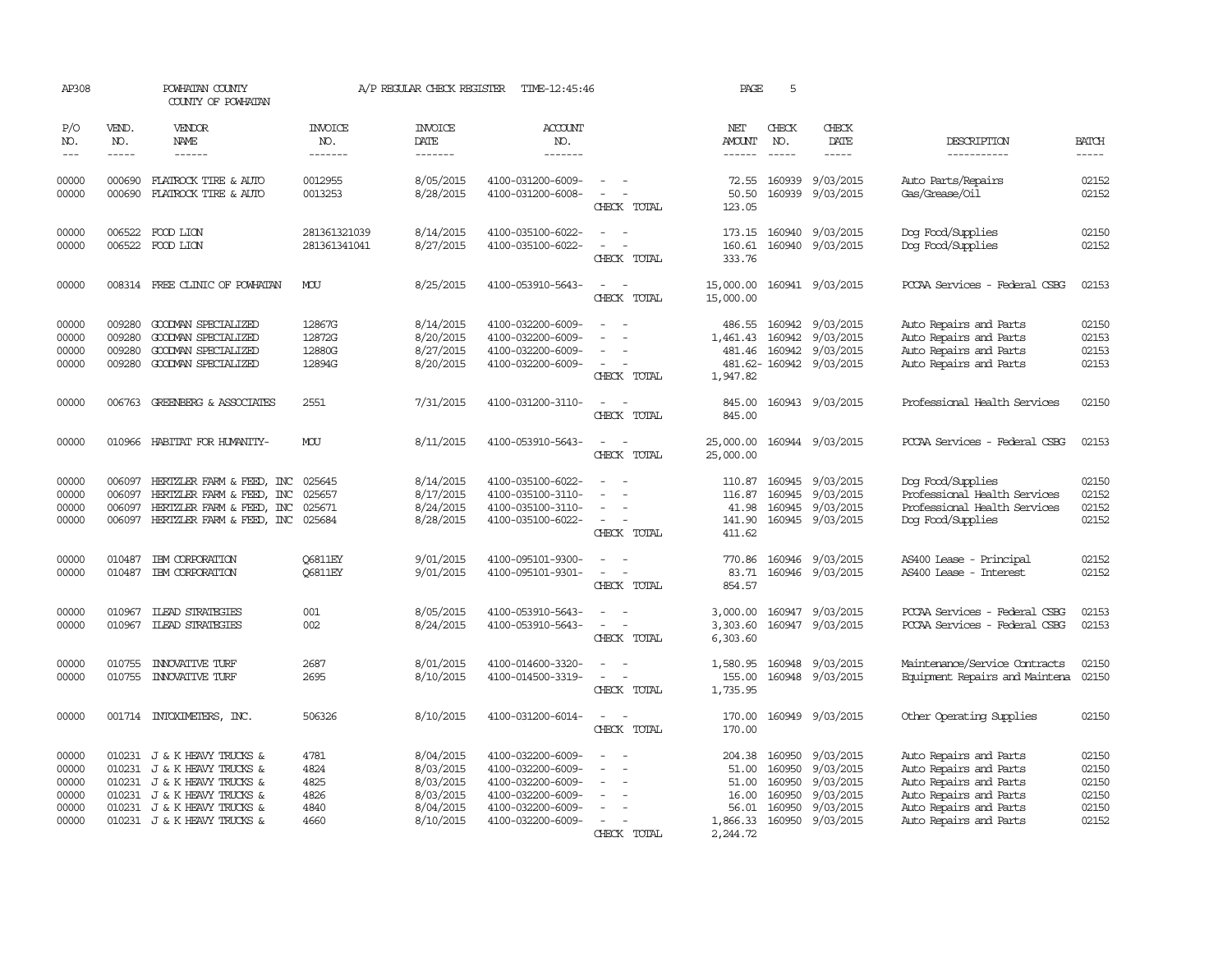| AP308                                              |                                      | POWHATAN COUNTY<br>COUNTY OF POWHATAN                                                                                                                                                  |                                              | A/P REGULAR CHECK REGISTER                                                 | TIME-12:45:46                                                                                                              |                                                                                                           | PAGE                                                               | 5                                                        |                                                                            |                                                                                                                                                          |                                                    |
|----------------------------------------------------|--------------------------------------|----------------------------------------------------------------------------------------------------------------------------------------------------------------------------------------|----------------------------------------------|----------------------------------------------------------------------------|----------------------------------------------------------------------------------------------------------------------------|-----------------------------------------------------------------------------------------------------------|--------------------------------------------------------------------|----------------------------------------------------------|----------------------------------------------------------------------------|----------------------------------------------------------------------------------------------------------------------------------------------------------|----------------------------------------------------|
| P/O<br>NO.<br>$\frac{1}{2}$                        | VEND.<br>NO.<br>$- - - - -$          | VENDOR<br>NAME<br>------                                                                                                                                                               | <b>INVOICE</b><br>NO.<br>-------             | <b>INVOICE</b><br>DATE<br>$- - - - - - -$                                  | ACCOUNT<br>NO.<br>-------                                                                                                  |                                                                                                           | NET<br>AMOUNT                                                      | CHECK<br>NO.<br>$- - - - -$                              | CHECK<br>DATE<br>-----                                                     | DESCRIPTION<br>-----------                                                                                                                               | <b>BATCH</b><br>$- - - - -$                        |
| 00000<br>00000                                     | 000690<br>000690                     | FLATROCK TIRE & AUTO<br>FLATROCK TIRE & AUTO                                                                                                                                           | 0012955<br>0013253                           | 8/05/2015<br>8/28/2015                                                     | 4100-031200-6009-<br>4100-031200-6008-                                                                                     | $\overline{\phantom{a}}$<br>CHECK TOTAL                                                                   | 72.55<br>50.50<br>123.05                                           | 160939<br>160939                                         | 9/03/2015<br>9/03/2015                                                     | Auto Parts/Repairs<br>Gas/Grease/Oil                                                                                                                     | 02152<br>02152                                     |
| 00000<br>00000                                     | 006522                               | 006522 FOOD LION<br>FOOD LION                                                                                                                                                          | 281361321039<br>281361341041                 | 8/14/2015<br>8/27/2015                                                     | 4100-035100-6022-<br>4100-035100-6022-                                                                                     | $\overline{a}$<br>CHECK TOTAL                                                                             | 173.15<br>160.61<br>333.76                                         | 160940<br>160940                                         | 9/03/2015<br>9/03/2015                                                     | Dog Food/Supplies<br>Dog Food/Supplies                                                                                                                   | 02150<br>02152                                     |
| 00000                                              |                                      | 008314 FREE CLINIC OF POWHATAN                                                                                                                                                         | MOU                                          | 8/25/2015                                                                  | 4100-053910-5643-                                                                                                          | $\sim$<br>$\overline{\phantom{a}}$<br>CHECK TOTAL                                                         | 15,000.00<br>15,000.00                                             |                                                          | 160941 9/03/2015                                                           | PCCAA Services - Federal CSBG                                                                                                                            | 02153                                              |
| 00000<br>00000<br>00000<br>00000                   | 009280<br>009280                     | 009280 GOODMAN SPECIALIZED<br>GOODWAN SPECIALIZED<br>GOODWAN SPECIALIZED<br>009280 GOODMAN SPECIALIZED                                                                                 | 12867G<br>12872G<br>12880G<br>12894G         | 8/14/2015<br>8/20/2015<br>8/27/2015<br>8/20/2015                           | 4100-032200-6009-<br>4100-032200-6009-<br>4100-032200-6009-<br>4100-032200-6009-                                           | $\overline{\phantom{a}}$<br>$\overline{\phantom{a}}$<br>$\overline{\phantom{a}}$<br>CHECK TOTAL           | 486.55<br>1,461.43<br>481.46<br>1,947.82                           | 160942<br>160942<br>160942                               | 9/03/2015<br>9/03/2015<br>9/03/2015<br>481.62-160942 9/03/2015             | Auto Repairs and Parts<br>Auto Repairs and Parts<br>Auto Repairs and Parts<br>Auto Repairs and Parts                                                     | 02150<br>02153<br>02153<br>02153                   |
| 00000                                              |                                      | 006763 GREENBERG & ASSOCIATES                                                                                                                                                          | 2551                                         | 7/31/2015                                                                  | 4100-031200-3110-                                                                                                          | $\sim$<br>$\sim$<br>CHECK TOTAL                                                                           | 845.00<br>845.00                                                   |                                                          | 160943 9/03/2015                                                           | Professional Health Services                                                                                                                             | 02150                                              |
| 00000                                              |                                      | 010966 HABITAT FOR HUMANITY-                                                                                                                                                           | MOU                                          | 8/11/2015                                                                  | 4100-053910-5643-                                                                                                          | $\sim$<br>CHECK TOTAL                                                                                     | 25,000.00<br>25,000.00                                             |                                                          | 160944 9/03/2015                                                           | PCCAA Services - Federal CSBG                                                                                                                            | 02153                                              |
| 00000<br>00000<br>00000<br>00000                   | 006097<br>006097<br>006097<br>006097 | HERIZLER FARM & FEED, INC<br>HERIZLER FARM & FEED, INC<br>HERTZLER FARM & FEED, INC<br>HERTZLER FARM & FEED, INC                                                                       | 025645<br>025657<br>025671<br>025684         | 8/14/2015<br>8/17/2015<br>8/24/2015<br>8/28/2015                           | 4100-035100-6022-<br>4100-035100-3110-<br>4100-035100-3110-<br>4100-035100-6022-                                           | $\sim$<br>$\overline{\phantom{a}}$<br>$\overline{\phantom{a}}$<br>CHECK TOTAL                             | 110.87<br>116.87<br>41.98<br>141.90<br>411.62                      | 160945<br>160945<br>160945<br>160945                     | 9/03/2015<br>9/03/2015<br>9/03/2015<br>9/03/2015                           | Dog Food/Supplies<br>Professional Health Services<br>Professional Health Services<br>Dog Food/Supplies                                                   | 02150<br>02152<br>02152<br>02152                   |
| 00000<br>00000                                     | 010487<br>010487                     | IBM CORPORATION<br>IBM CORPORATION                                                                                                                                                     | <b>O6811EY</b><br><b>O6811EY</b>             | 9/01/2015<br>9/01/2015                                                     | 4100-095101-9300-<br>4100-095101-9301-                                                                                     | $\overline{\phantom{a}}$<br>$\overline{\phantom{a}}$<br>$\sim$<br>$\overline{\phantom{a}}$<br>CHECK TOTAL | 770.86<br>83.71<br>854.57                                          | 160946<br>160946                                         | 9/03/2015<br>9/03/2015                                                     | AS400 Lease - Principal<br>AS400 Lease - Interest                                                                                                        | 02152<br>02152                                     |
| 00000<br>00000                                     | 010967<br>010967                     | <b>ILEAD STRATEGIES</b><br><b>ILEAD STRATEGIES</b>                                                                                                                                     | 001<br>002                                   | 8/05/2015<br>8/24/2015                                                     | 4100-053910-5643-<br>4100-053910-5643-                                                                                     | $\overline{\phantom{a}}$<br>$\overline{\phantom{a}}$<br>$\overline{\phantom{a}}$<br>CHECK TOTAL           | 3,000.00<br>3,303.60<br>6,303.60                                   | 160947                                                   | 9/03/2015<br>160947 9/03/2015                                              | PCCAA Services - Federal CSBG<br>PCCAA Services - Federal CSBG                                                                                           | 02153<br>02153                                     |
| 00000<br>00000                                     | 010755<br>010755                     | <b>INNOVATIVE TURF</b><br><b>INIOVATIVE TURF</b>                                                                                                                                       | 2687<br>2695                                 | 8/01/2015<br>8/10/2015                                                     | 4100-014600-3320-<br>4100-014500-3319-                                                                                     | CHECK TOTAL                                                                                               | 1,580.95<br>155.00<br>1,735.95                                     | 160948                                                   | 9/03/2015<br>160948 9/03/2015                                              | Maintenance/Service Contracts<br>Equipment Repairs and Maintena                                                                                          | 02150<br>02150                                     |
| 00000                                              |                                      | 001714 INTOXIMETERS, INC.                                                                                                                                                              | 506326                                       | 8/10/2015                                                                  | 4100-031200-6014-                                                                                                          | $\overline{\phantom{a}}$<br>CHECK TOTAL                                                                   | 170.00<br>170.00                                                   | 160949                                                   | 9/03/2015                                                                  | Other Operating Supplies                                                                                                                                 | 02150                                              |
| 00000<br>00000<br>00000<br>00000<br>00000<br>00000 |                                      | 010231 J & K HEAVY TRUCKS &<br>010231 J & K HEAVY TRUCKS &<br>010231 J & K HEAVY TRUCKS &<br>010231 J & K HEAVY TRUCKS &<br>010231 J & K HEAVY TRUCKS &<br>010231 J & K HEAVY TRUCKS & | 4781<br>4824<br>4825<br>4826<br>4840<br>4660 | 8/04/2015<br>8/03/2015<br>8/03/2015<br>8/03/2015<br>8/04/2015<br>8/10/2015 | 4100-032200-6009-<br>4100-032200-6009-<br>4100-032200-6009-<br>4100-032200-6009-<br>4100-032200-6009-<br>4100-032200-6009- | $\sim$<br>CHECK TOTAL                                                                                     | 204.38<br>51.00<br>51.00<br>16.00<br>56.01<br>1,866.33<br>2,244.72 | 160950<br>160950<br>160950<br>160950<br>160950<br>160950 | 9/03/2015<br>9/03/2015<br>9/03/2015<br>9/03/2015<br>9/03/2015<br>9/03/2015 | Auto Repairs and Parts<br>Auto Repairs and Parts<br>Auto Repairs and Parts<br>Auto Repairs and Parts<br>Auto Repairs and Parts<br>Auto Repairs and Parts | 02150<br>02150<br>02150<br>02150<br>02150<br>02152 |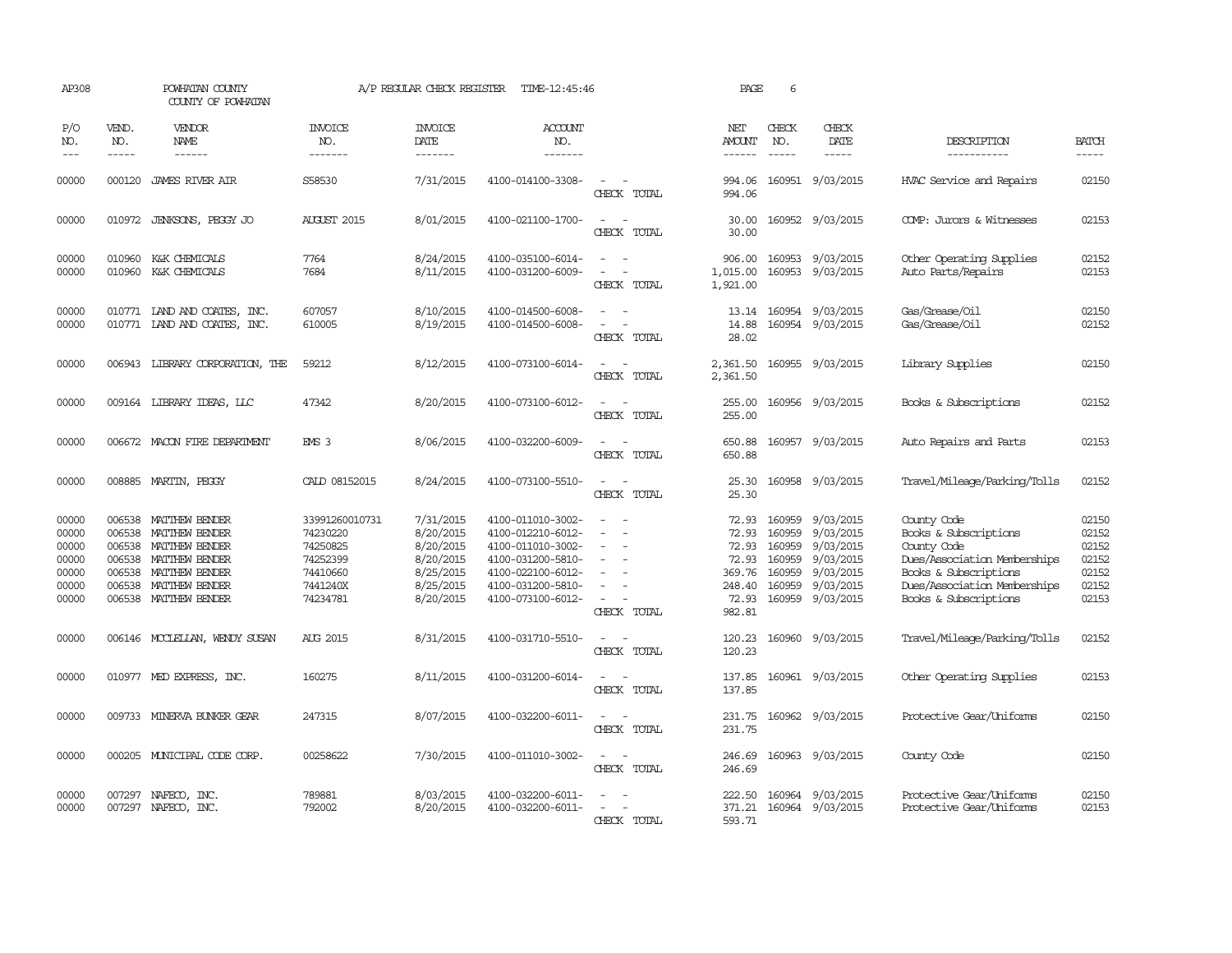| AP308                                                       |                                      | POWHATAN COUNTY<br>COUNTY OF POWHATAN                                                                                                           |                                                                                        | A/P REGULAR CHECK REGISTER                                                              | TIME-12:45:46                                                                                                                                   |                                                   | PAGE                                                                    | 6                                                                  |                                                                                         |                                                                                                                                                                       |                                                             |
|-------------------------------------------------------------|--------------------------------------|-------------------------------------------------------------------------------------------------------------------------------------------------|----------------------------------------------------------------------------------------|-----------------------------------------------------------------------------------------|-------------------------------------------------------------------------------------------------------------------------------------------------|---------------------------------------------------|-------------------------------------------------------------------------|--------------------------------------------------------------------|-----------------------------------------------------------------------------------------|-----------------------------------------------------------------------------------------------------------------------------------------------------------------------|-------------------------------------------------------------|
| P/O<br>NO.<br>$ -$                                          | VEND.<br>NO.<br>$\frac{1}{2}$        | VENDOR<br><b>NAME</b><br>$\frac{1}{2}$                                                                                                          | <b>INVOICE</b><br>NO.<br>-------                                                       | <b>INVOICE</b><br>DATE<br>--------                                                      | <b>ACCOUNT</b><br>NO.<br>-------                                                                                                                |                                                   | NET<br><b>AMOUNT</b><br>------                                          | CHECK<br>NO.<br>$\frac{1}{2}$                                      | CHECK<br>DATE<br>$\frac{1}{2}$                                                          | DESCRIPTION<br>-----------                                                                                                                                            | <b>BATCH</b><br>-----                                       |
| 00000                                                       | 000120                               | JAMES RIVER AIR                                                                                                                                 | S58530                                                                                 | 7/31/2015                                                                               | 4100-014100-3308-                                                                                                                               | CHECK TOTAL                                       | 994.06<br>994.06                                                        | 160951                                                             | 9/03/2015                                                                               | HVAC Service and Repairs                                                                                                                                              | 02150                                                       |
| 00000                                                       | 010972                               | JENKSONS, PEGGY JO                                                                                                                              | <b>AUGUST 2015</b>                                                                     | 8/01/2015                                                                               | 4100-021100-1700-                                                                                                                               | $\sim$<br>$\overline{\phantom{a}}$<br>CHECK TOTAL | 30.00<br>30.00                                                          |                                                                    | 160952 9/03/2015                                                                        | COMP: Jurors & Witnesses                                                                                                                                              | 02153                                                       |
| 00000<br>00000                                              | 010960<br>010960                     | K&K CHEMICALS<br>K&K CHEMICALS                                                                                                                  | 7764<br>7684                                                                           | 8/24/2015<br>8/11/2015                                                                  | 4100-035100-6014-<br>4100-031200-6009-                                                                                                          | $\equiv$<br>$\sim$<br>$\equiv$<br>CHECK TOTAL     | 906.00<br>1,015.00<br>1,921.00                                          | 160953                                                             | 9/03/2015<br>160953 9/03/2015                                                           | Other Operating Supplies<br>Auto Parts/Repairs                                                                                                                        | 02152<br>02153                                              |
| 00000<br>00000                                              |                                      | 010771 LAND AND COATES, INC.<br>010771 LAND AND COATES, INC.                                                                                    | 607057<br>610005                                                                       | 8/10/2015<br>8/19/2015                                                                  | 4100-014500-6008-<br>4100-014500-6008-                                                                                                          | CHECK TOTAL                                       | 13.14<br>14.88<br>28.02                                                 |                                                                    | 160954 9/03/2015<br>160954 9/03/2015                                                    | Gas/Grease/Oil<br>Gas/Grease/Oil                                                                                                                                      | 02150<br>02152                                              |
| 00000                                                       | 006943                               | LIBRARY CORPORATION, THE                                                                                                                        | 59212                                                                                  | 8/12/2015                                                                               | 4100-073100-6014-                                                                                                                               | CHECK TOTAL                                       | 2,361.50<br>2,361.50                                                    |                                                                    | 160955 9/03/2015                                                                        | Library Supplies                                                                                                                                                      | 02150                                                       |
| 00000                                                       |                                      | 009164 LIBRARY IDEAS, LLC                                                                                                                       | 47342                                                                                  | 8/20/2015                                                                               | 4100-073100-6012-                                                                                                                               | CHECK TOTAL                                       | 255.00<br>255.00                                                        |                                                                    | 160956 9/03/2015                                                                        | Books & Subscriptions                                                                                                                                                 | 02152                                                       |
| 00000                                                       |                                      | 006672 MACON FIRE DEPARTMENT                                                                                                                    | EMS <sub>3</sub>                                                                       | 8/06/2015                                                                               | 4100-032200-6009-                                                                                                                               | CHECK TOTAL                                       | 650.88<br>650.88                                                        |                                                                    | 160957 9/03/2015                                                                        | Auto Repairs and Parts                                                                                                                                                | 02153                                                       |
| 00000                                                       |                                      | 008885 MARTIN, PEGGY                                                                                                                            | CALD 08152015                                                                          | 8/24/2015                                                                               | 4100-073100-5510-                                                                                                                               | $\overline{\phantom{a}}$<br>CHECK TOTAL           | 25.30<br>25.30                                                          |                                                                    | 160958 9/03/2015                                                                        | Travel/Mileage/Parking/Tolls                                                                                                                                          | 02152                                                       |
| 00000<br>00000<br>00000<br>00000<br>00000<br>00000<br>00000 | 006538<br>006538<br>006538<br>006538 | 006538 MATTHEW BENDER<br>MATTHEW BENDER<br>MATTHEW BENDER<br>MATTHEW BENDER<br>MATTHEW BENDER<br>006538 MATTHEW BENDER<br>006538 MATTHEW BENDER | 33991260010731<br>74230220<br>74250825<br>74252399<br>74410660<br>7441240X<br>74234781 | 7/31/2015<br>8/20/2015<br>8/20/2015<br>8/20/2015<br>8/25/2015<br>8/25/2015<br>8/20/2015 | 4100-011010-3002-<br>4100-012210-6012-<br>4100-011010-3002-<br>4100-031200-5810-<br>4100-022100-6012-<br>4100-031200-5810-<br>4100-073100-6012- | $\sim$<br>CHECK TOTAL                             | 72.93<br>72.93<br>72.93<br>72.93<br>369.76<br>248.40<br>72.93<br>982.81 | 160959<br>160959<br>160959<br>160959<br>160959<br>160959<br>160959 | 9/03/2015<br>9/03/2015<br>9/03/2015<br>9/03/2015<br>9/03/2015<br>9/03/2015<br>9/03/2015 | County Code<br>Books & Subscriptions<br>County Code<br>Dues/Association Memberships<br>Books & Subscriptions<br>Dues/Association Memberships<br>Books & Subscriptions | 02150<br>02152<br>02152<br>02152<br>02152<br>02152<br>02153 |
| 00000                                                       |                                      | 006146 MCCLELLAN, WENDY SUSAN                                                                                                                   | AUG 2015                                                                               | 8/31/2015                                                                               | 4100-031710-5510-                                                                                                                               | CHECK TOTAL                                       | 120.23<br>120.23                                                        |                                                                    | 160960 9/03/2015                                                                        | Travel/Mileage/Parking/Tolls                                                                                                                                          | 02152                                                       |
| 00000                                                       |                                      | 010977 MED EXPRESS, INC.                                                                                                                        | 160275                                                                                 | 8/11/2015                                                                               | 4100-031200-6014-                                                                                                                               | $\overline{\phantom{0}}$<br>CHECK TOTAL           | 137.85<br>137.85                                                        |                                                                    | 160961 9/03/2015                                                                        | Other Operating Supplies                                                                                                                                              | 02153                                                       |
| 00000                                                       |                                      | 009733 MINERVA BUNKER GEAR                                                                                                                      | 247315                                                                                 | 8/07/2015                                                                               | 4100-032200-6011-                                                                                                                               | $\sim$ $\sim$<br>CHECK TOTAL                      | 231.75<br>231.75                                                        |                                                                    | 160962 9/03/2015                                                                        | Protective Gear/Uniforms                                                                                                                                              | 02150                                                       |
| 00000                                                       |                                      | 000205 MUNICIPAL CODE CORP.                                                                                                                     | 00258622                                                                               | 7/30/2015                                                                               | 4100-011010-3002-                                                                                                                               | $\equiv$<br>CHECK TOTAL                           | 246.69<br>246.69                                                        |                                                                    | 160963 9/03/2015                                                                        | County Code                                                                                                                                                           | 02150                                                       |
| 00000<br>00000                                              | 007297                               | NAFECO, INC.<br>007297 NAFECO, INC.                                                                                                             | 789881<br>792002                                                                       | 8/03/2015<br>8/20/2015                                                                  | 4100-032200-6011-<br>4100-032200-6011-                                                                                                          | CHECK TOTAL                                       | 222.50<br>371.21<br>593.71                                              |                                                                    | 160964 9/03/2015<br>160964 9/03/2015                                                    | Protective Gear/Uniforms<br>Protective Gear/Uniforms                                                                                                                  | 02150<br>02153                                              |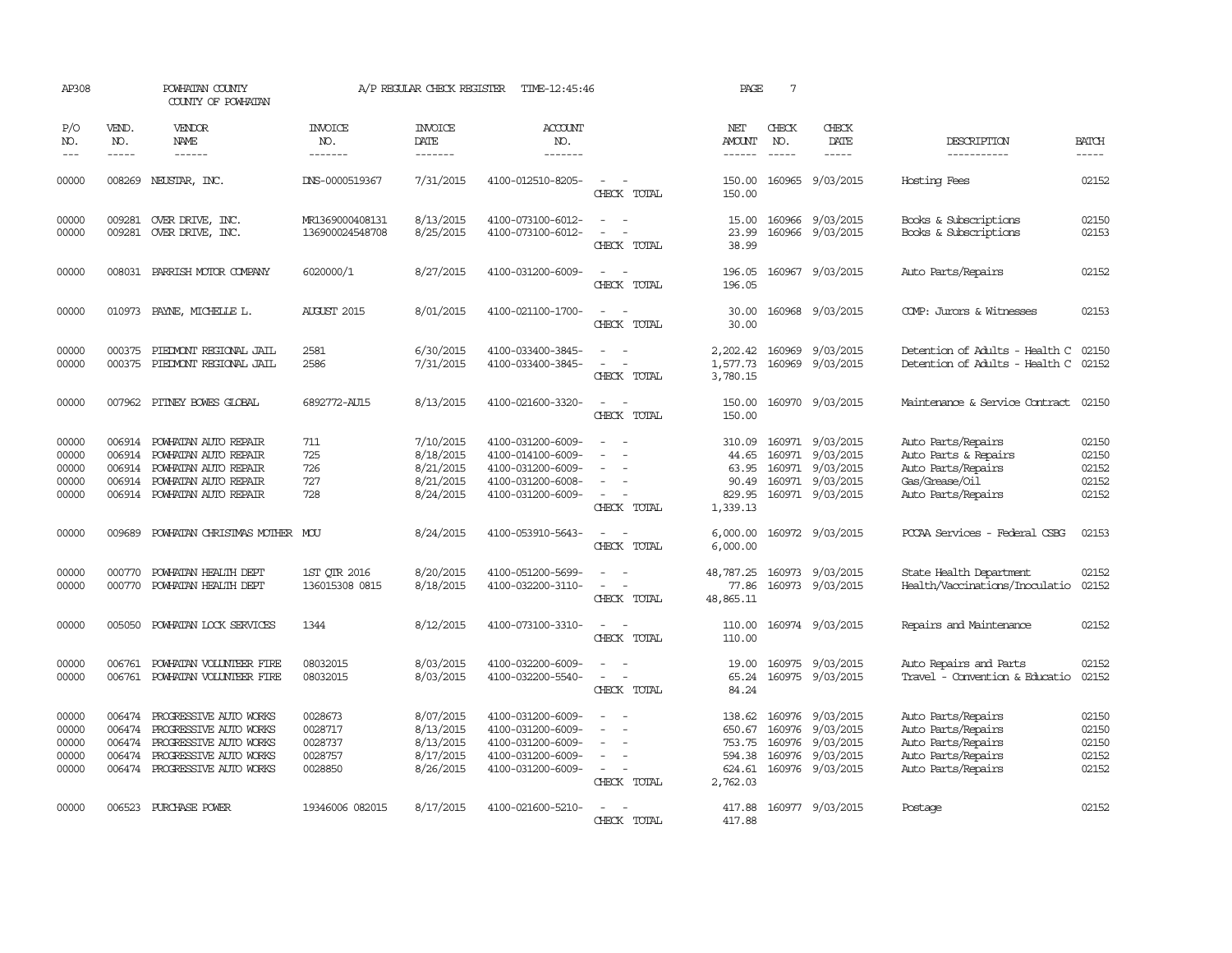| AP308                                     |                                      | POWHATAN COUNTY<br>COUNTY OF POWHATAN                                                                                                 |                                                     | A/P REGULAR CHECK REGISTER                                    | TIME-12:45:46                                                                                         |                                                                                 | PAGE                                                       | $7\phantom{.0}$               |                                                                                                  |                                                                                                            |                                           |
|-------------------------------------------|--------------------------------------|---------------------------------------------------------------------------------------------------------------------------------------|-----------------------------------------------------|---------------------------------------------------------------|-------------------------------------------------------------------------------------------------------|---------------------------------------------------------------------------------|------------------------------------------------------------|-------------------------------|--------------------------------------------------------------------------------------------------|------------------------------------------------------------------------------------------------------------|-------------------------------------------|
| P/O<br>NO.<br>$- - -$                     | VEND.<br>NO.<br>$\frac{1}{2}$        | VENDOR<br><b>NAME</b>                                                                                                                 | <b>INVOICE</b><br>NO.<br>-------                    | <b>INVOICE</b><br><b>DATE</b><br>--------                     | ACCOUNT<br>NO.<br>$- - - - - - -$                                                                     |                                                                                 | NET<br>AMOUNT<br>$- - - - - -$                             | CHECK<br>NO.<br>$\frac{1}{2}$ | CHECK<br><b>DATE</b><br>-----                                                                    | DESCRIPTION<br>-----------                                                                                 | <b>BATCH</b><br>$\frac{1}{2}$             |
| 00000                                     | 008269                               | NEUSTAR, INC.                                                                                                                         | DNS-0000519367                                      | 7/31/2015                                                     | 4100-012510-8205-                                                                                     | CHECK TOTAL                                                                     | 150.00<br>150.00                                           |                               | 160965 9/03/2015                                                                                 | Hosting Fees                                                                                               | 02152                                     |
| 00000<br>00000                            | 009281                               | OVER DRIVE, INC.<br>009281 OVER DRIVE, INC.                                                                                           | MR1369000408131<br>136900024548708                  | 8/13/2015<br>8/25/2015                                        | 4100-073100-6012-<br>4100-073100-6012-                                                                | CHECK TOTAL                                                                     | 15.00<br>23.99<br>38.99                                    |                               | 160966 9/03/2015<br>160966 9/03/2015                                                             | Books & Subscriptions<br>Books & Subscriptions                                                             | 02150<br>02153                            |
| 00000                                     |                                      | 008031 PARRISH MOTOR COMPANY                                                                                                          | 6020000/1                                           | 8/27/2015                                                     | 4100-031200-6009-                                                                                     | $\sim$<br>CHECK TOTAL                                                           | 196.05<br>196.05                                           |                               | 160967 9/03/2015                                                                                 | Auto Parts/Repairs                                                                                         | 02152                                     |
| 00000                                     | 010973                               | PAYNE, MICHELLE L.                                                                                                                    | <b>AUGUST 2015</b>                                  | 8/01/2015                                                     | 4100-021100-1700-                                                                                     | $\sim$<br>$\sim$<br>CHECK TOTAL                                                 | 30.00<br>30.00                                             |                               | 160968 9/03/2015                                                                                 | COMP: Jurors & Witnesses                                                                                   | 02153                                     |
| 00000<br>00000                            | 000375<br>000375                     | PIEDMONT REGIONAL JAIL<br>PIEDMONT REGIONAL JAIL                                                                                      | 2581<br>2586                                        | 6/30/2015<br>7/31/2015                                        | 4100-033400-3845-<br>4100-033400-3845-                                                                | CHECK TOTAL                                                                     | 2,202.42<br>1,577.73<br>3,780.15                           |                               | 160969 9/03/2015<br>160969 9/03/2015                                                             | Detention of Adults - Health C<br>Detention of Adults - Health C                                           | 02150<br>02152                            |
| 00000                                     |                                      | 007962 PITNEY BOWES GLOBAL                                                                                                            | 6892772-AU15                                        | 8/13/2015                                                     | 4100-021600-3320-                                                                                     | $ -$<br>CHECK TOTAL                                                             | 150.00<br>150.00                                           |                               | 160970 9/03/2015                                                                                 | Maintenance & Service Contract                                                                             | 02150                                     |
| 00000<br>00000<br>00000<br>00000<br>00000 | 006914<br>006914<br>006914           | POWHATAN AUTO REPAIR<br>POWHATAN AUTO REPAIR<br>POWHATAN AUTO REPAIR<br>006914 POWHATAN AUTO REPAIR<br>006914 POWHATAN AUTO REPAIR    | 711<br>725<br>726<br>727<br>728                     | 7/10/2015<br>8/18/2015<br>8/21/2015<br>8/21/2015<br>8/24/2015 | 4100-031200-6009-<br>4100-014100-6009-<br>4100-031200-6009-<br>4100-031200-6008-<br>4100-031200-6009- | $\sim$<br>$\sim$<br>CHECK TOTAL                                                 | 310.09<br>44.65<br>63.95<br>90.49<br>829.95<br>1,339.13    |                               | 160971 9/03/2015<br>160971 9/03/2015<br>160971 9/03/2015<br>160971 9/03/2015<br>160971 9/03/2015 | Auto Parts/Repairs<br>Auto Parts & Repairs<br>Auto Parts/Repairs<br>Gas/Grease/Oil<br>Auto Parts/Repairs   | 02150<br>02150<br>02152<br>02152<br>02152 |
| 00000                                     | 009689                               | POWHATAN CHRISTMAS MOTHER MOU                                                                                                         |                                                     | 8/24/2015                                                     | 4100-053910-5643-                                                                                     | CHECK TOTAL                                                                     | 6,000.00<br>6,000.00                                       |                               | 160972 9/03/2015                                                                                 | PCCAA Services - Federal CSBG                                                                              | 02153                                     |
| 00000<br>00000                            | 000770<br>000770                     | POWHATAN HEALTH DEPT<br>POWHATAN HEALTH DEPT                                                                                          | 1ST OTR 2016<br>136015308 0815                      | 8/20/2015<br>8/18/2015                                        | 4100-051200-5699-<br>4100-032200-3110-                                                                | CHECK TOTAL                                                                     | 48,787.25<br>77.86<br>48,865.11                            |                               | 160973 9/03/2015<br>160973 9/03/2015                                                             | State Health Department<br>Health/Vaccinations/Inoculatio                                                  | 02152<br>02152                            |
| 00000                                     | 005050                               | POWHATAN LOCK SERVICES                                                                                                                | 1344                                                | 8/12/2015                                                     | 4100-073100-3310-                                                                                     | $\overline{\phantom{a}}$<br>$\sim$<br>CHECK TOTAL                               | 110.00<br>110.00                                           |                               | 160974 9/03/2015                                                                                 | Repairs and Maintenance                                                                                    | 02152                                     |
| 00000<br>00000                            | 006761<br>006761                     | POWHATAN VOLUNTEER FIRE<br>POWHATAN VOLUNIEER FIRE                                                                                    | 08032015<br>08032015                                | 8/03/2015<br>8/03/2015                                        | 4100-032200-6009-<br>4100-032200-5540-                                                                | $\equiv$<br>CHECK TOTAL                                                         | 19.00<br>65.24<br>84.24                                    | 160975                        | 9/03/2015<br>160975 9/03/2015                                                                    | Auto Repairs and Parts<br>Travel - Convention & Educatio                                                   | 02152<br>02152                            |
| 00000<br>00000<br>00000<br>00000<br>00000 | 006474<br>006474<br>006474<br>006474 | PROGRESSIVE AUTO WORKS<br>PROGRESSIVE AUTO WORKS<br>PROGRESSIVE AUTO WORKS<br>PROGRESSIVE AUTO WORKS<br>006474 PROGRESSIVE AUTO WORKS | 0028673<br>0028717<br>0028737<br>0028757<br>0028850 | 8/07/2015<br>8/13/2015<br>8/13/2015<br>8/17/2015<br>8/26/2015 | 4100-031200-6009-<br>4100-031200-6009-<br>4100-031200-6009-<br>4100-031200-6009-<br>4100-031200-6009- | $\equiv$<br>$\overline{\phantom{a}}$<br>$\overline{\phantom{a}}$<br>CHECK TOTAL | 138.62<br>650.67<br>753.75<br>594.38<br>624.61<br>2,762.03 | 160976<br>160976<br>160976    | 160976 9/03/2015<br>9/03/2015<br>9/03/2015<br>9/03/2015<br>160976 9/03/2015                      | Auto Parts/Repairs<br>Auto Parts/Repairs<br>Auto Parts/Repairs<br>Auto Parts/Repairs<br>Auto Parts/Repairs | 02150<br>02150<br>02150<br>02152<br>02152 |
| 00000                                     |                                      | 006523 PURCHASE POWER                                                                                                                 | 19346006 082015                                     | 8/17/2015                                                     | 4100-021600-5210-                                                                                     | CHECK TOTAL                                                                     | 417.88                                                     |                               | 417.88 160977 9/03/2015                                                                          | Postage                                                                                                    | 02152                                     |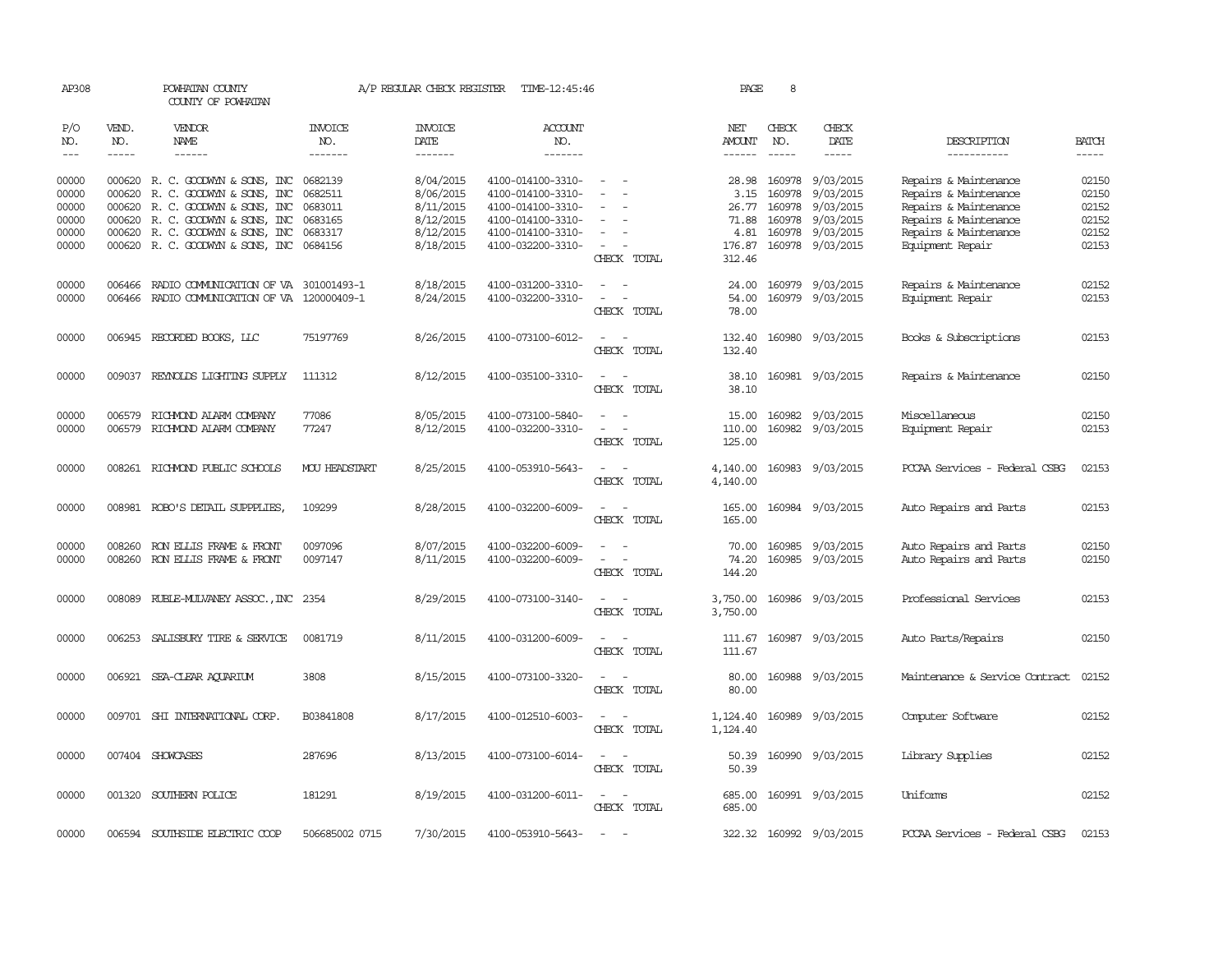| AP308                       |                               | POWHATAN COUNTY<br>COUNTY OF POWHATAN                                                |                                  | A/P REGULAR CHECK REGISTER | TIME-12:45:46                          |                                                                                                           | PAGE                      | 8                           |                                      |                                                  |                      |
|-----------------------------|-------------------------------|--------------------------------------------------------------------------------------|----------------------------------|----------------------------|----------------------------------------|-----------------------------------------------------------------------------------------------------------|---------------------------|-----------------------------|--------------------------------------|--------------------------------------------------|----------------------|
| P/O<br>NO.<br>$\frac{1}{2}$ | VEND.<br>NO.<br>$\frac{1}{2}$ | VENDOR<br>NAME<br>------                                                             | <b>INVOICE</b><br>NO.<br>------- | <b>INVOICE</b><br>DATE     | <b>ACCOUNT</b><br>NO.<br>-------       |                                                                                                           | NET<br>AMOUNT             | CHECK<br>NO.<br>$- - - - -$ | CHECK<br>DATE<br>-----               | DESCRIPTION                                      | BATCH<br>$- - - - -$ |
|                             |                               |                                                                                      |                                  | -------                    |                                        |                                                                                                           | $- - - - - -$             |                             |                                      | -----------                                      |                      |
| 00000<br>00000              | 000620                        | 000620 R. C. GOODWYN & SONS, INC<br>R. C. GOODWYN & SONS, INC                        | 0682139<br>0682511               | 8/04/2015<br>8/06/2015     | 4100-014100-3310-<br>4100-014100-3310- | $\overline{\phantom{a}}$                                                                                  | 28.98<br>3.15             | 160978<br>160978            | 9/03/2015<br>9/03/2015               | Repairs & Maintenance<br>Repairs & Maintenance   | 02150<br>02150       |
| 00000<br>00000              |                               | 000620 R. C. GOODWYN & SONS, INC<br>000620 R. C. GOODWYN & SONS, INC                 | 0683011<br>0683165               | 8/11/2015<br>8/12/2015     | 4100-014100-3310-<br>4100-014100-3310- |                                                                                                           | 26.77<br>71.88            | 160978<br>160978            | 9/03/2015<br>9/03/2015               | Repairs & Maintenance<br>Repairs & Maintenance   | 02152<br>02152       |
| 00000<br>00000              |                               | 000620 R. C. GOODWYN & SONS, INC<br>000620 R. C. GOODWYN & SONS, INC 0684156         | 0683317                          | 8/12/2015<br>8/18/2015     | 4100-014100-3310-<br>4100-032200-3310- | $\overline{\phantom{a}}$<br>CHECK TOTAL                                                                   | 4.81<br>176.87<br>312.46  |                             | 160978 9/03/2015<br>160978 9/03/2015 | Repairs & Maintenance<br>Equipment Repair        | 02152<br>02153       |
| 00000<br>00000              | 006466                        | RADIO COMUNICATION OF VA 301001493-1<br>006466 RADIO COMMUNICATION OF VA 120000409-1 |                                  | 8/18/2015<br>8/24/2015     | 4100-031200-3310-<br>4100-032200-3310- | $\overline{\phantom{a}}$<br>CHECK TOTAL                                                                   | 24.00<br>54.00<br>78.00   |                             | 160979 9/03/2015<br>160979 9/03/2015 | Repairs & Maintenance<br>Equipment Repair        | 02152<br>02153       |
| 00000                       |                               | 006945 RECORDED BOOKS, LLC                                                           | 75197769                         | 8/26/2015                  | 4100-073100-6012-                      | $\sim$<br>$\overline{\phantom{a}}$<br>CHECK TOTAL                                                         | 132.40<br>132.40          |                             | 160980 9/03/2015                     | Books & Subscriptions                            | 02153                |
| 00000                       |                               | 009037 REYNOLDS LIGHTING SUPPLY                                                      | 111312                           | 8/12/2015                  | 4100-035100-3310-                      | $\overline{\phantom{a}}$<br>CHECK TOTAL                                                                   | 38.10<br>38.10            |                             | 160981 9/03/2015                     | Repairs & Maintenance                            | 02150                |
| 00000<br>00000              | 006579                        | RICHMOND ALARM COMPANY<br>006579 RICHMOND ALARM COMPANY                              | 77086<br>77247                   | 8/05/2015<br>8/12/2015     | 4100-073100-5840-<br>4100-032200-3310- | CHECK TOTAL                                                                                               | 15.00<br>110.00<br>125.00 |                             | 160982 9/03/2015<br>160982 9/03/2015 | Miscellaneous<br>Equipment Repair                | 02150<br>02153       |
| 00000                       |                               | 008261 RICHMOND PUBLIC SCHOOLS                                                       | <b>MOU HEADSTART</b>             | 8/25/2015                  | 4100-053910-5643-                      | CHECK TOTAL                                                                                               | 4,140.00<br>4,140.00      |                             | 160983 9/03/2015                     | PCCAA Services - Federal CSBG                    | 02153                |
| 00000                       |                               | 008981 ROBO'S DETAIL SUPPPLIES,                                                      | 109299                           | 8/28/2015                  | 4100-032200-6009-                      | CHECK TOTAL                                                                                               | 165.00<br>165.00          |                             | 160984 9/03/2015                     | Auto Repairs and Parts                           | 02153                |
| 00000<br>00000              | 008260                        | RON ELLIS FRAME & FRONT<br>008260 RON ELLIS FRAME & FRONT                            | 0097096<br>0097147               | 8/07/2015<br>8/11/2015     | 4100-032200-6009-<br>4100-032200-6009- | $\sim$<br>$\overline{\phantom{a}}$<br>$\overline{\phantom{a}}$<br>$\overline{\phantom{a}}$<br>CHECK TOTAL | 70.00<br>74.20<br>144.20  | 160985                      | 9/03/2015<br>160985 9/03/2015        | Auto Repairs and Parts<br>Auto Repairs and Parts | 02150<br>02150       |
| 00000                       |                               | 008089 RUBLE-MULVANEY ASSOC., INC 2354                                               |                                  | 8/29/2015                  | 4100-073100-3140-                      | $\sim$<br>CHECK TOTAL                                                                                     | 3,750.00<br>3,750.00      |                             | 160986 9/03/2015                     | Professional Services                            | 02153                |
| 00000                       | 006253                        | SALISBURY TIRE & SERVICE                                                             | 0081719                          | 8/11/2015                  | 4100-031200-6009-                      | $\overline{\phantom{a}}$<br>CHECK TOTAL                                                                   | 111.67<br>111.67          | 160987                      | 9/03/2015                            | Auto Parts/Repairs                               | 02150                |
| 00000                       |                               | 006921 SEA-CLEAR AQUARIUM                                                            | 3808                             | 8/15/2015                  | 4100-073100-3320-                      | $\overline{\phantom{a}}$<br>$\sim$<br>CHECK TOTAL                                                         | 80.00<br>80.00            |                             | 160988 9/03/2015                     | Maintenance & Service Contract                   | 02152                |
| 00000                       |                               | 009701 SHI INTERNATIONAL CORP                                                        | B03841808                        | 8/17/2015                  | 4100-012510-6003-                      | $\overline{\phantom{a}}$<br>$\sim$<br>CHECK TOTAL                                                         | 1,124.40<br>1,124.40      | 160989                      | 9/03/2015                            | Computer Software                                | 02152                |
| 00000                       |                               | 007404 SHOWCASES                                                                     | 287696                           | 8/13/2015                  | 4100-073100-6014-                      | $\sim$<br>$\sim$<br>CHECK TOTAL                                                                           | 50.39                     |                             | 50.39 160990 9/03/2015               | Library Supplies                                 | 02152                |
| 00000                       |                               | 001320 SOUTHERN POLICE                                                               | 181291                           | 8/19/2015                  | 4100-031200-6011-                      | $\overline{\phantom{a}}$<br>$\overline{\phantom{a}}$<br>CHECK TOTAL                                       | 685.00<br>685.00          |                             | 160991 9/03/2015                     | Uniforms                                         | 02152                |
| 00000                       |                               | 006594 SOUTHSIDE ELECTRIC COOP                                                       | 506685002 0715                   | 7/30/2015                  | 4100-053910-5643-                      |                                                                                                           |                           |                             | 322.32 160992 9/03/2015              | PCCAA Services - Federal CSBG                    | 02153                |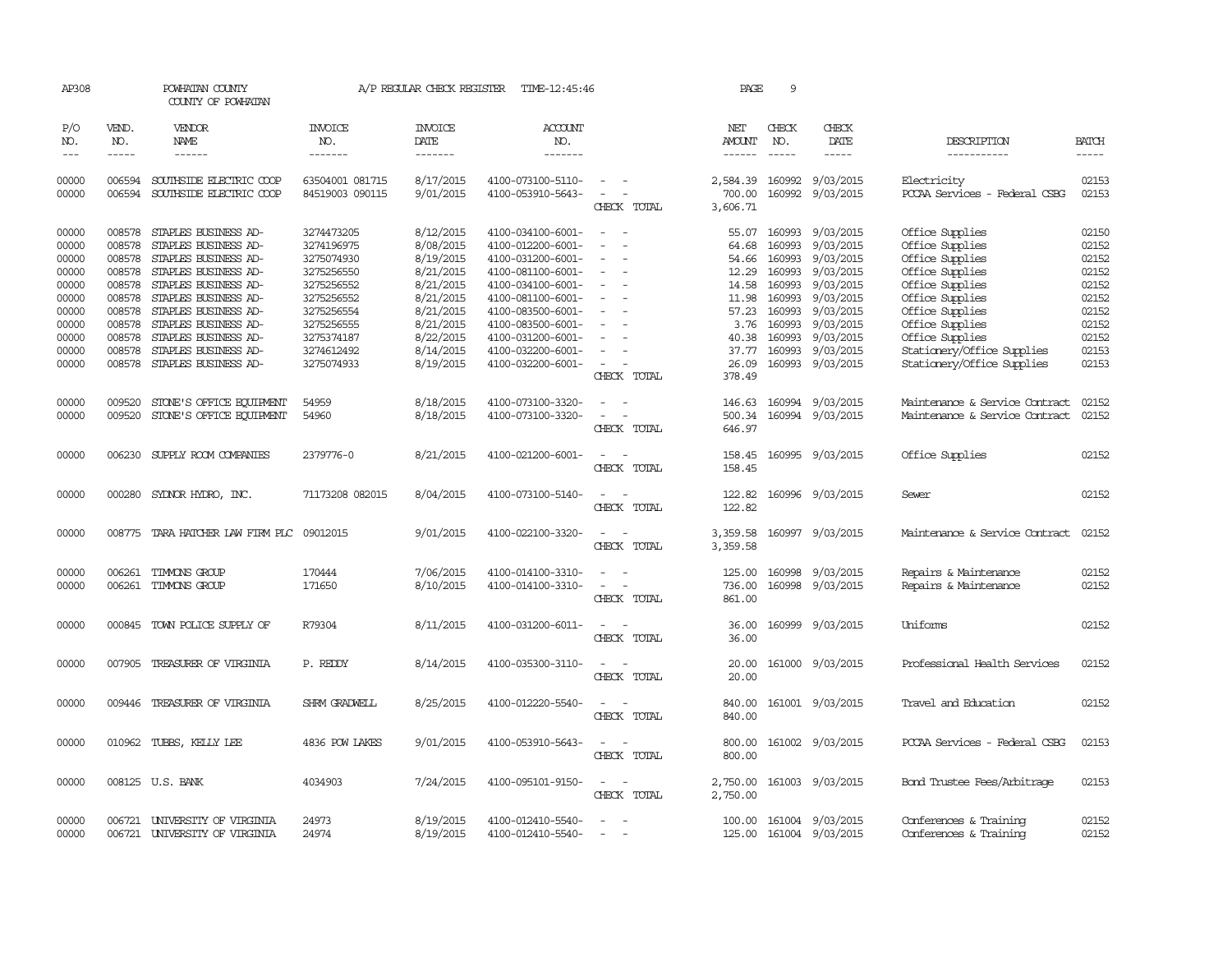| AP308          |                  | POWHATAN COUNTY<br>COUNTY OF POWHATAN              |                                    | A/P REGULAR CHECK REGISTER | TIME-12:45:46                          |                                            | PAGE               | 9                |                        |                                              |                |
|----------------|------------------|----------------------------------------------------|------------------------------------|----------------------------|----------------------------------------|--------------------------------------------|--------------------|------------------|------------------------|----------------------------------------------|----------------|
| P/O<br>NO.     | VEND.<br>NO.     | VENDOR<br>NAME                                     | <b>INVOICE</b><br>NO.              | <b>INVOICE</b><br>DATE     | <b>ACCOUNT</b><br>NO.                  |                                            | NET<br>AMOUNT      | CHECK<br>NO.     | CHECK<br>DATE          | DESCRIPTION                                  | <b>BATCH</b>   |
| $\frac{1}{2}$  | $- - - - -$      | ------                                             | -------                            | $- - - - - - -$            | -------                                |                                            | $- - - - - -$      | $\frac{1}{2}$    | -----                  | -----------                                  | $- - - - -$    |
| 00000<br>00000 | 006594<br>006594 | SOUTHSIDE ELECTRIC COOP<br>SOUTHSIDE ELECTRIC COOP | 63504001 081715<br>84519003 090115 | 8/17/2015<br>9/01/2015     | 4100-073100-5110-<br>4100-053910-5643- | $\sim$ $ \sim$<br>$\overline{\phantom{a}}$ | 2,584.39<br>700.00 | 160992<br>160992 | 9/03/2015<br>9/03/2015 | Electricity<br>PCCAA Services - Federal CSBG | 02153<br>02153 |
|                |                  |                                                    |                                    |                            |                                        | CHECK TOTAL                                | 3,606.71           |                  |                        |                                              |                |
|                |                  |                                                    |                                    |                            |                                        |                                            |                    |                  |                        |                                              |                |
| 00000          | 008578           | STAPLES BUSINESS AD-                               | 3274473205                         | 8/12/2015                  | 4100-034100-6001-                      |                                            | 55.07              | 160993           | 9/03/2015              | Office Supplies                              | 02150          |
| 00000          | 008578           | STAPLES BUSINESS AD-                               | 3274196975                         | 8/08/2015                  | 4100-012200-6001-                      |                                            | 64.68              | 160993           | 9/03/2015              | Office Supplies                              | 02152          |
| 00000          | 008578           | STAPLES BUSINESS AD-                               | 3275074930                         | 8/19/2015                  | 4100-031200-6001-                      |                                            | 54.66              | 160993           | 9/03/2015              | Office Supplies                              | 02152          |
| 00000          | 008578           | STAPLES BUSINESS AD-                               | 3275256550                         | 8/21/2015                  | 4100-081100-6001-                      |                                            | 12.29              | 160993           | 9/03/2015              | Office Supplies                              | 02152          |
| 00000          | 008578           | STAPLES BUSINESS AD-                               | 3275256552                         | 8/21/2015                  | 4100-034100-6001-                      |                                            | 14.58              | 160993           | 9/03/2015              | Office Supplies                              | 02152          |
| 00000          | 008578           | STAPLES BUSINESS AD-                               | 3275256552                         | 8/21/2015                  | 4100-081100-6001-                      |                                            | 11.98              | 160993           | 9/03/2015              | Office Supplies                              | 02152          |
| 00000          | 008578           | STAPLES BUSINESS AD-                               | 3275256554                         | 8/21/2015                  | 4100-083500-6001-                      | $\equiv$                                   | 57.23              | 160993           | 9/03/2015              | Office Supplies                              | 02152          |
| 00000          | 008578           | STAPLES BUSINESS AD-                               | 3275256555                         | 8/21/2015                  | 4100-083500-6001-                      |                                            | 3.76               | 160993           | 9/03/2015              | Office Supplies                              | 02152          |
| 00000          | 008578           | STAPLES BUSINESS AD-                               | 3275374187                         | 8/22/2015                  | 4100-031200-6001-                      |                                            | 40.38              | 160993           | 9/03/2015              | Office Supplies                              | 02152          |
| 00000          | 008578           | STAPLES BUSINESS AD-                               | 3274612492                         | 8/14/2015                  | 4100-032200-6001-                      |                                            | 37.77              | 160993           | 9/03/2015              | Stationery/Office Supplies                   | 02153          |
| 00000          | 008578           | STAPLES BUSINESS AD-                               | 3275074933                         | 8/19/2015                  | 4100-032200-6001-                      |                                            | 26.09              |                  | 160993 9/03/2015       | Stationery/Office Supplies                   | 02153          |
|                |                  |                                                    |                                    |                            |                                        | CHECK TOTAL                                | 378.49             |                  |                        |                                              |                |
| 00000          | 009520           | STONE'S OFFICE EQUIPMENT                           | 54959                              | 8/18/2015                  | 4100-073100-3320-                      | $\overline{\phantom{a}}$<br>$\sim$         | 146.63             |                  | 160994 9/03/2015       | Maintenance & Service Contract               | 02152          |
| 00000          | 009520           | STONE'S OFFICE EQUIPMENT                           | 54960                              | 8/18/2015                  | 4100-073100-3320-                      | $\equiv$                                   | 500.34             | 160994           | 9/03/2015              | Maintenance & Service Contract               | 02152          |
|                |                  |                                                    |                                    |                            |                                        | CHECK TOTAL                                | 646.97             |                  |                        |                                              |                |
|                |                  |                                                    |                                    |                            |                                        | $\sim$                                     |                    |                  |                        |                                              | 02152          |
| 00000          | 006230           | SUPPLY ROOM COMPANIES                              | 2379776-0                          | 8/21/2015                  | 4100-021200-6001-                      | CHECK TOTAL                                | 158.45<br>158.45   |                  | 160995 9/03/2015       | Office Supplies                              |                |
|                |                  |                                                    |                                    |                            |                                        |                                            |                    |                  |                        |                                              |                |
| 00000          | 000280           | SYDNOR HYDRO, INC.                                 | 71173208 082015                    | 8/04/2015                  | 4100-073100-5140-                      | $\overline{\phantom{a}}$                   | 122.82             |                  | 160996 9/03/2015       | Sewer                                        | 02152          |
|                |                  |                                                    |                                    |                            |                                        | CHECK TOTAL                                | 122.82             |                  |                        |                                              |                |
|                |                  |                                                    |                                    |                            |                                        |                                            |                    |                  |                        |                                              |                |
| 00000          |                  | 008775 TARA HATCHER LAW FIRM PLC 09012015          |                                    | 9/01/2015                  | 4100-022100-3320-                      | $\sim$                                     | 3,359.58           |                  | 160997 9/03/2015       | Maintenance & Service Contract               | 02152          |
|                |                  |                                                    |                                    |                            |                                        | CHECK TOTAL                                | 3,359.58           |                  |                        |                                              |                |
| 00000          | 006261           | TIMMONS GROUP                                      | 170444                             | 7/06/2015                  | 4100-014100-3310-                      |                                            | 125.00             | 160998           | 9/03/2015              | Repairs & Maintenance                        | 02152          |
| 00000          | 006261           | TIMMONS GROUP                                      | 171650                             | 8/10/2015                  | 4100-014100-3310-                      |                                            | 736.00             |                  | 160998 9/03/2015       | Repairs & Maintenance                        | 02152          |
|                |                  |                                                    |                                    |                            |                                        | CHECK TOTAL                                | 861.00             |                  |                        |                                              |                |
|                |                  |                                                    |                                    |                            |                                        |                                            |                    |                  |                        |                                              |                |
| 00000          |                  | 000845 TOWN POLICE SUPPLY OF                       | R79304                             | 8/11/2015                  | 4100-031200-6011-                      | $\sim$                                     | 36.00              |                  | 160999 9/03/2015       | Uniforms                                     | 02152          |
|                |                  |                                                    |                                    |                            |                                        | CHECK TOTAL                                | 36.00              |                  |                        |                                              |                |
| 00000          |                  | 007905 TREASURER OF VIRGINIA                       | P. REDDY                           | 8/14/2015                  | 4100-035300-3110-                      |                                            | 20.00              |                  | 161000 9/03/2015       | Professional Health Services                 | 02152          |
|                |                  |                                                    |                                    |                            |                                        | CHECK TOTAL                                | 20.00              |                  |                        |                                              |                |
|                |                  |                                                    |                                    |                            |                                        |                                            |                    |                  |                        |                                              |                |
| 00000          |                  | 009446 TREASURER OF VIRGINIA                       | SHRM GRADWELL                      | 8/25/2015                  | 4100-012220-5540-                      |                                            | 840.00             |                  | 161001 9/03/2015       | Travel and Education                         | 02152          |
|                |                  |                                                    |                                    |                            |                                        | CHECK TOTAL                                | 840.00             |                  |                        |                                              |                |
| 00000          |                  | 010962 TUBBS, KELLY LEE                            | 4836 POW LAKES                     | 9/01/2015                  | 4100-053910-5643-                      |                                            | 800.00             |                  | 161002 9/03/2015       | PCCAA Services - Federal CSBG                | 02153          |
|                |                  |                                                    |                                    |                            |                                        | CHECK TOTAL                                | 800.00             |                  |                        |                                              |                |
|                |                  |                                                    |                                    |                            |                                        |                                            |                    |                  |                        |                                              |                |
| 00000          |                  | 008125 U.S. BANK                                   | 4034903                            | 7/24/2015                  | 4100-095101-9150-                      | $\sim$<br>$\sim$                           | 2,750.00           |                  | 161003 9/03/2015       | Bond Trustee Fees/Arbitrage                  | 02153          |
|                |                  |                                                    |                                    |                            |                                        | CHECK TOTAL                                | 2,750.00           |                  |                        |                                              |                |
| 00000          | 006721           | UNIVERSITY OF VIRGINIA                             | 24973                              | 8/19/2015                  | 4100-012410-5540-                      |                                            | 100.00             |                  | 161004 9/03/2015       | Conferences & Training                       | 02152          |
| 00000          | 006721           | UNIVERSITY OF VIRGINIA                             | 24974                              | 8/19/2015                  | 4100-012410-5540-                      |                                            | 125.00             |                  | 161004 9/03/2015       | Conferences & Training                       | 02152          |
|                |                  |                                                    |                                    |                            |                                        |                                            |                    |                  |                        |                                              |                |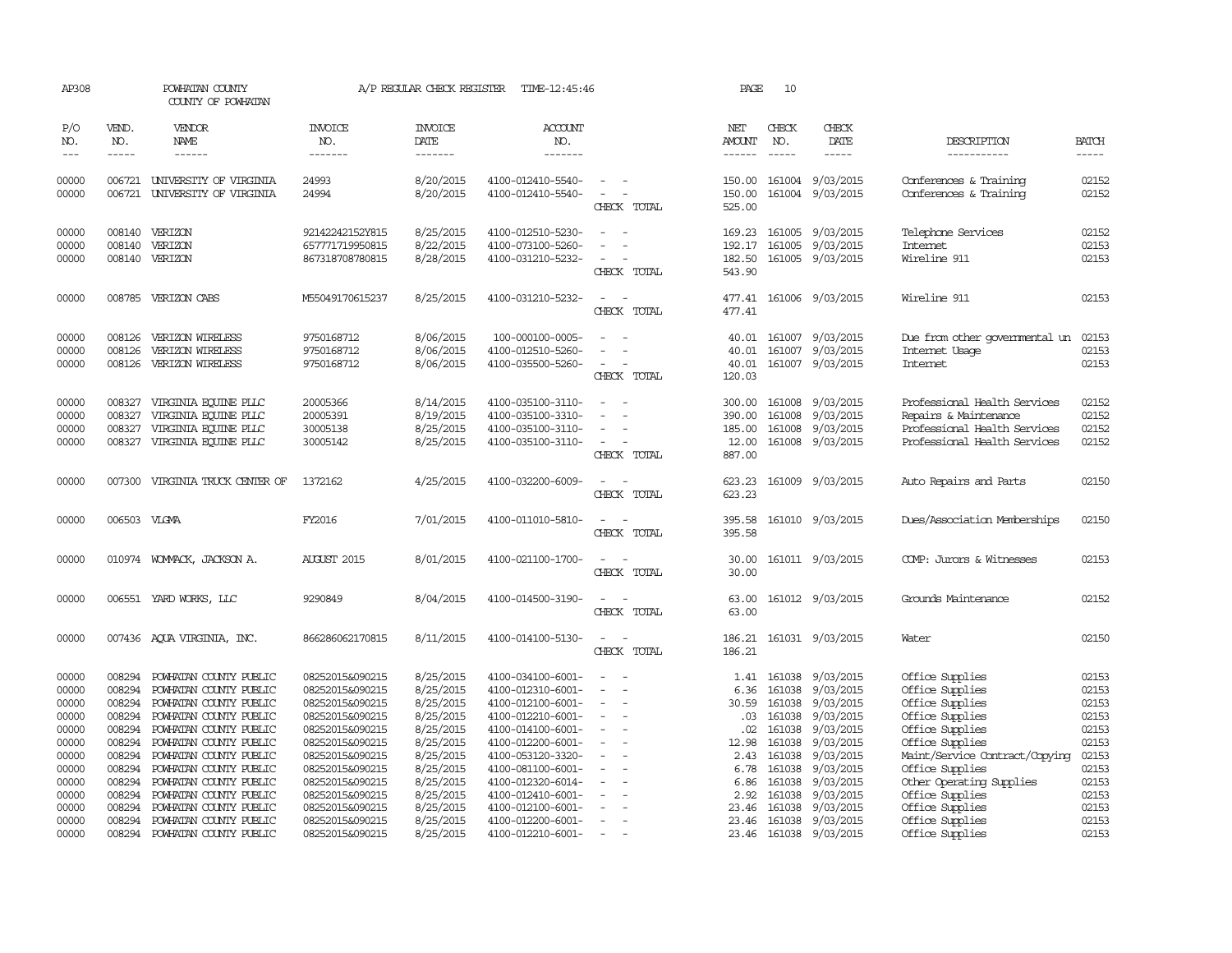| AP308                            |                            | POWHATAN COUNTY<br>COUNTY OF POWHATAN                                                                      |                                                       | A/P REGULAR CHECK REGISTER                       | TIME-12:45:46                                                                    |                                                                                                                             | PAGE                                          | 10                            |                                                                       |                                                                                                                       |                                  |
|----------------------------------|----------------------------|------------------------------------------------------------------------------------------------------------|-------------------------------------------------------|--------------------------------------------------|----------------------------------------------------------------------------------|-----------------------------------------------------------------------------------------------------------------------------|-----------------------------------------------|-------------------------------|-----------------------------------------------------------------------|-----------------------------------------------------------------------------------------------------------------------|----------------------------------|
| P/O<br>NO.                       | VEND.<br>NO.               | <b>VENDOR</b><br>NAME                                                                                      | <b>INVOICE</b><br>NO.<br>--------                     | <b>INVOICE</b><br>DATE                           | ACCOUNT<br>NO.<br>-------                                                        |                                                                                                                             | NET<br>AMOUNT                                 | CHECK<br>NO.<br>$\frac{1}{2}$ | CHECK<br>DATE                                                         | DESCRIPTION<br>-----------                                                                                            | <b>BATCH</b>                     |
| $- - -$                          | $- - - - -$                | ------                                                                                                     |                                                       | -------                                          |                                                                                  |                                                                                                                             | ------                                        |                               | $- - - - -$                                                           |                                                                                                                       | $- - - - -$                      |
| 00000<br>00000                   | 006721<br>006721           | UNIVERSITY OF VIRGINIA<br>UNIVERSITY OF VIRGINIA                                                           | 24993<br>24994                                        | 8/20/2015<br>8/20/2015                           | 4100-012410-5540-<br>4100-012410-5540-                                           | $\overline{\phantom{a}}$<br>$\equiv$<br>CHECK TOTAL                                                                         | 150.00<br>150.00<br>525.00                    |                               | 161004 9/03/2015<br>161004 9/03/2015                                  | Conferences & Training<br>Conferences & Training                                                                      | 02152<br>02152                   |
| 00000<br>00000<br>00000          | 008140<br>008140           | VERIZON<br>VERIZON<br>008140 VERIZON                                                                       | 92142242152Y815<br>657771719950815<br>867318708780815 | 8/25/2015<br>8/22/2015<br>8/28/2015              | 4100-012510-5230-<br>4100-073100-5260-<br>4100-031210-5232-                      | $\equiv$<br>CHECK TOTAL                                                                                                     | 169.23<br>192.17<br>182.50<br>543.90          | 161005                        | 161005 9/03/2015<br>9/03/2015<br>161005 9/03/2015                     | Telephone Services<br>Internet<br>Wireline 911                                                                        | 02152<br>02153<br>02153          |
| 00000                            |                            | 008785 VERIZON CABS                                                                                        | M55049170615237                                       | 8/25/2015                                        | 4100-031210-5232-                                                                | $\frac{1}{2} \left( \frac{1}{2} \right) \left( \frac{1}{2} \right) = \frac{1}{2} \left( \frac{1}{2} \right)$<br>CHECK TOTAL | 477.41                                        |                               | 477.41 161006 9/03/2015                                               | Wireline 911                                                                                                          | 02153                            |
| 00000<br>00000<br>00000          | 008126<br>008126<br>008126 | VERIZON WIRELESS<br>VERIZON WIRELESS<br>VERIZON WIRELESS                                                   | 9750168712<br>9750168712<br>9750168712                | 8/06/2015<br>8/06/2015<br>8/06/2015              | 100-000100-0005-<br>4100-012510-5260-<br>4100-035500-5260-                       | CHECK TOTAL                                                                                                                 | 40.01<br>40.01<br>120.03                      |                               | 40.01 161007 9/03/2015<br>161007 9/03/2015<br>161007 9/03/2015        | Due from other governmental un<br>Internet Usage<br><b>Internet</b>                                                   | 02153<br>02153<br>02153          |
| 00000<br>00000<br>00000<br>00000 | 008327<br>008327           | VIRGINIA EQUINE PLLC<br>VIRGINIA EQUINE PLLC<br>008327 VIRGINIA EQUINE PLLC<br>008327 VIRGINIA EQUINE PLLC | 20005366<br>20005391<br>30005138<br>30005142          | 8/14/2015<br>8/19/2015<br>8/25/2015<br>8/25/2015 | 4100-035100-3110-<br>4100-035100-3310-<br>4100-035100-3110-<br>4100-035100-3110- | $\equiv$<br>$\sim$<br>CHECK TOTAL                                                                                           | 300.00<br>390.00<br>185.00<br>12.00<br>887.00 | 161008                        | 161008 9/03/2015<br>9/03/2015<br>161008 9/03/2015<br>161008 9/03/2015 | Professional Health Services<br>Repairs & Maintenance<br>Professional Health Services<br>Professional Health Services | 02152<br>02152<br>02152<br>02152 |
| 00000                            |                            | 007300 VIRGINIA TRUCK CENTER OF                                                                            | 1372162                                               | 4/25/2015                                        | 4100-032200-6009-                                                                | $\sim$<br>$\sim$<br>CHECK TOTAL                                                                                             | 623.23<br>623.23                              |                               | 161009 9/03/2015                                                      | Auto Repairs and Parts                                                                                                | 02150                            |
| 00000                            | 006503 VLGMA               |                                                                                                            | FY2016                                                | 7/01/2015                                        | 4100-011010-5810-                                                                | $\frac{1}{2} \left( \frac{1}{2} \right) \left( \frac{1}{2} \right) = \frac{1}{2} \left( \frac{1}{2} \right)$<br>CHECK TOTAL | 395.58<br>395.58                              |                               | 161010 9/03/2015                                                      | Dues/Association Memberships                                                                                          | 02150                            |
| 00000                            |                            | 010974 WOMMACK, JACKSON A.                                                                                 | <b>AUGUST 2015</b>                                    | 8/01/2015                                        | 4100-021100-1700-                                                                | $\frac{1}{2} \left( \frac{1}{2} \right) \left( \frac{1}{2} \right) = \frac{1}{2} \left( \frac{1}{2} \right)$<br>CHECK TOTAL | 30.00<br>30.00                                |                               | 161011 9/03/2015                                                      | COMP: Jurors & Witnesses                                                                                              | 02153                            |
| 00000                            |                            | 006551 YARD WORKS, LLC                                                                                     | 9290849                                               | 8/04/2015                                        | 4100-014500-3190-                                                                | $\sim$<br>CHECK TOTAL                                                                                                       | 63.00                                         |                               | 63.00 161012 9/03/2015                                                | Grounds Maintenance                                                                                                   | 02152                            |
| 00000                            |                            | 007436 AQUA VIRGINIA, INC.                                                                                 | 866286062170815                                       | 8/11/2015                                        | 4100-014100-5130-                                                                | CHECK TOTAL                                                                                                                 | 186.21<br>186.21                              |                               | 161031 9/03/2015                                                      | Water                                                                                                                 | 02150                            |
| 00000                            | 008294<br>008294           | POWHATAN COUNTY PUBLIC                                                                                     | 08252015&090215                                       | 8/25/2015<br>8/25/2015                           | 4100-034100-6001-                                                                | $\overline{\phantom{a}}$                                                                                                    | 1.41                                          | 161038                        | 9/03/2015                                                             | Office Supplies                                                                                                       | 02153<br>02153                   |
| 00000<br>00000                   | 008294                     | POWHATAN COUNTY PUBLIC<br>POWHATAN COUNTY PUBLIC                                                           | 08252015&090215<br>08252015&090215                    | 8/25/2015                                        | 4100-012310-6001-<br>4100-012100-6001-                                           | $\equiv$                                                                                                                    | 6.36<br>30.59                                 | 161038<br>161038              | 9/03/2015<br>9/03/2015                                                | Office Supplies<br>Office Supplies                                                                                    | 02153                            |
| 00000                            | 008294                     | POWHATAN COUNTY PUBLIC                                                                                     | 08252015&090215                                       | 8/25/2015                                        | 4100-012210-6001-                                                                | $\overline{\phantom{a}}$                                                                                                    | .03                                           | 161038                        | 9/03/2015                                                             | Office Supplies                                                                                                       | 02153                            |
| 00000                            | 008294                     | POWHATAN COUNTY PUBLIC                                                                                     | 08252015&090215                                       | 8/25/2015                                        | 4100-014100-6001-                                                                | $\equiv$                                                                                                                    | .02                                           | 161038                        | 9/03/2015                                                             | Office Supplies                                                                                                       | 02153                            |
| 00000                            | 008294                     | POWHATAN COUNTY PUBLIC                                                                                     | 08252015&090215                                       | 8/25/2015                                        | 4100-012200-6001-                                                                |                                                                                                                             | 12.98                                         | 161038                        | 9/03/2015                                                             | Office Supplies                                                                                                       | 02153                            |
| 00000                            | 008294                     | POWHATAN COUNTY PUBLIC                                                                                     | 08252015&090215                                       | 8/25/2015                                        | 4100-053120-3320-                                                                | $\overline{\phantom{a}}$                                                                                                    | 2.43                                          | 161038                        | 9/03/2015                                                             | Maint/Service Contract/Copying                                                                                        | 02153                            |
| 00000                            | 008294                     | POWHATAN COUNTY PUBLIC                                                                                     | 08252015&090215                                       | 8/25/2015                                        | 4100-081100-6001-                                                                |                                                                                                                             | 6.78                                          | 161038                        | 9/03/2015                                                             | Office Supplies                                                                                                       | 02153                            |
| 00000                            | 008294                     | POWHATAN COUNTY PUBLIC                                                                                     | 08252015&090215                                       | 8/25/2015                                        | 4100-012320-6014-                                                                |                                                                                                                             | 6.86                                          | 161038                        | 9/03/2015                                                             | Other Operating Supplies                                                                                              | 02153                            |
| 00000                            | 008294                     | POWHATAN COUNTY PUBLIC                                                                                     | 08252015&090215                                       | 8/25/2015                                        | 4100-012410-6001-                                                                | $\overline{\phantom{a}}$                                                                                                    | 2.92                                          | 161038                        | 9/03/2015                                                             | Office Supplies                                                                                                       | 02153                            |
| 00000                            | 008294                     | POWHATAN COUNTY PUBLIC                                                                                     | 08252015&090215                                       | 8/25/2015                                        | 4100-012100-6001-                                                                |                                                                                                                             | 23.46                                         | 161038                        | 9/03/2015                                                             | Office Supplies                                                                                                       | 02153                            |
| 00000                            | 008294                     | POWHATAN COUNTY PUBLIC                                                                                     | 08252015&090215                                       | 8/25/2015                                        | 4100-012200-6001-                                                                | $\overline{\phantom{a}}$                                                                                                    | 23.46                                         | 161038                        | 9/03/2015                                                             | Office Supplies                                                                                                       | 02153                            |
| 00000                            | 008294                     | POWHATAN COUNTY PUBLIC                                                                                     | 08252015&090215                                       | 8/25/2015                                        | 4100-012210-6001-                                                                | $\sim$                                                                                                                      |                                               |                               | 23.46 161038 9/03/2015                                                | Office Supplies                                                                                                       | 02153                            |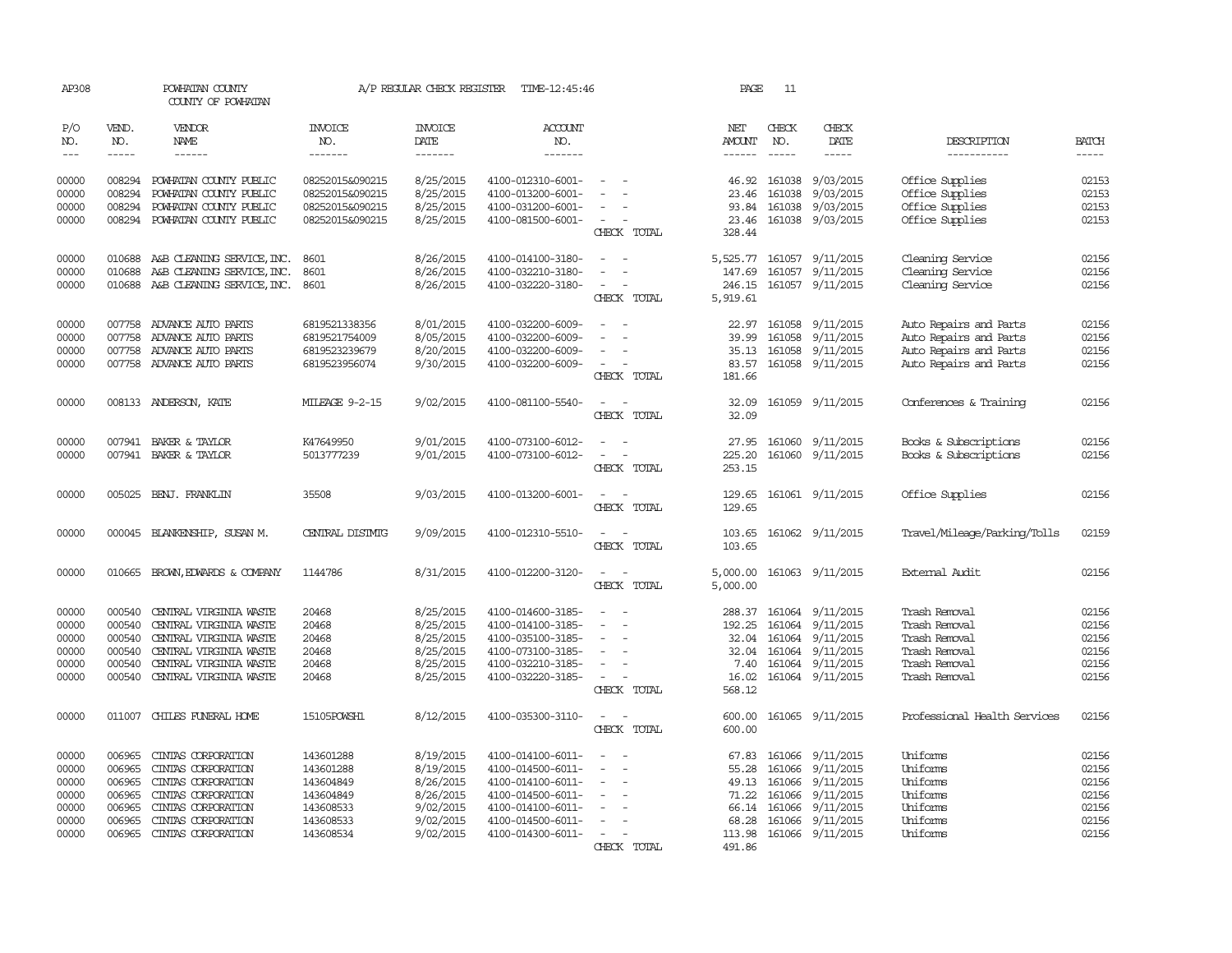| AP308                                              |                                                          | POWHATAN COUNTY<br>COUNTY OF POWHATAN                                                                                                                    |                                                               | A/P REGULAR CHECK REGISTER                                                 | TIME-12:45:46                                                                                                              |                                                                                                          | PAGE                                       | 11                                                                    |                                                                            |                                                                                                    |                                                    |
|----------------------------------------------------|----------------------------------------------------------|----------------------------------------------------------------------------------------------------------------------------------------------------------|---------------------------------------------------------------|----------------------------------------------------------------------------|----------------------------------------------------------------------------------------------------------------------------|----------------------------------------------------------------------------------------------------------|--------------------------------------------|-----------------------------------------------------------------------|----------------------------------------------------------------------------|----------------------------------------------------------------------------------------------------|----------------------------------------------------|
| P/O<br>NO.                                         | VEND.<br>NO.                                             | <b>VENDOR</b><br><b>NAME</b>                                                                                                                             | <b>INVOICE</b><br>NO.                                         | <b>INVOICE</b><br>DATE                                                     | ACCOUNT<br>NO.                                                                                                             |                                                                                                          | NET<br>AMOUNT                              | CHECK<br>NO.                                                          | CHECK<br>DATE                                                              | DESCRIPTION                                                                                        | <b>BATCH</b>                                       |
| $\frac{1}{2}$                                      | -----                                                    | ------                                                                                                                                                   | -------                                                       | -------                                                                    | -------                                                                                                                    |                                                                                                          | $- - - - - -$                              | $\frac{1}{2}$                                                         | -----                                                                      | -----------                                                                                        | $- - - - -$                                        |
| 00000<br>00000                                     | 008294<br>008294                                         | POWHATAN COUNTY PUBLIC<br>POWHATAN COUNTY PUBLIC                                                                                                         | 08252015&090215<br>08252015&090215                            | 8/25/2015<br>8/25/2015                                                     | 4100-012310-6001-<br>4100-013200-6001-                                                                                     |                                                                                                          | 23.46                                      | 46.92 161038<br>161038                                                | 9/03/2015<br>9/03/2015                                                     | Office Supplies<br>Office Supplies                                                                 | 02153<br>02153                                     |
| 00000<br>00000                                     | 008294                                                   | POWHATAN COUNTY PUBLIC<br>008294 POWHATAN COUNTY PUBLIC                                                                                                  | 08252015&090215<br>08252015&090215                            | 8/25/2015<br>8/25/2015                                                     | 4100-031200-6001-<br>4100-081500-6001-                                                                                     | $\equiv$<br>$\overline{\phantom{a}}$<br>CHECK TOTAL                                                      | 93.84<br>23.46<br>328.44                   | 161038<br>161038                                                      | 9/03/2015<br>9/03/2015                                                     | Office Supplies<br>Office Supplies                                                                 | 02153<br>02153                                     |
| 00000                                              | 010688                                                   | A&B CLEANING SERVICE, INC.                                                                                                                               | 8601                                                          | 8/26/2015                                                                  | 4100-014100-3180-                                                                                                          | $\equiv$                                                                                                 | 5,525.77 161057                            |                                                                       | 9/11/2015                                                                  | Cleaning Service                                                                                   | 02156                                              |
| 00000<br>00000                                     | 010688<br>010688                                         | A&B CLEANING SERVICE, INC.<br>A&B CLEANING SERVICE, INC.                                                                                                 | 8601<br>8601                                                  | 8/26/2015<br>8/26/2015                                                     | 4100-032210-3180-<br>4100-032220-3180-                                                                                     | $\overline{\phantom{a}}$<br>$\equiv$<br>$\overline{\phantom{a}}$<br>CHECK TOTAL                          | 147.69<br>246.15<br>5,919.61               | 161057<br>161057                                                      | 9/11/2015<br>9/11/2015                                                     | Cleaning Service<br>Cleaning Service                                                               | 02156<br>02156                                     |
| 00000<br>00000                                     | 007758                                                   | 007758 ADVANCE AUTO PARTS<br>ADVANCE AUTO PARTS                                                                                                          | 6819521338356<br>6819521754009                                | 8/01/2015<br>8/05/2015                                                     | 4100-032200-6009-<br>4100-032200-6009-                                                                                     | $\equiv$<br>$\sim$                                                                                       | 39.99                                      | 22.97 161058<br>161058                                                | 9/11/2015<br>9/11/2015                                                     | Auto Repairs and Parts<br>Auto Repairs and Parts                                                   | 02156<br>02156                                     |
| 00000<br>00000                                     | 007758                                                   | ADVANCE AUTO PARTS<br>007758 ADVANCE AUTO PARTS                                                                                                          | 6819523239679<br>6819523956074                                | 8/20/2015<br>9/30/2015                                                     | 4100-032200-6009-<br>4100-032200-6009-                                                                                     | $\sim$<br>$\sim$<br>CHECK TOTAL                                                                          | 83.57<br>181.66                            | 35.13 161058                                                          | 9/11/2015<br>161058 9/11/2015                                              | Auto Repairs and Parts<br>Auto Repairs and Parts                                                   | 02156<br>02156                                     |
| 00000                                              |                                                          | 008133 ANDERSON, KATE                                                                                                                                    | MILEAGE 9-2-15                                                | 9/02/2015                                                                  | 4100-081100-5540-                                                                                                          | $\sim$<br>CHECK TOTAL                                                                                    | 32.09<br>32.09                             |                                                                       | 161059 9/11/2015                                                           | Conferences & Training                                                                             | 02156                                              |
| 00000<br>00000                                     |                                                          | 007941 BAKER & TAYLOR<br>007941 BAKER & TAYLOR                                                                                                           | K47649950<br>5013777239                                       | 9/01/2015<br>9/01/2015                                                     | 4100-073100-6012-<br>4100-073100-6012-                                                                                     | $\sim$<br>$\sim$<br>CHECK TOTAL                                                                          | 27.95<br>225.20<br>253.15                  | 161060                                                                | 9/11/2015<br>161060 9/11/2015                                              | Books & Subscriptions<br>Books & Subscriptions                                                     | 02156<br>02156                                     |
| 00000                                              |                                                          | 005025 BENJ. FRANKLIN                                                                                                                                    | 35508                                                         | 9/03/2015                                                                  | 4100-013200-6001-                                                                                                          | $\overline{\phantom{a}}$<br>CHECK TOTAL                                                                  | 129.65<br>129.65                           |                                                                       | 161061 9/11/2015                                                           | Office Supplies                                                                                    | 02156                                              |
| 00000                                              |                                                          | 000045 BLANKENSHIP, SUSAN M.                                                                                                                             | CENTRAL DISTMIG                                               | 9/09/2015                                                                  | 4100-012310-5510-                                                                                                          | CHECK TOTAL                                                                                              | 103.65<br>103.65                           |                                                                       | 161062 9/11/2015                                                           | Travel/Mileage/Parking/Tolls                                                                       | 02159                                              |
| 00000                                              |                                                          | 010665 BROWN, EDWARDS & COMPANY                                                                                                                          | 1144786                                                       | 8/31/2015                                                                  | 4100-012200-3120-                                                                                                          | CHECK TOTAL                                                                                              | 5,000.00<br>5,000.00                       |                                                                       | 161063 9/11/2015                                                           | External Audit                                                                                     | 02156                                              |
| 00000<br>00000<br>00000<br>00000<br>00000<br>00000 | 000540<br>000540<br>000540<br>000540<br>000540<br>000540 | CENTRAL VIRGINIA WASTE<br>CENTRAL VIRGINIA WASTE<br>CENTRAL VIRGINIA WASTE<br>CENTRAL VIRGINIA WASTE<br>CENTRAL VIRGINIA WASTE<br>CENTRAL VIRGINIA WASTE | 20468<br>20468<br>20468<br>20468<br>20468<br>20468            | 8/25/2015<br>8/25/2015<br>8/25/2015<br>8/25/2015<br>8/25/2015<br>8/25/2015 | 4100-014600-3185-<br>4100-014100-3185-<br>4100-035100-3185-<br>4100-073100-3185-<br>4100-032210-3185-<br>4100-032220-3185- | $\equiv$<br>$\sim$<br>$\equiv$<br>$\sim$<br>$\overline{\phantom{a}}$<br>$\sim$<br>CHECK TOTAL            | 192.25<br>32.04<br>7.40<br>16.02<br>568.12 | 288.37 161064<br>161064<br>32.04 161064<br>161064<br>161064<br>161064 | 9/11/2015<br>9/11/2015<br>9/11/2015<br>9/11/2015<br>9/11/2015<br>9/11/2015 | Trash Removal<br>Trash Removal<br>Trash Removal<br>Trash Removal<br>Trash Removal<br>Trash Removal | 02156<br>02156<br>02156<br>02156<br>02156<br>02156 |
| 00000                                              | 011007                                                   | CHILES FUNERAL HOME                                                                                                                                      | 15105POWSH1                                                   | 8/12/2015                                                                  | 4100-035300-3110-                                                                                                          | $\overline{\phantom{a}}$<br>CHECK TOTAL                                                                  | 600.00<br>600.00                           |                                                                       | 161065 9/11/2015                                                           | Professional Health Services                                                                       | 02156                                              |
| 00000<br>00000<br>00000<br>00000<br>00000          | 006965<br>006965<br>006965<br>006965<br>006965           | CINIAS CORPORATION<br>CINIAS CORPORATION<br>CINIAS CORPORATION<br>CINIAS CORPORATION<br>CINTAS CORPORATION                                               | 143601288<br>143601288<br>143604849<br>143604849<br>143608533 | 8/19/2015<br>8/19/2015<br>8/26/2015<br>8/26/2015<br>9/02/2015              | 4100-014100-6011-<br>4100-014500-6011-<br>4100-014100-6011-<br>4100-014500-6011-<br>4100-014100-6011-                      | $\overline{\phantom{a}}$<br>$\sim$<br>$\sim$<br>$\sim$<br>$\equiv$<br>$\overline{\phantom{a}}$<br>$\sim$ | 55.28<br>71.22<br>66.14                    | 67.83 161066<br>161066<br>49.13 161066<br>161066<br>161066            | 9/11/2015<br>9/11/2015<br>9/11/2015<br>9/11/2015<br>9/11/2015              | Uniforms<br>Uniforms<br>Uniforms<br>Uniforms<br>Uniforms                                           | 02156<br>02156<br>02156<br>02156<br>02156          |
| 00000<br>00000                                     | 006965<br>006965                                         | CINTAS CORPORATION<br>CINIAS CORPORATION                                                                                                                 | 143608533<br>143608534                                        | 9/02/2015<br>9/02/2015                                                     | 4100-014500-6011-<br>4100-014300-6011-                                                                                     | $\sim$<br>CHECK TOTAL                                                                                    | 68.28<br>113.98<br>491.86                  | 161066                                                                | 9/11/2015<br>161066 9/11/2015                                              | Uniforms<br>Uniforms                                                                               | 02156<br>02156                                     |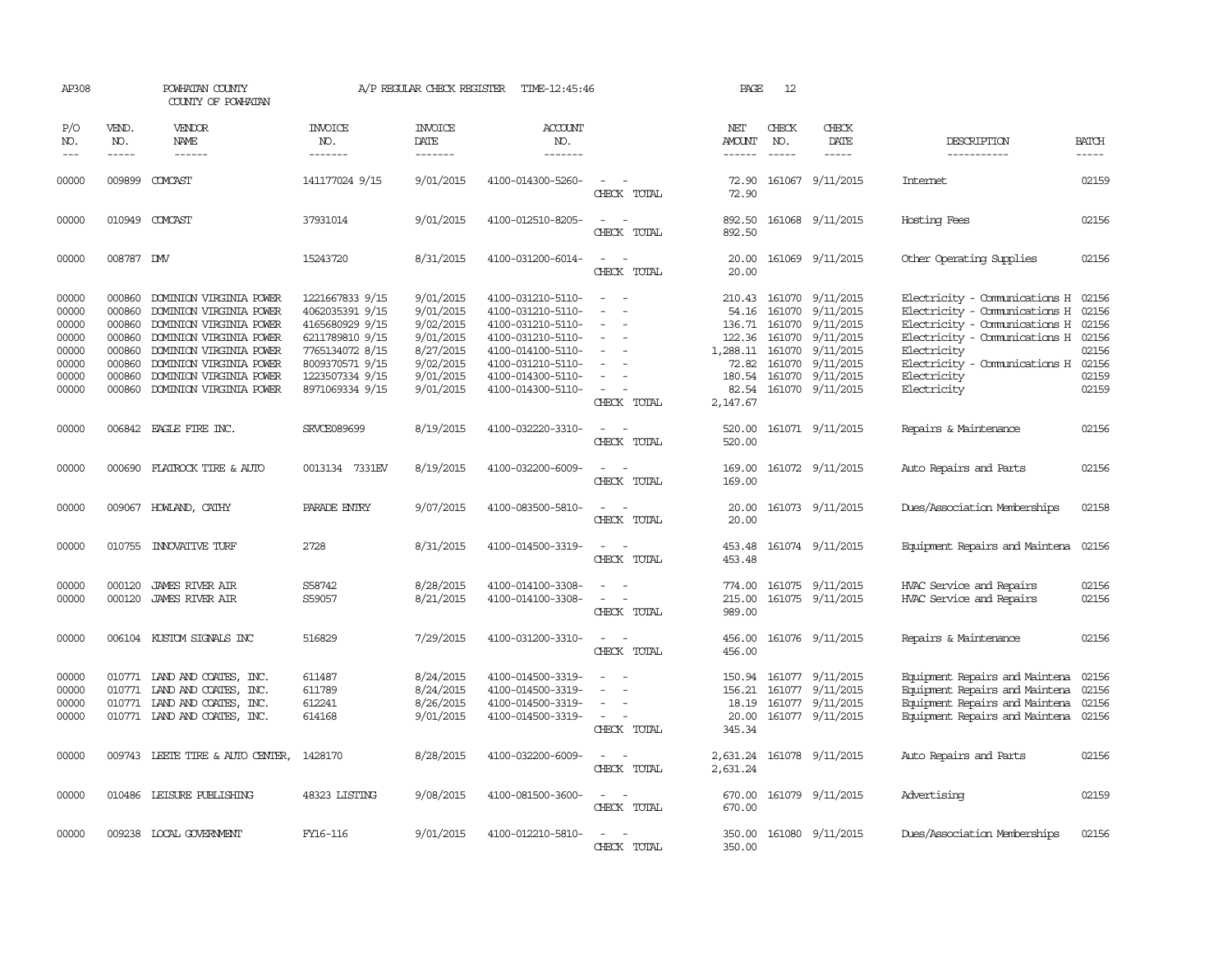| AP308               |                             | POWHATAN COUNTY<br>COUNTY OF POWHATAN |                                  | A/P REGULAR CHECK REGISTER         | TIME-12:45:46                    |                                                                                                                             | PAGE                    | 12                            |                              |                                     |                             |
|---------------------|-----------------------------|---------------------------------------|----------------------------------|------------------------------------|----------------------------------|-----------------------------------------------------------------------------------------------------------------------------|-------------------------|-------------------------------|------------------------------|-------------------------------------|-----------------------------|
| P/O<br>NO.<br>$---$ | VEND.<br>NO.<br>$- - - - -$ | VENDOR<br>NAME<br>$- - - - - -$       | <b>INVOICE</b><br>NO.<br>------- | <b>INVOICE</b><br>DATE<br>-------- | <b>ACCOUNT</b><br>NO.<br>------- |                                                                                                                             | NET<br>AMOUNT<br>------ | CHECK<br>NO.<br>$\frac{1}{2}$ | CHECK<br>DATE<br>$- - - - -$ | DESCRIPTION<br>-----------          | <b>BATCH</b><br>$- - - - -$ |
| 00000               |                             | 009899 COMCAST                        | 141177024 9/15                   | 9/01/2015                          | 4100-014300-5260-                | $\sim$                                                                                                                      | 72.90                   |                               | 161067 9/11/2015             | Internet                            | 02159                       |
|                     |                             |                                       |                                  |                                    |                                  | CHECK TOTAL                                                                                                                 | 72.90                   |                               |                              |                                     |                             |
| 00000               |                             | 010949 COMCAST                        | 37931014                         | 9/01/2015                          | 4100-012510-8205-                | CHECK TOTAL                                                                                                                 | 892.50<br>892.50        |                               | 161068 9/11/2015             | Hosting Fees                        | 02156                       |
| 00000               | 008787 DW                   |                                       | 15243720                         | 8/31/2015                          | 4100-031200-6014-                | $\frac{1}{2} \left( \frac{1}{2} \right) \left( \frac{1}{2} \right) = \frac{1}{2} \left( \frac{1}{2} \right)$<br>CHECK TOTAL | 20.00<br>20.00          |                               | 161069 9/11/2015             | Other Operating Supplies            | 02156                       |
| 00000               | 000860                      | DOMINION VIRGINIA POWER               | 1221667833 9/15                  | 9/01/2015                          | 4100-031210-5110-                | $\sim$                                                                                                                      |                         |                               | 210.43 161070 9/11/2015      | Electricity - Comunications H       | 02156                       |
| 00000               | 000860                      | DOMINION VIRGINIA POWER               | 4062035391 9/15                  | 9/01/2015                          | 4100-031210-5110-                | $\equiv$                                                                                                                    | 54.16                   |                               | 161070 9/11/2015             | Electricity - Comunications H       | 02156                       |
| 00000               | 000860                      | DOMINION VIRGINIA POWER               | 4165680929 9/15                  | 9/02/2015                          | 4100-031210-5110-                | $\overline{\phantom{a}}$                                                                                                    | 136.71                  |                               | 161070 9/11/2015             | Electricity - Comunications H       | 02156                       |
| 00000               | 000860                      | DOMINION VIRGINIA POWER               | 6211789810 9/15                  | 9/01/2015                          | 4100-031210-5110-                | $\overline{\phantom{a}}$                                                                                                    | 122.36                  |                               | 161070 9/11/2015             | Electricity - Comunications H       | 02156                       |
| 00000               | 000860                      | DOMINION VIRGINIA POWER               | 7765134072 8/15                  | 8/27/2015                          | 4100-014100-5110-                | $\overline{\phantom{a}}$                                                                                                    | 1,288.11                |                               | 161070 9/11/2015             | Electricity                         | 02156                       |
| 00000               | 000860                      | DOMINION VIRGINIA POWER               | 8009370571 9/15                  | 9/02/2015                          | 4100-031210-5110-                | $\overline{\phantom{a}}$                                                                                                    | 72.82                   |                               | 161070 9/11/2015             | Electricity - Comunications H 02156 |                             |
| 00000               | 000860                      | DOMINION VIRGINIA POWER               | 1223507334 9/15                  | 9/01/2015                          | 4100-014300-5110-                |                                                                                                                             |                         |                               | 180.54 161070 9/11/2015      | Electricity                         | 02159                       |
| 00000               |                             | 000860 DOMINION VIRGINIA POWER        | 8971069334 9/15                  | 9/01/2015                          | 4100-014300-5110-                | $\sim$                                                                                                                      | 82.54                   |                               | 161070 9/11/2015             | Electricity                         | 02159                       |
|                     |                             |                                       |                                  |                                    |                                  | CHECK TOTAL                                                                                                                 | 2,147.67                |                               |                              |                                     |                             |
| 00000               |                             | 006842 EAGLE FIRE INC.                | <b>SRVCE089699</b>               | 8/19/2015                          | 4100-032220-3310-                | $\sim$                                                                                                                      | 520.00                  |                               | 161071 9/11/2015             | Repairs & Maintenance               | 02156                       |
|                     |                             |                                       |                                  |                                    |                                  | CHECK TOTAL                                                                                                                 | 520.00                  |                               |                              |                                     |                             |
| 00000               |                             | 000690 FLATROCK TIRE & AUTO           | 0013134 7331EV                   | 8/19/2015                          | 4100-032200-6009-                | $\equiv$                                                                                                                    | 169.00                  |                               | 161072 9/11/2015             | Auto Repairs and Parts              | 02156                       |
|                     |                             |                                       |                                  |                                    |                                  | CHECK TOTAL                                                                                                                 | 169.00                  |                               |                              |                                     |                             |
| 00000               |                             | 009067 HOWLAND, CATHY                 | PARADE ENTRY                     | 9/07/2015                          | 4100-083500-5810-                | $\equiv$                                                                                                                    | 20.00                   |                               | 161073 9/11/2015             | Dues/Association Memberships        | 02158                       |
|                     |                             |                                       |                                  |                                    |                                  | CHECK TOTAL                                                                                                                 | 20.00                   |                               |                              |                                     |                             |
| 00000               |                             | 010755 INNOVATIVE TURF                | 2728                             | 8/31/2015                          | 4100-014500-3319-                | $\frac{1}{2} \left( \frac{1}{2} \right) \left( \frac{1}{2} \right) = \frac{1}{2} \left( \frac{1}{2} \right)$                | 453.48                  |                               | 161074 9/11/2015             | Equipment Repairs and Maintena      | 02156                       |
|                     |                             |                                       |                                  |                                    |                                  | CHECK TOTAL                                                                                                                 | 453.48                  |                               |                              |                                     |                             |
| 00000               | 000120                      | JAMES RIVER AIR                       | S58742                           | 8/28/2015                          | 4100-014100-3308-                |                                                                                                                             | 774.00                  |                               | 161075 9/11/2015             | HVAC Service and Repairs            | 02156                       |
| 00000               |                             | 000120 JAMES RIVER AIR                | S59057                           | 8/21/2015                          | 4100-014100-3308-                |                                                                                                                             | 215.00                  |                               | 161075 9/11/2015             | HVAC Service and Repairs            | 02156                       |
|                     |                             |                                       |                                  |                                    |                                  | CHECK TOTAL                                                                                                                 | 989.00                  |                               |                              |                                     |                             |
| 00000               |                             | 006104 KUSTOM SIGNALS INC             | 516829                           | 7/29/2015                          | 4100-031200-3310-                | $\sim$                                                                                                                      | 456.00                  |                               | 161076 9/11/2015             | Repairs & Maintenance               | 02156                       |
|                     |                             |                                       |                                  |                                    |                                  | CHECK TOTAL                                                                                                                 | 456.00                  |                               |                              |                                     |                             |
| 00000               |                             | 010771 LAND AND COATES, INC.          | 611487                           | 8/24/2015                          | 4100-014500-3319-                |                                                                                                                             | 150.94                  |                               | 161077 9/11/2015             | Equipment Repairs and Maintena      | 02156                       |
| 00000               |                             | 010771 LAND AND COATES, INC.          | 611789                           | 8/24/2015                          | 4100-014500-3319-                |                                                                                                                             | 156.21                  |                               | 161077 9/11/2015             | Equipment Repairs and Maintena      | 02156                       |
| 00000               |                             | 010771 LAND AND COATES, INC.          | 612241                           | 8/26/2015                          | 4100-014500-3319-                | $\overline{\phantom{a}}$                                                                                                    | 18.19                   |                               | 161077 9/11/2015             | Equipment Repairs and Maintena      | 02156                       |
| 00000               |                             | 010771 IAND AND COATES, INC.          | 614168                           | 9/01/2015                          | 4100-014500-3319-                | $\sim$                                                                                                                      | 20.00                   |                               | 161077 9/11/2015             | Equipment Repairs and Maintena      | 02156                       |
|                     |                             |                                       |                                  |                                    |                                  | CHECK TOTAL                                                                                                                 | 345.34                  |                               |                              |                                     |                             |
| 00000               |                             | 009743 LEETE TIRE & AUTO CENTER,      | 1428170                          | 8/28/2015                          | 4100-032200-6009-                | $\sim$                                                                                                                      |                         |                               | 2,631.24 161078 9/11/2015    | Auto Repairs and Parts              | 02156                       |
|                     |                             |                                       |                                  |                                    |                                  | CHECK TOTAL                                                                                                                 | 2,631.24                |                               |                              |                                     |                             |
| 00000               |                             | 010486 LEISURE PUBLISHING             | 48323 LISTING                    | 9/08/2015                          | 4100-081500-3600-                |                                                                                                                             | 670.00                  |                               | 161079 9/11/2015             | Advertising                         | 02159                       |
|                     |                             |                                       |                                  |                                    |                                  | CHECK TOTAL                                                                                                                 | 670.00                  |                               |                              |                                     |                             |
| 00000               |                             | 009238 LOCAL GOVERNMENT               | FY16-116                         | 9/01/2015                          | 4100-012210-5810-                | $\equiv$                                                                                                                    | 350.00                  |                               | 161080 9/11/2015             | Dues/Association Memberships        | 02156                       |
|                     |                             |                                       |                                  |                                    |                                  | CHECK TOTAL                                                                                                                 | 350.00                  |                               |                              |                                     |                             |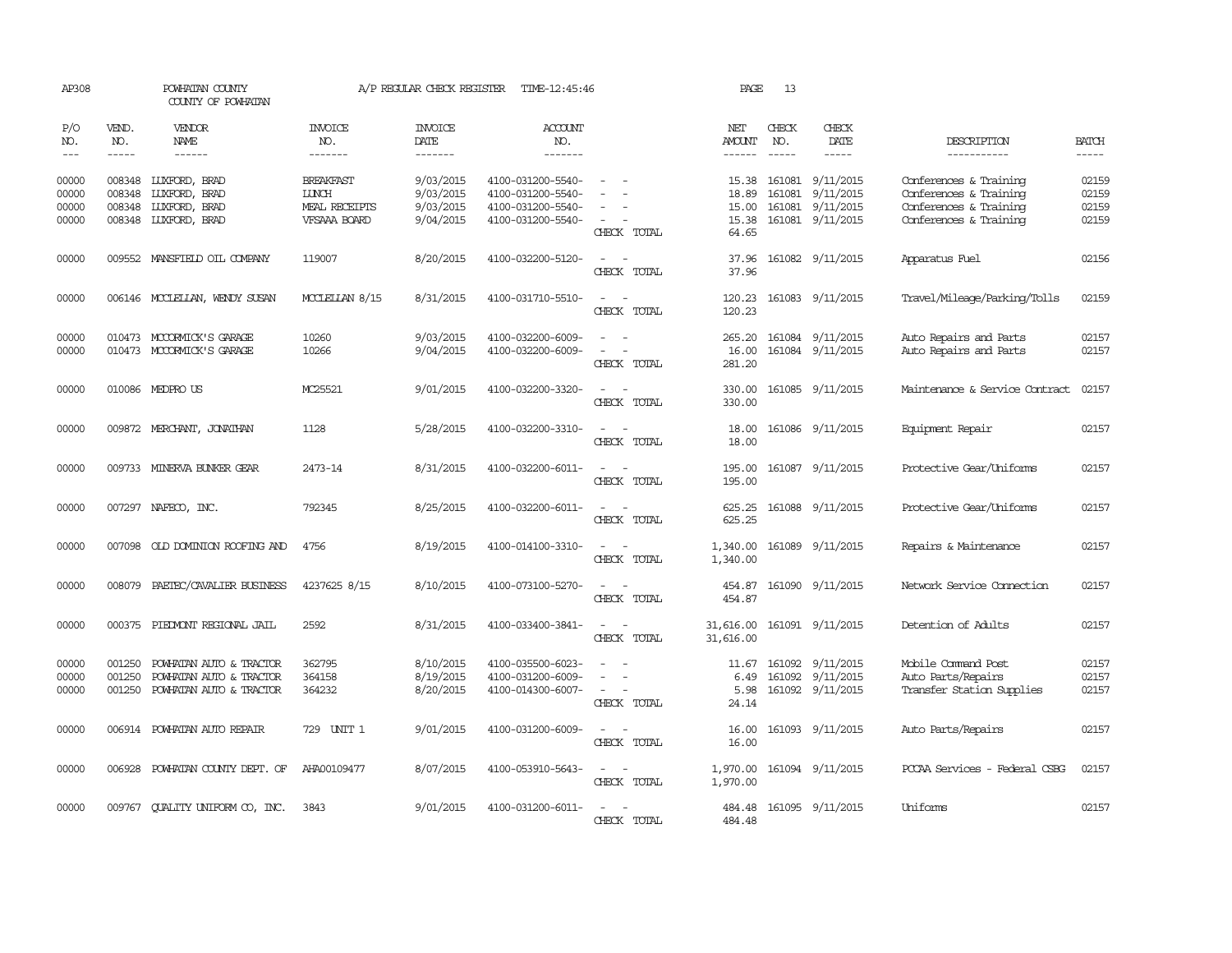| AP308                            |                                                                                                                                                                                                                                                                                                                                                                                                                                                                                                     | POWHATAN COUNTY<br>COUNTY OF POWHATAN                                         |                                                                   | A/P REGULAR CHECK REGISTER                       | TIME-12:45:46                                                                    |                                                                                                                             | PAGE                                      | 13                          |                                                                |                                                                                                      |                                                                                                                                                                                                                                                                                                                                                                                                                                                                                                     |
|----------------------------------|-----------------------------------------------------------------------------------------------------------------------------------------------------------------------------------------------------------------------------------------------------------------------------------------------------------------------------------------------------------------------------------------------------------------------------------------------------------------------------------------------------|-------------------------------------------------------------------------------|-------------------------------------------------------------------|--------------------------------------------------|----------------------------------------------------------------------------------|-----------------------------------------------------------------------------------------------------------------------------|-------------------------------------------|-----------------------------|----------------------------------------------------------------|------------------------------------------------------------------------------------------------------|-----------------------------------------------------------------------------------------------------------------------------------------------------------------------------------------------------------------------------------------------------------------------------------------------------------------------------------------------------------------------------------------------------------------------------------------------------------------------------------------------------|
| P/O<br>NO.<br>$---$              | VEND.<br>NO.<br>$\begin{tabular}{ccccc} \multicolumn{2}{c}{} & \multicolumn{2}{c}{} & \multicolumn{2}{c}{} & \multicolumn{2}{c}{} & \multicolumn{2}{c}{} & \multicolumn{2}{c}{} & \multicolumn{2}{c}{} & \multicolumn{2}{c}{} & \multicolumn{2}{c}{} & \multicolumn{2}{c}{} & \multicolumn{2}{c}{} & \multicolumn{2}{c}{} & \multicolumn{2}{c}{} & \multicolumn{2}{c}{} & \multicolumn{2}{c}{} & \multicolumn{2}{c}{} & \multicolumn{2}{c}{} & \multicolumn{2}{c}{} & \multicolumn{2}{c}{} & \mult$ | <b>VENDOR</b><br>NAME<br>------                                               | <b>INVOICE</b><br>NO.<br>-------                                  | <b>INVOICE</b><br><b>DATE</b><br>-------         | <b>ACCOUNT</b><br>NO.<br>-------                                                 |                                                                                                                             | NET<br>AMOUNT<br>------                   | CHECK<br>NO.<br>$- - - - -$ | CHECK<br><b>DATE</b><br>$- - - - -$                            | DESCRIPTION<br>-----------                                                                           | <b>BATCH</b><br>$\begin{tabular}{ccccc} \multicolumn{2}{c}{} & \multicolumn{2}{c}{} & \multicolumn{2}{c}{} & \multicolumn{2}{c}{} & \multicolumn{2}{c}{} & \multicolumn{2}{c}{} & \multicolumn{2}{c}{} & \multicolumn{2}{c}{} & \multicolumn{2}{c}{} & \multicolumn{2}{c}{} & \multicolumn{2}{c}{} & \multicolumn{2}{c}{} & \multicolumn{2}{c}{} & \multicolumn{2}{c}{} & \multicolumn{2}{c}{} & \multicolumn{2}{c}{} & \multicolumn{2}{c}{} & \multicolumn{2}{c}{} & \multicolumn{2}{c}{} & \mult$ |
| 00000<br>00000<br>00000<br>00000 | 008348<br>008348<br>008348<br>008348                                                                                                                                                                                                                                                                                                                                                                                                                                                                | LUXFORD, BRAD<br>LUXFORD, BRAD<br>LUXFORD, BRAD<br><b>LUXFORD, BRAD</b>       | <b>BREAKFAST</b><br><b>LUNCH</b><br>MEAL RECEIPTS<br>VFSAAA BOARD | 9/03/2015<br>9/03/2015<br>9/03/2015<br>9/04/2015 | 4100-031200-5540-<br>4100-031200-5540-<br>4100-031200-5540-<br>4100-031200-5540- | CHECK TOTAL                                                                                                                 | 15.38<br>18.89<br>15.00<br>15.38<br>64.65 | 161081<br>161081            | 9/11/2015<br>9/11/2015<br>161081 9/11/2015<br>161081 9/11/2015 | Conferences & Training<br>Conferences & Training<br>Conferences & Training<br>Conferences & Training | 02159<br>02159<br>02159<br>02159                                                                                                                                                                                                                                                                                                                                                                                                                                                                    |
| 00000                            |                                                                                                                                                                                                                                                                                                                                                                                                                                                                                                     | 009552 MANSFIELD OIL COMPANY                                                  | 119007                                                            | 8/20/2015                                        | 4100-032200-5120-                                                                | CHECK TOTAL                                                                                                                 | 37.96<br>37.96                            |                             | 161082 9/11/2015                                               | Apparatus Fuel                                                                                       | 02156                                                                                                                                                                                                                                                                                                                                                                                                                                                                                               |
| 00000                            |                                                                                                                                                                                                                                                                                                                                                                                                                                                                                                     | 006146 MCCLELLAN, WENDY SUSAN                                                 | MCCLELLAN 8/15                                                    | 8/31/2015                                        | 4100-031710-5510-                                                                | $\sim$<br>$\sim$<br>CHECK TOTAL                                                                                             | 120.23<br>120.23                          |                             | 161083 9/11/2015                                               | Travel/Mileage/Parking/Tolls                                                                         | 02159                                                                                                                                                                                                                                                                                                                                                                                                                                                                                               |
| 00000<br>00000                   |                                                                                                                                                                                                                                                                                                                                                                                                                                                                                                     | 010473 MCCORMICK'S GARAGE<br>010473 MCCORMICK'S GARAGE                        | 10260<br>10266                                                    | 9/03/2015<br>9/04/2015                           | 4100-032200-6009-<br>4100-032200-6009-                                           | $\equiv$<br>$\sim$<br>CHECK TOTAL                                                                                           | 265.20<br>16.00<br>281.20                 |                             | 161084 9/11/2015<br>161084 9/11/2015                           | Auto Repairs and Parts<br>Auto Repairs and Parts                                                     | 02157<br>02157                                                                                                                                                                                                                                                                                                                                                                                                                                                                                      |
| 00000                            |                                                                                                                                                                                                                                                                                                                                                                                                                                                                                                     | 010086 MEDPROUS                                                               | MC25521                                                           | 9/01/2015                                        | 4100-032200-3320-                                                                | $\sim$<br>$\overline{\phantom{a}}$<br>CHECK TOTAL                                                                           | 330.00<br>330.00                          |                             | 161085 9/11/2015                                               | Maintenance & Service Contract                                                                       | 02157                                                                                                                                                                                                                                                                                                                                                                                                                                                                                               |
| 00000                            |                                                                                                                                                                                                                                                                                                                                                                                                                                                                                                     | 009872 MERCHANT, JONATHAN                                                     | 1128                                                              | 5/28/2015                                        | 4100-032200-3310-                                                                | CHECK TOTAL                                                                                                                 | 18.00<br>18.00                            |                             | 161086 9/11/2015                                               | Equipment Repair                                                                                     | 02157                                                                                                                                                                                                                                                                                                                                                                                                                                                                                               |
| 00000                            |                                                                                                                                                                                                                                                                                                                                                                                                                                                                                                     | 009733 MINERVA BUNKER GEAR                                                    | 2473-14                                                           | 8/31/2015                                        | 4100-032200-6011-                                                                | CHECK TOTAL                                                                                                                 | 195.00<br>195.00                          |                             | 161087 9/11/2015                                               | Protective Gear/Uniforms                                                                             | 02157                                                                                                                                                                                                                                                                                                                                                                                                                                                                                               |
| 00000                            |                                                                                                                                                                                                                                                                                                                                                                                                                                                                                                     | 007297 NAFECO, INC.                                                           | 792345                                                            | 8/25/2015                                        | 4100-032200-6011-                                                                | $\equiv$<br>$\sim$<br>CHECK TOTAL                                                                                           | 625.25<br>625.25                          |                             | 161088 9/11/2015                                               | Protective Gear/Uniforms                                                                             | 02157                                                                                                                                                                                                                                                                                                                                                                                                                                                                                               |
| 00000                            |                                                                                                                                                                                                                                                                                                                                                                                                                                                                                                     | 007098 OLD DOMINION ROOFING AND                                               | 4756                                                              | 8/19/2015                                        | 4100-014100-3310-                                                                | $\frac{1}{2} \left( \frac{1}{2} \right) \left( \frac{1}{2} \right) = \frac{1}{2} \left( \frac{1}{2} \right)$<br>CHECK TOTAL | 1,340.00<br>1,340.00                      |                             | 161089 9/11/2015                                               | Repairs & Maintenance                                                                                | 02157                                                                                                                                                                                                                                                                                                                                                                                                                                                                                               |
| 00000                            |                                                                                                                                                                                                                                                                                                                                                                                                                                                                                                     | 008079 PAETEC/CAVALIER BUSINESS                                               | 4237625 8/15                                                      | 8/10/2015                                        | 4100-073100-5270-                                                                | CHECK TOTAL                                                                                                                 | 454.87<br>454.87                          |                             | 161090 9/11/2015                                               | Network Service Connection                                                                           | 02157                                                                                                                                                                                                                                                                                                                                                                                                                                                                                               |
| 00000                            |                                                                                                                                                                                                                                                                                                                                                                                                                                                                                                     | 000375 PIEDMONT REGIONAL JAIL                                                 | 2592                                                              | 8/31/2015                                        | 4100-033400-3841-                                                                | $\overline{\phantom{a}}$<br>$\overline{\phantom{a}}$<br>CHECK TOTAL                                                         | 31,616.00<br>31,616.00                    |                             | 161091 9/11/2015                                               | Detention of Adults                                                                                  | 02157                                                                                                                                                                                                                                                                                                                                                                                                                                                                                               |
| 00000<br>00000<br>00000          | 001250<br>001250<br>001250                                                                                                                                                                                                                                                                                                                                                                                                                                                                          | POWHATAN AUTO & TRACTOR<br>POWHATAN AUTO & TRACTOR<br>POWHATAN AUTO & TRACTOR | 362795<br>364158<br>364232                                        | 8/10/2015<br>8/19/2015<br>8/20/2015              | 4100-035500-6023-<br>4100-031200-6009-<br>4100-014300-6007-                      | $\equiv$<br>$\sim$<br>CHECK TOTAL                                                                                           | 11.67<br>6.49<br>5.98<br>24.14            |                             | 161092 9/11/2015<br>161092 9/11/2015<br>161092 9/11/2015       | Mobile Command Post<br>Auto Parts/Repairs<br>Transfer Station Supplies                               | 02157<br>02157<br>02157                                                                                                                                                                                                                                                                                                                                                                                                                                                                             |
| 00000                            |                                                                                                                                                                                                                                                                                                                                                                                                                                                                                                     | 006914 POWHATAN AUTO REPAIR                                                   | 729 UNIT 1                                                        | 9/01/2015                                        | 4100-031200-6009-                                                                | CHECK TOTAL                                                                                                                 | 16.00<br>16.00                            |                             | 161093 9/11/2015                                               | Auto Parts/Repairs                                                                                   | 02157                                                                                                                                                                                                                                                                                                                                                                                                                                                                                               |
| 00000                            | 006928                                                                                                                                                                                                                                                                                                                                                                                                                                                                                              | POWHATAN COUNTY DEPT. OF                                                      | AHA00109477                                                       | 8/07/2015                                        | 4100-053910-5643-                                                                | $\overline{\phantom{a}}$<br>$\overline{\phantom{a}}$<br>CHECK TOTAL                                                         | 1,970.00<br>1,970.00                      |                             | 161094 9/11/2015                                               | PCCAA Services - Federal CSBG                                                                        | 02157                                                                                                                                                                                                                                                                                                                                                                                                                                                                                               |
| 00000                            |                                                                                                                                                                                                                                                                                                                                                                                                                                                                                                     | 009767 QUALITY UNIFORM CO, INC.                                               | 3843                                                              | 9/01/2015                                        | 4100-031200-6011-                                                                | $\sim$<br>$\sim$<br>CHECK TOTAL                                                                                             | 484.48<br>484.48                          |                             | 161095 9/11/2015                                               | Uniforms                                                                                             | 02157                                                                                                                                                                                                                                                                                                                                                                                                                                                                                               |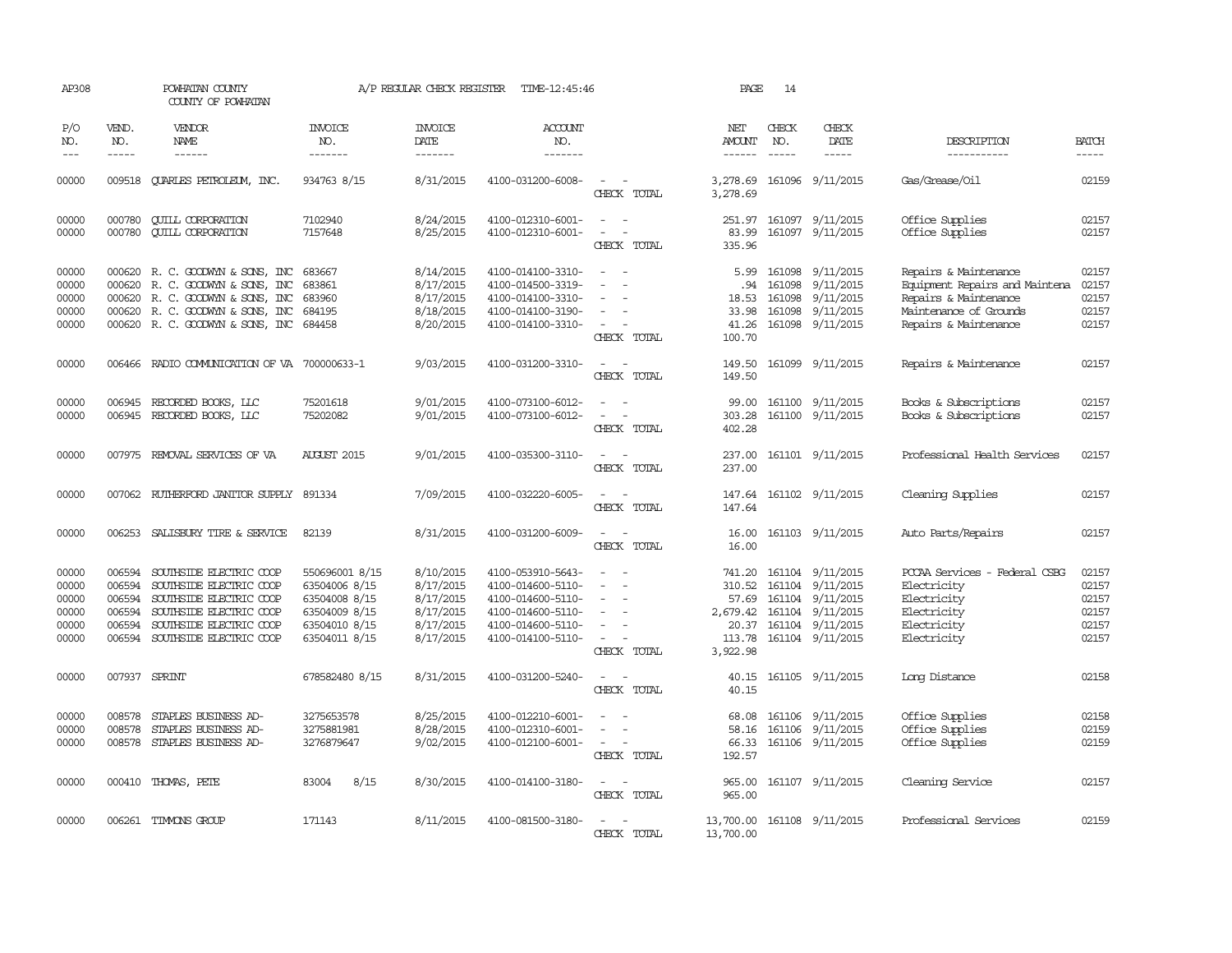| AP308                                              |                                                | POWHATAN COUNTY<br>COUNTY OF POWHATAN                                                                                                                                 |                                                                                                     | A/P REGULAR CHECK REGISTER                                                 | TIME-12:45:46                                                                                                              |                                                                                         | PAGE                                                                 | 14               |                                                                                                                      |                                                                                                                                     |                                                    |
|----------------------------------------------------|------------------------------------------------|-----------------------------------------------------------------------------------------------------------------------------------------------------------------------|-----------------------------------------------------------------------------------------------------|----------------------------------------------------------------------------|----------------------------------------------------------------------------------------------------------------------------|-----------------------------------------------------------------------------------------|----------------------------------------------------------------------|------------------|----------------------------------------------------------------------------------------------------------------------|-------------------------------------------------------------------------------------------------------------------------------------|----------------------------------------------------|
| P/O<br>NO.                                         | VEND.<br>NO.                                   | <b>VENDOR</b><br>NAME                                                                                                                                                 | <b>INVOICE</b><br>NO.                                                                               | <b>INVOICE</b><br><b>DATE</b>                                              | ACCOUNT<br>NO.                                                                                                             |                                                                                         | NET<br><b>AMOUNT</b>                                                 | CHECK<br>NO.     | CHECK<br>DATE                                                                                                        | DESCRIPTION                                                                                                                         | <b>BATCH</b>                                       |
| $---$                                              | $- - - - -$                                    | $- - - - - -$                                                                                                                                                         | -------                                                                                             | -------                                                                    | -------                                                                                                                    |                                                                                         | $- - - - - -$                                                        | $- - - - -$      | -----                                                                                                                | -----------                                                                                                                         | $- - - - -$                                        |
| 00000                                              |                                                | 009518 CUARLES PETROLEUM, INC.                                                                                                                                        | 934763 8/15                                                                                         | 8/31/2015                                                                  | 4100-031200-6008-                                                                                                          | CHECK TOTAL                                                                             | 3,278.69<br>3,278.69                                                 |                  | 161096 9/11/2015                                                                                                     | Gas/Grease/Oil                                                                                                                      | 02159                                              |
| 00000<br>00000                                     | 000780<br>000780                               | <b>CUILL CORPORATION</b><br><b>QUILL CORPORATION</b>                                                                                                                  | 7102940<br>7157648                                                                                  | 8/24/2015<br>8/25/2015                                                     | 4100-012310-6001-<br>4100-012310-6001-                                                                                     | $\sim$<br>$\sim$<br>$\overline{\phantom{a}}$<br>$\overline{\phantom{a}}$<br>CHECK TOTAL | 251.97<br>83.99<br>335.96                                            |                  | 161097 9/11/2015<br>161097 9/11/2015                                                                                 | Office Supplies<br>Office Supplies                                                                                                  | 02157<br>02157                                     |
| 00000<br>00000<br>00000<br>00000<br>00000          | 000620<br>000620                               | R. C. GOODWYN & SONS, INC<br>R. C. GOODWYN & SONS, INC<br>000620 R. C. GOODWYN & SONS, INC<br>000620 R. C. GOODWYN & SONS, INC<br>000620 R. C. GOODWYN & SONS, INC    | 683667<br>683861<br>683960<br>684195<br>684458                                                      | 8/14/2015<br>8/17/2015<br>8/17/2015<br>8/18/2015<br>8/20/2015              | 4100-014100-3310-<br>4100-014500-3319-<br>4100-014100-3310-<br>4100-014100-3190-<br>4100-014100-3310-                      | $\equiv$<br>$\equiv$<br>CHECK TOTAL                                                     | 5.99<br>.94<br>18.53<br>33.98<br>41.26<br>100.70                     | 161098<br>161098 | 9/11/2015<br>9/11/2015<br>161098 9/11/2015<br>161098 9/11/2015<br>161098 9/11/2015                                   | Repairs & Maintenance<br>Equipment Repairs and Maintena<br>Repairs & Maintenance<br>Maintenance of Grounds<br>Repairs & Maintenance | 02157<br>02157<br>02157<br>02157<br>02157          |
| 00000                                              |                                                | 006466 RADIO COMMUNICATION OF VA 700000633-1                                                                                                                          |                                                                                                     | 9/03/2015                                                                  | 4100-031200-3310-                                                                                                          | $\sim$<br>$\sim$<br>CHECK TOTAL                                                         | 149.50<br>149.50                                                     |                  | 161099 9/11/2015                                                                                                     | Repairs & Maintenance                                                                                                               | 02157                                              |
| 00000<br>00000                                     | 006945                                         | RECORDED BOOKS, LLC<br>006945 RECORDED BOOKS, LLC                                                                                                                     | 75201618<br>75202082                                                                                | 9/01/2015<br>9/01/2015                                                     | 4100-073100-6012-<br>4100-073100-6012-                                                                                     | $\equiv$<br>$\overline{\phantom{a}}$<br>CHECK TOTAL                                     | 99.00<br>303.28<br>402.28                                            |                  | 161100 9/11/2015<br>161100 9/11/2015                                                                                 | Books & Subscriptions<br>Books & Subscriptions                                                                                      | 02157<br>02157                                     |
| 00000                                              |                                                | 007975 REMOVAL SERVICES OF VA                                                                                                                                         | <b>AUGUST 2015</b>                                                                                  | 9/01/2015                                                                  | 4100-035300-3110-                                                                                                          | $\sim$<br>CHECK TOTAL                                                                   | 237.00<br>237.00                                                     |                  | 161101 9/11/2015                                                                                                     | Professional Health Services                                                                                                        | 02157                                              |
| 00000                                              |                                                | 007062 RUIHERFORD JANITOR SUPPLY 891334                                                                                                                               |                                                                                                     | 7/09/2015                                                                  | 4100-032220-6005-                                                                                                          | CHECK TOTAL                                                                             | 147.64<br>147.64                                                     |                  | 161102 9/11/2015                                                                                                     | Cleaning Supplies                                                                                                                   | 02157                                              |
| 00000                                              | 006253                                         | SALISBURY TIRE & SERVICE                                                                                                                                              | 82139                                                                                               | 8/31/2015                                                                  | 4100-031200-6009-                                                                                                          | CHECK TOTAL                                                                             | 16.00<br>16.00                                                       |                  | 161103 9/11/2015                                                                                                     | Auto Parts/Repairs                                                                                                                  | 02157                                              |
| 00000<br>00000<br>00000<br>00000<br>00000<br>00000 | 006594<br>006594<br>006594<br>006594<br>006594 | SOUTHSIDE ELECTRIC COOP<br>SOUTHSIDE ELECTRIC COOP<br>SOUTHSIDE ELECTRIC COOP<br>SOUTHSIDE ELECTRIC COOP<br>SOUTHSIDE ELECTRIC COOP<br>006594 SOUTHSIDE ELECTRIC COOP | 550696001 8/15<br>63504006 8/15<br>63504008 8/15<br>63504009 8/15<br>63504010 8/15<br>63504011 8/15 | 8/10/2015<br>8/17/2015<br>8/17/2015<br>8/17/2015<br>8/17/2015<br>8/17/2015 | 4100-053910-5643-<br>4100-014600-5110-<br>4100-014600-5110-<br>4100-014600-5110-<br>4100-014600-5110-<br>4100-014100-5110- | $\equiv$<br>$\overline{\phantom{a}}$<br>CHECK TOTAL                                     | 741.20<br>310.52<br>57.69<br>2,679.42<br>20.37<br>113.78<br>3,922.98 |                  | 161104 9/11/2015<br>161104 9/11/2015<br>161104 9/11/2015<br>161104 9/11/2015<br>161104 9/11/2015<br>161104 9/11/2015 | PCCAA Services - Federal CSBG<br>Electricity<br>Electricity<br>Electricity<br>Electricity<br>Electricity                            | 02157<br>02157<br>02157<br>02157<br>02157<br>02157 |
| 00000                                              | 007937 SPRINT                                  |                                                                                                                                                                       | 678582480 8/15                                                                                      | 8/31/2015                                                                  | 4100-031200-5240-                                                                                                          | CHECK TOTAL                                                                             | 40.15<br>40.15                                                       |                  | 161105 9/11/2015                                                                                                     | Long Distance                                                                                                                       | 02158                                              |
| 00000<br>00000<br>00000                            | 008578<br>008578                               | STAPLES BUSINESS AD-<br>STAPLES BUSINESS AD-<br>008578 STAPLES BUSINESS AD-                                                                                           | 3275653578<br>3275881981<br>3276879647                                                              | 8/25/2015<br>8/28/2015<br>9/02/2015                                        | 4100-012210-6001-<br>4100-012310-6001-<br>4100-012100-6001-                                                                | $\equiv$<br>$\overline{\phantom{a}}$<br>CHECK TOTAL                                     | 68.08<br>58.16<br>66.33<br>192.57                                    |                  | 161106 9/11/2015<br>161106 9/11/2015<br>161106 9/11/2015                                                             | Office Supplies<br>Office Supplies<br>Office Supplies                                                                               | 02158<br>02159<br>02159                            |
| 00000                                              |                                                | 000410 THOMAS, PETE                                                                                                                                                   | 8/15<br>83004                                                                                       | 8/30/2015                                                                  | 4100-014100-3180-                                                                                                          | $\equiv$<br>CHECK TOTAL                                                                 | 965.00<br>965.00                                                     |                  | 161107 9/11/2015                                                                                                     | Cleaning Service                                                                                                                    | 02157                                              |
| 00000                                              |                                                | 006261 TIMMONS GROUP                                                                                                                                                  | 171143                                                                                              | 8/11/2015                                                                  | 4100-081500-3180-                                                                                                          | CHECK TOTAL                                                                             | 13,700.00<br>13,700.00                                               |                  | 161108 9/11/2015                                                                                                     | Professional Services                                                                                                               | 02159                                              |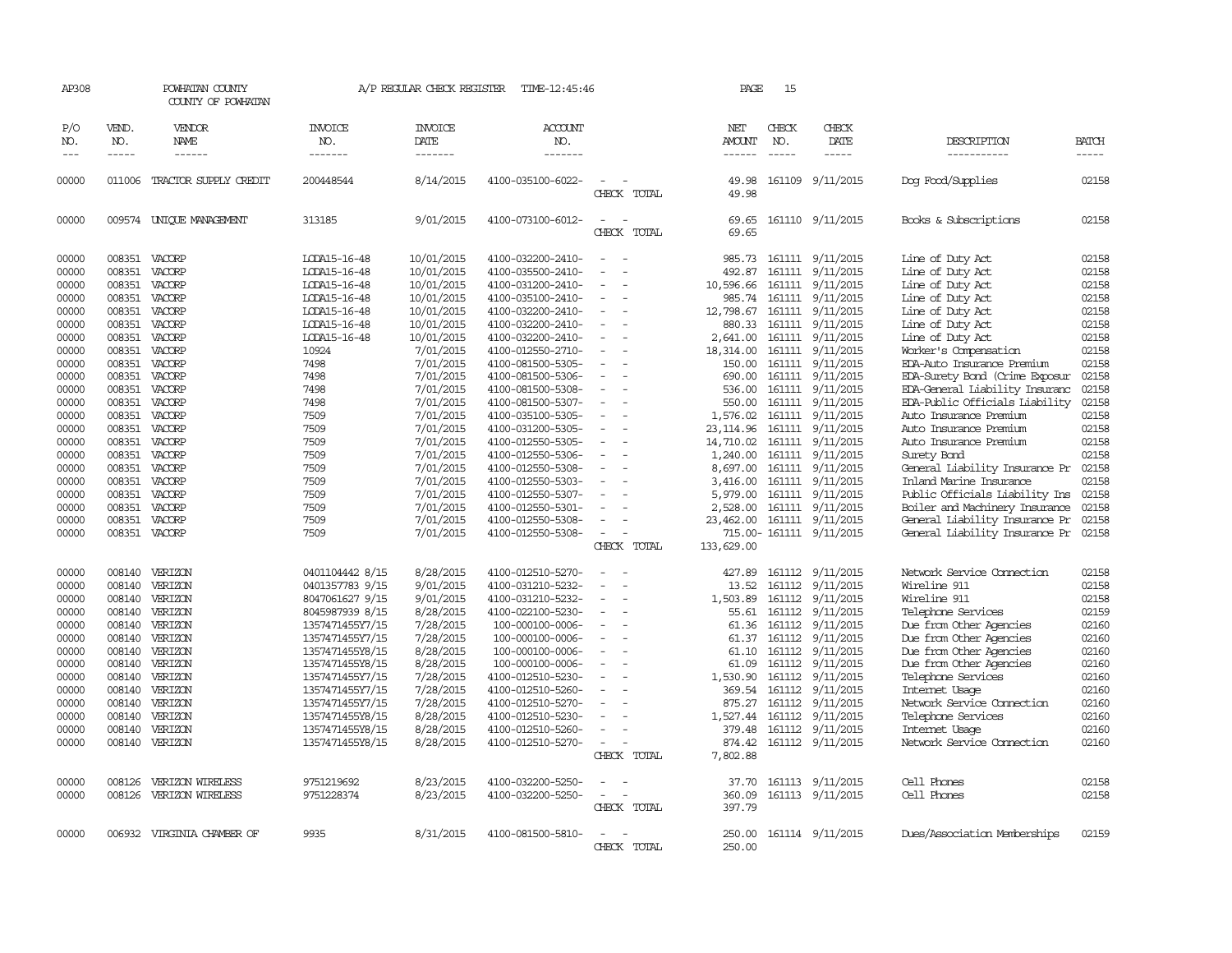| AP308                                                                                                                                                                                              |                                                                                                                                                                        | POWHATAN COUNTY<br>COUNTY OF POWHATAN                                                                                                                                                                                                                       |                                                                                                                                                                                                                                                                                                    | A/P REGULAR CHECK REGISTER                                                                                                                                                                                                                                                                        | TIME-12:45:46                                                                                                                                                                                                                                                                                                                                                                                                                                                              |                                                                                                 | PAGE                                                                                                                                                                                                                                                          | 15                                             |                                                                                                                                                                                                                                                                                                                                                                                                                                                               |                                                                                                                                                                                                                                                                                                                                                                                                                                                                                                                                                                                                               |                                                                                                                                                                                           |
|----------------------------------------------------------------------------------------------------------------------------------------------------------------------------------------------------|------------------------------------------------------------------------------------------------------------------------------------------------------------------------|-------------------------------------------------------------------------------------------------------------------------------------------------------------------------------------------------------------------------------------------------------------|----------------------------------------------------------------------------------------------------------------------------------------------------------------------------------------------------------------------------------------------------------------------------------------------------|---------------------------------------------------------------------------------------------------------------------------------------------------------------------------------------------------------------------------------------------------------------------------------------------------|----------------------------------------------------------------------------------------------------------------------------------------------------------------------------------------------------------------------------------------------------------------------------------------------------------------------------------------------------------------------------------------------------------------------------------------------------------------------------|-------------------------------------------------------------------------------------------------|---------------------------------------------------------------------------------------------------------------------------------------------------------------------------------------------------------------------------------------------------------------|------------------------------------------------|---------------------------------------------------------------------------------------------------------------------------------------------------------------------------------------------------------------------------------------------------------------------------------------------------------------------------------------------------------------------------------------------------------------------------------------------------------------|---------------------------------------------------------------------------------------------------------------------------------------------------------------------------------------------------------------------------------------------------------------------------------------------------------------------------------------------------------------------------------------------------------------------------------------------------------------------------------------------------------------------------------------------------------------------------------------------------------------|-------------------------------------------------------------------------------------------------------------------------------------------------------------------------------------------|
| P/O<br>NO.<br>$---$                                                                                                                                                                                | VEND.<br>NO.<br>$- - - - -$                                                                                                                                            | <b>VENDOR</b><br><b>NAME</b>                                                                                                                                                                                                                                | <b>INVOICE</b><br>NO.<br>-------                                                                                                                                                                                                                                                                   | <b>INVOICE</b><br>DATE<br>-------                                                                                                                                                                                                                                                                 | <b>ACCOUNT</b><br>NO.<br>-------                                                                                                                                                                                                                                                                                                                                                                                                                                           |                                                                                                 | NET<br>AMOUNT<br>$- - - - - -$                                                                                                                                                                                                                                | CHECK<br>NO.<br>$- - - - -$                    | CHECK<br>DATE<br>$\cdots$                                                                                                                                                                                                                                                                                                                                                                                                                                     | DESCRIPTION<br>-----------                                                                                                                                                                                                                                                                                                                                                                                                                                                                                                                                                                                    | <b>BATCH</b><br>-----                                                                                                                                                                     |
| 00000                                                                                                                                                                                              |                                                                                                                                                                        | 011006 TRACTOR SUPPLY CREDIT                                                                                                                                                                                                                                | 200448544                                                                                                                                                                                                                                                                                          | 8/14/2015                                                                                                                                                                                                                                                                                         | 4100-035100-6022-                                                                                                                                                                                                                                                                                                                                                                                                                                                          | CHECK TOTAL                                                                                     | 49.98<br>49.98                                                                                                                                                                                                                                                |                                                | 161109 9/11/2015                                                                                                                                                                                                                                                                                                                                                                                                                                              | Dog Food/Supplies                                                                                                                                                                                                                                                                                                                                                                                                                                                                                                                                                                                             | 02158                                                                                                                                                                                     |
| 00000                                                                                                                                                                                              |                                                                                                                                                                        | 009574 UNIQUE MANAGEMENT                                                                                                                                                                                                                                    | 313185                                                                                                                                                                                                                                                                                             | 9/01/2015                                                                                                                                                                                                                                                                                         | 4100-073100-6012-                                                                                                                                                                                                                                                                                                                                                                                                                                                          | $\sim$<br>CHECK TOTAL                                                                           | 69.65<br>69.65                                                                                                                                                                                                                                                |                                                | 161110 9/11/2015                                                                                                                                                                                                                                                                                                                                                                                                                                              | Books & Subscriptions                                                                                                                                                                                                                                                                                                                                                                                                                                                                                                                                                                                         | 02158                                                                                                                                                                                     |
| 00000<br>00000<br>00000<br>00000<br>00000<br>00000<br>00000<br>00000<br>00000<br>00000<br>00000<br>00000<br>00000<br>00000<br>00000<br>00000<br>00000<br>00000<br>00000<br>00000<br>00000<br>00000 | 008351<br>008351<br>008351<br>008351<br>008351<br>008351<br>008351<br>008351<br>008351<br>008351<br>008351<br>008351<br>008351<br>008351<br>008351<br>008351<br>008351 | VACORP<br>VACORP<br>VACORP<br>VACORP<br>VACORP<br>VACORP<br>VACORP<br>VACORP<br>VACORP<br>VACORP<br>008351 VACORP<br>008351 VACORP<br>VACORP<br>008351 VACORP<br>008351 VACORP<br>VACORP<br>VACORP<br>VACORP<br>VACORP<br>VACORP<br>VACORP<br>008351 VACORP | LODA15-16-48<br>LODA15-16-48<br>LODA15-16-48<br>LODA15-16-48<br>LODA15-16-48<br>LODA15-16-48<br>LODA15-16-48<br>10924<br>7498<br>7498<br>7498<br>7498<br>7509<br>7509<br>7509<br>7509<br>7509<br>7509<br>7509<br>7509<br>7509<br>7509                                                              | 10/01/2015<br>10/01/2015<br>10/01/2015<br>10/01/2015<br>10/01/2015<br>10/01/2015<br>10/01/2015<br>7/01/2015<br>7/01/2015<br>7/01/2015<br>7/01/2015<br>7/01/2015<br>7/01/2015<br>7/01/2015<br>7/01/2015<br>7/01/2015<br>7/01/2015<br>7/01/2015<br>7/01/2015<br>7/01/2015<br>7/01/2015<br>7/01/2015 | 4100-032200-2410-<br>4100-035500-2410-<br>4100-031200-2410-<br>4100-035100-2410-<br>4100-032200-2410-<br>4100-032200-2410-<br>4100-032200-2410-<br>4100-012550-2710-<br>4100-081500-5305-<br>4100-081500-5306-<br>4100-081500-5308-<br>4100-081500-5307-<br>4100-035100-5305-<br>4100-031200-5305-<br>4100-012550-5305-<br>4100-012550-5306-<br>4100-012550-5308-<br>4100-012550-5303-<br>4100-012550-5307-<br>4100-012550-5301-<br>4100-012550-5308-<br>4100-012550-5308- | $\overline{\phantom{a}}$<br>$\equiv$<br>$\sim$<br>$\equiv$<br>$\equiv$<br>$\sim$<br>CHECK TOTAL | 985.73<br>492.87<br>10,596.66<br>985.74<br>12,798.67<br>880.33<br>2,641.00<br>18,314.00<br>150.00<br>690.00<br>536.00<br>550.00<br>1,576.02<br>23, 114.96<br>14,710.02<br>1,240.00<br>8,697.00<br>3,416.00<br>5,979.00<br>2,528.00<br>23,462.00<br>133,629.00 |                                                | 161111 9/11/2015<br>161111 9/11/2015<br>161111 9/11/2015<br>161111 9/11/2015<br>161111 9/11/2015<br>161111 9/11/2015<br>161111 9/11/2015<br>161111 9/11/2015<br>161111 $9/11/2015$<br>161111 9/11/2015<br>161111 9/11/2015<br>161111 9/11/2015<br>161111 9/11/2015<br>161111 9/11/2015<br>161111 9/11/2015<br>161111 9/11/2015<br>161111 9/11/2015<br>161111 9/11/2015<br>161111 9/11/2015<br>161111 9/11/2015<br>161111 9/11/2015<br>715.00-161111 9/11/2015 | Line of Duty Act<br>Line of Duty Act<br>Line of Duty Act<br>Line of Duty Act<br>Line of Duty Act<br>Line of Duty Act<br>Line of Duty Act<br>Worker's Compensation<br>EDA-Auto Insurance Premium<br>EDA-Surety Bond (Crime Exposur<br>EDA-General Liability Insuranc<br>EDA-Public Officials Liability<br>Auto Insurance Premium<br>Auto Insurance Premium<br>Auto Insurance Premium<br>Surety Bond<br>General Liability Insurance Pr<br>Inland Marine Insurance<br>Public Officials Liability Ins<br>Boiler and Machinery Insurance<br>General Liability Insurance Pr<br>General Liability Insurance Pr 02158 | 02158<br>02158<br>02158<br>02158<br>02158<br>02158<br>02158<br>02158<br>02158<br>02158<br>02158<br>02158<br>02158<br>02158<br>02158<br>02158<br>02158<br>02158<br>02158<br>02158<br>02158 |
| 00000<br>00000<br>00000<br>00000<br>00000<br>00000<br>00000<br>00000<br>00000<br>00000<br>00000<br>00000<br>00000<br>00000<br>00000<br>00000                                                       | 008140<br>008140<br>008140<br>008140<br>008140<br>008140<br>008126<br>008126                                                                                           | VERIZON<br>008140 VERIZON<br>008140 VERIZON<br>008140 VERIZON<br>008140 VERIZON<br>008140 VERIZON<br>008140 VERIZON<br>008140 VERIZON<br>VERIZON<br>008140 VERIZON<br>VERIZON<br>VERIZON<br>VERIZON<br>VERIZON<br>VERIZON WIRELESS<br>VERIZON WIRELESS      | 0401104442 8/15<br>0401357783 9/15<br>8047061627 9/15<br>8045987939 8/15<br>1357471455Y7/15<br>1357471455Y7/15<br>1357471455Y8/15<br>1357471455Y8/15<br>1357471455Y7/15<br>1357471455Y7/15<br>1357471455Y7/15<br>1357471455Y8/15<br>1357471455Y8/15<br>1357471455Y8/15<br>9751219692<br>9751228374 | 8/28/2015<br>9/01/2015<br>9/01/2015<br>8/28/2015<br>7/28/2015<br>7/28/2015<br>8/28/2015<br>8/28/2015<br>7/28/2015<br>7/28/2015<br>7/28/2015<br>8/28/2015<br>8/28/2015<br>8/28/2015<br>8/23/2015<br>8/23/2015                                                                                      | 4100-012510-5270-<br>4100-031210-5232-<br>4100-031210-5232-<br>4100-022100-5230-<br>100-000100-0006-<br>100-000100-0006-<br>100-000100-0006-<br>100-000100-0006-<br>4100-012510-5230-<br>4100-012510-5260-<br>4100-012510-5270-<br>4100-012510-5230-<br>4100-012510-5260-<br>4100-012510-5270-<br>4100-032200-5250-<br>4100-032200-5250-                                                                                                                                   | $\sim$<br>CHECK TOTAL<br>CHECK TOTAL                                                            | 427.89<br>13.52<br>1,503.89<br>55.61<br>61.36<br>61.37<br>61.10<br>61.09<br>1,530.90<br>369.54<br>875.27<br>1,527.44<br>379.48<br>874.42<br>7,802.88<br>37.70<br>360.09<br>397.79                                                                             | 161112<br>161112<br>161112<br>161112<br>161112 | 161112 9/11/2015<br>9/11/2015<br>9/11/2015<br>9/11/2015<br>9/11/2015<br>161112 9/11/2015<br>161112 9/11/2015<br>161112 9/11/2015<br>161112 9/11/2015<br>161112 9/11/2015<br>9/11/2015<br>161112 9/11/2015<br>161112 9/11/2015<br>161112 9/11/2015<br>161113 9/11/2015<br>161113 9/11/2015                                                                                                                                                                     | Network Service Connection<br>Wireline 911<br>Wireline 911<br>Telephone Services<br>Due from Other Agencies<br>Due from Other Agencies<br>Due from Other Agencies<br>Due from Other Agencies<br>Telephone Services<br>Internet Usage<br>Network Service Connection<br>Telephone Services<br>Internet Usage<br>Network Service Connection<br>Cell Phones<br>Cell Phones                                                                                                                                                                                                                                        | 02158<br>02158<br>02158<br>02159<br>02160<br>02160<br>02160<br>02160<br>02160<br>02160<br>02160<br>02160<br>02160<br>02160<br>02158<br>02158                                              |
| 00000                                                                                                                                                                                              |                                                                                                                                                                        | 006932 VIRGINIA CHAMBER OF                                                                                                                                                                                                                                  | 9935                                                                                                                                                                                                                                                                                               | 8/31/2015                                                                                                                                                                                                                                                                                         | 4100-081500-5810-                                                                                                                                                                                                                                                                                                                                                                                                                                                          | CHECK TOTAL                                                                                     | 250.00<br>250.00                                                                                                                                                                                                                                              |                                                | 161114 9/11/2015                                                                                                                                                                                                                                                                                                                                                                                                                                              | Dues/Association Memberships                                                                                                                                                                                                                                                                                                                                                                                                                                                                                                                                                                                  | 02159                                                                                                                                                                                     |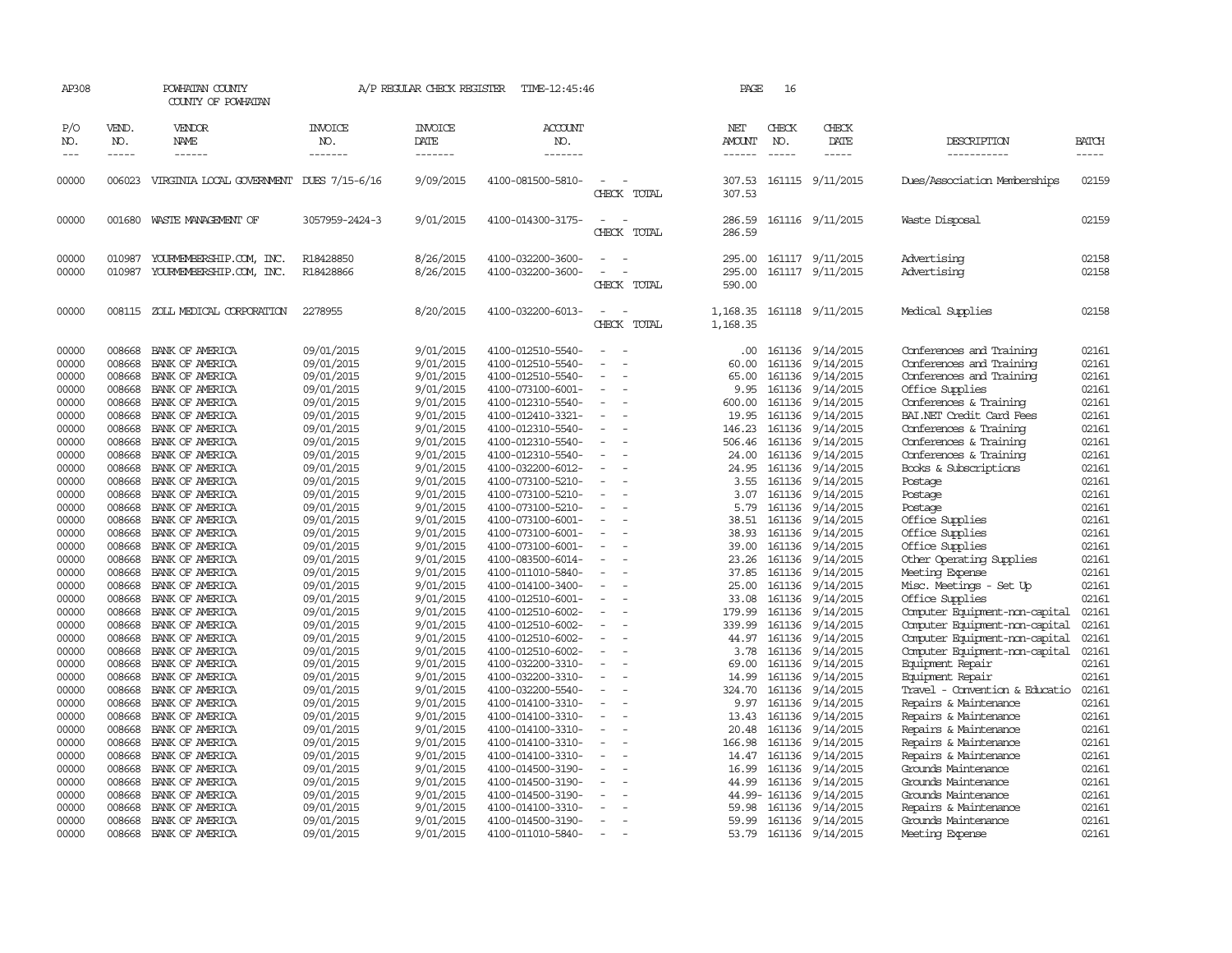| AP308                                              |                                                          | POWHATAN COUNTY<br>COUNTY OF POWHATAN                                                                          |                                                                                  | A/P REGULAR CHECK REGISTER                                                 | TIME-12:45:46                                                                                                              |                          | PAGE                                             | 16                                             |                                                                                   |                                                                                                                                                           |                                                    |
|----------------------------------------------------|----------------------------------------------------------|----------------------------------------------------------------------------------------------------------------|----------------------------------------------------------------------------------|----------------------------------------------------------------------------|----------------------------------------------------------------------------------------------------------------------------|--------------------------|--------------------------------------------------|------------------------------------------------|-----------------------------------------------------------------------------------|-----------------------------------------------------------------------------------------------------------------------------------------------------------|----------------------------------------------------|
| P/O<br>NO.                                         | VEND.<br>NO.<br>$- - - - -$                              | VENDOR<br><b>NAME</b><br>------                                                                                | INVOICE<br>NO.<br>-------                                                        | <b>INVOICE</b><br>DATE<br>-------                                          | ACCOUNT<br>NO.<br>-------                                                                                                  |                          | NET<br>AMOUNT                                    | CHECK<br>NO.                                   | CHECK<br>DATE<br>$- - - - -$                                                      | DESCRIPTION                                                                                                                                               | <b>BATCH</b><br>-----                              |
| $\frac{1}{2}$                                      |                                                          |                                                                                                                |                                                                                  |                                                                            |                                                                                                                            |                          | ------                                           | $\frac{1}{2}$                                  |                                                                                   | -----------                                                                                                                                               |                                                    |
| 00000                                              | 006023                                                   | VIRGINIA LOCAL GOVERNMENT DUES 7/15-6/16                                                                       |                                                                                  | 9/09/2015                                                                  | 4100-081500-5810-                                                                                                          | CHECK TOTAL              | 307.53<br>307.53                                 |                                                | 161115 9/11/2015                                                                  | Dues/Association Memberships                                                                                                                              | 02159                                              |
| 00000                                              | 001680                                                   | WASTE MANAGEMENT OF                                                                                            | 3057959-2424-3                                                                   | 9/01/2015                                                                  | 4100-014300-3175-                                                                                                          | CHECK TOTAL              | 286.59<br>286.59                                 |                                                | 161116 9/11/2015                                                                  | Waste Disposal                                                                                                                                            | 02159                                              |
| 00000<br>00000                                     | 010987<br>010987                                         | YOURMEMBERSHIP.COM, INC.<br>YOURMEMBERSHIP.COM, INC.                                                           | R18428850<br>R18428866                                                           | 8/26/2015<br>8/26/2015                                                     | 4100-032200-3600-<br>4100-032200-3600-                                                                                     | CHECK TOTAL              | 295.00<br>295.00<br>590.00                       |                                                | 161117 9/11/2015<br>161117 9/11/2015                                              | Advertising<br>Advertising                                                                                                                                | 02158<br>02158                                     |
| 00000                                              | 008115                                                   | ZOLL MEDICAL CORPORATION                                                                                       | 2278955                                                                          | 8/20/2015                                                                  | 4100-032200-6013-                                                                                                          | CHECK TOTAL              | 1,168.35<br>1,168.35                             |                                                | 161118 9/11/2015                                                                  | Medical Supplies                                                                                                                                          | 02158                                              |
| 00000<br>00000<br>00000<br>00000<br>00000<br>00000 | 008668<br>008668<br>008668<br>008668<br>008668<br>008668 | BANK OF AMERICA<br>BANK OF AMERICA<br>BANK OF AMERICA<br>BANK OF AMERICA<br>BANK OF AMERICA<br>BANK OF AMERICA | 09/01/2015<br>09/01/2015<br>09/01/2015<br>09/01/2015<br>09/01/2015<br>09/01/2015 | 9/01/2015<br>9/01/2015<br>9/01/2015<br>9/01/2015<br>9/01/2015<br>9/01/2015 | 4100-012510-5540-<br>4100-012510-5540-<br>4100-012510-5540-<br>4100-073100-6001-<br>4100-012310-5540-<br>4100-012410-3321- | $\sim$                   | .00<br>60.00<br>65.00<br>9.95<br>600.00<br>19.95 | 161136<br>161136<br>161136<br>161136<br>161136 | 161136 9/14/2015<br>9/14/2015<br>9/14/2015<br>9/14/2015<br>9/14/2015<br>9/14/2015 | Conferences and Training<br>Conferences and Training<br>Conferences and Training<br>Office Supplies<br>Conferences & Training<br>BAI.NET Credit Card Fees | 02161<br>02161<br>02161<br>02161<br>02161<br>02161 |
| 00000<br>00000<br>00000<br>00000                   | 008668<br>008668<br>008668<br>008668                     | BANK OF AMERICA<br>BANK OF AMERICA<br>BANK OF AMERICA<br>BANK OF AMERICA                                       | 09/01/2015<br>09/01/2015<br>09/01/2015<br>09/01/2015                             | 9/01/2015<br>9/01/2015<br>9/01/2015<br>9/01/2015                           | 4100-012310-5540-<br>4100-012310-5540-<br>4100-012310-5540-<br>4100-032200-6012-                                           |                          | 146.23<br>506.46<br>24.00<br>24.95               | 161136<br>161136<br>161136<br>161136           | 9/14/2015<br>9/14/2015<br>9/14/2015<br>9/14/2015                                  | Conferences & Training<br>Conferences & Training<br>Conferences & Training<br>Books & Subscriptions                                                       | 02161<br>02161<br>02161<br>02161                   |
| 00000<br>00000<br>00000                            | 008668<br>008668<br>008668                               | BANK OF AMERICA<br>BANK OF AMERICA<br>BANK OF AMERICA                                                          | 09/01/2015<br>09/01/2015<br>09/01/2015                                           | 9/01/2015<br>9/01/2015<br>9/01/2015                                        | 4100-073100-5210-<br>4100-073100-5210-<br>4100-073100-5210-                                                                | $\overline{\phantom{a}}$ | 3.55<br>3.07<br>5.79                             | 161136<br>161136<br>161136                     | 9/14/2015<br>9/14/2015<br>9/14/2015                                               | Postage<br>Postage<br>Postage                                                                                                                             | 02161<br>02161<br>02161                            |
| 00000<br>00000<br>00000<br>00000                   | 008668<br>008668<br>008668<br>008668                     | BANK OF AMERICA<br>BANK OF AMERICA<br>BANK OF AMERICA<br>BANK OF AMERICA                                       | 09/01/2015<br>09/01/2015<br>09/01/2015<br>09/01/2015                             | 9/01/2015<br>9/01/2015<br>9/01/2015<br>9/01/2015                           | 4100-073100-6001-<br>4100-073100-6001-<br>4100-073100-6001-<br>4100-083500-6014-                                           |                          | 38.51<br>38.93<br>39.00<br>23.26                 | 161136<br>161136<br>161136                     | 9/14/2015<br>9/14/2015<br>9/14/2015<br>161136 9/14/2015                           | Office Supplies<br>Office Supplies<br>Office Supplies<br>Other Operating Supplies                                                                         | 02161<br>02161<br>02161<br>02161                   |
| 00000<br>00000<br>00000<br>00000                   | 008668<br>008668<br>008668<br>008668                     | BANK OF AMERICA<br>BANK OF AMERICA<br>BANK OF AMERICA                                                          | 09/01/2015<br>09/01/2015<br>09/01/2015                                           | 9/01/2015<br>9/01/2015<br>9/01/2015                                        | 4100-011010-5840-<br>4100-014100-3400-<br>4100-012510-6001-                                                                | $\equiv$                 | 37.85<br>25.00<br>33.08                          | 161136<br>161136<br>161136<br>161136           | 9/14/2015<br>9/14/2015<br>9/14/2015                                               | Meeting Expense<br>Misc. Meetings - Set Up<br>Office Supplies                                                                                             | 02161<br>02161<br>02161<br>02161                   |
| 00000<br>00000<br>00000                            | 008668<br>008668<br>008668                               | BANK OF AMERICA<br>BANK OF AMERICA<br>BANK OF AMERICA<br>BANK OF AMERICA                                       | 09/01/2015<br>09/01/2015<br>09/01/2015<br>09/01/2015                             | 9/01/2015<br>9/01/2015<br>9/01/2015<br>9/01/2015                           | 4100-012510-6002-<br>4100-012510-6002-<br>4100-012510-6002-<br>4100-012510-6002-                                           | $\sim$                   | 179.99<br>339.99<br>44.97<br>3.78                | 161136<br>161136                               | 9/14/2015<br>9/14/2015<br>9/14/2015<br>161136 9/14/2015                           | Computer Equipment-non-capital<br>Computer Equipment-non-capital<br>Computer Equipment-non-capital<br>Computer Equipment-non-capital                      | 02161<br>02161<br>02161                            |
| 00000<br>00000<br>00000                            | 008668<br>008668<br>008668                               | BANK OF AMERICA<br>BANK OF AMERICA<br>BANK OF AMERICA                                                          | 09/01/2015<br>09/01/2015<br>09/01/2015                                           | 9/01/2015<br>9/01/2015<br>9/01/2015                                        | 4100-032200-3310-<br>4100-032200-3310-<br>4100-032200-5540-                                                                |                          | 69.00<br>14.99<br>324.70                         | 161136<br>161136<br>161136                     | 9/14/2015<br>9/14/2015<br>9/14/2015                                               | Equipment Repair<br>Equipment Repair<br>Travel - Convention & Educatio                                                                                    | 02161<br>02161<br>02161                            |
| 00000<br>00000<br>00000                            | 008668<br>008668<br>008668                               | BANK OF AMERICA<br>BANK OF AMERICA<br>BANK OF AMERICA                                                          | 09/01/2015<br>09/01/2015<br>09/01/2015                                           | 9/01/2015<br>9/01/2015<br>9/01/2015                                        | 4100-014100-3310-<br>4100-014100-3310-<br>4100-014100-3310-                                                                | $\sim$                   | 9.97<br>13.43<br>20.48                           | 161136<br>161136<br>161136                     | 9/14/2015<br>9/14/2015<br>9/14/2015                                               | Repairs & Maintenance<br>Repairs & Maintenance<br>Repairs & Maintenance                                                                                   | 02161<br>02161<br>02161                            |
| 00000<br>00000<br>00000                            | 008668<br>008668<br>008668                               | BANK OF AMERICA<br>BANK OF AMERICA<br>BANK OF AMERICA                                                          | 09/01/2015<br>09/01/2015<br>09/01/2015                                           | 9/01/2015<br>9/01/2015<br>9/01/2015                                        | 4100-014100-3310-<br>4100-014100-3310-<br>4100-014500-3190-                                                                | $\overline{\phantom{a}}$ | 166.98<br>14.47<br>16.99                         | 161136<br>161136<br>161136                     | 9/14/2015<br>9/14/2015<br>9/14/2015                                               | Repairs & Maintenance<br>Repairs & Maintenance<br>Grounds Maintenance                                                                                     | 02161<br>02161<br>02161                            |
| 00000<br>00000<br>00000<br>00000                   | 008668<br>008668<br>008668<br>008668                     | BANK OF AMERICA<br>BANK OF AMERICA<br>BANK OF AMERICA<br>BANK OF AMERICA                                       | 09/01/2015<br>09/01/2015<br>09/01/2015<br>09/01/2015                             | 9/01/2015<br>9/01/2015<br>9/01/2015<br>9/01/2015                           | 4100-014500-3190-<br>4100-014500-3190-<br>4100-014100-3310-<br>4100-014500-3190-                                           |                          | 44.99<br>59.98<br>59.99                          | 161136<br>44.99- 161136<br>161136<br>161136    | 9/14/2015<br>9/14/2015<br>9/14/2015<br>9/14/2015                                  | Grounds Maintenance<br>Grounds Maintenance<br>Repairs & Maintenance<br>Grounds Maintenance                                                                | 02161<br>02161<br>02161<br>02161                   |
| 00000                                              |                                                          | 008668 BANK OF AMERICA                                                                                         | 09/01/2015                                                                       | 9/01/2015                                                                  | 4100-011010-5840-                                                                                                          | $\equiv$                 | 53.79                                            |                                                | 161136 9/14/2015                                                                  | Meeting Expense                                                                                                                                           | 02161                                              |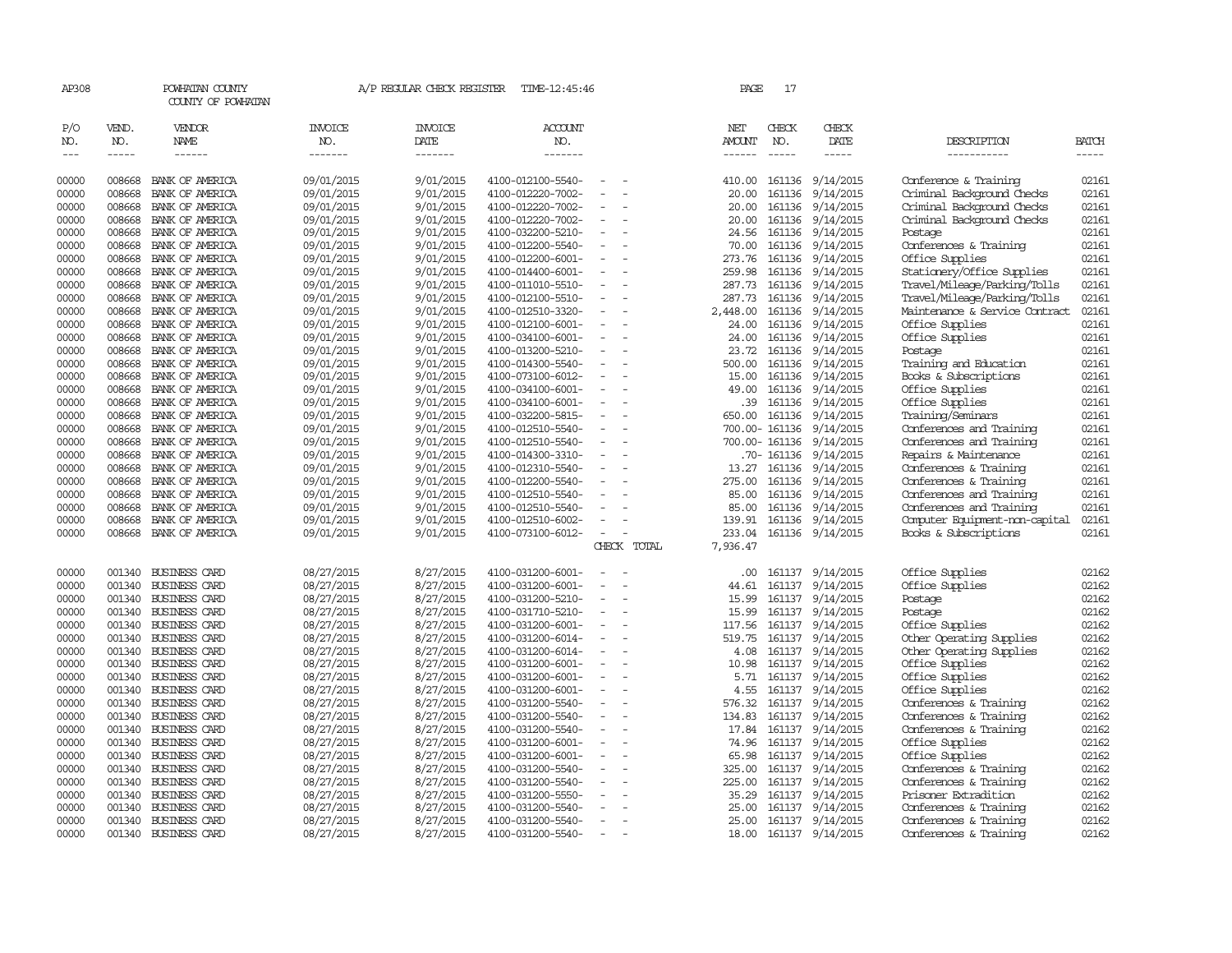| AP308          |                  | POWHATAN COUNTY<br>COUNTY OF POWHATAN        |                          | A/P REGULAR CHECK REGISTER | TIME-12:45:46                          |                          |             | PAGE            | 17               |                        |                                                         |                |
|----------------|------------------|----------------------------------------------|--------------------------|----------------------------|----------------------------------------|--------------------------|-------------|-----------------|------------------|------------------------|---------------------------------------------------------|----------------|
| P/O            | VEND.            | VENDOR                                       | <b>INVOICE</b>           | <b>INVOICE</b>             | <b>ACCOUNT</b>                         |                          |             | NET             | CHECK            | CHECK                  |                                                         |                |
| NO.            | NO.              | NAME                                         | NO.                      | DATE                       | NO.                                    |                          |             | AMOUNT          | NO.              | DATE                   | DESCRIPTION                                             | <b>BATCH</b>   |
| $\frac{1}{2}$  | $- - - - -$      | $- - - - - -$                                | --------                 | $- - - - - - -$            | -------                                |                          |             | $- - - - - -$   | $- - - - - -$    | $- - - - -$            | -----------                                             | $- - - - -$    |
| 00000          | 008668           | BANK OF AMERICA                              | 09/01/2015               | 9/01/2015                  | 4100-012100-5540-                      |                          |             | 410.00          | 161136           | 9/14/2015              | Conference & Training                                   | 02161          |
| 00000          | 008668           | BANK OF AMERICA                              | 09/01/2015               | 9/01/2015                  | 4100-012220-7002-                      | $\overline{\phantom{a}}$ |             | 20.00           | 161136           | 9/14/2015              | Criminal Background Checks                              | 02161          |
| 00000          | 008668           | BANK OF AMERICA                              | 09/01/2015               | 9/01/2015                  | 4100-012220-7002-                      |                          |             | 20.00           | 161136           | 9/14/2015              | Criminal Background Checks                              | 02161          |
| 00000          | 008668           | BANK OF AMERICA                              | 09/01/2015               | 9/01/2015                  | 4100-012220-7002-                      |                          |             | 20.00           | 161136           | 9/14/2015              | Criminal Background Checks                              | 02161          |
| 00000          | 008668           | BANK OF AMERICA                              | 09/01/2015               | 9/01/2015                  | 4100-032200-5210-                      |                          |             | 24.56           | 161136           | 9/14/2015              | Postage                                                 | 02161          |
| 00000          | 008668           | BANK OF AMERICA                              | 09/01/2015               | 9/01/2015                  | 4100-012200-5540-                      |                          |             | 70.00           | 161136           | 9/14/2015              | Conferences & Training                                  | 02161          |
| 00000          | 008668           | BANK OF AMERICA                              | 09/01/2015               | 9/01/2015                  | 4100-012200-6001-                      |                          |             | 273.76          | 161136           | 9/14/2015              | Office Supplies                                         | 02161          |
| 00000          | 008668           | BANK OF AMERICA                              | 09/01/2015               | 9/01/2015                  | 4100-014400-6001-                      |                          |             | 259.98          | 161136           | 9/14/2015              | Stationery/Office Supplies                              | 02161          |
| 00000          | 008668           | BANK OF AMERICA                              | 09/01/2015               | 9/01/2015                  | 4100-011010-5510-                      |                          |             | 287.73          | 161136           | 9/14/2015              | Travel/Mileage/Parking/Tolls                            | 02161          |
| 00000          | 008668           | BANK OF AMERICA                              | 09/01/2015               | 9/01/2015                  | 4100-012100-5510-                      | $\equiv$                 |             | 287.73          | 161136           | 9/14/2015              | Travel/Mileage/Parking/Tolls                            | 02161          |
| 00000          | 008668           | BANK OF AMERICA                              | 09/01/2015               | 9/01/2015                  | 4100-012510-3320-                      |                          |             | 2,448.00        | 161136           | 9/14/2015              | Maintenance & Service Contract                          | 02161          |
| 00000          | 008668           | BANK OF AMERICA                              | 09/01/2015               | 9/01/2015                  | 4100-012100-6001-                      |                          |             | 24.00           | 161136           | 9/14/2015              | Office Supplies                                         | 02161          |
| 00000          | 008668           | BANK OF AMERICA                              | 09/01/2015               | 9/01/2015                  | 4100-034100-6001-                      |                          |             | 24.00           | 161136           | 9/14/2015              | Office Supplies                                         | 02161          |
| 00000          | 008668           | BANK OF AMERICA                              | 09/01/2015               | 9/01/2015                  | 4100-013200-5210-                      |                          |             | 23.72           | 161136           | 9/14/2015              | Postage                                                 | 02161          |
| 00000          | 008668           | BANK OF AMERICA                              | 09/01/2015               | 9/01/2015                  | 4100-014300-5540-                      |                          |             | 500.00          | 161136           | 9/14/2015              | Training and Education                                  | 02161          |
| 00000          | 008668           | BANK OF AMERICA                              | 09/01/2015               | 9/01/2015                  | 4100-073100-6012-                      |                          |             | 15.00           | 161136           | 9/14/2015              | Books & Subscriptions                                   | 02161          |
| 00000          | 008668           | BANK OF AMERICA                              | 09/01/2015               | 9/01/2015                  | 4100-034100-6001-                      |                          |             | 49.00           | 161136           | 9/14/2015              | Office Supplies                                         | 02161          |
| 00000          | 008668           | BANK OF AMERICA                              | 09/01/2015               | 9/01/2015                  | 4100-034100-6001-                      |                          |             | .39             | 161136           | 9/14/2015              | Office Supplies                                         | 02161          |
| 00000          | 008668           | BANK OF AMERICA                              | 09/01/2015               | 9/01/2015                  | 4100-032200-5815-                      |                          |             | 650.00          | 161136           | 9/14/2015              | Training/Seminars                                       | 02161          |
| 00000          | 008668           | BANK OF AMERICA                              | 09/01/2015               | 9/01/2015                  | 4100-012510-5540-                      |                          |             | 700.00- 161136  |                  | 9/14/2015              | Conferences and Training                                | 02161          |
| 00000          | 008668           | BANK OF AMERICA                              | 09/01/2015               | 9/01/2015                  | 4100-012510-5540-                      | $\overline{\phantom{a}}$ |             | 700.00- 161136  |                  | 9/14/2015              | Conferences and Training                                | 02161          |
| 00000          | 008668           | BANK OF AMERICA                              | 09/01/2015               | 9/01/2015                  | 4100-014300-3310-                      |                          |             |                 | .70- 161136      | 9/14/2015              | Repairs & Maintenance                                   | 02161          |
| 00000          | 008668           | BANK OF AMERICA                              | 09/01/2015               | 9/01/2015                  | 4100-012310-5540-                      |                          |             | 13.27           | 161136           | 9/14/2015              | Conferences & Training                                  | 02161          |
| 00000          | 008668           | BANK OF AMERICA                              | 09/01/2015               | 9/01/2015                  | 4100-012200-5540-                      |                          |             | 275.00          | 161136           | 9/14/2015              | Conferences & Training                                  | 02161          |
| 00000          | 008668           | BANK OF AMERICA                              | 09/01/2015               | 9/01/2015                  | 4100-012510-5540-                      |                          |             | 85.00           | 161136           | 9/14/2015              | Conferences and Training                                | 02161<br>02161 |
| 00000<br>00000 | 008668<br>008668 | BANK OF AMERICA<br>BANK OF AMERICA           | 09/01/2015<br>09/01/2015 | 9/01/2015<br>9/01/2015     | 4100-012510-5540-                      |                          |             | 85.00<br>139.91 | 161136<br>161136 | 9/14/2015<br>9/14/2015 | Conferences and Training                                | 02161          |
| 00000          | 008668           | BANK OF AMERICA                              | 09/01/2015               | 9/01/2015                  | 4100-012510-6002-<br>4100-073100-6012- |                          |             | 233.04          |                  | 161136 9/14/2015       | Computer Equipment-non-capital<br>Books & Subscriptions | 02161          |
|                |                  |                                              |                          |                            |                                        |                          | CHECK TOTAL | 7,936.47        |                  |                        |                                                         |                |
|                |                  |                                              |                          |                            |                                        |                          |             |                 |                  |                        |                                                         |                |
| 00000          | 001340           | BUSINESS CARD                                | 08/27/2015               | 8/27/2015                  | 4100-031200-6001-                      |                          |             | $.00 \,$        | 161137           | 9/14/2015              | Office Supplies                                         | 02162          |
| 00000          | 001340           | <b>BUSINESS CARD</b>                         | 08/27/2015               | 8/27/2015                  | 4100-031200-6001-                      |                          |             | 44.61           | 161137           | 9/14/2015              | Office Supplies                                         | 02162          |
| 00000          | 001340           | <b>BUSINESS CARD</b>                         | 08/27/2015               | 8/27/2015                  | 4100-031200-5210-                      |                          |             | 15.99           | 161137           | 9/14/2015              | Postage                                                 | 02162          |
| 00000          | 001340           | <b>BUSINESS CARD</b>                         | 08/27/2015               | 8/27/2015                  | 4100-031710-5210-                      |                          |             | 15.99           | 161137           | 9/14/2015              | Postage                                                 | 02162          |
| 00000          | 001340           | <b>BUSINESS CARD</b>                         | 08/27/2015               | 8/27/2015                  | 4100-031200-6001-                      |                          |             | 117.56          | 161137           | 9/14/2015              | Office Supplies                                         | 02162          |
| 00000          | 001340<br>001340 | <b>BUSINESS CARD</b>                         | 08/27/2015               | 8/27/2015                  | 4100-031200-6014-                      |                          |             | 519.75          | 161137           | 9/14/2015              | Other Operating Supplies                                | 02162<br>02162 |
| 00000<br>00000 | 001340           | <b>BUSINESS CARD</b><br><b>BUSINESS CARD</b> | 08/27/2015               | 8/27/2015<br>8/27/2015     | 4100-031200-6014-<br>4100-031200-6001- |                          |             | 4.08<br>10.98   | 161137<br>161137 | 9/14/2015<br>9/14/2015 | Other Operating Supplies                                | 02162          |
| 00000          | 001340           | <b>BUSINESS CARD</b>                         | 08/27/2015<br>08/27/2015 | 8/27/2015                  | 4100-031200-6001-                      |                          |             | 5.71            | 161137           | 9/14/2015              | Office Supplies<br>Office Supplies                      | 02162          |
| 00000          | 001340           | <b>BUSINESS CARD</b>                         | 08/27/2015               | 8/27/2015                  | 4100-031200-6001-                      |                          |             | 4.55            | 161137           | 9/14/2015              | Office Supplies                                         | 02162          |
| 00000          | 001340           | <b>BUSINESS CARD</b>                         | 08/27/2015               | 8/27/2015                  | 4100-031200-5540-                      |                          |             | 576.32          | 161137           | 9/14/2015              | Conferences & Training                                  | 02162          |
| 00000          | 001340           | <b>BUSINESS CARD</b>                         | 08/27/2015               | 8/27/2015                  | 4100-031200-5540-                      |                          |             | 134.83          | 161137           | 9/14/2015              | Conferences & Training                                  | 02162          |
| 00000          | 001340           | <b>BUSINESS CARD</b>                         | 08/27/2015               | 8/27/2015                  | 4100-031200-5540-                      |                          |             | 17.84           | 161137           | 9/14/2015              | Conferences & Training                                  | 02162          |
| 00000          | 001340           | BUSINESS CARD                                | 08/27/2015               | 8/27/2015                  | 4100-031200-6001-                      |                          |             | 74.96           | 161137           | 9/14/2015              | Office Supplies                                         | 02162          |
| 00000          | 001340           | <b>BUSINESS CARD</b>                         | 08/27/2015               | 8/27/2015                  | 4100-031200-6001-                      |                          |             | 65.98           | 161137           | 9/14/2015              | Office Supplies                                         | 02162          |
| 00000          | 001340           | <b>BUSINESS CARD</b>                         | 08/27/2015               | 8/27/2015                  | 4100-031200-5540-                      |                          |             | 325.00          | 161137           | 9/14/2015              | Conferences & Training                                  | 02162          |
| 00000          | 001340           | <b>BUSINESS CARD</b>                         | 08/27/2015               | 8/27/2015                  | 4100-031200-5540-                      |                          |             | 225.00          | 161137           | 9/14/2015              | Conferences & Training                                  | 02162          |
| 00000          | 001340           | <b>BUSINESS CARD</b>                         | 08/27/2015               | 8/27/2015                  | 4100-031200-5550-                      |                          |             | 35.29           | 161137           | 9/14/2015              | Prisoner Extradition                                    | 02162          |
| 00000          | 001340           | <b>BUSINESS CARD</b>                         | 08/27/2015               | 8/27/2015                  | 4100-031200-5540-                      |                          |             | 25.00           | 161137           | 9/14/2015              | Conferences & Training                                  | 02162          |
| 00000          | 001340           | <b>BUSINESS CARD</b>                         | 08/27/2015               | 8/27/2015                  | 4100-031200-5540-                      |                          |             | 25.00           | 161137           | 9/14/2015              | Conferences & Training                                  | 02162          |
| 00000          |                  | 001340 BUSINESS CARD                         | 08/27/2015               | 8/27/2015                  | 4100-031200-5540-                      | $\overline{\phantom{a}}$ |             | 18.00           |                  | 161137 9/14/2015       | Conferences & Training                                  | 02162          |
|                |                  |                                              |                          |                            |                                        |                          |             |                 |                  |                        |                                                         |                |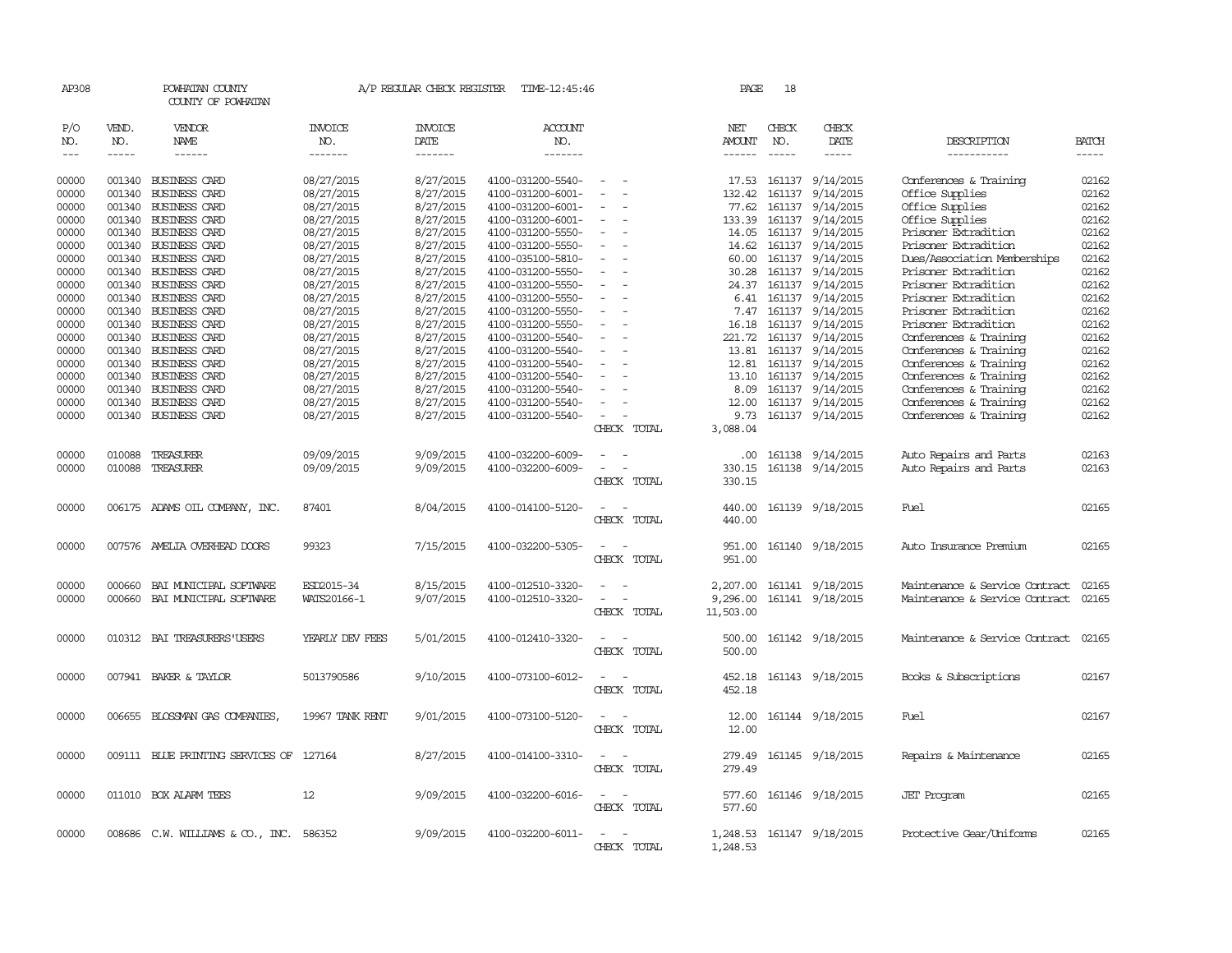| AP308                       |                             | POWHATAN COUNTY<br>COUNTY OF POWHATAN |                                  | A/P REGULAR CHECK REGISTER        | TIME-12:45:46                    |                                                                                                              | PAGE                           | 18                          |                        |                                |                       |
|-----------------------------|-----------------------------|---------------------------------------|----------------------------------|-----------------------------------|----------------------------------|--------------------------------------------------------------------------------------------------------------|--------------------------------|-----------------------------|------------------------|--------------------------------|-----------------------|
| P/O<br>NO.<br>$\frac{1}{2}$ | VEND.<br>NO.<br>$- - - - -$ | <b>VENDOR</b><br>NAME<br>------       | <b>INVOICE</b><br>NO.<br>------- | <b>INVOICE</b><br>DATE<br>------- | <b>ACCOUNT</b><br>NO.<br>------- |                                                                                                              | NET<br>AMOUNT<br>$- - - - - -$ | CHECK<br>NO.<br>$- - - - -$ | CHECK<br>DATE<br>----- | DESCRIPTION<br>-----------     | <b>BATCH</b><br>----- |
| 00000                       |                             | 001340 BUSINESS CARD                  | 08/27/2015                       | 8/27/2015                         | 4100-031200-5540-                |                                                                                                              | 17.53                          |                             | 161137 9/14/2015       | Conferences & Training         | 02162                 |
| 00000                       | 001340                      | <b>BUSINESS CARD</b>                  | 08/27/2015                       | 8/27/2015                         | 4100-031200-6001-                | $\overline{\phantom{a}}$                                                                                     | 132.42                         | 161137                      | 9/14/2015              | Office Supplies                | 02162                 |
| 00000                       | 001340                      | <b>BUSINESS CARD</b>                  | 08/27/2015                       | 8/27/2015                         | 4100-031200-6001-                |                                                                                                              | 77.62                          | 161137                      | 9/14/2015              | Office Supplies                | 02162                 |
| 00000                       | 001340                      | BUSINESS CARD                         | 08/27/2015                       | 8/27/2015                         | 4100-031200-6001-                |                                                                                                              | 133.39                         | 161137                      | 9/14/2015              | Office Supplies                | 02162                 |
| 00000                       | 001340                      | <b>BUSINESS CARD</b>                  | 08/27/2015                       | 8/27/2015                         | 4100-031200-5550-                |                                                                                                              | 14.05                          |                             | 161137 9/14/2015       | Prisoner Extradition           | 02162                 |
| 00000                       |                             | 001340 BUSINESS CARD                  | 08/27/2015                       | 8/27/2015                         | 4100-031200-5550-                | $\sim$                                                                                                       | 14.62                          |                             | 161137 9/14/2015       | Prisoner Extradition           | 02162                 |
| 00000                       | 001340                      | <b>BUSINESS CARD</b>                  | 08/27/2015                       | 8/27/2015                         | 4100-035100-5810-                |                                                                                                              | 60.00                          |                             | 161137 9/14/2015       | Dues/Association Memberships   | 02162                 |
| 00000                       |                             | 001340 BUSINESS CARD                  | 08/27/2015                       | 8/27/2015                         | 4100-031200-5550-                |                                                                                                              | 30.28                          |                             | 161137 9/14/2015       | Prisoner Extradition           | 02162                 |
| 00000                       |                             | 001340 BUSINESS CARD                  | 08/27/2015                       | 8/27/2015                         | 4100-031200-5550-                |                                                                                                              | 24.37                          |                             | 161137 9/14/2015       | Prisoner Extradition           | 02162                 |
| 00000                       |                             | 001340 BUSINESS CARD                  | 08/27/2015                       | 8/27/2015                         | 4100-031200-5550-                | $\sim$                                                                                                       |                                |                             | 6.41 161137 9/14/2015  | Prisoner Extradition           | 02162                 |
| 00000                       | 001340                      | <b>BUSINESS CARD</b>                  | 08/27/2015                       | 8/27/2015                         | 4100-031200-5550-                | $\overline{\phantom{a}}$                                                                                     | 7.47                           | 161137                      | 9/14/2015              | Prisoner Extradition           | 02162                 |
| 00000                       |                             | 001340 BUSINESS CARD                  | 08/27/2015                       | 8/27/2015                         | 4100-031200-5550-                |                                                                                                              |                                |                             | 16.18 161137 9/14/2015 | Prisoner Extradition           | 02162                 |
| 00000                       | 001340                      | <b>BUSINESS CARD</b>                  | 08/27/2015                       | 8/27/2015                         | 4100-031200-5540-                |                                                                                                              | 221.72                         | 161137                      | 9/14/2015              | Conferences & Training         | 02162                 |
| 00000                       |                             | 001340 BUSINESS CARD                  | 08/27/2015                       | 8/27/2015                         | 4100-031200-5540-                |                                                                                                              | 13.81                          | 161137                      | 9/14/2015              | Conferences & Training         | 02162                 |
| 00000                       | 001340                      | <b>BUSINESS CARD</b>                  | 08/27/2015                       | 8/27/2015                         | 4100-031200-5540-                |                                                                                                              | 12.81                          | 161137                      | 9/14/2015              | Conferences & Training         | 02162                 |
| 00000                       | 001340                      | BUSINESS CARD                         | 08/27/2015                       | 8/27/2015                         | 4100-031200-5540-                |                                                                                                              | 13.10                          |                             | 161137 9/14/2015       | Conferences & Training         | 02162                 |
| 00000                       |                             | 001340 BUSINESS CARD                  | 08/27/2015                       | 8/27/2015                         | 4100-031200-5540-                |                                                                                                              | 8.09                           |                             | 161137 9/14/2015       | Conferences & Training         | 02162                 |
| 00000                       |                             | 001340 BUSINESS CARD                  | 08/27/2015                       | 8/27/2015                         | 4100-031200-5540-                |                                                                                                              | 12.00                          |                             | 161137 9/14/2015       | Conferences & Training         | 02162                 |
| 00000                       | 001340                      | <b>BUSINESS CARD</b>                  | 08/27/2015                       | 8/27/2015                         | 4100-031200-5540-                |                                                                                                              | 9.73                           |                             | 161137 9/14/2015       | Conferences & Training         | 02162                 |
|                             |                             |                                       |                                  |                                   |                                  | CHECK TOTAL                                                                                                  | 3,088.04                       |                             |                        |                                |                       |
| 00000                       | 010088                      | TREASURER                             | 09/09/2015                       | 9/09/2015                         | 4100-032200-6009-                |                                                                                                              | .00.                           |                             | 161138 9/14/2015       | Auto Repairs and Parts         | 02163                 |
| 00000                       |                             | 010088 TREASURER                      | 09/09/2015                       | 9/09/2015                         | 4100-032200-6009-                |                                                                                                              | 330.15                         |                             | 161138 9/14/2015       | Auto Repairs and Parts         | 02163                 |
|                             |                             |                                       |                                  |                                   |                                  | CHECK TOTAL                                                                                                  | 330.15                         |                             |                        |                                |                       |
| 00000                       |                             | 006175 ADAMS OIL COMPANY, INC.        | 87401                            | 8/04/2015                         | 4100-014100-5120-                |                                                                                                              | 440.00                         |                             | 161139 9/18/2015       | Fuel                           | 02165                 |
|                             |                             |                                       |                                  |                                   |                                  | CHECK TOTAL                                                                                                  | 440.00                         |                             |                        |                                |                       |
|                             |                             |                                       |                                  |                                   |                                  |                                                                                                              |                                |                             |                        |                                |                       |
| 00000                       |                             | 007576 AMELIA OVERHEAD DOORS          | 99323                            | 7/15/2015                         | 4100-032200-5305-                |                                                                                                              | 951.00                         |                             | 161140 9/18/2015       | Auto Insurance Premium         | 02165                 |
|                             |                             |                                       |                                  |                                   |                                  | CHECK TOTAL                                                                                                  | 951.00                         |                             |                        |                                |                       |
| 00000                       | 000660                      | BAI MUNICIPAL SOFTWARE                | ESD2015-34                       | 8/15/2015                         | 4100-012510-3320-                |                                                                                                              | 2,207.00                       |                             | 161141 9/18/2015       | Maintenance & Service Contract | 02165                 |
| 00000                       | 000660                      | BAI MUNICIPAL SOFTWARE                | WATS20166-1                      | 9/07/2015                         | 4100-012510-3320-                | $\equiv$<br>$\sim$                                                                                           | 9,296.00                       |                             | 161141 9/18/2015       | Maintenance & Service Contract | 02165                 |
|                             |                             |                                       |                                  |                                   |                                  | CHECK TOTAL                                                                                                  | 11,503.00                      |                             |                        |                                |                       |
|                             |                             |                                       |                                  |                                   |                                  |                                                                                                              |                                |                             |                        |                                |                       |
| 00000                       |                             | 010312 BAI TREASURERS USERS           | YEARLY DEV FEES                  | 5/01/2015                         | 4100-012410-3320-                |                                                                                                              | 500.00                         |                             | 161142 9/18/2015       | Maintenance & Service Contract | 02165                 |
|                             |                             |                                       |                                  |                                   |                                  | CHECK TOTAL                                                                                                  | 500.00                         |                             |                        |                                |                       |
|                             |                             |                                       |                                  |                                   |                                  |                                                                                                              |                                |                             |                        |                                |                       |
| 00000                       |                             | 007941 BAKER & TAYLOR                 | 5013790586                       | 9/10/2015                         | 4100-073100-6012-                | - -                                                                                                          | 452.18                         |                             | 161143 9/18/2015       | Books & Subscriptions          | 02167                 |
|                             |                             |                                       |                                  |                                   |                                  | CHECK TOTAL                                                                                                  | 452.18                         |                             |                        |                                |                       |
| 00000                       |                             | 006655 BLOSSMAN GAS COMPANIES,        | 19967 TANK RENT                  | 9/01/2015                         | 4100-073100-5120-                |                                                                                                              | 12.00                          |                             | 161144 9/18/2015       | Fuel                           | 02167                 |
|                             |                             |                                       |                                  |                                   |                                  | CHECK TOTAL                                                                                                  | 12.00                          |                             |                        |                                |                       |
|                             |                             |                                       |                                  |                                   |                                  |                                                                                                              |                                |                             |                        |                                |                       |
| 00000                       |                             | 009111 BLUE PRINTING SERVICES OF      | 127164                           | 8/27/2015                         | 4100-014100-3310-                |                                                                                                              | 279.49                         |                             | 161145 9/18/2015       | Repairs & Maintenance          | 02165                 |
|                             |                             |                                       |                                  |                                   |                                  | CHECK TOTAL                                                                                                  | 279.49                         |                             |                        |                                |                       |
|                             |                             |                                       |                                  |                                   |                                  |                                                                                                              |                                |                             |                        |                                |                       |
| 00000                       |                             | 011010 BOX ALARM TEES                 | 12                               | 9/09/2015                         | 4100-032200-6016-                |                                                                                                              | 577.60                         |                             | 161146 9/18/2015       | <b>JET</b> Program             | 02165                 |
|                             |                             |                                       |                                  |                                   |                                  | CHECK TOTAL                                                                                                  | 577.60                         |                             |                        |                                |                       |
|                             |                             |                                       |                                  |                                   |                                  |                                                                                                              |                                |                             |                        |                                |                       |
| 00000                       |                             | 008686 C.W. WILLIAMS & CO., INC.      | 586352                           | 9/09/2015                         | 4100-032200-6011-                | $\frac{1}{2} \left( \frac{1}{2} \right) \left( \frac{1}{2} \right) = \frac{1}{2} \left( \frac{1}{2} \right)$ | 1,248.53                       |                             | 161147 9/18/2015       | Protective Gear/Uniforms       | 02165                 |
|                             |                             |                                       |                                  |                                   |                                  | CHECK TOTAL                                                                                                  | 1,248.53                       |                             |                        |                                |                       |
|                             |                             |                                       |                                  |                                   |                                  |                                                                                                              |                                |                             |                        |                                |                       |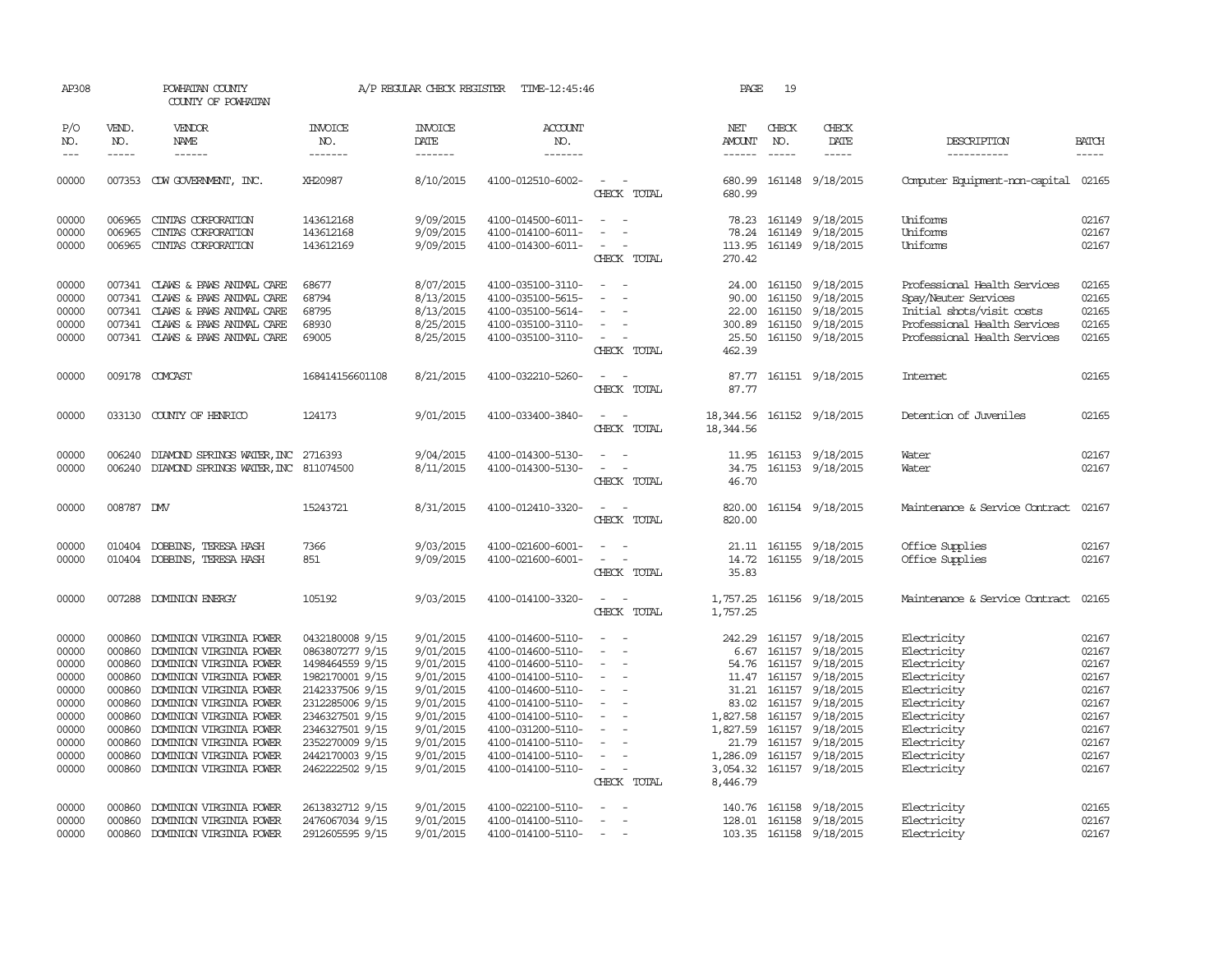| AP308          |                                                                                                                                                                                                                                                                                                                                                                                                                                                         | POWHATAN COUNTY<br>COUNTY OF POWHATAN                              |                                    | A/P REGULAR CHECK REGISTER    | TIME-12:45:46                          |                                                                     | PAGE                    | 19               |                                                  |                                                           |                |
|----------------|---------------------------------------------------------------------------------------------------------------------------------------------------------------------------------------------------------------------------------------------------------------------------------------------------------------------------------------------------------------------------------------------------------------------------------------------------------|--------------------------------------------------------------------|------------------------------------|-------------------------------|----------------------------------------|---------------------------------------------------------------------|-------------------------|------------------|--------------------------------------------------|-----------------------------------------------------------|----------------|
| P/O<br>NO.     | VEND.<br>NO.                                                                                                                                                                                                                                                                                                                                                                                                                                            | <b>VENDOR</b><br>NAME                                              | <b>INVOICE</b><br>NO.              | <b>INVOICE</b><br><b>DATE</b> | <b>ACCOUNT</b><br>NO.                  |                                                                     | NET<br><b>AMOUNT</b>    | CHECK<br>NO.     | CHECK<br>DATE                                    | DESCRIPTION                                               | <b>BATCH</b>   |
| $---$          | $\begin{tabular}{ccccc} \multicolumn{2}{c }{\multicolumn{2}{c }{\multicolumn{2}{c }{\multicolumn{2}{c}}{\hspace{-2.2cm}}}} \multicolumn{2}{c }{\multicolumn{2}{c }{\hspace{-2.2cm}}\hline} \multicolumn{2}{c }{\hspace{-2.2cm}}\hline \multicolumn{2}{c }{\hspace{-2.2cm}}\hline \multicolumn{2}{c }{\hspace{-2.2cm}}\hline \multicolumn{2}{c }{\hspace{-2.2cm}}\hline \multicolumn{2}{c }{\hspace{-2.2cm}}\hline \multicolumn{2}{c }{\hspace{-2.2cm}}$ | ------                                                             | -------                            | -------                       | -------                                |                                                                     |                         | $\frac{1}{2}$    | -----                                            | -----------                                               |                |
| 00000          |                                                                                                                                                                                                                                                                                                                                                                                                                                                         | 007353 CDW GOVERNMENT, INC.                                        | XH20987                            | 8/10/2015                     | 4100-012510-6002-                      | CHECK TOTAL                                                         | 680.99<br>680.99        |                  | 161148 9/18/2015                                 | Computer Equipment-non-capital                            | 02165          |
| 00000<br>00000 | 006965<br>006965                                                                                                                                                                                                                                                                                                                                                                                                                                        | CINIAS CORPORATION<br>CINIAS CORPORATION                           | 143612168<br>143612168             | 9/09/2015<br>9/09/2015        | 4100-014500-6011-<br>4100-014100-6011- | $\sim$<br>$\sim$                                                    | 78.24                   |                  | 78.23 161149 9/18/2015<br>161149 9/18/2015       | Uniforms<br>Uniforms                                      | 02167<br>02167 |
| 00000          | 006965                                                                                                                                                                                                                                                                                                                                                                                                                                                  | CINIAS CORPORATION                                                 | 143612169                          | 9/09/2015                     | 4100-014300-6011-                      | $\overline{\phantom{a}}$<br>CHECK TOTAL                             | 113.95<br>270.42        |                  | 161149 9/18/2015                                 | Uniforms                                                  | 02167          |
| 00000<br>00000 | 007341                                                                                                                                                                                                                                                                                                                                                                                                                                                  | 007341 CLAWS & PAWS ANIMAL CARE<br>CLAWS & PAWS ANIMAL CARE        | 68677<br>68794                     | 8/07/2015<br>8/13/2015        | 4100-035100-3110-<br>4100-035100-5615- |                                                                     | 90.00                   | 161150           | 24.00 161150 9/18/2015<br>9/18/2015              | Professional Health Services<br>Spay/Neuter Services      | 02165<br>02165 |
| 00000<br>00000 |                                                                                                                                                                                                                                                                                                                                                                                                                                                         | 007341 CLAWS & PAWS ANIMAL CARE<br>007341 CLAWS & PAWS ANIMAL CARE | 68795<br>68930                     | 8/13/2015<br>8/25/2015        | 4100-035100-5614-<br>4100-035100-3110- | $\sim$<br>$\sim$                                                    | 22.00<br>300.89         | 161150<br>161150 | 9/18/2015<br>9/18/2015                           | Initial shots/visit costs<br>Professional Health Services | 02165<br>02165 |
| 00000          |                                                                                                                                                                                                                                                                                                                                                                                                                                                         | 007341 CLAWS & PAWS ANIMAL CARE                                    | 69005                              | 8/25/2015                     | 4100-035100-3110-                      | $\overline{\phantom{a}}$<br>CHECK TOTAL                             | 462.39                  |                  | 25.50 161150 9/18/2015                           | Professional Health Services                              | 02165          |
| 00000          |                                                                                                                                                                                                                                                                                                                                                                                                                                                         | 009178 COMCAST                                                     | 168414156601108                    | 8/21/2015                     | 4100-032210-5260-                      | $\sim$<br>$\sim$<br>CHECK TOTAL                                     | 87.77                   |                  | 87.77 161151 9/18/2015                           | Internet                                                  | 02165          |
| 00000          |                                                                                                                                                                                                                                                                                                                                                                                                                                                         | 033130 COUNTY OF HENRICO                                           | 124173                             | 9/01/2015                     | 4100-033400-3840-                      | $\overline{\phantom{a}}$<br>$\overline{\phantom{a}}$<br>CHECK TOTAL | 18,344.56<br>18, 344.56 |                  | 161152 9/18/2015                                 | Detention of Juveniles                                    | 02165          |
| 00000          | 006240                                                                                                                                                                                                                                                                                                                                                                                                                                                  | DIAMOND SPRINGS WATER, INC 2716393                                 |                                    | 9/04/2015                     | 4100-014300-5130-                      | $\overline{\phantom{a}}$                                            | 11.95                   |                  | 161153 9/18/2015                                 | Water                                                     | 02167          |
| 00000          |                                                                                                                                                                                                                                                                                                                                                                                                                                                         | 006240 DIAMOND SPRINGS WATER, INC 811074500                        |                                    | 8/11/2015                     | 4100-014300-5130-                      | CHECK TOTAL                                                         | 34.75<br>46.70          |                  | 161153 9/18/2015                                 | Water                                                     | 02167          |
| 00000          | 008787 DMV                                                                                                                                                                                                                                                                                                                                                                                                                                              |                                                                    | 15243721                           | 8/31/2015                     | 4100-012410-3320-                      | CHECK TOTAL                                                         | 820.00<br>820.00        |                  | 161154 9/18/2015                                 | Maintenance & Service Contract                            | 02167          |
| 00000<br>00000 |                                                                                                                                                                                                                                                                                                                                                                                                                                                         | 010404 DOBBINS, TERESA HASH<br>010404 DOBBINS, TERESA HASH         | 7366<br>851                        | 9/03/2015<br>9/09/2015        | 4100-021600-6001-<br>4100-021600-6001- | $\sim$<br>$\sim$<br>$\sim$<br>$\sim$                                |                         |                  | 21.11 161155 9/18/2015<br>14.72 161155 9/18/2015 | Office Supplies<br>Office Supplies                        | 02167<br>02167 |
|                |                                                                                                                                                                                                                                                                                                                                                                                                                                                         |                                                                    |                                    |                               |                                        | CHECK TOTAL                                                         | 35.83                   |                  |                                                  |                                                           |                |
| 00000          |                                                                                                                                                                                                                                                                                                                                                                                                                                                         | 007288 DOMINION ENERGY                                             | 105192                             | 9/03/2015                     | 4100-014100-3320-                      | CHECK TOTAL                                                         | 1,757.25<br>1,757.25    |                  | 161156 9/18/2015                                 | Maintenance & Service Contract                            | 02165          |
| 00000<br>00000 | 000860<br>000860                                                                                                                                                                                                                                                                                                                                                                                                                                        | DOMINION VIRGINIA POWER<br>DOMINION VIRGINIA POWER                 | 0432180008 9/15<br>0863807277 9/15 | 9/01/2015<br>9/01/2015        | 4100-014600-5110-<br>4100-014600-5110- |                                                                     | 242.29<br>6.67          |                  | 161157 9/18/2015<br>161157 9/18/2015             | Electricity<br>Electricity                                | 02167<br>02167 |
| 00000          | 000860                                                                                                                                                                                                                                                                                                                                                                                                                                                  | DOMINION VIRGINIA POWER                                            | 1498464559 9/15                    | 9/01/2015                     | 4100-014600-5110-                      | $\overline{\phantom{a}}$                                            | 54.76                   |                  | 161157 9/18/2015                                 | Electricity                                               | 02167          |
| 00000          | 000860                                                                                                                                                                                                                                                                                                                                                                                                                                                  | DOMINION VIRGINIA POWER                                            | 1982170001 9/15                    | 9/01/2015                     | 4100-014100-5110-                      | $\overline{\phantom{a}}$                                            |                         | 11.47 161157     | 9/18/2015                                        | Electricity                                               | 02167          |
| 00000          | 000860                                                                                                                                                                                                                                                                                                                                                                                                                                                  | DOMINION VIRGINIA POWER                                            | 2142337506 9/15                    | 9/01/2015                     | 4100-014600-5110-                      | $\overline{\phantom{a}}$                                            |                         | 31.21 161157     | 9/18/2015                                        | Electricity                                               | 02167          |
| 00000          | 000860                                                                                                                                                                                                                                                                                                                                                                                                                                                  | DOMINION VIRGINIA POWER                                            | 2312285006 9/15                    | 9/01/2015                     | 4100-014100-5110-                      |                                                                     | 83.02                   |                  | 161157 9/18/2015                                 | Electricity                                               | 02167          |
| 00000          | 000860                                                                                                                                                                                                                                                                                                                                                                                                                                                  | DOMINION VIRGINIA POWER                                            | 2346327501 9/15                    | 9/01/2015                     | 4100-014100-5110-                      | $\sim$<br>$\overline{\phantom{a}}$                                  | 1,827.58                |                  | 161157 9/18/2015                                 | Electricity                                               | 02167          |
| 00000          | 000860                                                                                                                                                                                                                                                                                                                                                                                                                                                  | DOMINION VIRGINIA POWER                                            | 2346327501 9/15                    | 9/01/2015                     | 4100-031200-5110-                      | $\overline{a}$                                                      | 1,827.59                | 161157           | 9/18/2015                                        | Electricity                                               | 02167          |
| 00000          | 000860                                                                                                                                                                                                                                                                                                                                                                                                                                                  | DOMINION VIRGINIA POWER                                            | 2352270009 9/15                    | 9/01/2015                     | 4100-014100-5110-                      | $\overline{\phantom{a}}$                                            | 21.79                   | 161157           | 9/18/2015                                        | Electricity                                               | 02167          |
| 00000<br>00000 | 000860<br>000860                                                                                                                                                                                                                                                                                                                                                                                                                                        | DOMINION VIRGINIA POWER<br>DOMINION VIRGINIA POWER                 | 2442170003 9/15<br>2462222502 9/15 | 9/01/2015<br>9/01/2015        | 4100-014100-5110-<br>4100-014100-5110- | $\overline{\phantom{a}}$<br>$\sim$                                  | 1,286.09<br>3,054.32    |                  | 161157 9/18/2015<br>161157 9/18/2015             | Electricity<br>Electricity                                | 02167<br>02167 |
|                |                                                                                                                                                                                                                                                                                                                                                                                                                                                         |                                                                    |                                    |                               |                                        | CHECK TOTAL                                                         | 8,446.79                |                  |                                                  |                                                           |                |
| 00000          | 000860                                                                                                                                                                                                                                                                                                                                                                                                                                                  | DOMINION VIRGINIA POWER                                            | 2613832712 9/15                    | 9/01/2015                     | 4100-022100-5110-                      | $\overline{\phantom{a}}$<br>$\sim$                                  |                         |                  | 140.76 161158 9/18/2015                          | Electricity                                               | 02165          |
| 00000          | 000860                                                                                                                                                                                                                                                                                                                                                                                                                                                  | DOMINION VIRGINIA POWER                                            | 2476067034 9/15                    | 9/01/2015                     | 4100-014100-5110-                      | $\sim$                                                              | 128.01                  |                  | 161158 9/18/2015                                 | Electricity                                               | 02167          |
| 00000          |                                                                                                                                                                                                                                                                                                                                                                                                                                                         | 000860 DOMINION VIRGINIA POWER                                     | 2912605595 9/15                    | 9/01/2015                     | 4100-014100-5110-                      | $\sim$                                                              |                         |                  | 103.35 161158 9/18/2015                          | Electricity                                               | 02167          |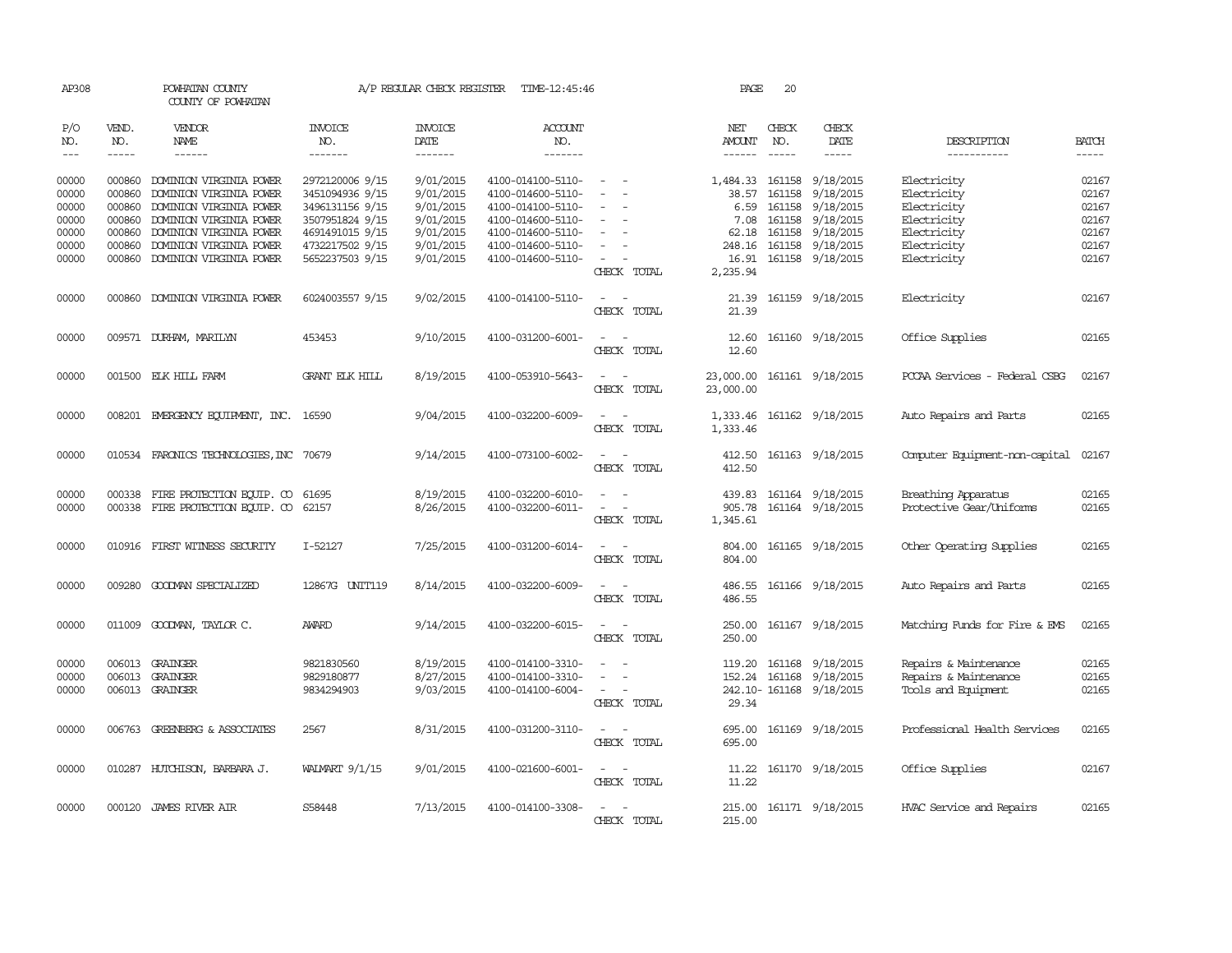| AP308                                                       |                                                          | POWHATAN COUNTY<br>COUNTY OF POWHATAN                                                                                                                                                            |                                                                                                                                   | A/P REGULAR CHECK REGISTER                                                              | TIME-12:45:46                                                                                                                                   |                                                                                                                                       | PAGE                                                                      | 20                                             |                                                                                                       |                                                                                                       |                                                             |
|-------------------------------------------------------------|----------------------------------------------------------|--------------------------------------------------------------------------------------------------------------------------------------------------------------------------------------------------|-----------------------------------------------------------------------------------------------------------------------------------|-----------------------------------------------------------------------------------------|-------------------------------------------------------------------------------------------------------------------------------------------------|---------------------------------------------------------------------------------------------------------------------------------------|---------------------------------------------------------------------------|------------------------------------------------|-------------------------------------------------------------------------------------------------------|-------------------------------------------------------------------------------------------------------|-------------------------------------------------------------|
| P/O<br>NO.<br>$---$                                         | VEND.<br>NO.<br>$- - - - -$                              | VENDOR<br>NAME<br>------                                                                                                                                                                         | <b>INVOICE</b><br>NO.<br>-------                                                                                                  | <b>INVOICE</b><br>DATE<br>-------                                                       | <b>ACCOUNT</b><br>NO.<br>-------                                                                                                                |                                                                                                                                       | NET<br>AMOUNT<br>$- - - - - -$                                            | CHECK<br>NO.<br>$\cdots$                       | CHECK<br>DATE<br>-----                                                                                | DESCRIPTION<br>-----------                                                                            | <b>BATCH</b><br>$- - - - -$                                 |
| 00000<br>00000<br>00000<br>00000<br>00000<br>00000<br>00000 | 000860<br>000860<br>000860<br>000860<br>000860<br>000860 | DOMINION VIRGINIA POWER<br>DOMINION VIRGINIA POWER<br>DOMINION VIRGINIA POWER<br>DOMINION VIRGINIA POWER<br>DOMINION VIRGINIA POWER<br>DOMINION VIRGINIA POWER<br>000860 DOMINION VIRGINIA POWER | 2972120006 9/15<br>3451094936 9/15<br>3496131156 9/15<br>3507951824 9/15<br>4691491015 9/15<br>4732217502 9/15<br>5652237503 9/15 | 9/01/2015<br>9/01/2015<br>9/01/2015<br>9/01/2015<br>9/01/2015<br>9/01/2015<br>9/01/2015 | 4100-014100-5110-<br>4100-014600-5110-<br>4100-014100-5110-<br>4100-014600-5110-<br>4100-014600-5110-<br>4100-014600-5110-<br>4100-014600-5110- | $\sim$<br>$\overline{\phantom{a}}$<br>$\overline{\phantom{a}}$<br>$\overline{\phantom{a}}$<br>$\overline{\phantom{a}}$<br>CHECK TOTAL | 1,484.33<br>38.57<br>6.59<br>7.08<br>62.18<br>248.16<br>16.91<br>2,235.94 | 161158<br>161158<br>161158<br>161158<br>161158 | 9/18/2015<br>9/18/2015<br>9/18/2015<br>9/18/2015<br>9/18/2015<br>161158 9/18/2015<br>161158 9/18/2015 | Electricity<br>Electricity<br>Electricity<br>Electricity<br>Electricity<br>Electricity<br>Electricity | 02167<br>02167<br>02167<br>02167<br>02167<br>02167<br>02167 |
| 00000                                                       |                                                          | 000860 DOMINION VIRGINIA POWER                                                                                                                                                                   | 6024003557 9/15                                                                                                                   | 9/02/2015                                                                               | 4100-014100-5110-                                                                                                                               | $\overline{\phantom{a}}$<br>$\overline{\phantom{a}}$<br>CHECK TOTAL                                                                   | 21.39<br>21.39                                                            |                                                | 161159 9/18/2015                                                                                      | Electricity                                                                                           | 02167                                                       |
| 00000                                                       |                                                          | 009571 DURHAM, MARILYN                                                                                                                                                                           | 453453                                                                                                                            | 9/10/2015                                                                               | 4100-031200-6001-                                                                                                                               | CHECK TOTAL                                                                                                                           | 12.60<br>12.60                                                            |                                                | 161160 9/18/2015                                                                                      | Office Supplies                                                                                       | 02165                                                       |
| 00000                                                       |                                                          | 001500 ELK HILL FARM                                                                                                                                                                             | <b>GRANT ELK HILL</b>                                                                                                             | 8/19/2015                                                                               | 4100-053910-5643-                                                                                                                               | $\sim$<br>CHECK TOTAL                                                                                                                 | 23,000.00<br>23,000.00                                                    |                                                | 161161 9/18/2015                                                                                      | PCCAA Services - Federal CSBG                                                                         | 02167                                                       |
| 00000                                                       |                                                          | 008201 EMERGENCY EQUIPMENT, INC. 16590                                                                                                                                                           |                                                                                                                                   | 9/04/2015                                                                               | 4100-032200-6009-                                                                                                                               | $\sim$<br>CHECK TOTAL                                                                                                                 | 1,333.46                                                                  |                                                | 1,333.46 161162 9/18/2015                                                                             | Auto Repairs and Parts                                                                                | 02165                                                       |
| 00000                                                       |                                                          | 010534 FARONICS TECHNOLOGIES, INC 70679                                                                                                                                                          |                                                                                                                                   | 9/14/2015                                                                               | 4100-073100-6002-                                                                                                                               | $\sim$<br>$\sim$<br>CHECK TOTAL                                                                                                       | 412.50<br>412.50                                                          |                                                | 161163 9/18/2015                                                                                      | Computer Equipment-non-capital                                                                        | 02167                                                       |
| 00000<br>00000                                              |                                                          | 000338 FIRE PROTECTION EQUIP. CO<br>000338 FIRE PROTECTION EQUIP. CO 62157                                                                                                                       | 61695                                                                                                                             | 8/19/2015<br>8/26/2015                                                                  | 4100-032200-6010-<br>4100-032200-6011-                                                                                                          | $\overline{\phantom{a}}$<br>CHECK TOTAL                                                                                               | 439.83<br>905.78<br>1,345.61                                              |                                                | 161164 9/18/2015<br>161164 9/18/2015                                                                  | Breathing Apparatus<br>Protective Gear/Uniforms                                                       | 02165<br>02165                                              |
| 00000                                                       |                                                          | 010916 FIRST WITNESS SECURITY                                                                                                                                                                    | I-52127                                                                                                                           | 7/25/2015                                                                               | 4100-031200-6014-                                                                                                                               | $\sim$<br>CHECK TOTAL                                                                                                                 | 804.00<br>804.00                                                          |                                                | 161165 9/18/2015                                                                                      | Other Operating Supplies                                                                              | 02165                                                       |
| 00000                                                       | 009280                                                   | GOODMAN SPECIALIZED                                                                                                                                                                              | 12867G UNIT119                                                                                                                    | 8/14/2015                                                                               | 4100-032200-6009-                                                                                                                               | CHECK TOTAL                                                                                                                           | 486.55<br>486.55                                                          |                                                | 161166 9/18/2015                                                                                      | Auto Repairs and Parts                                                                                | 02165                                                       |
| 00000                                                       |                                                          | 011009 GOODMAN, TAYLOR C.                                                                                                                                                                        | <b>AWARD</b>                                                                                                                      | 9/14/2015                                                                               | 4100-032200-6015-                                                                                                                               | $\overline{\phantom{a}}$<br>CHECK TOTAL                                                                                               | 250.00<br>250.00                                                          |                                                | 161167 9/18/2015                                                                                      | Matching Funds for Fire & EMS                                                                         | 02165                                                       |
| 00000<br>00000<br>00000                                     | 006013                                                   | 006013 GRAINGER<br>GRAINGER<br>006013 GRAINGER                                                                                                                                                   | 9821830560<br>9829180877<br>9834294903                                                                                            | 8/19/2015<br>8/27/2015<br>9/03/2015                                                     | 4100-014100-3310-<br>4100-014100-3310-<br>4100-014100-6004-                                                                                     | $\overline{\phantom{a}}$<br>$\overline{\phantom{a}}$<br>$\overline{\phantom{a}}$<br>CHECK TOTAL                                       | 119.20 161168<br>152.24<br>242.10- 161168<br>29.34                        | 161168                                         | 9/18/2015<br>9/18/2015<br>9/18/2015                                                                   | Repairs & Maintenance<br>Repairs & Maintenance<br>Tools and Equipment                                 | 02165<br>02165<br>02165                                     |
| 00000                                                       |                                                          | 006763 GREENBERG & ASSOCIATES                                                                                                                                                                    | 2567                                                                                                                              | 8/31/2015                                                                               | 4100-031200-3110-                                                                                                                               | $\sim$<br>$\overline{\phantom{a}}$<br>CHECK TOTAL                                                                                     | 695.00<br>695.00                                                          |                                                | 161169 9/18/2015                                                                                      | Professional Health Services                                                                          | 02165                                                       |
| 00000                                                       |                                                          | 010287 HUTCHISON, BARBARA J.                                                                                                                                                                     | WALMART 9/1/15                                                                                                                    | 9/01/2015                                                                               | 4100-021600-6001-                                                                                                                               | $\sim$<br>$\sim$<br>CHECK TOTAL                                                                                                       | 11.22                                                                     |                                                | 11.22 161170 9/18/2015                                                                                | Office Supplies                                                                                       | 02167                                                       |
| 00000                                                       |                                                          | 000120 JAMES RIVER AIR                                                                                                                                                                           | S58448                                                                                                                            | 7/13/2015                                                                               | 4100-014100-3308-                                                                                                                               | CHECK TOTAL                                                                                                                           | 215.00                                                                    |                                                | 215.00 161171 9/18/2015                                                                               | HVAC Service and Repairs                                                                              | 02165                                                       |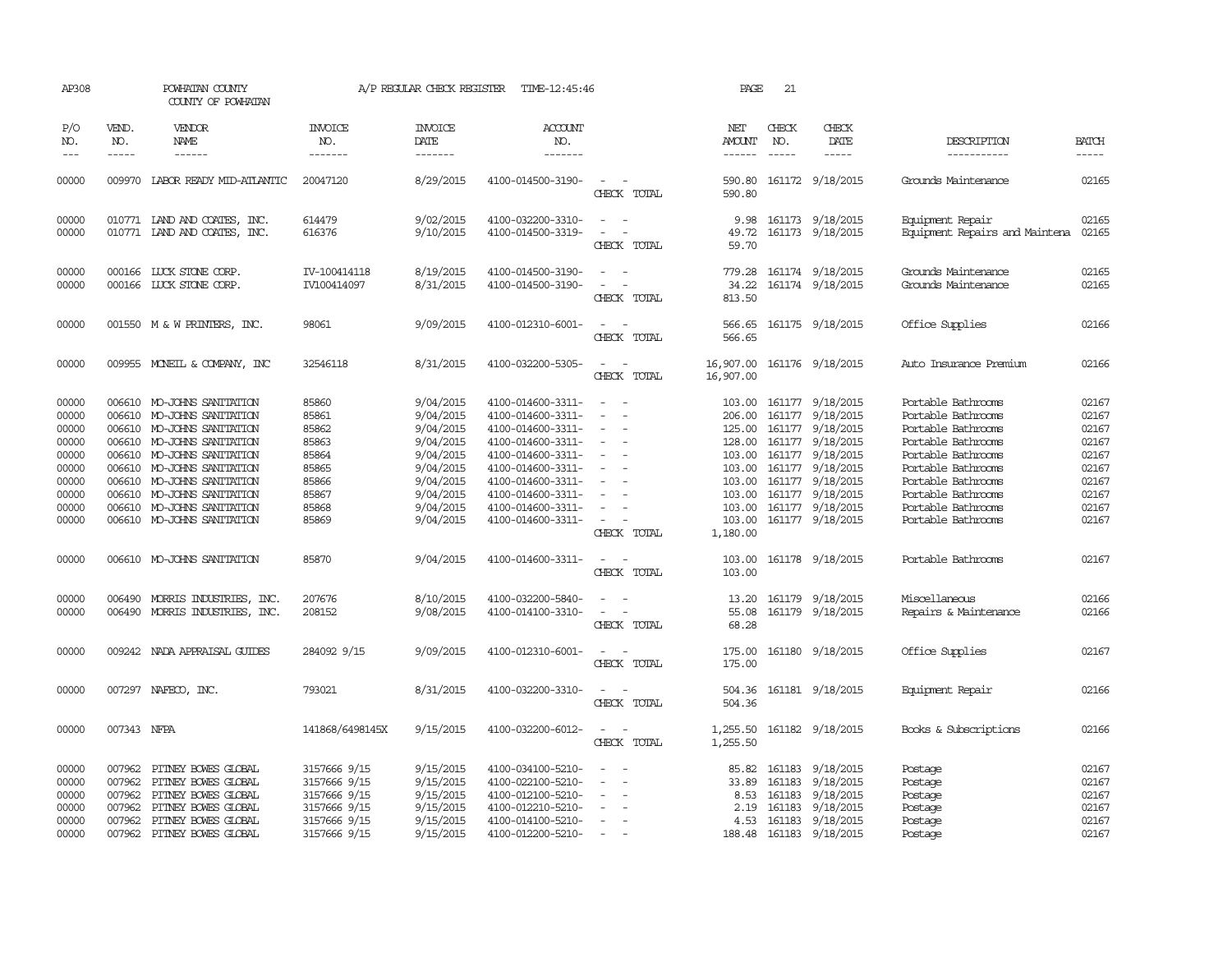| AP308                                                                                  |                                                          | POWHATAN COUNTY<br>COUNTY OF POWHATAN                                                                                                                                                                                                                                                             |                                                                                              | A/P REGULAR CHECK REGISTER                                                                                                     | TIME-12:45:46                                                                                                                                                                                                  |                                                                                 | PAGE                                                       | 21                            |                                                                                                                                                                                                                                  |                                                                                                                                                                                                                          |                                                                                        |
|----------------------------------------------------------------------------------------|----------------------------------------------------------|---------------------------------------------------------------------------------------------------------------------------------------------------------------------------------------------------------------------------------------------------------------------------------------------------|----------------------------------------------------------------------------------------------|--------------------------------------------------------------------------------------------------------------------------------|----------------------------------------------------------------------------------------------------------------------------------------------------------------------------------------------------------------|---------------------------------------------------------------------------------|------------------------------------------------------------|-------------------------------|----------------------------------------------------------------------------------------------------------------------------------------------------------------------------------------------------------------------------------|--------------------------------------------------------------------------------------------------------------------------------------------------------------------------------------------------------------------------|----------------------------------------------------------------------------------------|
| P/O<br>NO.<br>$ -$                                                                     | VEND.<br>NO.<br>$\frac{1}{2}$                            | <b>VENDOR</b><br>NAME                                                                                                                                                                                                                                                                             | <b>INVOICE</b><br>NO.<br>-------                                                             | <b>INVOICE</b><br>DATE<br>--------                                                                                             | ACCOUNT<br>NO.<br>-------                                                                                                                                                                                      |                                                                                 | NET<br>AMOUNT<br>$- - - - - -$                             | CHECK<br>NO.<br>$\frac{1}{2}$ | CHECK<br>DATE<br>$\frac{1}{2}$                                                                                                                                                                                                   | DESCRIPTION<br>-----------                                                                                                                                                                                               | <b>BATCH</b><br>-----                                                                  |
| 00000                                                                                  | 009970                                                   | LABOR READY MID-ATLANTIC                                                                                                                                                                                                                                                                          | 20047120                                                                                     | 8/29/2015                                                                                                                      | 4100-014500-3190-                                                                                                                                                                                              | $\equiv$<br>CHECK TOTAL                                                         | 590.80<br>590.80                                           |                               | 161172 9/18/2015                                                                                                                                                                                                                 | Grounds Maintenance                                                                                                                                                                                                      | 02165                                                                                  |
| 00000<br>00000                                                                         |                                                          | 010771 IAND AND COATES, INC.<br>010771 LAND AND COATES, INC.                                                                                                                                                                                                                                      | 614479<br>616376                                                                             | 9/02/2015<br>9/10/2015                                                                                                         | 4100-032200-3310-<br>4100-014500-3319-                                                                                                                                                                         | $\sim$<br>$\sim$<br>CHECK TOTAL                                                 | 9.98<br>49.72<br>59.70                                     |                               | 161173 9/18/2015<br>161173 9/18/2015                                                                                                                                                                                             | Equipment Repair<br>Equipment Repairs and Maintena                                                                                                                                                                       | 02165<br>02165                                                                         |
| 00000<br>00000                                                                         |                                                          | 000166 LUCK STONE CORP.<br>000166 LUCK STONE CORP.                                                                                                                                                                                                                                                | IV-100414118<br>IV100414097                                                                  | 8/19/2015<br>8/31/2015                                                                                                         | 4100-014500-3190-<br>4100-014500-3190-                                                                                                                                                                         | CHECK TOTAL                                                                     | 779.28<br>34.22<br>813.50                                  |                               | 161174 9/18/2015<br>161174 9/18/2015                                                                                                                                                                                             | Grounds Maintenance<br>Grounds Maintenance                                                                                                                                                                               | 02165<br>02165                                                                         |
| 00000                                                                                  |                                                          | 001550 M & W PRINTERS, INC.                                                                                                                                                                                                                                                                       | 98061                                                                                        | 9/09/2015                                                                                                                      | 4100-012310-6001-                                                                                                                                                                                              | CHECK TOTAL                                                                     | 566.65<br>566.65                                           |                               | 161175 9/18/2015                                                                                                                                                                                                                 | Office Supplies                                                                                                                                                                                                          | 02166                                                                                  |
| 00000                                                                                  |                                                          | 009955 MONEIL & COMPANY, INC                                                                                                                                                                                                                                                                      | 32546118                                                                                     | 8/31/2015                                                                                                                      | 4100-032200-5305-                                                                                                                                                                                              | $\overline{\phantom{a}}$<br>CHECK TOTAL                                         | 16,907.00<br>16,907.00                                     |                               | 161176 9/18/2015                                                                                                                                                                                                                 | Auto Insurance Premium                                                                                                                                                                                                   | 02166                                                                                  |
| 00000<br>00000<br>00000<br>00000<br>00000<br>00000<br>00000<br>00000<br>00000<br>00000 | 006610                                                   | 006610 MO-JOHNS SANITATION<br>MO-JOHNS SANITATION<br>006610 MO-JOHNS SANITATION<br>006610 MO-JOHNS SANITATION<br>006610 MO-JOHNS SANITATION<br>006610 MO-JOHNS SANITATION<br>006610 MO-JOHNS SANITATION<br>006610 MO-JOHNS SANITATION<br>006610 MO-JOHNS SANITATION<br>006610 MO-JOHNS SANITATION | 85860<br>85861<br>85862<br>85863<br>85864<br>85865<br>85866<br>85867<br>85868<br>85869       | 9/04/2015<br>9/04/2015<br>9/04/2015<br>9/04/2015<br>9/04/2015<br>9/04/2015<br>9/04/2015<br>9/04/2015<br>9/04/2015<br>9/04/2015 | 4100-014600-3311-<br>4100-014600-3311-<br>4100-014600-3311-<br>4100-014600-3311-<br>4100-014600-3311-<br>4100-014600-3311-<br>4100-014600-3311-<br>4100-014600-3311-<br>4100-014600-3311-<br>4100-014600-3311- | $\overline{\phantom{a}}$<br>$\equiv$<br>$\overline{\phantom{a}}$<br>CHECK TOTAL | 206.00<br>103.00<br>103.00<br>103.00<br>103.00<br>1,180.00 | 161177                        | 103.00 161177 9/18/2015<br>9/18/2015<br>125.00 161177 9/18/2015<br>128.00 161177 9/18/2015<br>161177 9/18/2015<br>103.00 161177 9/18/2015<br>161177 9/18/2015<br>103.00 161177 9/18/2015<br>161177 9/18/2015<br>161177 9/18/2015 | Portable Bathrooms<br>Portable Bathrooms<br>Portable Bathrooms<br>Portable Bathrooms<br>Portable Bathrooms<br>Portable Bathrooms<br>Portable Bathrooms<br>Portable Bathrooms<br>Portable Bathrooms<br>Portable Bathrooms | 02167<br>02167<br>02167<br>02167<br>02167<br>02167<br>02167<br>02167<br>02167<br>02167 |
| 00000                                                                                  |                                                          | 006610 MO-JOHNS SANITATION                                                                                                                                                                                                                                                                        | 85870                                                                                        | 9/04/2015                                                                                                                      | 4100-014600-3311-                                                                                                                                                                                              | . —<br>$\sim$ 10 $\pm$<br>CHECK TOTAL                                           | 103.00                                                     |                               | 103.00 161178 9/18/2015                                                                                                                                                                                                          | Portable Bathrooms                                                                                                                                                                                                       | 02167                                                                                  |
| 00000<br>00000                                                                         | 006490<br>006490                                         | MORRIS INDUSTRIES, INC.<br>MORRIS INDUSTRIES, INC.                                                                                                                                                                                                                                                | 207676<br>208152                                                                             | 8/10/2015<br>9/08/2015                                                                                                         | 4100-032200-5840-<br>4100-014100-3310-                                                                                                                                                                         | CHECK TOTAL                                                                     | 13.20<br>55.08<br>68.28                                    |                               | 161179 9/18/2015<br>161179 9/18/2015                                                                                                                                                                                             | Miscellaneous<br>Repairs & Maintenance                                                                                                                                                                                   | 02166<br>02166                                                                         |
| 00000                                                                                  |                                                          | 009242 NADA APPRAISAL GUIDES                                                                                                                                                                                                                                                                      | 284092 9/15                                                                                  | 9/09/2015                                                                                                                      | 4100-012310-6001-                                                                                                                                                                                              | CHECK TOTAL                                                                     | 175.00<br>175.00                                           |                               | 161180 9/18/2015                                                                                                                                                                                                                 | Office Supplies                                                                                                                                                                                                          | 02167                                                                                  |
| 00000                                                                                  |                                                          | 007297 NAFECO, INC.                                                                                                                                                                                                                                                                               | 793021                                                                                       | 8/31/2015                                                                                                                      | 4100-032200-3310-                                                                                                                                                                                              | CHECK TOTAL                                                                     | 504.36<br>504.36                                           |                               | 161181 9/18/2015                                                                                                                                                                                                                 | Equipment Repair                                                                                                                                                                                                         | 02166                                                                                  |
| 00000                                                                                  | 007343 NFPA                                              |                                                                                                                                                                                                                                                                                                   | 141868/6498145X                                                                              | 9/15/2015                                                                                                                      | 4100-032200-6012-                                                                                                                                                                                              | CHECK TOTAL                                                                     | 1,255.50<br>1,255.50                                       |                               | 161182 9/18/2015                                                                                                                                                                                                                 | Books & Subscriptions                                                                                                                                                                                                    | 02166                                                                                  |
| 00000<br>00000<br>00000<br>00000<br>00000<br>00000                                     | 007962<br>007962<br>007962<br>007962<br>007962<br>007962 | PITNEY BOWES GLOBAL<br>PITNEY BOWES GLOBAL<br>PITNEY BOWES GLOBAL<br>PITNEY BOWES GLOBAL<br>PITNEY BOWES GLOBAL<br>PITNEY BOWES GLOBAL                                                                                                                                                            | 3157666 9/15<br>3157666 9/15<br>3157666 9/15<br>3157666 9/15<br>3157666 9/15<br>3157666 9/15 | 9/15/2015<br>9/15/2015<br>9/15/2015<br>9/15/2015<br>9/15/2015<br>9/15/2015                                                     | 4100-034100-5210-<br>4100-022100-5210-<br>4100-012100-5210-<br>4100-012210-5210-<br>4100-014100-5210-<br>4100-012200-5210-                                                                                     | $\overline{\phantom{a}}$<br>$\overline{\phantom{a}}$                            | 85.82<br>33.89<br>8.53<br>2.19<br>4.53<br>188.48           | 161183<br>161183<br>161183    | 161183 9/18/2015<br>9/18/2015<br>9/18/2015<br>9/18/2015<br>161183 9/18/2015<br>161183 9/18/2015                                                                                                                                  | Postage<br>Postage<br>Postage<br>Postage<br>Postage<br>Postage                                                                                                                                                           | 02167<br>02167<br>02167<br>02167<br>02167<br>02167                                     |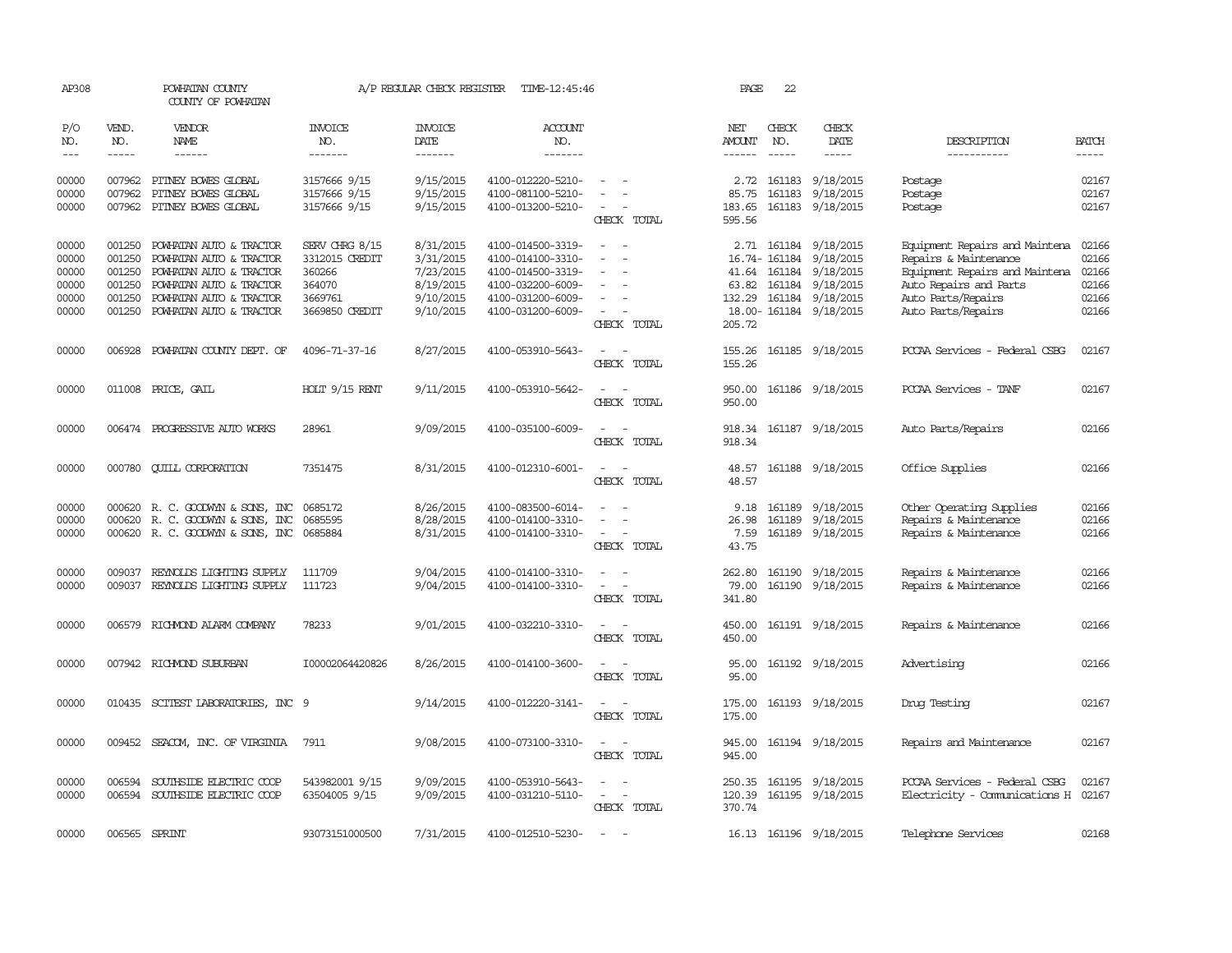| AP308                                              |                                                          | POWHATAN COUNTY<br>COUNTY OF POWHATAN                                                                                                                          |                                                                                   | A/P REGULAR CHECK REGISTER                                                 | TIME-12:45:46                                                                                                              |                                                                                                                             | PAGE                              | 22           |                                                                                                                                                    |                                                                                                                                                                 |                                                    |
|----------------------------------------------------|----------------------------------------------------------|----------------------------------------------------------------------------------------------------------------------------------------------------------------|-----------------------------------------------------------------------------------|----------------------------------------------------------------------------|----------------------------------------------------------------------------------------------------------------------------|-----------------------------------------------------------------------------------------------------------------------------|-----------------------------------|--------------|----------------------------------------------------------------------------------------------------------------------------------------------------|-----------------------------------------------------------------------------------------------------------------------------------------------------------------|----------------------------------------------------|
| P/O<br>NO.                                         | VEND.<br>NO.                                             | <b>VENDOR</b><br>NAME                                                                                                                                          | <b>INVOICE</b><br>NO.                                                             | <b>INVOICE</b><br><b>DATE</b>                                              | ACCOUNT<br>NO.                                                                                                             |                                                                                                                             | NET<br><b>AMOUNT</b>              | CHECK<br>NO. | CHECK<br>DATE                                                                                                                                      | DESCRIPTION                                                                                                                                                     | <b>BATCH</b>                                       |
| $---$                                              | $- - - - -$                                              | $- - - - - -$                                                                                                                                                  | -------                                                                           | --------                                                                   | -------                                                                                                                    |                                                                                                                             | $- - - - - -$                     | $- - - - -$  | -----                                                                                                                                              | -----------                                                                                                                                                     | $- - - - -$                                        |
| 00000<br>00000<br>00000                            | 007962                                                   | 007962 PITNEY BOWES GLOBAL<br>PITNEY BOWES GLOBAL<br>007962 PITNEY BOWES GLOBAL                                                                                | 3157666 9/15<br>3157666 9/15<br>3157666 9/15                                      | 9/15/2015<br>9/15/2015<br>9/15/2015                                        | 4100-012220-5210-<br>4100-081100-5210-<br>4100-013200-5210-                                                                | CHECK TOTAL                                                                                                                 | 2.72<br>85.75<br>183.65<br>595.56 | 161183       | 161183 9/18/2015<br>9/18/2015<br>161183 9/18/2015                                                                                                  | Postage<br>Postage<br>Postage                                                                                                                                   | 02167<br>02167<br>02167                            |
| 00000<br>00000<br>00000<br>00000<br>00000<br>00000 | 001250<br>001250<br>001250<br>001250<br>001250<br>001250 | POWHATAN AUTO & TRACTOR<br>POWHATAN AUTO & TRACTOR<br>POWHATAN AUTO & TRACTOR<br>POWHATAN AUTO & TRACTOR<br>POWHATAN AUTO & TRACTOR<br>POWHATAN AUTO & TRACTOR | SERV CHRG 8/15<br>3312015 CREDIT<br>360266<br>364070<br>3669761<br>3669850 CREDIT | 8/31/2015<br>3/31/2015<br>7/23/2015<br>8/19/2015<br>9/10/2015<br>9/10/2015 | 4100-014500-3319-<br>4100-014100-3310-<br>4100-014500-3319-<br>4100-032200-6009-<br>4100-031200-6009-<br>4100-031200-6009- |                                                                                                                             | 63.82                             |              | 2.71 161184 9/18/2015<br>16.74-161184 9/18/2015<br>41.64 161184 9/18/2015<br>161184 9/18/2015<br>132.29 161184 9/18/2015<br>18.00-161184 9/18/2015 | Equipment Repairs and Maintena<br>Repairs & Maintenance<br>Equipment Repairs and Maintena<br>Auto Repairs and Parts<br>Auto Parts/Repairs<br>Auto Parts/Repairs | 02166<br>02166<br>02166<br>02166<br>02166<br>02166 |
| 00000                                              | 006928                                                   | POWHATAN COUNTY DEPT. OF                                                                                                                                       | 4096-71-37-16                                                                     | 8/27/2015                                                                  | 4100-053910-5643-                                                                                                          | CHECK TOTAL<br>CHECK TOTAL                                                                                                  | 205.72<br>155.26<br>155.26        |              | 161185 9/18/2015                                                                                                                                   | PCCAA Services - Federal CSBG                                                                                                                                   | 02167                                              |
| 00000                                              |                                                          | 011008 PRICE, GAIL                                                                                                                                             | HOLT $9/15$ RENT                                                                  | 9/11/2015                                                                  | 4100-053910-5642-                                                                                                          | CHECK TOTAL                                                                                                                 | 950.00<br>950.00                  |              | 161186 9/18/2015                                                                                                                                   | PCCAA Services - TANF                                                                                                                                           | 02167                                              |
| 00000                                              |                                                          | 006474 PROGRESSIVE AUTO WORKS                                                                                                                                  | 28961                                                                             | 9/09/2015                                                                  | 4100-035100-6009-                                                                                                          | CHECK TOTAL                                                                                                                 | 918.34<br>918.34                  |              | 161187 9/18/2015                                                                                                                                   | Auto Parts/Repairs                                                                                                                                              | 02166                                              |
| 00000                                              | 000780                                                   | <b>CUILL CORPORATION</b>                                                                                                                                       | 7351475                                                                           | 8/31/2015                                                                  | 4100-012310-6001-                                                                                                          | $\sim$<br>CHECK TOTAL                                                                                                       | 48.57<br>48.57                    |              | 161188 9/18/2015                                                                                                                                   | Office Supplies                                                                                                                                                 | 02166                                              |
| 00000<br>00000<br>00000                            |                                                          | 000620 R. C. GOODWYN & SONS, INC<br>000620 R. C. GOODWYN & SONS, INC<br>000620 R.C. GOODWYN & SONS, INC 0685884                                                | 0685172<br>0685595                                                                | 8/26/2015<br>8/28/2015<br>8/31/2015                                        | 4100-083500-6014-<br>4100-014100-3310-<br>4100-014100-3310-                                                                | CHECK TOTAL                                                                                                                 | 26.98<br>7.59<br>43.75            |              | 9.18 161189 9/18/2015<br>161189 9/18/2015<br>161189 9/18/2015                                                                                      | Other Operating Supplies<br>Repairs & Maintenance<br>Repairs & Maintenance                                                                                      | 02166<br>02166<br>02166                            |
| 00000<br>00000                                     | 009037                                                   | REYNOLDS LIGHTING SUPPLY<br>009037 REYNOLDS LIGHTING SUPPLY                                                                                                    | 111709<br>111723                                                                  | 9/04/2015<br>9/04/2015                                                     | 4100-014100-3310-<br>4100-014100-3310-                                                                                     | $\frac{1}{2} \left( \frac{1}{2} \right) \left( \frac{1}{2} \right) = \frac{1}{2} \left( \frac{1}{2} \right)$<br>CHECK TOTAL | 262.80<br>79.00<br>341.80         |              | 161190 9/18/2015<br>161190 9/18/2015                                                                                                               | Repairs & Maintenance<br>Repairs & Maintenance                                                                                                                  | 02166<br>02166                                     |
| 00000                                              |                                                          | 006579 RICHMOND ALARM COMPANY                                                                                                                                  | 78233                                                                             | 9/01/2015                                                                  | 4100-032210-3310-                                                                                                          | $\sim$<br>CHECK TOTAL                                                                                                       | 450.00<br>450.00                  |              | 161191 9/18/2015                                                                                                                                   | Repairs & Maintenance                                                                                                                                           | 02166                                              |
| 00000                                              |                                                          | 007942 RICHMOND SUBURBAN                                                                                                                                       | I00002064420826                                                                   | 8/26/2015                                                                  | 4100-014100-3600-                                                                                                          | $\sim$<br>$\sim$<br>CHECK TOTAL                                                                                             | 95.00<br>95.00                    |              | 161192 9/18/2015                                                                                                                                   | Advertising                                                                                                                                                     | 02166                                              |
| 00000                                              |                                                          | 010435 SCITEST LABORATORIES, INC 9                                                                                                                             |                                                                                   | 9/14/2015                                                                  | 4100-012220-3141-                                                                                                          | CHECK TOTAL                                                                                                                 | 175.00<br>175.00                  |              | 161193 9/18/2015                                                                                                                                   | Drug Testing                                                                                                                                                    | 02167                                              |
| 00000                                              |                                                          | 009452 SEACOM, INC. OF VIRGINIA                                                                                                                                | 7911                                                                              | 9/08/2015                                                                  | 4100-073100-3310-                                                                                                          | $\sim$ $ \sim$<br>CHECK TOTAL                                                                                               | 945.00<br>945.00                  |              | 161194 9/18/2015                                                                                                                                   | Repairs and Maintenance                                                                                                                                         | 02167                                              |
| 00000<br>00000                                     | 006594<br>006594                                         | SOUTHSIDE ELECTRIC COOP<br>SOUTHSIDE ELECTRIC COOP                                                                                                             | 543982001 9/15<br>63504005 9/15                                                   | 9/09/2015<br>9/09/2015                                                     | 4100-053910-5643-<br>4100-031210-5110-                                                                                     | $\overline{\phantom{a}}$<br>$\overline{\phantom{a}}$<br>CHECK TOTAL                                                         | 250.35<br>120.39<br>370.74        |              | 161195 9/18/2015<br>161195 9/18/2015                                                                                                               | PCCAA Services - Federal CSBG<br>Electricity - Comunications H                                                                                                  | 02167<br>02167                                     |
| 00000                                              |                                                          | 006565 SPRINT                                                                                                                                                  | 93073151000500                                                                    | 7/31/2015                                                                  | 4100-012510-5230-                                                                                                          | $\sim$                                                                                                                      |                                   |              | 16.13 161196 9/18/2015                                                                                                                             | Telephone Services                                                                                                                                              | 02168                                              |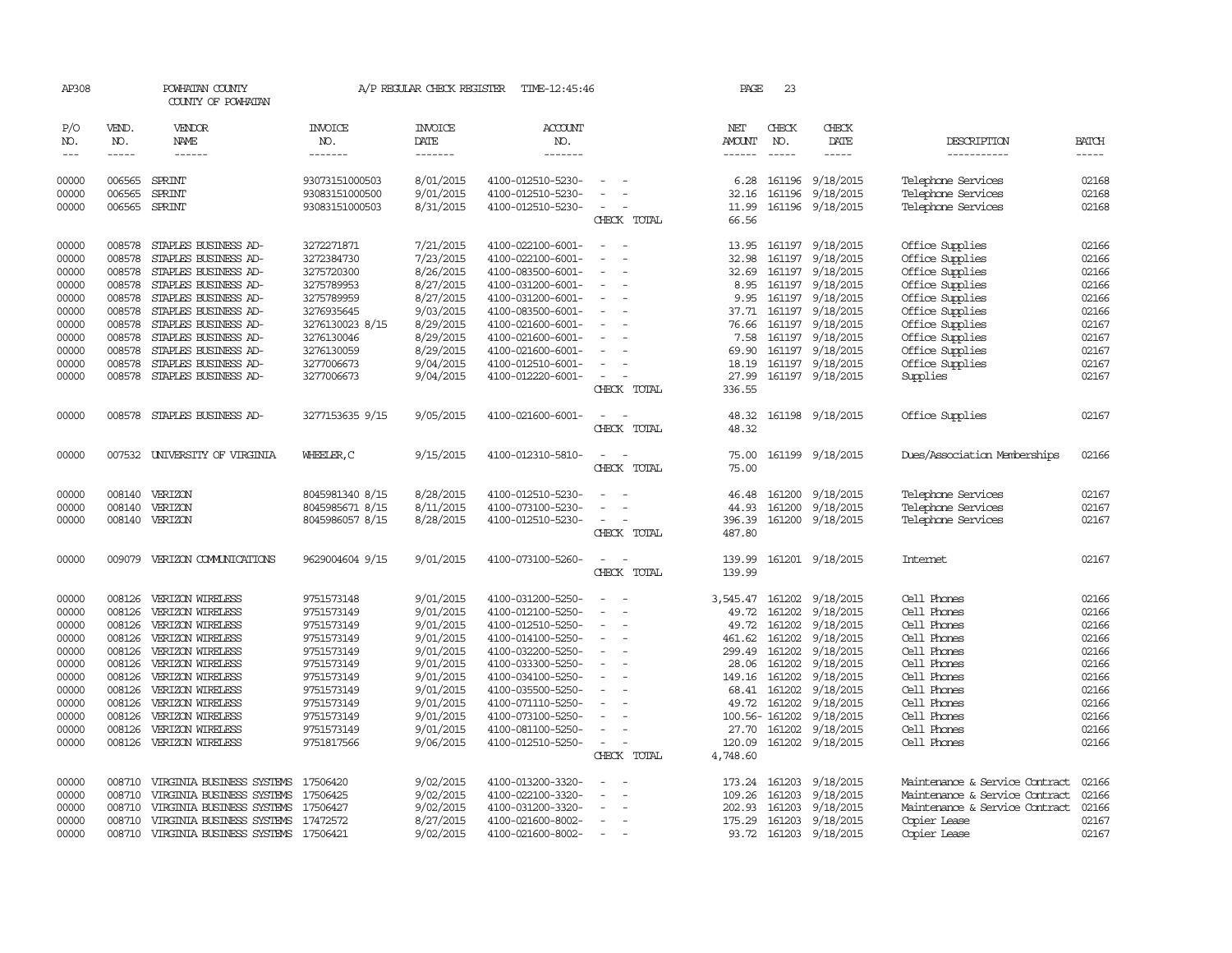| AP308          |                  | POWHATAN COUNTY<br>COUNTY OF POWHATAN                  |                       | A/P REGULAR CHECK REGISTER | TIME-12:45:46                          |                          |                                         | PAGE                 | 23               |                  |                                |                |
|----------------|------------------|--------------------------------------------------------|-----------------------|----------------------------|----------------------------------------|--------------------------|-----------------------------------------|----------------------|------------------|------------------|--------------------------------|----------------|
| P/O<br>NO.     | VEND.<br>NO.     | VENDOR<br>NAME                                         | <b>INVOICE</b><br>NO. | <b>INVOICE</b><br>DATE     | ACCOUNT<br>NO.                         |                          |                                         | NET<br><b>AMOUNT</b> | CHECK<br>NO.     | CHECK<br>DATE    | DESCRIPTION                    | <b>BATCH</b>   |
| $---$          | $- - - - -$      | $- - - - - -$                                          | -------               | -------                    | -------                                |                          |                                         |                      | $\frac{1}{2}$    | $- - - - -$      | -----------                    | $- - - - -$    |
| 00000          | 006565           | SPRINT                                                 | 93073151000503        | 8/01/2015                  | 4100-012510-5230-                      |                          |                                         | 6.28                 | 161196           | 9/18/2015        | Telephone Services             | 02168          |
| 00000          | 006565           | <b>SPRINT</b>                                          | 93083151000500        | 9/01/2015                  | 4100-012510-5230-                      |                          |                                         | 32.16                | 161196           | 9/18/2015        | Telephone Services             | 02168          |
| 00000          | 006565           | SPRINT                                                 | 93083151000503        | 8/31/2015                  | 4100-012510-5230-                      |                          |                                         | 11.99                |                  | 161196 9/18/2015 | Telephone Services             | 02168          |
|                |                  |                                                        |                       |                            |                                        |                          | CHECK TOTAL                             | 66.56                |                  |                  |                                |                |
| 00000          | 008578           | STAPLES BUSINESS AD-                                   | 3272271871            | 7/21/2015                  | 4100-022100-6001-                      |                          |                                         | 13.95                |                  | 161197 9/18/2015 | Office Supplies                | 02166          |
| 00000          | 008578           | STAPLES BUSINESS AD-                                   | 3272384730            | 7/23/2015                  | 4100-022100-6001-                      |                          |                                         | 32.98                | 161197           | 9/18/2015        | Office Supplies                | 02166          |
| 00000          | 008578           | STAPLES BUSINESS AD-                                   | 3275720300            | 8/26/2015                  | 4100-083500-6001-                      | $\overline{\phantom{a}}$ |                                         | 32.69                | 161197           | 9/18/2015        | Office Supplies                | 02166          |
| 00000          | 008578           | STAPLES BUSINESS AD-                                   | 3275789953            | 8/27/2015                  | 4100-031200-6001-                      |                          |                                         | 8.95                 | 161197           | 9/18/2015        | Office Supplies                | 02166          |
| 00000          | 008578           | STAPLES BUSINESS AD-                                   | 3275789959            | 8/27/2015                  | 4100-031200-6001-                      |                          |                                         | 9.95                 |                  | 161197 9/18/2015 | Office Supplies                | 02166          |
| 00000          | 008578           | STAPLES BUSINESS AD-                                   | 3276935645            | 9/03/2015                  | 4100-083500-6001-                      | $\overline{\phantom{a}}$ | $\overline{\phantom{a}}$                | 37.71                |                  | 161197 9/18/2015 | Office Supplies                | 02166          |
| 00000          | 008578           | STAPLES BUSINESS AD-                                   | 3276130023 8/15       | 8/29/2015                  | 4100-021600-6001-                      |                          |                                         | 76.66                | 161197           | 9/18/2015        | Office Supplies                | 02167          |
| 00000          | 008578           | STAPLES BUSINESS AD-                                   | 3276130046            | 8/29/2015                  | 4100-021600-6001-                      |                          |                                         | 7.58                 | 161197           | 9/18/2015        | Office Supplies                | 02167          |
| 00000          | 008578           | STAPLES BUSINESS AD-                                   | 3276130059            | 8/29/2015                  | 4100-021600-6001-                      |                          |                                         | 69.90                | 161197           | 9/18/2015        | Office Supplies                | 02167          |
| 00000          | 008578           | STAPLES BUSINESS AD-                                   | 3277006673            | 9/04/2015                  | 4100-012510-6001-                      |                          |                                         | 18.19                | 161197           | 9/18/2015        | Office Supplies                | 02167          |
| 00000          | 008578           | STAPLES BUSINESS AD-                                   | 3277006673            | 9/04/2015                  | 4100-012220-6001-                      |                          |                                         | 27.99                |                  | 161197 9/18/2015 | Supplies                       | 02167          |
|                |                  |                                                        |                       |                            |                                        |                          | CHECK TOTAL                             | 336.55               |                  |                  |                                |                |
| 00000          | 008578           | STAPLES BUSINESS AD-                                   | 3277153635 9/15       | 9/05/2015                  | 4100-021600-6001-                      |                          |                                         | 48.32                |                  | 161198 9/18/2015 | Office Supplies                | 02167          |
|                |                  |                                                        |                       |                            |                                        |                          | CHECK TOTAL                             | 48.32                |                  |                  |                                |                |
| 00000          |                  | 007532 UNIVERSITY OF VIRGINIA                          | WHEELER, C            | 9/15/2015                  | 4100-012310-5810-                      |                          |                                         | 75.00                | 161199           | 9/18/2015        | Dues/Association Memberships   | 02166          |
|                |                  |                                                        |                       |                            |                                        |                          | CHECK TOTAL                             | 75.00                |                  |                  |                                |                |
| 00000          | 008140           | VERIZON                                                | 8045981340 8/15       | 8/28/2015                  | 4100-012510-5230-                      |                          |                                         | 46.48                | 161200           | 9/18/2015        | Telephone Services             | 02167          |
| 00000          | 008140           | VERIZON                                                | 8045985671 8/15       | 8/11/2015                  | 4100-073100-5230-                      |                          |                                         | 44.93                | 161200           | 9/18/2015        | Telephone Services             | 02167          |
| 00000          |                  | 008140 VERIZON                                         | 8045986057 8/15       | 8/28/2015                  | 4100-012510-5230-                      |                          |                                         | 396.39               | 161200           | 9/18/2015        | Telephone Services             | 02167          |
|                |                  |                                                        |                       |                            |                                        |                          | CHECK TOTAL                             | 487.80               |                  |                  |                                |                |
| 00000          | 009079           | VERIZON COMMUNICATIONS                                 | 9629004604 9/15       | 9/01/2015                  | 4100-073100-5260-                      |                          |                                         | 139.99               |                  | 161201 9/18/2015 | <b>Internet</b>                | 02167          |
|                |                  |                                                        |                       |                            |                                        |                          | CHECK TOTAL                             | 139.99               |                  |                  |                                |                |
| 00000          | 008126           | VERIZON WIRELESS                                       | 9751573148            | 9/01/2015                  | 4100-031200-5250-                      |                          |                                         | 3,545.47             | 161202           | 9/18/2015        | Cell Phones                    | 02166          |
| 00000          | 008126           | VERIZON WIRELESS                                       | 9751573149            | 9/01/2015                  | 4100-012100-5250-                      |                          |                                         | 49.72                | 161202           | 9/18/2015        | Cell Phones                    | 02166          |
| 00000          | 008126           | VERIZON WIRELESS                                       | 9751573149            | 9/01/2015                  | 4100-012510-5250-                      | $\overline{\phantom{a}}$ |                                         | 49.72                | 161202           | 9/18/2015        | Cell Phones                    | 02166          |
| 00000          | 008126           | VERIZON WIRELESS                                       | 9751573149            | 9/01/2015                  | 4100-014100-5250-                      |                          |                                         | 461.62               | 161202           | 9/18/2015        | Cell Phones                    | 02166          |
| 00000          | 008126           | VERIZON WIRELESS                                       | 9751573149            | 9/01/2015                  | 4100-032200-5250-                      |                          |                                         | 299.49               | 161202           | 9/18/2015        | Cell Phones                    | 02166          |
| 00000          | 008126           | VERIZON WIRELESS                                       | 9751573149            | 9/01/2015                  | 4100-033300-5250-                      |                          |                                         | 28.06                | 161202           | 9/18/2015        | Cell Phones                    | 02166          |
| 00000          | 008126           | VERIZON WIRELESS                                       | 9751573149            | 9/01/2015                  | 4100-034100-5250-                      | $\overline{\phantom{a}}$ |                                         |                      | 149.16 161202    | 9/18/2015        | Cell Phones                    | 02166          |
| 00000          | 008126           | VERIZON WIRELESS                                       | 9751573149            | 9/01/2015                  | 4100-035500-5250-                      |                          |                                         | 68.41                | 161202           | 9/18/2015        | Cell Phones                    | 02166          |
| 00000          | 008126           | VERIZON WIRELESS                                       | 9751573149            | 9/01/2015                  | 4100-071110-5250-                      |                          |                                         | 49.72                | 161202           | 9/18/2015        | Cell Phones                    | 02166          |
| 00000          | 008126           | VERIZON WIRELESS                                       | 9751573149            | 9/01/2015                  | 4100-073100-5250-                      |                          |                                         |                      | 100.56-161202    | 9/18/2015        | Cell Phones                    | 02166          |
| 00000          | 008126           | VERIZON WIRELESS                                       | 9751573149            | 9/01/2015                  | 4100-081100-5250-                      | $\sim$                   |                                         | 27.70                | 161202           | 9/18/2015        | Cell Phones                    | 02166          |
| 00000          |                  | 008126 VERIZON WIRELESS                                | 9751817566            | 9/06/2015                  | 4100-012510-5250-                      |                          | $\overline{\phantom{a}}$<br>CHECK TOTAL | 120.09<br>4,748.60   | 161202           | 9/18/2015        | Cell Phones                    | 02166          |
|                |                  |                                                        |                       |                            |                                        |                          |                                         |                      |                  |                  |                                |                |
| 00000          | 008710           | VIRGINIA BUSINESS SYSTEMS                              | 17506420              | 9/02/2015                  | 4100-013200-3320-                      |                          |                                         | 173.24               | 161203           | 9/18/2015        | Maintenance & Service Contract | 02166          |
| 00000          | 008710           | VIRGINIA BUSINESS SYSTEMS                              | 17506425              | 9/02/2015                  | 4100-022100-3320-                      |                          |                                         | 109.26               | 161203           | 9/18/2015        | Maintenance & Service Contract | 02166          |
| 00000<br>00000 | 008710<br>008710 | VIRGINIA BUSINESS SYSTEMS<br>VIRGINIA BUSINESS SYSTEMS | 17506427<br>17472572  | 9/02/2015                  | 4100-031200-3320-<br>4100-021600-8002- |                          |                                         | 202.93<br>175.29     | 161203<br>161203 | 9/18/2015        | Maintenance & Service Contract | 02166<br>02167 |
|                |                  |                                                        |                       | 8/27/2015                  |                                        | $\overline{\phantom{a}}$ |                                         |                      |                  | 9/18/2015        | Copier Lease                   | 02167          |
| 00000          | 008710           | VIRGINIA BUSINESS SYSTEMS                              | 17506421              | 9/02/2015                  | 4100-021600-8002-                      |                          |                                         |                      | 93.72 161203     | 9/18/2015        | Copier Lease                   |                |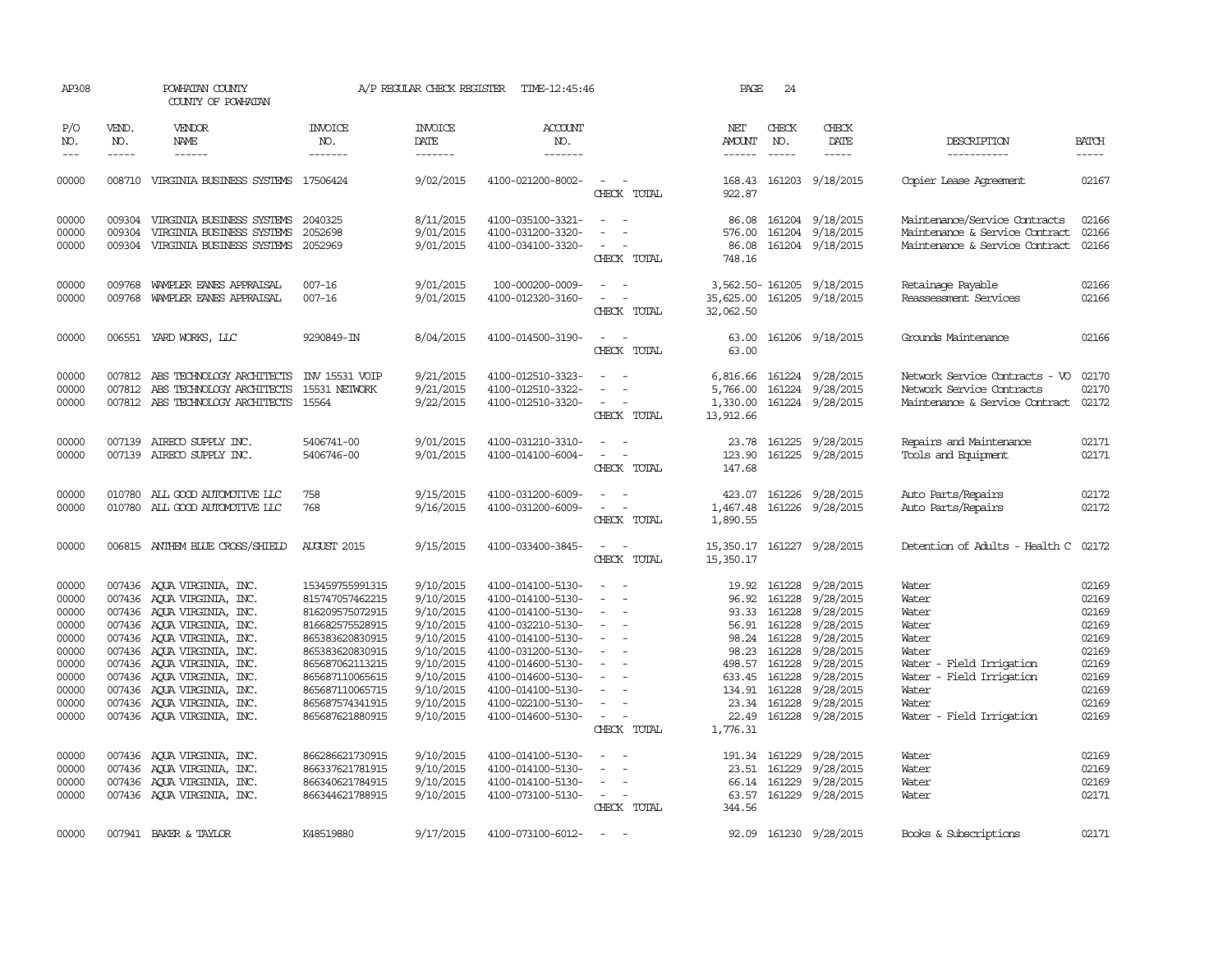| AP308                                                                                                                               |                               | POWHATAN COUNTY<br>COUNTY OF POWHATAN                                                                                                                                                                                                                                                                                                                                                                                                                          |                                                                                                                                                                                                                                                                                           | A/P REGULAR CHECK REGISTER                                                                                                                                                                      | TIME-12:45:46                                                                                                                                                                                                                                                                                                           |                                                                                                                                                                                                                                                                                                                                                                   | PAGE                                                   | 24                                                                                                                                                                                |                                                                                                                                                                                                                           |                                                                                                                                                                                              |                                                                                                                                                                                                                                                                                                                                                                                                                                                                                               |
|-------------------------------------------------------------------------------------------------------------------------------------|-------------------------------|----------------------------------------------------------------------------------------------------------------------------------------------------------------------------------------------------------------------------------------------------------------------------------------------------------------------------------------------------------------------------------------------------------------------------------------------------------------|-------------------------------------------------------------------------------------------------------------------------------------------------------------------------------------------------------------------------------------------------------------------------------------------|-------------------------------------------------------------------------------------------------------------------------------------------------------------------------------------------------|-------------------------------------------------------------------------------------------------------------------------------------------------------------------------------------------------------------------------------------------------------------------------------------------------------------------------|-------------------------------------------------------------------------------------------------------------------------------------------------------------------------------------------------------------------------------------------------------------------------------------------------------------------------------------------------------------------|--------------------------------------------------------|-----------------------------------------------------------------------------------------------------------------------------------------------------------------------------------|---------------------------------------------------------------------------------------------------------------------------------------------------------------------------------------------------------------------------|----------------------------------------------------------------------------------------------------------------------------------------------------------------------------------------------|-----------------------------------------------------------------------------------------------------------------------------------------------------------------------------------------------------------------------------------------------------------------------------------------------------------------------------------------------------------------------------------------------------------------------------------------------------------------------------------------------|
| P/O<br>NO.<br>$---$                                                                                                                 | VEND.<br>NO.<br>$\frac{1}{2}$ | VENDOR<br>NAME<br>------                                                                                                                                                                                                                                                                                                                                                                                                                                       | <b>INVOICE</b><br>NO.<br>-------                                                                                                                                                                                                                                                          | <b>INVOICE</b><br>DATE<br>-------                                                                                                                                                               | <b>ACCOUNT</b><br>NO.<br>-------                                                                                                                                                                                                                                                                                        |                                                                                                                                                                                                                                                                                                                                                                   | NET<br><b>AMOUNT</b>                                   | CHECK<br>NO.<br>$\frac{1}{2}$                                                                                                                                                     | CHECK<br>DATE<br>-----                                                                                                                                                                                                    | DESCRIPTION<br>-----------                                                                                                                                                                   | <b>BATCH</b><br>$\begin{tabular}{ccccc} \multicolumn{2}{c }{\multicolumn{2}{c }{\multicolumn{2}{c }{\multicolumn{2}{c}}}{\multicolumn{2}{c }{\multicolumn{2}{c}}}\end{tabular} \end{tabular} \begin{tabular}{c c }{\multicolumn{2}{c }{\multicolumn{2}{c }{\multicolumn{2}{c}}}{\multicolumn{2}{c }{\multicolumn{2}{c}}}{\multicolumn{2}{c }{\multicolumn{2}{c}}}{\multicolumn{2}{c }{\multicolumn{2}{c}}}{\end{tabular} \begin{tabular}{c c }{\multicolumn{2}{c }{\multicolumn{2}{c }{\mult$ |
| 00000                                                                                                                               |                               | 008710 VIRGINIA BUSINESS SYSTEMS 17506424                                                                                                                                                                                                                                                                                                                                                                                                                      |                                                                                                                                                                                                                                                                                           | 9/02/2015                                                                                                                                                                                       | 4100-021200-8002-                                                                                                                                                                                                                                                                                                       | $\overline{\phantom{a}}$<br>$\sim$<br>CHECK TOTAL                                                                                                                                                                                                                                                                                                                 | 168.43<br>922.87                                       |                                                                                                                                                                                   | 161203 9/18/2015                                                                                                                                                                                                          | <b>Copier Lease Agreement</b>                                                                                                                                                                | 02167                                                                                                                                                                                                                                                                                                                                                                                                                                                                                         |
| 00000<br>00000<br>00000                                                                                                             | 009304                        | 009304 VIRGINIA BUSINESS SYSTEMS<br>VIRGINIA BUSINESS SYSTEMS<br>009304 VIRGINIA BUSINESS SYSTEMS                                                                                                                                                                                                                                                                                                                                                              | 2040325<br>2052698<br>2052969                                                                                                                                                                                                                                                             | 8/11/2015<br>9/01/2015<br>9/01/2015                                                                                                                                                             | 4100-035100-3321-<br>4100-031200-3320-<br>4100-034100-3320-                                                                                                                                                                                                                                                             | $\sim$<br>$\sim$<br>CHECK TOTAL                                                                                                                                                                                                                                                                                                                                   | 576.00<br>86.08<br>748.16                              | 161204                                                                                                                                                                            | 86.08 161204 9/18/2015<br>9/18/2015<br>161204 9/18/2015                                                                                                                                                                   | Maintenance/Service Contracts<br>Maintenance & Service Contract<br>Maintenance & Service Contract                                                                                            | 02166<br>02166<br>02166                                                                                                                                                                                                                                                                                                                                                                                                                                                                       |
| 00000<br>00000                                                                                                                      |                               | 009768 WAMPLER EANES APPRAISAL<br>009768 WAMPLER EANES APPRAISAL                                                                                                                                                                                                                                                                                                                                                                                               | $007 - 16$<br>$007 - 16$                                                                                                                                                                                                                                                                  | 9/01/2015<br>9/01/2015                                                                                                                                                                          | 100-000200-0009-<br>4100-012320-3160-                                                                                                                                                                                                                                                                                   | $\overline{a}$<br>$\sim$ $ \sim$<br>CHECK TOTAL                                                                                                                                                                                                                                                                                                                   | 35,625.00<br>32,062.50                                 |                                                                                                                                                                                   | 3,562.50-161205 9/18/2015<br>161205 9/18/2015                                                                                                                                                                             | Retainage Payable<br>Reassessment Services                                                                                                                                                   | 02166<br>02166                                                                                                                                                                                                                                                                                                                                                                                                                                                                                |
| 00000                                                                                                                               |                               | 006551 YARD WORKS, LLC                                                                                                                                                                                                                                                                                                                                                                                                                                         | 9290849-IN                                                                                                                                                                                                                                                                                | 8/04/2015                                                                                                                                                                                       | 4100-014500-3190-                                                                                                                                                                                                                                                                                                       | $\sim$ $\sim$<br>CHECK TOTAL                                                                                                                                                                                                                                                                                                                                      | 63.00                                                  |                                                                                                                                                                                   | 63.00 161206 9/18/2015                                                                                                                                                                                                    | Grounds Maintenance                                                                                                                                                                          | 02166                                                                                                                                                                                                                                                                                                                                                                                                                                                                                         |
| 00000<br>00000<br>00000                                                                                                             |                               | 007812 ABS TECHNOLOGY ARCHITECTS<br>007812 ABS TECHNOLOGY ARCHITECTS<br>007812 ABS TECHNOLOGY ARCHITECTS                                                                                                                                                                                                                                                                                                                                                       | INV 15531 VOIP<br>15531 NETWORK<br>15564                                                                                                                                                                                                                                                  | 9/21/2015<br>9/21/2015<br>9/22/2015                                                                                                                                                             | 4100-012510-3323-<br>4100-012510-3322-<br>4100-012510-3320-                                                                                                                                                                                                                                                             | $\overline{\phantom{a}}$<br>$\sim$<br>CHECK TOTAL                                                                                                                                                                                                                                                                                                                 | 5,766.00<br>1,330.00<br>13,912.66                      |                                                                                                                                                                                   | 6,816.66 161224 9/28/2015<br>161224 9/28/2015<br>161224 9/28/2015                                                                                                                                                         | Network Service Contracts - VO<br>Network Service Contracts<br>Maintenance & Service Contract                                                                                                | 02170<br>02170<br>02172                                                                                                                                                                                                                                                                                                                                                                                                                                                                       |
| 00000<br>00000                                                                                                                      |                               | 007139 AIRECO SUPPLY INC.<br>007139 AIRECO SUPPLY INC.                                                                                                                                                                                                                                                                                                                                                                                                         | 5406741-00<br>5406746-00                                                                                                                                                                                                                                                                  | 9/01/2015<br>9/01/2015                                                                                                                                                                          | 4100-031210-3310-<br>4100-014100-6004-                                                                                                                                                                                                                                                                                  | $\sim$<br>$\sim$ $-$<br>$\sim$<br>$\sim$<br>CHECK TOTAL                                                                                                                                                                                                                                                                                                           | 123.90<br>147.68                                       |                                                                                                                                                                                   | 23.78 161225 9/28/2015<br>161225 9/28/2015                                                                                                                                                                                | Repairs and Maintenance<br>Tools and Equipment                                                                                                                                               | 02171<br>02171                                                                                                                                                                                                                                                                                                                                                                                                                                                                                |
| 00000<br>00000                                                                                                                      |                               | 010780 ALL GOOD AUTOMOTTVE LLC<br>010780 ALL GOOD AUTOMOTTVE LLC                                                                                                                                                                                                                                                                                                                                                                                               | 758<br>768                                                                                                                                                                                                                                                                                | 9/15/2015<br>9/16/2015                                                                                                                                                                          | 4100-031200-6009-<br>4100-031200-6009-                                                                                                                                                                                                                                                                                  | $\overline{\phantom{a}}$<br>CHECK TOTAL                                                                                                                                                                                                                                                                                                                           | 423.07<br>1,467.48<br>1,890.55                         | 161226<br>161226                                                                                                                                                                  | 9/28/2015<br>9/28/2015                                                                                                                                                                                                    | Auto Parts/Repairs<br>Auto Parts/Repairs                                                                                                                                                     | 02172<br>02172                                                                                                                                                                                                                                                                                                                                                                                                                                                                                |
| 00000                                                                                                                               |                               | 006815 ANTHEM BLUE CROSS/SHIELD                                                                                                                                                                                                                                                                                                                                                                                                                                | <b>AUGUST 2015</b>                                                                                                                                                                                                                                                                        | 9/15/2015                                                                                                                                                                                       | 4100-033400-3845-                                                                                                                                                                                                                                                                                                       | $\sim$<br>CHECK TOTAL                                                                                                                                                                                                                                                                                                                                             | 15,350.17<br>15,350.17                                 |                                                                                                                                                                                   | 161227 9/28/2015                                                                                                                                                                                                          | Detention of Adults - Health C                                                                                                                                                               | 02172                                                                                                                                                                                                                                                                                                                                                                                                                                                                                         |
| 00000<br>00000<br>00000<br>00000<br>00000<br>00000<br>00000<br>00000<br>00000<br>00000<br>00000<br>00000<br>00000<br>00000<br>00000 |                               | 007436 AQUA VIRGINIA, INC.<br>007436 AQUA VIRGINIA, INC.<br>007436 AOUA VIRGINIA, INC.<br>007436 AQUA VIRGINIA, INC.<br>007436 AQUA VIRGINIA, INC.<br>007436 AQUA VIRGINIA, INC.<br>007436 AQUA VIRGINIA, INC.<br>007436 AQUA VIRGINIA, INC.<br>007436 AQUA VIRGINIA, INC.<br>007436 AQUA VIRGINIA, INC.<br>007436 AQUA VIRGINIA, INC.<br>007436 AQUA VIRGINIA, INC.<br>007436 AQUA VIRGINIA, INC.<br>007436 AQUA VIRGINIA, INC.<br>007436 AQUA VIRGINIA, INC. | 153459755991315<br>815747057462215<br>816209575072915<br>816682575528915<br>865383620830915<br>865383620830915<br>865687062113215<br>865687110065615<br>865687110065715<br>865687574341915<br>865687621880915<br>866286621730915<br>866337621781915<br>866340621784915<br>866344621788915 | 9/10/2015<br>9/10/2015<br>9/10/2015<br>9/10/2015<br>9/10/2015<br>9/10/2015<br>9/10/2015<br>9/10/2015<br>9/10/2015<br>9/10/2015<br>9/10/2015<br>9/10/2015<br>9/10/2015<br>9/10/2015<br>9/10/2015 | 4100-014100-5130-<br>4100-014100-5130-<br>4100-014100-5130-<br>4100-032210-5130-<br>4100-014100-5130-<br>4100-031200-5130-<br>4100-014600-5130-<br>4100-014600-5130-<br>4100-014100-5130-<br>4100-022100-5130-<br>4100-014600-5130-<br>4100-014100-5130-<br>4100-014100-5130-<br>4100-014100-5130-<br>4100-073100-5130- | $\overline{a}$<br>$\sim$<br>$\equiv$<br>$\sim$<br>$\sim$<br>$\sim$<br>$\sim$<br>$\sim$<br>$\sim$<br>$\sim$<br>$\sim$<br>$\sim$<br>$\sim$<br>$\overline{\phantom{a}}$<br>CHECK TOTAL<br>$\sim$<br>$\overline{\phantom{a}}$<br>$\sim$<br>$\overline{\phantom{a}}$<br>$\frac{1}{2} \left( \frac{1}{2} \right) \left( \frac{1}{2} \right) \left( \frac{1}{2} \right)$ | 96.92<br>93.33<br>498.57<br>23.34<br>1,776.31<br>66.14 | 19.92 161228<br>161228<br>161228<br>56.91 161228<br>98.24 161228<br>98.23 161228<br>161228<br>633.45 161228<br>134.91 161228<br>161228<br>191.34 161229<br>23.51 161229<br>161229 | 9/28/2015<br>9/28/2015<br>9/28/2015<br>9/28/2015<br>9/28/2015<br>9/28/2015<br>9/28/2015<br>9/28/2015<br>9/28/2015<br>9/28/2015<br>22.49 161228 9/28/2015<br>9/28/2015<br>9/28/2015<br>9/28/2015<br>63.57 161229 9/28/2015 | Water<br>Water<br>Water<br>Water<br>Water<br>Water<br>Water - Field Irrigation<br>Water - Field Irrigation<br>Water<br>Water<br>Water - Field Irrigation<br>Water<br>Water<br>Water<br>Water | 02169<br>02169<br>02169<br>02169<br>02169<br>02169<br>02169<br>02169<br>02169<br>02169<br>02169<br>02169<br>02169<br>02169<br>02171                                                                                                                                                                                                                                                                                                                                                           |
|                                                                                                                                     |                               |                                                                                                                                                                                                                                                                                                                                                                                                                                                                |                                                                                                                                                                                                                                                                                           |                                                                                                                                                                                                 |                                                                                                                                                                                                                                                                                                                         | CHECK TOTAL                                                                                                                                                                                                                                                                                                                                                       | 344.56                                                 |                                                                                                                                                                                   |                                                                                                                                                                                                                           |                                                                                                                                                                                              |                                                                                                                                                                                                                                                                                                                                                                                                                                                                                               |
| 00000                                                                                                                               |                               | 007941 BAKER & TAYLOR                                                                                                                                                                                                                                                                                                                                                                                                                                          | K48519880                                                                                                                                                                                                                                                                                 | 9/17/2015                                                                                                                                                                                       | 4100-073100-6012-                                                                                                                                                                                                                                                                                                       | $\sim$<br>$\sim$                                                                                                                                                                                                                                                                                                                                                  |                                                        |                                                                                                                                                                                   | 92.09 161230 9/28/2015                                                                                                                                                                                                    | Books & Subscriptions                                                                                                                                                                        | 02171                                                                                                                                                                                                                                                                                                                                                                                                                                                                                         |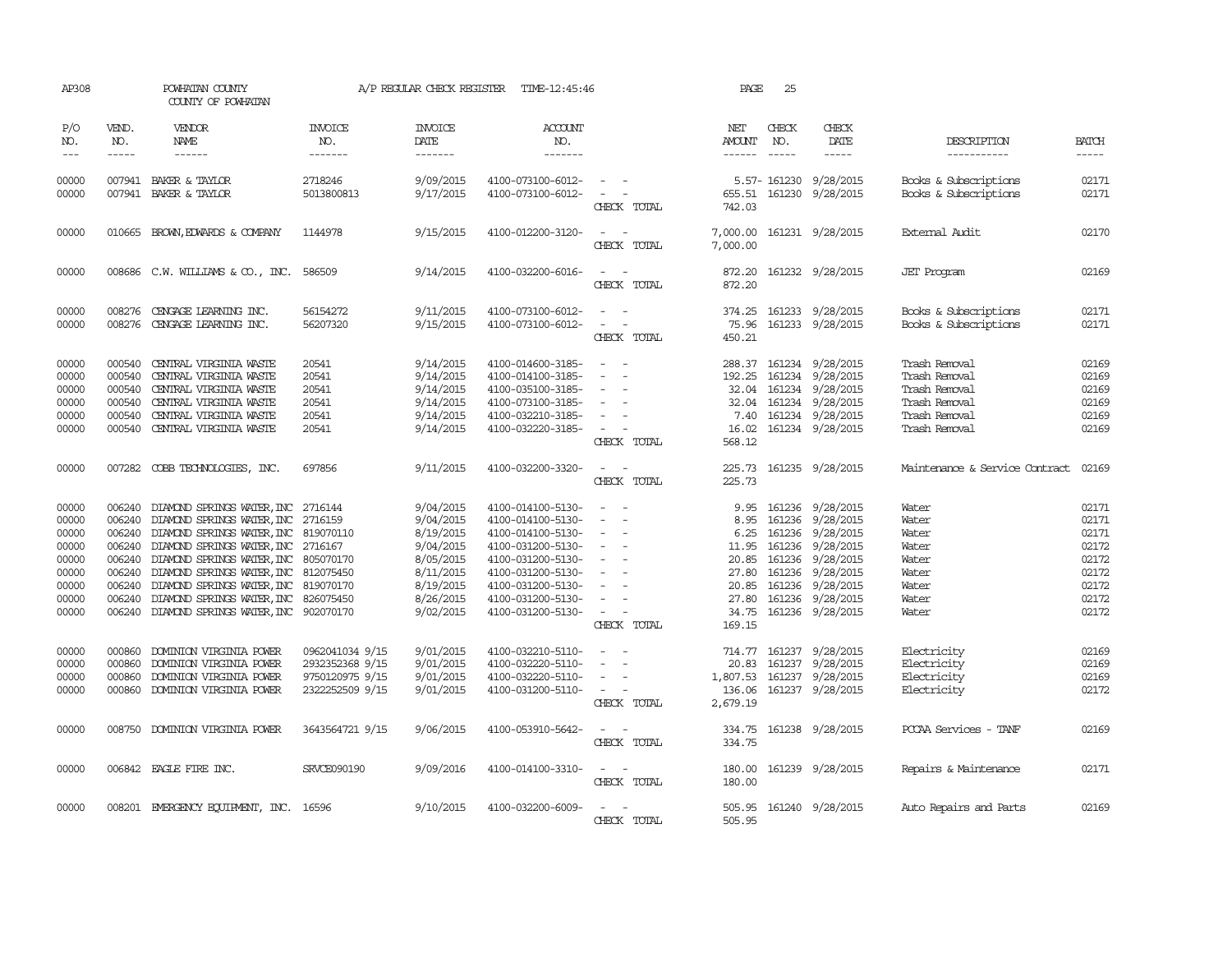| AP308                                                                         |                                                          | POWHATAN COUNTY<br>COUNTY OF POWHATAN                                                                                                                                                                                                                                                                                                                                                     |                                                                          | A/P REGULAR CHECK REGISTER                                                                                        | TIME-12:45:46                                                                                                                                                                             |                                                                                                                                                                                                          | PAGE                                                                                 | 25                            |                                                                                                                                                                                  |                                                                                                    |                                                                               |
|-------------------------------------------------------------------------------|----------------------------------------------------------|-------------------------------------------------------------------------------------------------------------------------------------------------------------------------------------------------------------------------------------------------------------------------------------------------------------------------------------------------------------------------------------------|--------------------------------------------------------------------------|-------------------------------------------------------------------------------------------------------------------|-------------------------------------------------------------------------------------------------------------------------------------------------------------------------------------------|----------------------------------------------------------------------------------------------------------------------------------------------------------------------------------------------------------|--------------------------------------------------------------------------------------|-------------------------------|----------------------------------------------------------------------------------------------------------------------------------------------------------------------------------|----------------------------------------------------------------------------------------------------|-------------------------------------------------------------------------------|
| P/O<br>NO.<br>$---$                                                           | VEND.<br>NO.<br>$- - - - -$                              | VENDOR<br>NAME<br>$\begin{tabular}{ccccc} \multicolumn{2}{c }{\multicolumn{2}{c }{\multicolumn{2}{c }{\multicolumn{2}{c}}}{\multicolumn{2}{c }{\multicolumn{2}{c}}}{\multicolumn{2}{c }{\multicolumn{2}{c}}}{\multicolumn{2}{c }{\multicolumn{2}{c}}}\end{tabular} \end{tabular}$                                                                                                         | <b>INVOICE</b><br>NO.<br>-------                                         | <b>INVOICE</b><br>DATE<br>-------                                                                                 | ACCOUNT<br>NO.<br>-------                                                                                                                                                                 |                                                                                                                                                                                                          | NET<br>AMOUNT<br>------                                                              | CHECK<br>NO.<br>$\frac{1}{2}$ | CHECK<br>DATE<br>$- - - - -$                                                                                                                                                     | DESCRIPTION<br>-----------                                                                         | <b>BATCH</b><br>$- - - - -$                                                   |
| 00000<br>00000                                                                |                                                          | 007941 BAKER & TAYLOR<br>007941 BAKER & TAYLOR                                                                                                                                                                                                                                                                                                                                            | 2718246<br>5013800813                                                    | 9/09/2015<br>9/17/2015                                                                                            | 4100-073100-6012-<br>4100-073100-6012-                                                                                                                                                    | $\sim$<br>CHECK TOTAL                                                                                                                                                                                    | 742.03                                                                               |                               | 5.57-161230 9/28/2015<br>655.51 161230 9/28/2015                                                                                                                                 | Books & Subscriptions<br>Books & Subscriptions                                                     | 02171<br>02171                                                                |
| 00000                                                                         |                                                          | 010665 BROWN, EDWARDS & COMPANY                                                                                                                                                                                                                                                                                                                                                           | 1144978                                                                  | 9/15/2015                                                                                                         | 4100-012200-3120-                                                                                                                                                                         | CHECK TOTAL                                                                                                                                                                                              | 7,000.00<br>7,000.00                                                                 |                               | 161231 9/28/2015                                                                                                                                                                 | External Audit                                                                                     | 02170                                                                         |
| 00000                                                                         |                                                          | 008686 C.W. WILLIAMS & CO., INC.                                                                                                                                                                                                                                                                                                                                                          | 586509                                                                   | 9/14/2015                                                                                                         | 4100-032200-6016-                                                                                                                                                                         | $\frac{1}{2} \left( \frac{1}{2} \right) \left( \frac{1}{2} \right) = \frac{1}{2} \left( \frac{1}{2} \right)$<br>CHECK TOTAL                                                                              | 872.20<br>872.20                                                                     |                               | 161232 9/28/2015                                                                                                                                                                 | <b>JET</b> Program                                                                                 | 02169                                                                         |
| 00000<br>00000                                                                | 008276                                                   | CENGAGE LEARNING INC.<br>008276 CENGAGE LEARNING INC.                                                                                                                                                                                                                                                                                                                                     | 56154272<br>56207320                                                     | 9/11/2015<br>9/15/2015                                                                                            | 4100-073100-6012-<br>4100-073100-6012-                                                                                                                                                    | $\overline{\phantom{a}}$<br>CHECK TOTAL                                                                                                                                                                  | 374.25<br>75.96<br>450.21                                                            |                               | 161233 9/28/2015<br>161233 9/28/2015                                                                                                                                             | Books & Subscriptions<br>Books & Subscriptions                                                     | 02171<br>02171                                                                |
| 00000<br>00000<br>00000<br>00000<br>00000<br>00000                            | 000540<br>000540<br>000540<br>000540<br>000540<br>000540 | CENTRAL VIRGINIA WASTE<br>CENTRAL VIRGINIA WASTE<br>CENTRAL VIRGINIA WASTE<br>CENTRAL VIRGINIA WASTE<br>CENTRAL VIRGINIA WASTE<br>CENTRAL VIRGINIA WASTE                                                                                                                                                                                                                                  | 20541<br>20541<br>20541<br>20541<br>20541<br>20541                       | 9/14/2015<br>9/14/2015<br>9/14/2015<br>9/14/2015<br>9/14/2015<br>9/14/2015                                        | 4100-014600-3185-<br>4100-014100-3185-<br>4100-035100-3185-<br>4100-073100-3185-<br>4100-032210-3185-<br>4100-032220-3185-                                                                | $\sim$<br>$\overline{\phantom{a}}$<br>$\sim$<br>$\sim$<br>CHECK TOTAL                                                                                                                                    | 192.25<br>7.40<br>16.02<br>568.12                                                    |                               | 288.37 161234 9/28/2015<br>161234 9/28/2015<br>32.04 161234 9/28/2015<br>32.04 161234 9/28/2015<br>161234 9/28/2015<br>161234 9/28/2015                                          | Trash Removal<br>Trash Removal<br>Trash Removal<br>Trash Removal<br>Trash Removal<br>Trash Removal | 02169<br>02169<br>02169<br>02169<br>02169<br>02169                            |
| 00000                                                                         | 007282                                                   | COBB TECHNOLOGIES, INC.                                                                                                                                                                                                                                                                                                                                                                   | 697856                                                                   | 9/11/2015                                                                                                         | 4100-032200-3320-                                                                                                                                                                         | $\sim$<br>CHECK TOTAL                                                                                                                                                                                    | 225.73<br>225.73                                                                     |                               | 161235 9/28/2015                                                                                                                                                                 | Maintenance & Service Contract                                                                     | 02169                                                                         |
| 00000<br>00000<br>00000<br>00000<br>00000<br>00000<br>00000<br>00000<br>00000 | 006240<br>006240<br>006240<br>006240                     | 006240 DIAMOND SPRINGS WATER, INC<br>006240 DIAMOND SPRINGS WATER, INC 2716159<br>DIAMOND SPRINGS WATER, INC 819070110<br>006240 DIAMOND SPRINGS WATER, INC 2716167<br>006240 DIAMOND SPRINGS WATER, INC 805070170<br>DIAMOND SPRINGS WATER, INC 812075450<br>DIAMOND SPRINGS WATER, INC 819070170<br>DIAMOND SPRINGS WATER, INC 826075450<br>006240 DIAMOND SPRINGS WATER, INC 902070170 | 2716144                                                                  | 9/04/2015<br>9/04/2015<br>8/19/2015<br>9/04/2015<br>8/05/2015<br>8/11/2015<br>8/19/2015<br>8/26/2015<br>9/02/2015 | 4100-014100-5130-<br>4100-014100-5130-<br>4100-014100-5130-<br>4100-031200-5130-<br>4100-031200-5130-<br>4100-031200-5130-<br>4100-031200-5130-<br>4100-031200-5130-<br>4100-031200-5130- | $\overline{\phantom{a}}$<br>$\sim$<br>$\overline{\phantom{a}}$<br>$\overline{\phantom{a}}$<br>$\sim$<br>$\overline{\phantom{a}}$<br>$\sim$<br>$\omega_{\rm{max}}$ and $\omega_{\rm{max}}$<br>CHECK TOTAL | 9.95<br>8.95<br>6.25<br>11.95<br>20.85<br>27.80<br>20.85<br>27.80<br>34.75<br>169.15 |                               | 161236 9/28/2015<br>161236 9/28/2015<br>161236 9/28/2015<br>161236 9/28/2015<br>161236 9/28/2015<br>161236 9/28/2015<br>161236 9/28/2015<br>161236 9/28/2015<br>161236 9/28/2015 | Water<br>Water<br>Water<br>Water<br>Water<br>Water<br>Water<br>Water<br>Water                      | 02171<br>02171<br>02171<br>02172<br>02172<br>02172<br>02172<br>02172<br>02172 |
| 00000<br>00000<br>00000<br>00000                                              | 000860<br>000860<br>000860                               | DOMINION VIRGINIA POWER<br>DOMINION VIRGINIA POWER<br>DOMINION VIRGINIA POWER<br>000860 DOMINION VIRGINIA POWER                                                                                                                                                                                                                                                                           | 0962041034 9/15<br>2932352368 9/15<br>9750120975 9/15<br>2322252509 9/15 | 9/01/2015<br>9/01/2015<br>9/01/2015<br>9/01/2015                                                                  | 4100-032210-5110-<br>4100-032220-5110-<br>4100-032220-5110-<br>4100-031200-5110-                                                                                                          | $\equiv$<br>$\sim$<br>$\sim$ $-$<br>CHECK TOTAL                                                                                                                                                          | 20.83<br>1,807.53<br>2,679.19                                                        |                               | 714.77 161237 9/28/2015<br>161237 9/28/2015<br>161237 9/28/2015<br>136.06 161237 9/28/2015                                                                                       | Electricity<br>Electricity<br>Electricity<br>Electricity                                           | 02169<br>02169<br>02169<br>02172                                              |
| 00000                                                                         |                                                          | 008750 DOMINION VIRGINIA POWER                                                                                                                                                                                                                                                                                                                                                            | 3643564721 9/15                                                          | 9/06/2015                                                                                                         | 4100-053910-5642-                                                                                                                                                                         | $\sim$ $ -$<br>CHECK TOTAL                                                                                                                                                                               | 334.75                                                                               |                               | 334.75 161238 9/28/2015                                                                                                                                                          | PCCAA Services - TANF                                                                              | 02169                                                                         |
| 00000                                                                         |                                                          | 006842 EAGLE FIRE INC.                                                                                                                                                                                                                                                                                                                                                                    | <b>SRVCE090190</b>                                                       | 9/09/2016                                                                                                         | 4100-014100-3310-                                                                                                                                                                         | $\frac{1}{2} \left( \frac{1}{2} \right) \left( \frac{1}{2} \right) = \frac{1}{2} \left( \frac{1}{2} \right)$<br>CHECK TOTAL                                                                              | 180.00<br>180.00                                                                     |                               | 161239 9/28/2015                                                                                                                                                                 | Repairs & Maintenance                                                                              | 02171                                                                         |
| 00000                                                                         |                                                          | 008201 EMERGENCY EQUIPMENT, INC. 16596                                                                                                                                                                                                                                                                                                                                                    |                                                                          | 9/10/2015                                                                                                         | 4100-032200-6009-                                                                                                                                                                         | $\sim$<br>CHECK TOTAL                                                                                                                                                                                    | 505.95<br>505.95                                                                     |                               | 161240 9/28/2015                                                                                                                                                                 | Auto Repairs and Parts                                                                             | 02169                                                                         |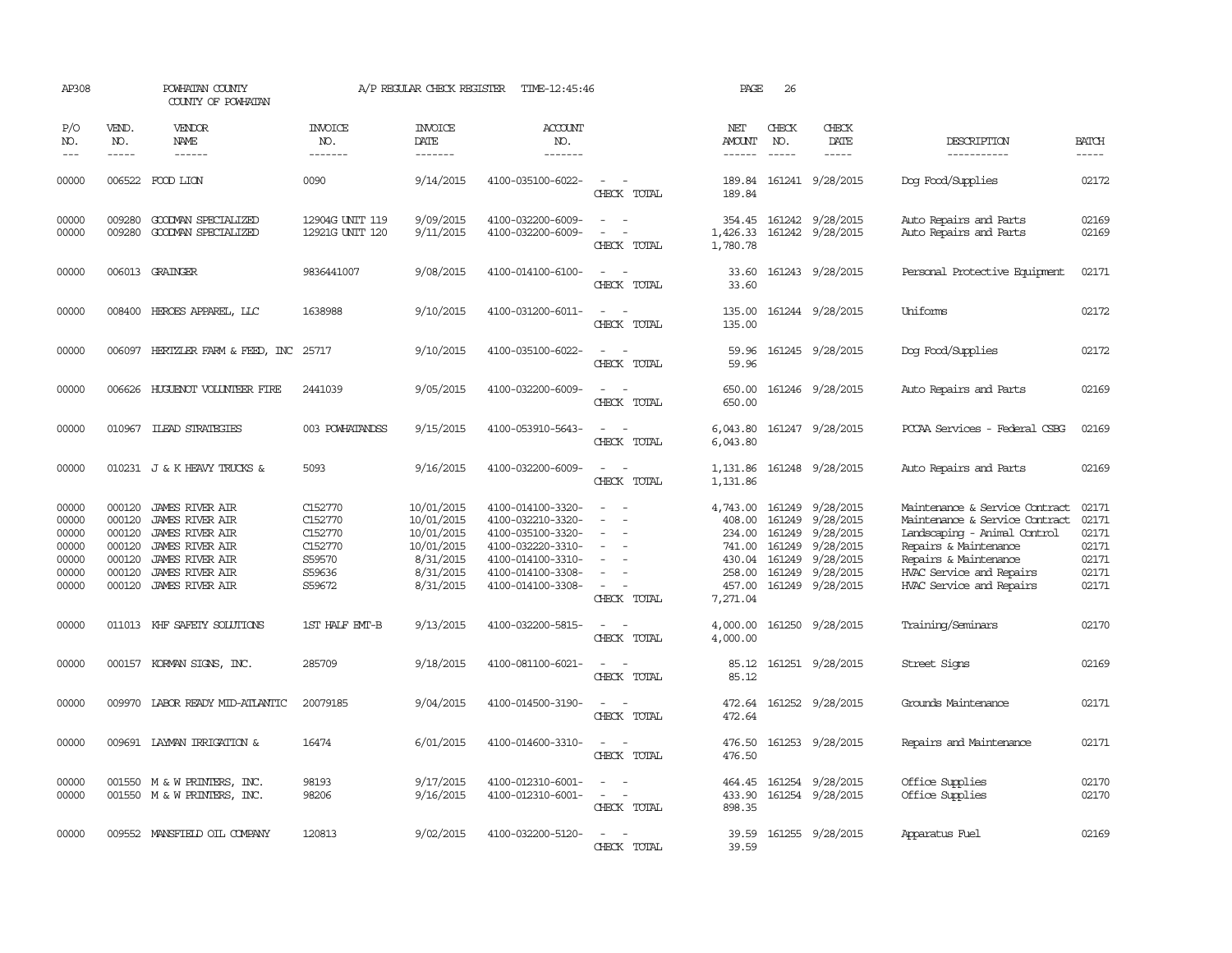| AP308                                                       |                                                | POWHATAN COUNTY<br>COUNTY OF POWHATAN                                                                                                                                       |                                                                        | A/P REGULAR CHECK REGISTER                                                                  | TIME-12:45:46                                                                                                                                   |                                                                                                                             | PAGE                                                       | 26                            |                                                                                                                                            |                                                                                                                                                                                                            |                                                             |
|-------------------------------------------------------------|------------------------------------------------|-----------------------------------------------------------------------------------------------------------------------------------------------------------------------------|------------------------------------------------------------------------|---------------------------------------------------------------------------------------------|-------------------------------------------------------------------------------------------------------------------------------------------------|-----------------------------------------------------------------------------------------------------------------------------|------------------------------------------------------------|-------------------------------|--------------------------------------------------------------------------------------------------------------------------------------------|------------------------------------------------------------------------------------------------------------------------------------------------------------------------------------------------------------|-------------------------------------------------------------|
| P/O<br>NO.<br>$---$                                         | VEND.<br>NO.<br>$- - - - -$                    | VENDOR<br>NAME<br>------                                                                                                                                                    | <b>INVOICE</b><br>NO.<br>-------                                       | <b>INVOICE</b><br>DATE<br>-------                                                           | <b>ACCOUNT</b><br>NO.<br>-------                                                                                                                |                                                                                                                             | NET<br>AMOUNT                                              | CHECK<br>NO.<br>$\frac{1}{2}$ | CHECK<br>DATE<br>$- - - - -$                                                                                                               | DESCRIPTION<br>-----------                                                                                                                                                                                 | <b>BATCH</b><br>$- - - - -$                                 |
| 00000                                                       |                                                | 006522 FOOD LION                                                                                                                                                            | 0090                                                                   | 9/14/2015                                                                                   | 4100-035100-6022-                                                                                                                               | $\frac{1}{2} \left( \frac{1}{2} \right) \left( \frac{1}{2} \right) = \frac{1}{2} \left( \frac{1}{2} \right)$<br>CHECK TOTAL | 189.84                                                     |                               | 189.84 161241 9/28/2015                                                                                                                    | Dog Food/Supplies                                                                                                                                                                                          | 02172                                                       |
| 00000<br>00000                                              | 009280<br>009280                               | GOODMAN SPECIALIZED<br>GOODMAN SPECIALIZED                                                                                                                                  | 12904G UNIT 119<br>12921G UNIT 120                                     | 9/09/2015<br>9/11/2015                                                                      | 4100-032200-6009-<br>4100-032200-6009-                                                                                                          | $\sim$<br>$\equiv$<br>CHECK TOTAL                                                                                           | 354.45<br>1,426.33<br>1,780.78                             |                               | 161242 9/28/2015<br>161242 9/28/2015                                                                                                       | Auto Repairs and Parts<br>Auto Repairs and Parts                                                                                                                                                           | 02169<br>02169                                              |
| 00000                                                       |                                                | 006013 GRAINGER                                                                                                                                                             | 9836441007                                                             | 9/08/2015                                                                                   | 4100-014100-6100-                                                                                                                               | $\sim$<br>CHECK TOTAL                                                                                                       | 33.60<br>33.60                                             |                               | 161243 9/28/2015                                                                                                                           | Personal Protective Equipment                                                                                                                                                                              | 02171                                                       |
| 00000                                                       |                                                | 008400 HEROES APPAREL, LLC                                                                                                                                                  | 1638988                                                                | 9/10/2015                                                                                   | 4100-031200-6011-                                                                                                                               | $ -$<br>CHECK TOTAL                                                                                                         | 135.00<br>135.00                                           |                               | 161244 9/28/2015                                                                                                                           | Uniforms                                                                                                                                                                                                   | 02172                                                       |
| 00000                                                       |                                                | 006097 HERIZLER FARM & FEED, INC 25717                                                                                                                                      |                                                                        | 9/10/2015                                                                                   | 4100-035100-6022-                                                                                                                               | $\overline{\phantom{a}}$<br>CHECK TOTAL                                                                                     | 59.96<br>59.96                                             |                               | 161245 9/28/2015                                                                                                                           | Dog Food/Supplies                                                                                                                                                                                          | 02172                                                       |
| 00000                                                       |                                                | 006626 HUGUENOT VOLUNTEER FIRE                                                                                                                                              | 2441039                                                                | 9/05/2015                                                                                   | 4100-032200-6009-                                                                                                                               | CHECK TOTAL                                                                                                                 | 650.00<br>650.00                                           |                               | 161246 9/28/2015                                                                                                                           | Auto Repairs and Parts                                                                                                                                                                                     | 02169                                                       |
| 00000                                                       |                                                | 010967 ILEAD STRATEGIES                                                                                                                                                     | 003 POWHATANDSS                                                        | 9/15/2015                                                                                   | 4100-053910-5643-                                                                                                                               | $\sim$<br>CHECK TOTAL                                                                                                       | 6,043.80<br>6,043.80                                       |                               | 161247 9/28/2015                                                                                                                           | PCCAA Services - Federal CSBG                                                                                                                                                                              | 02169                                                       |
| 00000                                                       |                                                | 010231 J & K HEAVY TRUCKS &                                                                                                                                                 | 5093                                                                   | 9/16/2015                                                                                   | 4100-032200-6009-                                                                                                                               | $\sim$<br>CHECK TOTAL                                                                                                       | 1,131.86<br>1,131.86                                       |                               | 161248 9/28/2015                                                                                                                           | Auto Repairs and Parts                                                                                                                                                                                     | 02169                                                       |
| 00000<br>00000<br>00000<br>00000<br>00000<br>00000<br>00000 | 000120<br>000120<br>000120<br>000120<br>000120 | 000120 JAMES RIVER AIR<br>JAMES RIVER AIR<br><b>JAMES RIVER AIR</b><br><b>JAMES RIVER AIR</b><br><b>JAMES RIVER AIR</b><br><b>JAMES RIVER AIR</b><br>000120 JAMES RIVER AIR | C152770<br>C152770<br>C152770<br>C152770<br>S59570<br>S59636<br>S59672 | 10/01/2015<br>10/01/2015<br>10/01/2015<br>10/01/2015<br>8/31/2015<br>8/31/2015<br>8/31/2015 | 4100-014100-3320-<br>4100-032210-3320-<br>4100-035100-3320-<br>4100-032220-3310-<br>4100-014100-3310-<br>4100-014100-3308-<br>4100-014100-3308- | $\overline{\phantom{a}}$<br>$\overline{\phantom{a}}$<br>$\sim$<br>$\sim$ $-$<br>CHECK TOTAL                                 | 408.00<br>234.00<br>741.00<br>258.00<br>457.00<br>7,271.04 | 161249<br>161249              | 4,743.00 161249 9/28/2015<br>161249 9/28/2015<br>161249 9/28/2015<br>9/28/2015<br>430.04 161249 9/28/2015<br>9/28/2015<br>161249 9/28/2015 | Maintenance & Service Contract<br>Maintenance & Service Contract<br>Landscaping - Animal Control<br>Repairs & Maintenance<br>Repairs & Maintenance<br>HVAC Service and Repairs<br>HVAC Service and Repairs | 02171<br>02171<br>02171<br>02171<br>02171<br>02171<br>02171 |
| 00000                                                       |                                                | 011013 KHF SAFETY SOLUTIONS                                                                                                                                                 | 1ST HALF EMT-B                                                         | 9/13/2015                                                                                   | 4100-032200-5815-                                                                                                                               | $\equiv$<br>CHECK TOTAL                                                                                                     | 4,000.00<br>4,000.00                                       |                               | 161250 9/28/2015                                                                                                                           | Training/Seminars                                                                                                                                                                                          | 02170                                                       |
| 00000                                                       |                                                | 000157 KORMAN SIGNS, INC.                                                                                                                                                   | 285709                                                                 | 9/18/2015                                                                                   | 4100-081100-6021-                                                                                                                               | $\sim$<br>CHECK TOTAL                                                                                                       | 85.12<br>85.12                                             |                               | 161251 9/28/2015                                                                                                                           | Street Signs                                                                                                                                                                                               | 02169                                                       |
| 00000                                                       |                                                | 009970 LABOR READY MID-ATLANTIC                                                                                                                                             | 20079185                                                               | 9/04/2015                                                                                   | 4100-014500-3190-                                                                                                                               | $\frac{1}{2} \left( \frac{1}{2} \right) \left( \frac{1}{2} \right) = \frac{1}{2} \left( \frac{1}{2} \right)$<br>CHECK TOTAL | 472.64<br>472.64                                           |                               | 161252 9/28/2015                                                                                                                           | Grounds Maintenance                                                                                                                                                                                        | 02171                                                       |
| 00000                                                       |                                                | 009691 LAYMAN IRRIGATION &                                                                                                                                                  | 16474                                                                  | 6/01/2015                                                                                   | 4100-014600-3310-                                                                                                                               | $\frac{1}{2} \left( \frac{1}{2} \right) \left( \frac{1}{2} \right) = \frac{1}{2} \left( \frac{1}{2} \right)$<br>CHECK TOTAL | 476.50<br>476.50                                           |                               | 161253 9/28/2015                                                                                                                           | Repairs and Maintenance                                                                                                                                                                                    | 02171                                                       |
| 00000<br>00000                                              |                                                | 001550 M & W PRINTERS, INC.<br>001550 M & W PRINTERS, INC.                                                                                                                  | 98193<br>98206                                                         | 9/17/2015<br>9/16/2015                                                                      | 4100-012310-6001-<br>4100-012310-6001-                                                                                                          | $\equiv$<br>$\sim$<br>$\overline{\phantom{a}}$<br>CHECK TOTAL                                                               | 464.45<br>433.90<br>898.35                                 |                               | 161254 9/28/2015<br>161254 9/28/2015                                                                                                       | Office Supplies<br>Office Supplies                                                                                                                                                                         | 02170<br>02170                                              |
| 00000                                                       |                                                | 009552 MANSFIELD OIL COMPANY                                                                                                                                                | 120813                                                                 | 9/02/2015                                                                                   | 4100-032200-5120-                                                                                                                               | $\equiv$<br>CHECK TOTAL                                                                                                     | 39.59<br>39.59                                             |                               | 161255 9/28/2015                                                                                                                           | Apparatus Fuel                                                                                                                                                                                             | 02169                                                       |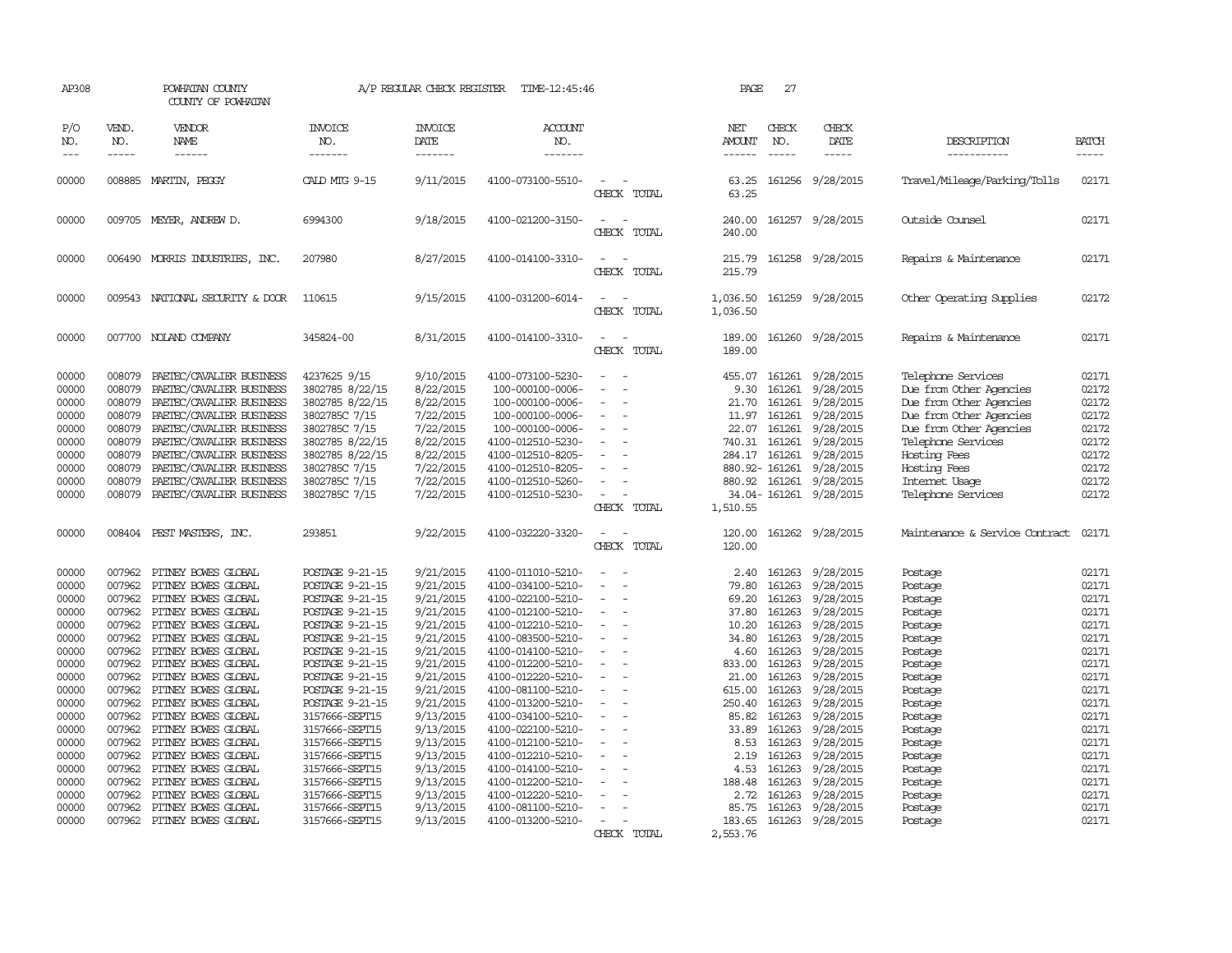| AP308                                                                                                                                                                   |                                                                                                                                                                                  | POWHATAN COUNTY<br>COUNTY OF POWHATAN                                                                                                                                                                                                                                                                                                                                                                                                                    |                                                                                                                                                                                                                                                                                                                                                               | A/P REGULAR CHECK REGISTER                                                                                                                                                                                                                          | TIME-12:45:46                                                                                                                                                                                                                                                                                                                                                                                               |                                                                                                        | PAGE                                                                                                                                                                  | 27                                                                                                                                                                                         |                                                                                                                                                                                                                                                     |                                                                                                                                                                                                                              |                                                                                                                                                                         |
|-------------------------------------------------------------------------------------------------------------------------------------------------------------------------|----------------------------------------------------------------------------------------------------------------------------------------------------------------------------------|----------------------------------------------------------------------------------------------------------------------------------------------------------------------------------------------------------------------------------------------------------------------------------------------------------------------------------------------------------------------------------------------------------------------------------------------------------|---------------------------------------------------------------------------------------------------------------------------------------------------------------------------------------------------------------------------------------------------------------------------------------------------------------------------------------------------------------|-----------------------------------------------------------------------------------------------------------------------------------------------------------------------------------------------------------------------------------------------------|-------------------------------------------------------------------------------------------------------------------------------------------------------------------------------------------------------------------------------------------------------------------------------------------------------------------------------------------------------------------------------------------------------------|--------------------------------------------------------------------------------------------------------|-----------------------------------------------------------------------------------------------------------------------------------------------------------------------|--------------------------------------------------------------------------------------------------------------------------------------------------------------------------------------------|-----------------------------------------------------------------------------------------------------------------------------------------------------------------------------------------------------------------------------------------------------|------------------------------------------------------------------------------------------------------------------------------------------------------------------------------------------------------------------------------|-------------------------------------------------------------------------------------------------------------------------------------------------------------------------|
| P/O<br>NO.<br>$---$                                                                                                                                                     | VEND.<br>NO.<br>$- - - - -$                                                                                                                                                      | VENDOR<br><b>NAME</b><br>------                                                                                                                                                                                                                                                                                                                                                                                                                          | <b>INVOICE</b><br>NO.<br>-------                                                                                                                                                                                                                                                                                                                              | <b>INVOICE</b><br>DATE<br>-------                                                                                                                                                                                                                   | <b>ACCOUNT</b><br>NO.<br>-------                                                                                                                                                                                                                                                                                                                                                                            |                                                                                                        | NET<br><b>AMOUNT</b><br>------                                                                                                                                        | CHECK<br>NO.<br>$- - - - -$                                                                                                                                                                | CHECK<br>DATE<br>-----                                                                                                                                                                                                                              | DESCRIPTION<br>-----------                                                                                                                                                                                                   | <b>BATCH</b><br>-----                                                                                                                                                   |
| 00000                                                                                                                                                                   |                                                                                                                                                                                  | 008885 MARTIN, PEGGY                                                                                                                                                                                                                                                                                                                                                                                                                                     | CALD MTG 9-15                                                                                                                                                                                                                                                                                                                                                 | 9/11/2015                                                                                                                                                                                                                                           | 4100-073100-5510-                                                                                                                                                                                                                                                                                                                                                                                           | $\overline{\phantom{a}}$<br>CHECK TOTAL                                                                | 63.25<br>63.25                                                                                                                                                        |                                                                                                                                                                                            | 161256 9/28/2015                                                                                                                                                                                                                                    | Travel/Mileage/Parking/Tolls                                                                                                                                                                                                 | 02171                                                                                                                                                                   |
| 00000                                                                                                                                                                   |                                                                                                                                                                                  | 009705 MEYER, ANDREW D.                                                                                                                                                                                                                                                                                                                                                                                                                                  | 6994300                                                                                                                                                                                                                                                                                                                                                       | 9/18/2015                                                                                                                                                                                                                                           | 4100-021200-3150-                                                                                                                                                                                                                                                                                                                                                                                           | $\equiv$<br>CHECK TOTAL                                                                                | 240.00<br>240.00                                                                                                                                                      |                                                                                                                                                                                            | 161257 9/28/2015                                                                                                                                                                                                                                    | Outside Counsel                                                                                                                                                                                                              | 02171                                                                                                                                                                   |
| 00000                                                                                                                                                                   |                                                                                                                                                                                  | 006490 MORRIS INDUSTRIES, INC.                                                                                                                                                                                                                                                                                                                                                                                                                           | 207980                                                                                                                                                                                                                                                                                                                                                        | 8/27/2015                                                                                                                                                                                                                                           | 4100-014100-3310-                                                                                                                                                                                                                                                                                                                                                                                           | CHECK TOTAL                                                                                            | 215.79<br>215.79                                                                                                                                                      |                                                                                                                                                                                            | 161258 9/28/2015                                                                                                                                                                                                                                    | Repairs & Maintenance                                                                                                                                                                                                        | 02171                                                                                                                                                                   |
| 00000                                                                                                                                                                   |                                                                                                                                                                                  | 009543 NATIONAL SECURITY & DOOR                                                                                                                                                                                                                                                                                                                                                                                                                          | 110615                                                                                                                                                                                                                                                                                                                                                        | 9/15/2015                                                                                                                                                                                                                                           | 4100-031200-6014-                                                                                                                                                                                                                                                                                                                                                                                           | CHECK TOTAL                                                                                            | 1,036.50<br>1,036.50                                                                                                                                                  |                                                                                                                                                                                            | 161259 9/28/2015                                                                                                                                                                                                                                    | Other Operating Supplies                                                                                                                                                                                                     | 02172                                                                                                                                                                   |
| 00000                                                                                                                                                                   |                                                                                                                                                                                  | 007700 NOLAND COMPANY                                                                                                                                                                                                                                                                                                                                                                                                                                    | 345824-00                                                                                                                                                                                                                                                                                                                                                     | 8/31/2015                                                                                                                                                                                                                                           | 4100-014100-3310-                                                                                                                                                                                                                                                                                                                                                                                           | CHECK TOTAL                                                                                            | 189.00<br>189.00                                                                                                                                                      |                                                                                                                                                                                            | 161260 9/28/2015                                                                                                                                                                                                                                    | Repairs & Maintenance                                                                                                                                                                                                        | 02171                                                                                                                                                                   |
| 00000<br>00000<br>00000<br>00000<br>00000<br>00000<br>00000<br>00000<br>00000<br>00000                                                                                  | 008079<br>008079<br>008079<br>008079<br>008079<br>008079<br>008079<br>008079<br>008079<br>008079                                                                                 | PAETEC/CAVALIER BUSINESS<br>PAETEC/CAVALIER BUSINESS<br>PAETEC/CAVALIER BUSINESS<br>PAETEC/CAVALIER BUSINESS<br>PAETEC/CAVALIER BUSINESS<br>PAETEC/CAVALIER BUSINESS<br>PAETEC/CAVALIER BUSINESS<br>PAETEC/CAVALIER BUSINESS<br>PAETEC/CAVALIER BUSINESS<br>PAETEC/CAVALIER BUSINESS                                                                                                                                                                     | 4237625 9/15<br>3802785 8/22/15<br>3802785 8/22/15<br>3802785C 7/15<br>3802785C 7/15<br>3802785 8/22/15<br>3802785 8/22/15<br>3802785C 7/15<br>3802785C 7/15<br>3802785C 7/15                                                                                                                                                                                 | 9/10/2015<br>8/22/2015<br>8/22/2015<br>7/22/2015<br>7/22/2015<br>8/22/2015<br>8/22/2015<br>7/22/2015<br>7/22/2015<br>7/22/2015                                                                                                                      | 4100-073100-5230-<br>100-000100-0006-<br>100-000100-0006-<br>100-000100-0006-<br>100-000100-0006-<br>4100-012510-5230-<br>4100-012510-8205-<br>4100-012510-8205-<br>4100-012510-5260-<br>4100-012510-5230-                                                                                                                                                                                                  | $\equiv$<br>$\equiv$<br>$\equiv$<br>CHECK TOTAL                                                        | 455.07<br>9.30<br>21.70<br>11.97<br>22.07<br>284.17 161261<br>1,510.55                                                                                                | 161261<br>161261<br>161261<br>161261<br>740.31 161261<br>880.92-161261<br>880.92 161261                                                                                                    | 161261 9/28/2015<br>9/28/2015<br>9/28/2015<br>9/28/2015<br>9/28/2015<br>9/28/2015<br>9/28/2015<br>9/28/2015<br>9/28/2015<br>34.04-161261 9/28/2015                                                                                                  | Telephone Services<br>Due from Other Agencies<br>Due from Other Agencies<br>Due from Other Agencies<br>Due from Other Agencies<br>Telephone Services<br>Hosting Fees<br>Hosting Fees<br>Internet Usage<br>Telephone Services | 02171<br>02172<br>02172<br>02172<br>02172<br>02172<br>02172<br>02172<br>02172<br>02172                                                                                  |
| 00000                                                                                                                                                                   |                                                                                                                                                                                  | 008404 PEST MASTERS, INC.                                                                                                                                                                                                                                                                                                                                                                                                                                | 293851                                                                                                                                                                                                                                                                                                                                                        | 9/22/2015                                                                                                                                                                                                                                           | 4100-032220-3320-                                                                                                                                                                                                                                                                                                                                                                                           | CHECK TOTAL                                                                                            | 120.00<br>120.00                                                                                                                                                      |                                                                                                                                                                                            | 161262 9/28/2015                                                                                                                                                                                                                                    | Maintenance & Service Contract                                                                                                                                                                                               | 02171                                                                                                                                                                   |
| 00000<br>00000<br>00000<br>00000<br>00000<br>00000<br>00000<br>00000<br>00000<br>00000<br>00000<br>00000<br>00000<br>00000<br>00000<br>00000<br>00000<br>00000<br>00000 | 007962<br>007962<br>007962<br>007962<br>007962<br>007962<br>007962<br>007962<br>007962<br>007962<br>007962<br>007962<br>007962<br>007962<br>007962<br>007962<br>007962<br>007962 | PITNEY BOWES GLOBAL<br>PITNEY BOWES GLOBAL<br>PITNEY BOWES GLOBAL<br>PITNEY BOWES GLOBAL<br>PITNEY BOWES GLOBAL<br>PITNEY BOWES GLOBAL<br>PITNEY BOWES GLOBAL<br>PITNEY BOWES GLOBAL<br>PITNEY BOWES GLOBAL<br>PITNEY BOWES GLOBAL<br>PITNEY BOWES GLOBAL<br>PITNEY BOWES GLOBAL<br>PITNEY BOWES GLOBAL<br>PITNEY BOWES GLOBAL<br>PITNEY BOWES GLOBAL<br>007962 PITNEY BOWES GLOBAL<br>PITNEY BOWES GLOBAL<br>PITNEY BOWES GLOBAL<br>PITNEY BOWES GLOBAL | POSTAGE 9-21-15<br>POSTAGE 9-21-15<br>POSTAGE 9-21-15<br>POSTAGE 9-21-15<br>POSTAGE 9-21-15<br>POSTAGE 9-21-15<br>POSTAGE 9-21-15<br>POSTAGE 9-21-15<br>POSTAGE 9-21-15<br>POSTAGE 9-21-15<br>POSTAGE 9-21-15<br>3157666-SEPT15<br>3157666-SEPT15<br>3157666-SEPT15<br>3157666-SEPT15<br>3157666-SEPT15<br>3157666-SEPT15<br>3157666-SEPT15<br>3157666-SEPT15 | 9/21/2015<br>9/21/2015<br>9/21/2015<br>9/21/2015<br>9/21/2015<br>9/21/2015<br>9/21/2015<br>9/21/2015<br>9/21/2015<br>9/21/2015<br>9/21/2015<br>9/13/2015<br>9/13/2015<br>9/13/2015<br>9/13/2015<br>9/13/2015<br>9/13/2015<br>9/13/2015<br>9/13/2015 | 4100-011010-5210-<br>4100-034100-5210-<br>4100-022100-5210-<br>4100-012100-5210-<br>4100-012210-5210-<br>4100-083500-5210-<br>4100-014100-5210-<br>4100-012200-5210-<br>4100-012220-5210-<br>4100-081100-5210-<br>4100-013200-5210-<br>4100-034100-5210-<br>4100-022100-5210-<br>4100-012100-5210-<br>4100-012210-5210-<br>4100-014100-5210-<br>4100-012200-5210-<br>4100-012220-5210-<br>4100-081100-5210- | $\overline{\phantom{a}}$<br>$\overline{\phantom{a}}$<br>$\overline{\phantom{a}}$<br>$\equiv$<br>$\sim$ | 2.40<br>79.80<br>69.20<br>37.80<br>10.20<br>34.80<br>4.60<br>833.00<br>21.00<br>615.00<br>250.40<br>85.82<br>33.89<br>8.53<br>2.19<br>4.53<br>188.48<br>2.72<br>85.75 | 161263<br>161263<br>161263<br>161263<br>161263<br>161263<br>161263<br>161263<br>161263<br>161263<br>161263<br>161263<br>161263<br>161263<br>161263<br>161263<br>161263<br>161263<br>161263 | 9/28/2015<br>9/28/2015<br>9/28/2015<br>9/28/2015<br>9/28/2015<br>9/28/2015<br>9/28/2015<br>9/28/2015<br>9/28/2015<br>9/28/2015<br>9/28/2015<br>9/28/2015<br>9/28/2015<br>9/28/2015<br>9/28/2015<br>9/28/2015<br>9/28/2015<br>9/28/2015<br>9/28/2015 | Postage<br>Postage<br>Postage<br>Postage<br>Postage<br>Postage<br>Postage<br>Postage<br>Postage<br>Postage<br>Postage<br>Postage<br>Postage<br>Postage<br>Postage<br>Postage<br>Postage<br>Postage<br>Postage                | 02171<br>02171<br>02171<br>02171<br>02171<br>02171<br>02171<br>02171<br>02171<br>02171<br>02171<br>02171<br>02171<br>02171<br>02171<br>02171<br>02171<br>02171<br>02171 |
| 00000                                                                                                                                                                   |                                                                                                                                                                                  | 007962 PITNEY BOWES GLOBAL                                                                                                                                                                                                                                                                                                                                                                                                                               | 3157666-SEPT15                                                                                                                                                                                                                                                                                                                                                | 9/13/2015                                                                                                                                                                                                                                           | 4100-013200-5210-                                                                                                                                                                                                                                                                                                                                                                                           | $\overline{\phantom{a}}$<br>CHECK TOTAL                                                                | 183.65<br>2,553.76                                                                                                                                                    |                                                                                                                                                                                            | 161263 9/28/2015                                                                                                                                                                                                                                    | Postage                                                                                                                                                                                                                      | 02171                                                                                                                                                                   |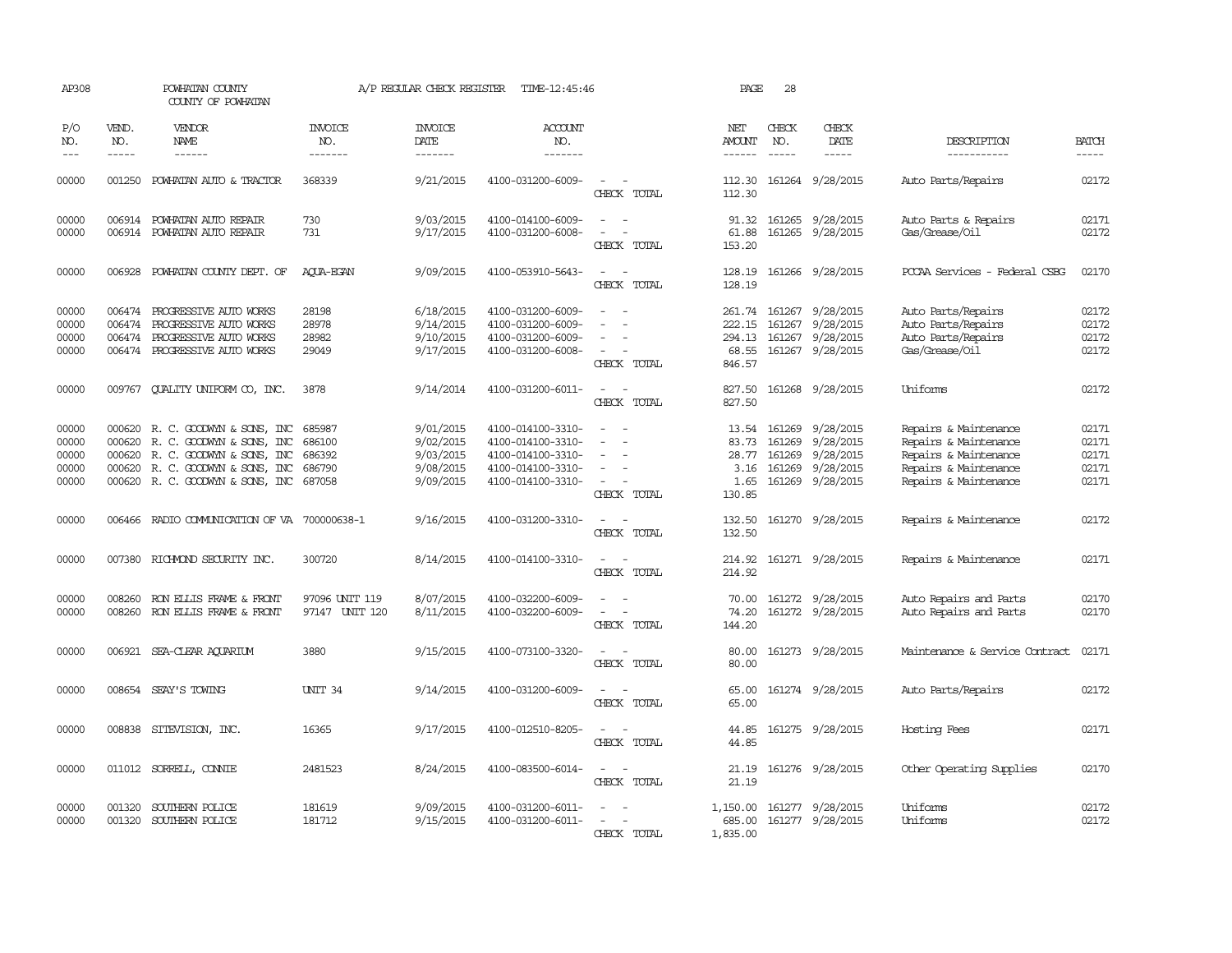| AP308                                     |                               | POWHATAN COUNTY<br>COUNTY OF POWHATAN                                                                                                                             |                                                | A/P REGULAR CHECK REGISTER                                    | TIME-12:45:46                                                                                         |                                                                                                                             | PAGE                                              | 28                                   |                                                                       |                                                                                                                           |                                           |
|-------------------------------------------|-------------------------------|-------------------------------------------------------------------------------------------------------------------------------------------------------------------|------------------------------------------------|---------------------------------------------------------------|-------------------------------------------------------------------------------------------------------|-----------------------------------------------------------------------------------------------------------------------------|---------------------------------------------------|--------------------------------------|-----------------------------------------------------------------------|---------------------------------------------------------------------------------------------------------------------------|-------------------------------------------|
| P/O<br>NO.<br>$---$                       | VEND.<br>NO.<br>$\frac{1}{2}$ | <b>VENDOR</b><br>NAME                                                                                                                                             | <b>INVOICE</b><br>NO.<br>-------               | <b>INVOICE</b><br>DATE<br>--------                            | ACCOUNT<br>NO.<br>-------                                                                             |                                                                                                                             | NET<br>AMOUNT<br>$- - - - - -$                    | CHECK<br>NO.<br>$\frac{1}{2}$        | CHECK<br>DATE<br>-----                                                | DESCRIPTION<br>-----------                                                                                                | <b>BATCH</b><br>$\frac{1}{2}$             |
| 00000                                     | 001250                        | POWHATAN AUTO & TRACTOR                                                                                                                                           | 368339                                         | 9/21/2015                                                     | 4100-031200-6009-                                                                                     | $\sim$<br>$\sim$<br>CHECK TOTAL                                                                                             | 112.30<br>112.30                                  |                                      | 161264 9/28/2015                                                      | Auto Parts/Repairs                                                                                                        | 02172                                     |
| 00000<br>00000                            | 006914<br>006914              | POWHATAN AUTO REPAIR<br>POWHATAN AUTO REPAIR                                                                                                                      | 730<br>731                                     | 9/03/2015<br>9/17/2015                                        | 4100-014100-6009-<br>4100-031200-6008-                                                                | $\overline{\phantom{a}}$<br>$\sim$<br>$\overline{\phantom{a}}$<br>$\overline{\phantom{a}}$<br>CHECK TOTAL                   | 91.32<br>61.88<br>153.20                          |                                      | 161265 9/28/2015<br>161265 9/28/2015                                  | Auto Parts & Repairs<br>Gas/Grease/Oil                                                                                    | 02171<br>02172                            |
| 00000                                     | 006928                        | POWHATAN COUNTY DEPT. OF                                                                                                                                          | ACUA-EGAN                                      | 9/09/2015                                                     | 4100-053910-5643-                                                                                     | $\sim$<br>$\sim$<br>CHECK TOTAL                                                                                             | 128.19<br>128.19                                  |                                      | 161266 9/28/2015                                                      | PCCAA Services - Federal CSBG                                                                                             | 02170                                     |
| 00000<br>00000<br>00000<br>00000          | 006474<br>006474<br>006474    | PROGRESSIVE AUTO WORKS<br>PROGRESSIVE AUTO WORKS<br>PROGRESSIVE AUTO WORKS<br>006474 PROGRESSIVE AUTO WORKS                                                       | 28198<br>28978<br>28982<br>29049               | 6/18/2015<br>9/14/2015<br>9/10/2015<br>9/17/2015              | 4100-031200-6009-<br>4100-031200-6009-<br>4100-031200-6009-<br>4100-031200-6008-                      | $\overline{\phantom{a}}$<br>CHECK TOTAL                                                                                     | 261.74<br>222.15<br>294.13<br>68.55<br>846.57     | 161267                               | 161267 9/28/2015<br>9/28/2015<br>161267 9/28/2015<br>161267 9/28/2015 | Auto Parts/Repairs<br>Auto Parts/Repairs<br>Auto Parts/Repairs<br>Gas/Grease/Oil                                          | 02172<br>02172<br>02172<br>02172          |
| 00000                                     | 009767                        | QUALITY UNIFORM CO, INC.                                                                                                                                          | 3878                                           | 9/14/2014                                                     | 4100-031200-6011-                                                                                     | $\sim$<br>$\sim$<br>CHECK TOTAL                                                                                             | 827.50<br>827.50                                  |                                      | 161268 9/28/2015                                                      | Uniforms                                                                                                                  | 02172                                     |
| 00000<br>00000<br>00000<br>00000<br>00000 | 000620<br>000620              | 000620 R. C. GOODWYN & SONS, INC<br>R. C. GOODWYN & SONS, INC<br>000620 R. C. GOODWYN & SONS, INC<br>R. C. GOODWYN & SONS, INC<br>000620 R.C. GOODWYN & SONS, INC | 685987<br>686100<br>686392<br>686790<br>687058 | 9/01/2015<br>9/02/2015<br>9/03/2015<br>9/08/2015<br>9/09/2015 | 4100-014100-3310-<br>4100-014100-3310-<br>4100-014100-3310-<br>4100-014100-3310-<br>4100-014100-3310- | $\overline{\phantom{a}}$<br>$\overline{\phantom{a}}$<br>$\overline{\phantom{a}}$<br>$\overline{\phantom{a}}$<br>CHECK TOTAL | 13.54<br>83.73<br>28.77<br>3.16<br>1.65<br>130.85 | 161269<br>161269<br>161269<br>161269 | 9/28/2015<br>9/28/2015<br>9/28/2015<br>9/28/2015<br>161269 9/28/2015  | Repairs & Maintenance<br>Repairs & Maintenance<br>Repairs & Maintenance<br>Repairs & Maintenance<br>Repairs & Maintenance | 02171<br>02171<br>02171<br>02171<br>02171 |
| 00000                                     |                               | 006466 RADIO COMMUNICATION OF VA 700000638-1                                                                                                                      |                                                | 9/16/2015                                                     | 4100-031200-3310-                                                                                     | $\overline{\phantom{a}}$<br>CHECK TOTAL                                                                                     | 132.50<br>132.50                                  |                                      | 161270 9/28/2015                                                      | Repairs & Maintenance                                                                                                     | 02172                                     |
| 00000                                     |                               | 007380 RICHMOND SECURITY INC.                                                                                                                                     | 300720                                         | 8/14/2015                                                     | 4100-014100-3310-                                                                                     | $\sim$<br>$\sim$<br>CHECK TOTAL                                                                                             | 214.92<br>214.92                                  |                                      | 161271 9/28/2015                                                      | Repairs & Maintenance                                                                                                     | 02171                                     |
| 00000<br>00000                            | 008260<br>008260              | RON ELLIS FRAME & FRONT<br>RON ELLIS FRAME & FRONT                                                                                                                | 97096 UNIT 119<br>97147 UNIT 120               | 8/07/2015<br>8/11/2015                                        | 4100-032200-6009-<br>4100-032200-6009-                                                                | CHECK TOTAL                                                                                                                 | 70.00<br>74.20<br>144.20                          |                                      | 161272 9/28/2015<br>161272 9/28/2015                                  | Auto Repairs and Parts<br>Auto Repairs and Parts                                                                          | 02170<br>02170                            |
| 00000                                     |                               | 006921 SEA-CLEAR AQUARIUM                                                                                                                                         | 3880                                           | 9/15/2015                                                     | 4100-073100-3320-                                                                                     | CHECK TOTAL                                                                                                                 | 80.00<br>80.00                                    |                                      | 161273 9/28/2015                                                      | Maintenance & Service Contract                                                                                            | 02171                                     |
| 00000                                     |                               | 008654 SEAY'S TOWING                                                                                                                                              | <b>UNIT 34</b>                                 | 9/14/2015                                                     | 4100-031200-6009-                                                                                     | $\overline{a}$<br>CHECK TOTAL                                                                                               | 65.00<br>65.00                                    |                                      | 161274 9/28/2015                                                      | Auto Parts/Repairs                                                                                                        | 02172                                     |
| 00000                                     |                               | 008838 SITEVISION, INC.                                                                                                                                           | 16365                                          | 9/17/2015                                                     | 4100-012510-8205-                                                                                     | $\sim$<br>CHECK TOTAL                                                                                                       | 44.85<br>44.85                                    |                                      | 161275 9/28/2015                                                      | Hosting Fees                                                                                                              | 02171                                     |
| 00000                                     |                               | 011012 SORRELL, CONNIE                                                                                                                                            | 2481523                                        | 8/24/2015                                                     | 4100-083500-6014-                                                                                     | $\overline{\phantom{a}}$<br>$\sim$<br>CHECK TOTAL                                                                           | 21.19<br>21.19                                    |                                      | 161276 9/28/2015                                                      | Other Operating Supplies                                                                                                  | 02170                                     |
| 00000<br>00000                            | 001320                        | SOUTHERN POLICE<br>001320 SOUTHERN POLICE                                                                                                                         | 181619<br>181712                               | 9/09/2015<br>9/15/2015                                        | 4100-031200-6011-<br>4100-031200-6011-                                                                | $\equiv$<br>$\sim$<br>CHECK TOTAL                                                                                           | 685.00<br>1,835.00                                |                                      | 1,150.00 161277 9/28/2015<br>161277 9/28/2015                         | Uniforms<br><b>Uniforms</b>                                                                                               | 02172<br>02172                            |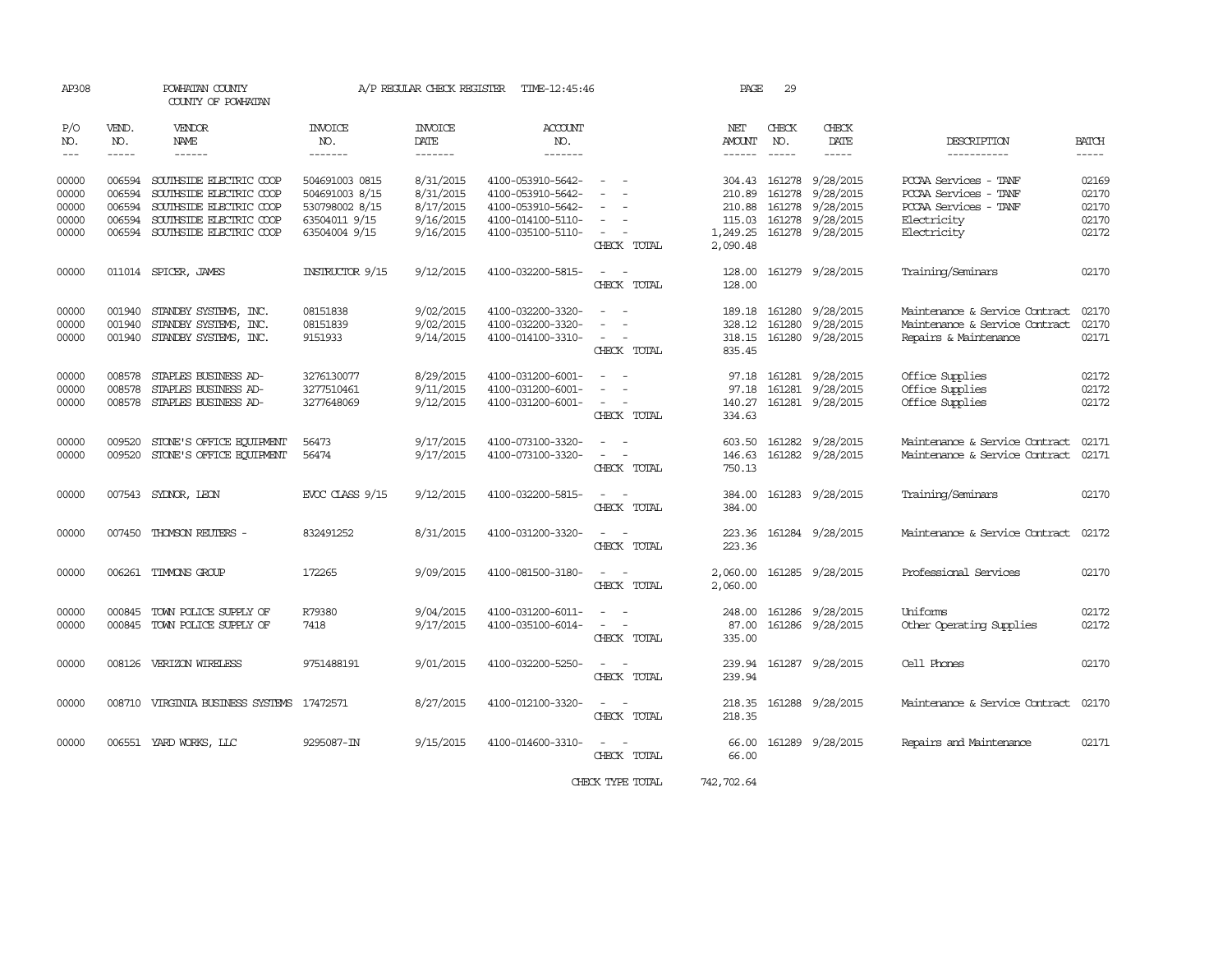| AP308                                     |                                                | POWHATAN COUNTY<br>COUNTY OF POWHATAN                                                                                               |                                                                                      | A/P REGULAR CHECK REGISTER                                    | TIME-12:45:46                                                                                         |                                                                                                                             | PAGE                                             | 29                            |                                                                                             |                                                                                                       |                                                                                                                                                                                                                                                                                                                                                                                                                                                                                                     |
|-------------------------------------------|------------------------------------------------|-------------------------------------------------------------------------------------------------------------------------------------|--------------------------------------------------------------------------------------|---------------------------------------------------------------|-------------------------------------------------------------------------------------------------------|-----------------------------------------------------------------------------------------------------------------------------|--------------------------------------------------|-------------------------------|---------------------------------------------------------------------------------------------|-------------------------------------------------------------------------------------------------------|-----------------------------------------------------------------------------------------------------------------------------------------------------------------------------------------------------------------------------------------------------------------------------------------------------------------------------------------------------------------------------------------------------------------------------------------------------------------------------------------------------|
| P/O<br>NO.<br>$\frac{1}{2}$               | VEND.<br>NO.<br>$- - - - -$                    | <b>VENDOR</b><br>NAME<br>$- - - - - -$                                                                                              | <b>INVOICE</b><br>NO.<br>-------                                                     | <b>INVOICE</b><br>DATE<br>-------                             | <b>ACCOUNT</b><br>NO.<br>-------                                                                      |                                                                                                                             | NET<br>AMOUNT<br>------                          | CHECK<br>NO.<br>$\frac{1}{2}$ | <b>CHECK</b><br>DATE<br>-----                                                               | DESCRIPTION<br>-----------                                                                            | <b>BATCH</b><br>$\begin{tabular}{ccccc} \multicolumn{2}{c}{} & \multicolumn{2}{c}{} & \multicolumn{2}{c}{} & \multicolumn{2}{c}{} & \multicolumn{2}{c}{} & \multicolumn{2}{c}{} & \multicolumn{2}{c}{} & \multicolumn{2}{c}{} & \multicolumn{2}{c}{} & \multicolumn{2}{c}{} & \multicolumn{2}{c}{} & \multicolumn{2}{c}{} & \multicolumn{2}{c}{} & \multicolumn{2}{c}{} & \multicolumn{2}{c}{} & \multicolumn{2}{c}{} & \multicolumn{2}{c}{} & \multicolumn{2}{c}{} & \multicolumn{2}{c}{} & \mult$ |
| 00000<br>00000<br>00000<br>00000<br>00000 | 006594<br>006594<br>006594<br>006594<br>006594 | SOUTHSIDE ELECTRIC COOP<br>SOUTHSIDE ELECTRIC COOP<br>SOUTHSIDE ELECTRIC COOP<br>SOUTHSIDE ELECTRIC COOP<br>SOUTHSIDE ELECTRIC COOP | 504691003 0815<br>504691003 8/15<br>530798002 8/15<br>63504011 9/15<br>63504004 9/15 | 8/31/2015<br>8/31/2015<br>8/17/2015<br>9/16/2015<br>9/16/2015 | 4100-053910-5642-<br>4100-053910-5642-<br>4100-053910-5642-<br>4100-014100-5110-<br>4100-035100-5110- | $\overline{\phantom{a}}$<br>$\sim$<br>$\sim$<br>CHECK TOTAL                                                                 | 304.43<br>210.89<br>210.88<br>115.03<br>2,090.48 | 161278<br>161278              | 9/28/2015<br>9/28/2015<br>161278 9/28/2015<br>161278 9/28/2015<br>1,249.25 161278 9/28/2015 | PCCAA Services - TANF<br>PCCAA Services - TANF<br>PCCAA Services - TANF<br>Electricity<br>Electricity | 02169<br>02170<br>02170<br>02170<br>02172                                                                                                                                                                                                                                                                                                                                                                                                                                                           |
| 00000                                     |                                                | 011014 SPICER, JAMES                                                                                                                | <b>INSTRUCTOR 9/15</b>                                                               | 9/12/2015                                                     | 4100-032200-5815-                                                                                     | CHECK TOTAL                                                                                                                 | 128.00<br>128.00                                 |                               | 161279 9/28/2015                                                                            | Training/Seminars                                                                                     | 02170                                                                                                                                                                                                                                                                                                                                                                                                                                                                                               |
| 00000<br>00000<br>00000                   | 001940<br>001940                               | STANDBY SYSTEMS, INC.<br>STANDBY SYSTEMS, INC.<br>001940 STANDBY SYSTEMS, INC.                                                      | 08151838<br>08151839<br>9151933                                                      | 9/02/2015<br>9/02/2015<br>9/14/2015                           | 4100-032200-3320-<br>4100-032200-3320-<br>4100-014100-3310-                                           | $\frac{1}{2} \left( \frac{1}{2} \right) \left( \frac{1}{2} \right) = \frac{1}{2} \left( \frac{1}{2} \right)$<br>CHECK TOTAL | 189.18<br>328.12<br>835.45                       |                               | 161280 9/28/2015<br>161280 9/28/2015<br>318.15 161280 9/28/2015                             | Maintenance & Service Contract<br>Maintenance & Service Contract<br>Repairs & Maintenance             | 02170<br>02170<br>02171                                                                                                                                                                                                                                                                                                                                                                                                                                                                             |
| 00000<br>00000<br>00000                   | 008578<br>008578<br>008578                     | STAPLES BUSINESS AD-<br>STAPLES BUSINESS AD-<br>STAPLES BUSINESS AD-                                                                | 3276130077<br>3277510461<br>3277648069                                               | 8/29/2015<br>9/11/2015<br>9/12/2015                           | 4100-031200-6001-<br>4100-031200-6001-<br>4100-031200-6001-                                           | CHECK TOTAL                                                                                                                 | 97.18<br>140.27<br>334.63                        |                               | 97.18 161281 9/28/2015<br>161281 9/28/2015<br>161281 9/28/2015                              | Office Supplies<br>Office Supplies<br>Office Supplies                                                 | 02172<br>02172<br>02172                                                                                                                                                                                                                                                                                                                                                                                                                                                                             |
| 00000<br>00000                            | 009520<br>009520                               | STONE'S OFFICE EQUIPMENT<br>STONE'S OFFICE EQUIPMENT                                                                                | 56473<br>56474                                                                       | 9/17/2015<br>9/17/2015                                        | 4100-073100-3320-<br>4100-073100-3320-                                                                | $\sim$<br>CHECK TOTAL                                                                                                       | 603.50<br>146.63<br>750.13                       |                               | 161282 9/28/2015<br>161282 9/28/2015                                                        | Maintenance & Service Contract<br>Maintenance & Service Contract                                      | 02171<br>02171                                                                                                                                                                                                                                                                                                                                                                                                                                                                                      |
| 00000                                     |                                                | 007543 SYDNOR, LEON                                                                                                                 | EVOC CLASS 9/15                                                                      | 9/12/2015                                                     | 4100-032200-5815-                                                                                     | $\sim$<br>CHECK TOTAL                                                                                                       | 384.00<br>384.00                                 |                               | 161283 9/28/2015                                                                            | Training/Seminars                                                                                     | 02170                                                                                                                                                                                                                                                                                                                                                                                                                                                                                               |
| 00000                                     | 007450                                         | THOMSON REUTERS -                                                                                                                   | 832491252                                                                            | 8/31/2015                                                     | 4100-031200-3320-                                                                                     | CHECK TOTAL                                                                                                                 | 223.36<br>223.36                                 |                               | 161284 9/28/2015                                                                            | Maintenance & Service Contract                                                                        | 02172                                                                                                                                                                                                                                                                                                                                                                                                                                                                                               |
| 00000                                     |                                                | 006261 TIMMONS GROUP                                                                                                                | 172265                                                                               | 9/09/2015                                                     | 4100-081500-3180-                                                                                     | CHECK TOTAL                                                                                                                 | 2,060.00<br>2,060.00                             |                               | 161285 9/28/2015                                                                            | Professional Services                                                                                 | 02170                                                                                                                                                                                                                                                                                                                                                                                                                                                                                               |
| 00000<br>00000                            | 000845                                         | TOWN POLICE SUPPLY OF<br>000845 TOWN POLICE SUPPLY OF                                                                               | R79380<br>7418                                                                       | 9/04/2015<br>9/17/2015                                        | 4100-031200-6011-<br>4100-035100-6014-                                                                | $\overline{\phantom{a}}$<br>CHECK TOTAL                                                                                     | 248.00<br>87.00<br>335.00                        |                               | 161286 9/28/2015<br>161286 9/28/2015                                                        | Uniforms<br>Other Operating Supplies                                                                  | 02172<br>02172                                                                                                                                                                                                                                                                                                                                                                                                                                                                                      |
| 00000                                     |                                                | 008126 VERIZON WIRELESS                                                                                                             | 9751488191                                                                           | 9/01/2015                                                     | 4100-032200-5250-                                                                                     | CHECK TOTAL                                                                                                                 | 239.94<br>239.94                                 |                               | 161287 9/28/2015                                                                            | Cell Phones                                                                                           | 02170                                                                                                                                                                                                                                                                                                                                                                                                                                                                                               |
| 00000                                     |                                                | 008710 VIRGINIA BUSINESS SYSTEMS                                                                                                    | 17472571                                                                             | 8/27/2015                                                     | 4100-012100-3320-                                                                                     | CHECK TOTAL                                                                                                                 | 218.35<br>218.35                                 |                               | 161288 9/28/2015                                                                            | Maintenance & Service Contract                                                                        | 02170                                                                                                                                                                                                                                                                                                                                                                                                                                                                                               |
| 00000                                     |                                                | 006551 YARD WORKS, LLC                                                                                                              | 9295087-IN                                                                           | 9/15/2015                                                     | 4100-014600-3310-                                                                                     | CHECK TOTAL                                                                                                                 | 66.00<br>66.00                                   |                               | 161289 9/28/2015                                                                            | Repairs and Maintenance                                                                               | 02171                                                                                                                                                                                                                                                                                                                                                                                                                                                                                               |
|                                           |                                                |                                                                                                                                     |                                                                                      |                                                               |                                                                                                       | CHECK TYPE TOTAL                                                                                                            | 742,702.64                                       |                               |                                                                                             |                                                                                                       |                                                                                                                                                                                                                                                                                                                                                                                                                                                                                                     |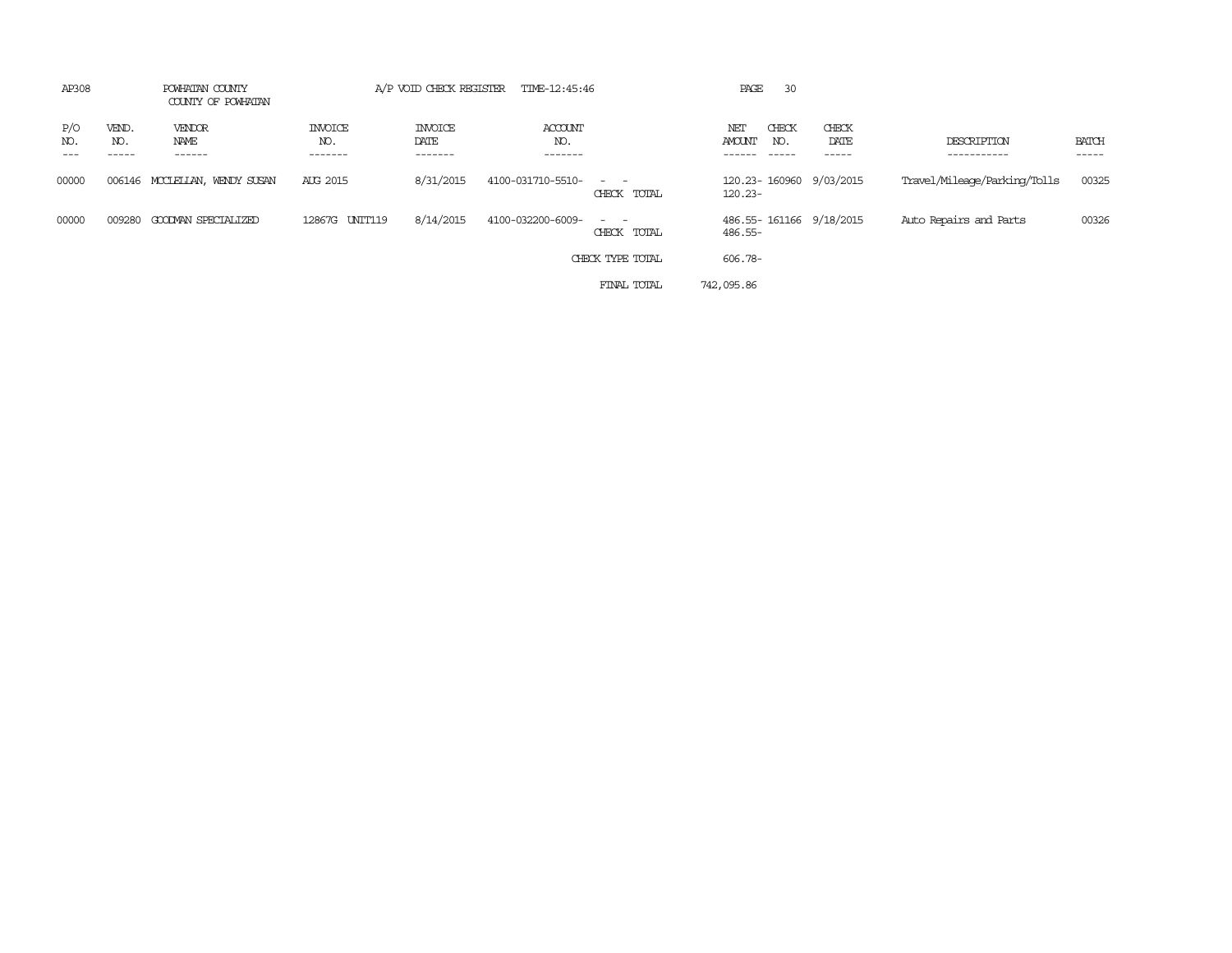| AP308                               | POWHATAN COUNTY<br>COUNTY OF POWHATAN |                                  | A/P VOID CHECK REGISTER           | TIME-12:45:46                    |                            | 30<br>PAGE                                   |                         |                              |                       |
|-------------------------------------|---------------------------------------|----------------------------------|-----------------------------------|----------------------------------|----------------------------|----------------------------------------------|-------------------------|------------------------------|-----------------------|
| VEND.<br>P/O<br>NO.<br>NO.<br>----- | <b>VENDOR</b><br>NAME<br>------       | <b>INVOICE</b><br>NO.<br>------- | <b>INVOICE</b><br>DATE<br>------- | <b>ACCOUNT</b><br>NO.<br>------- |                            | CHECK<br>NET<br>AMOUNT<br>NO.<br>$- - - - -$ | CHECK<br>DATE<br>------ | DESCRIPTION<br>-----------   | <b>BATCH</b><br>----- |
| 00000                               | 006146 MCCLELLAN, WENDY SUSAN         | AUG 2015                         | 8/31/2015                         | 4100-031710-5510-                | $\sim$ $ -$<br>CHECK TOTAL | 120.23-160960 9/03/2015<br>$120.23 -$        |                         | Travel/Mileage/Parking/Tolls | 00325                 |
| 00000<br>009280                     | GOODMAN SPECIALIZED                   | 12867G<br>UNIT119                | 8/14/2015                         | 4100-032200-6009-                | CHECK TOTAL                | 486.55-161166 9/18/2015<br>486.55-           |                         | Auto Repairs and Parts       | 00326                 |
|                                     |                                       |                                  |                                   |                                  | CHECK TYPE TOTAL           | 606.78-                                      |                         |                              |                       |
|                                     |                                       |                                  |                                   |                                  | FINAL TOTAL                | 742,095.86                                   |                         |                              |                       |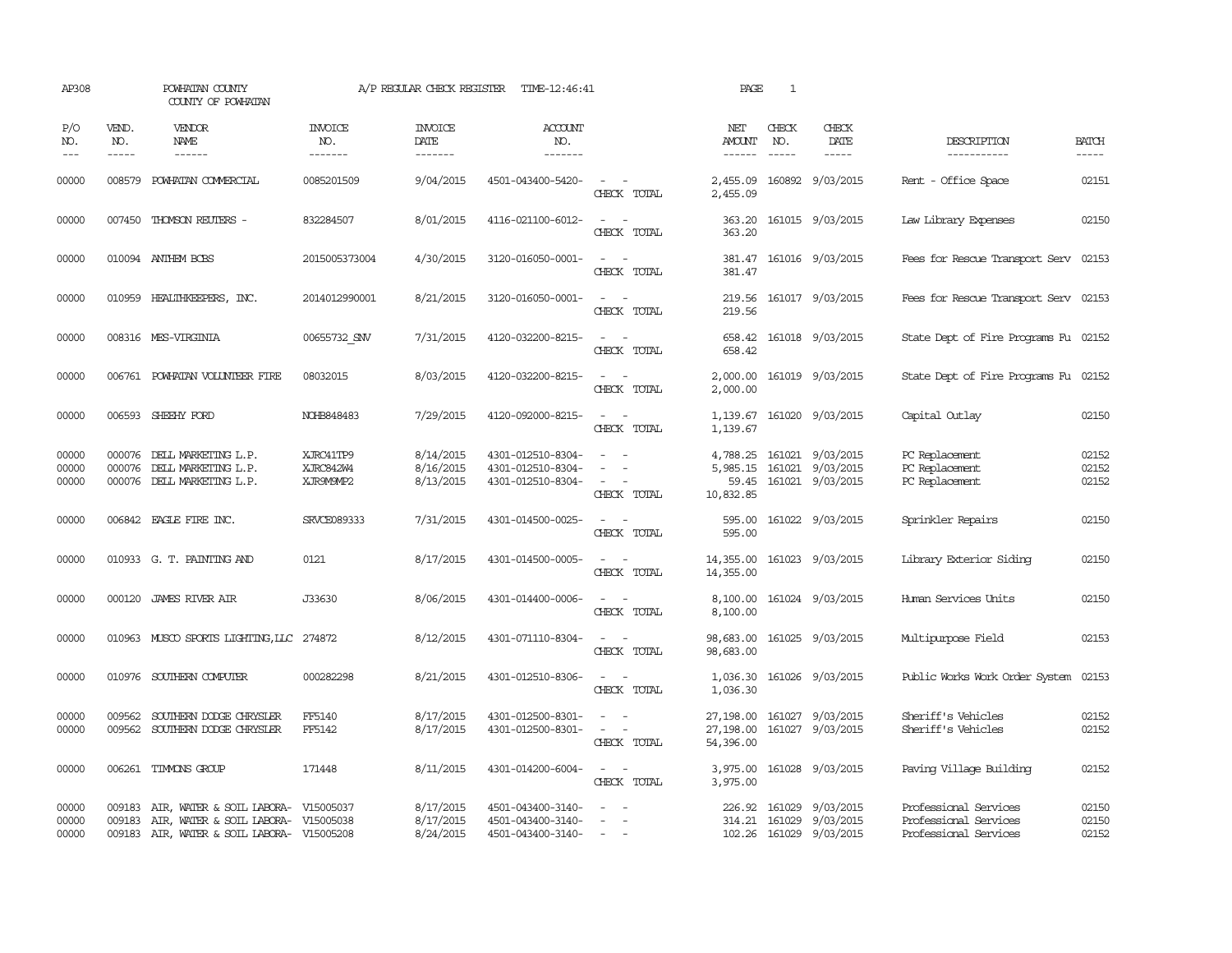| AP308                   |                             | POWHATAN COUNTY<br>COUNTY OF POWHATAN                                                                          |                                     | A/P REGULAR CHECK REGISTER               | TIME-12:46:41                                               |                                                                                                                             | PAGE                                | $\mathbf{1}$                  |                                                                   |                                                                         |                         |
|-------------------------|-----------------------------|----------------------------------------------------------------------------------------------------------------|-------------------------------------|------------------------------------------|-------------------------------------------------------------|-----------------------------------------------------------------------------------------------------------------------------|-------------------------------------|-------------------------------|-------------------------------------------------------------------|-------------------------------------------------------------------------|-------------------------|
| P/O<br>NO.<br>$---$     | VEND.<br>NO.<br>$- - - - -$ | <b>VENDOR</b><br>NAME                                                                                          | <b>INVOICE</b><br>NO.<br>-------    | <b>INVOICE</b><br><b>DATE</b><br>------- | <b>ACCOUNT</b><br>NO.<br>-------                            |                                                                                                                             | NET<br>AMOUNT<br>------             | CHECK<br>NO.<br>$\frac{1}{2}$ | CHECK<br>DATE                                                     | DESCRIPTION<br>-----------                                              | <b>BATCH</b><br>-----   |
| 00000                   | 008579                      | POWHATAN COMMERCIAL                                                                                            | 0085201509                          | 9/04/2015                                | 4501-043400-5420-                                           | $\sim$<br>CHECK TOTAL                                                                                                       | 2,455.09<br>2,455.09                |                               | 160892 9/03/2015                                                  | Rent - Office Space                                                     | 02151                   |
| 00000                   |                             | 007450 THOMSON REUTERS -                                                                                       | 832284507                           | 8/01/2015                                | 4116-021100-6012-                                           | $\overline{a}$<br>CHECK TOTAL                                                                                               | 363.20<br>363.20                    |                               | 161015 9/03/2015                                                  | Law Library Expenses                                                    | 02150                   |
| 00000                   |                             | 010094 ANTHEM BCBS                                                                                             | 2015005373004                       | 4/30/2015                                | 3120-016050-0001-                                           | $\overline{\phantom{a}}$<br>CHECK TOTAL                                                                                     | 381.47                              |                               | 381.47 161016 9/03/2015                                           | Fees for Rescue Transport Serv 02153                                    |                         |
| 00000                   |                             | 010959 HEALTHKEEPERS, INC.                                                                                     | 2014012990001                       | 8/21/2015                                | 3120-016050-0001-                                           | $\sim$ $\sim$<br>CHECK TOTAL                                                                                                | 219.56<br>219.56                    |                               | 161017 9/03/2015                                                  | Fees for Rescue Transport Serv 02153                                    |                         |
| 00000                   |                             | 008316 MES-VIRGINIA                                                                                            | 00655732 SIN                        | 7/31/2015                                | 4120-032200-8215-                                           | $\sim$<br>CHECK TOTAL                                                                                                       | 658.42<br>658.42                    |                               | 161018 9/03/2015                                                  | State Dept of Fire Programs Fu 02152                                    |                         |
| 00000                   |                             | 006761 POWHATAN VOLUNTEER FIRE                                                                                 | 08032015                            | 8/03/2015                                | 4120-032200-8215-                                           | $\sim$<br>$\sim$ $\sim$<br>CHECK TOTAL                                                                                      | 2,000.00<br>2,000.00                |                               | 161019 9/03/2015                                                  | State Dept of Fire Programs Fu 02152                                    |                         |
| 00000                   |                             | 006593 SHEEHY FORD                                                                                             | NOHB848483                          | 7/29/2015                                | 4120-092000-8215-                                           | CHECK TOTAL                                                                                                                 | 1,139.67<br>1,139.67                |                               | 161020 9/03/2015                                                  | Capital Outlay                                                          | 02150                   |
| 00000<br>00000<br>00000 | 000076<br>000076            | DELL MARKETING L.P.<br>DELL MARKETING L.P.<br>000076 DELL MARKETING L.P.                                       | XJRC41TP9<br>XJRC842W4<br>XJR9M9MP2 | 8/14/2015<br>8/16/2015<br>8/13/2015      | 4301-012510-8304-<br>4301-012510-8304-<br>4301-012510-8304- | $\overline{\phantom{a}}$<br>CHECK TOTAL                                                                                     | 4,788.25<br>59.45<br>10,832.85      |                               | 161021 9/03/2015<br>5,985.15 161021 9/03/2015<br>161021 9/03/2015 | PC Replacement<br>PC Replacement<br>PC Replacement                      | 02152<br>02152<br>02152 |
| 00000                   |                             | 006842 EAGLE FIRE INC.                                                                                         | SRVCE089333                         | 7/31/2015                                | 4301-014500-0025-                                           | $\sim$ $\sim$<br>CHECK TOTAL                                                                                                | 595.00<br>595.00                    |                               | 161022 9/03/2015                                                  | Sprinkler Repairs                                                       | 02150                   |
| 00000                   |                             | 010933 G. T. PAINTING AND                                                                                      | 0121                                | 8/17/2015                                | 4301-014500-0005-                                           | $\sim$ 100 $\sim$<br>CHECK TOTAL                                                                                            | 14,355.00<br>14,355.00              |                               | 161023 9/03/2015                                                  | Library Exterior Siding                                                 | 02150                   |
| 00000                   |                             | 000120 JAMES RIVER AIR                                                                                         | J33630                              | 8/06/2015                                | 4301-014400-0006-                                           | $\frac{1}{2} \left( \frac{1}{2} \right) \left( \frac{1}{2} \right) = \frac{1}{2} \left( \frac{1}{2} \right)$<br>CHECK TOTAL | 8,100.00<br>8,100.00                |                               | 161024 9/03/2015                                                  | Human Services Units                                                    | 02150                   |
| 00000                   |                             | 010963 MUSCO SPORTS LIGHTING, LLC                                                                              | 274872                              | 8/12/2015                                | 4301-071110-8304-                                           | $\sim$<br>$\overline{\phantom{a}}$<br>CHECK TOTAL                                                                           | 98,683.00<br>98,683.00              |                               | 161025 9/03/2015                                                  | Multipurpose Field                                                      | 02153                   |
| 00000                   |                             | 010976 SOUTHERN COMPUTER                                                                                       | 000282298                           | 8/21/2015                                | 4301-012510-8306-                                           | $\sim$<br>CHECK TOTAL                                                                                                       | 1,036.30<br>1,036.30                |                               | 161026 9/03/2015                                                  | Public Works Work Order System                                          | 02153                   |
| 00000<br>00000          | 009562<br>009562            | SOUTHERN DODGE CHRYSLER<br>SOUTHERN DODGE CHRYSLER                                                             | FF5140<br>FF5142                    | 8/17/2015<br>8/17/2015                   | 4301-012500-8301-<br>4301-012500-8301-                      | $\overline{\phantom{a}}$<br>CHECK TOTAL                                                                                     | 27,198.00<br>27,198.00<br>54,396.00 | 161027                        | 161027 9/03/2015<br>9/03/2015                                     | Sheriff's Vehicles<br>Sheriff's Vehicles                                | 02152<br>02152          |
| 00000                   | 006261                      | TIMMONS GROUP                                                                                                  | 171448                              | 8/11/2015                                | 4301-014200-6004-                                           | $\sim$<br>CHECK TOTAL                                                                                                       | 3,975.00<br>3,975.00                |                               | 161028 9/03/2015                                                  | Paving Village Building                                                 | 02152                   |
| 00000<br>00000<br>00000 | 009183<br>009183            | AIR, WATER & SOIL LABORA-<br>AIR, WATER & SOIL LABORA- V15005038<br>009183 AIR, WATER & SOIL LABORA- V15005208 | V15005037                           | 8/17/2015<br>8/17/2015<br>8/24/2015      | 4501-043400-3140-<br>4501-043400-3140-<br>4501-043400-3140- | $\sim$                                                                                                                      | 226.92 161029                       |                               | 9/03/2015<br>314.21 161029 9/03/2015<br>102.26 161029 9/03/2015   | Professional Services<br>Professional Services<br>Professional Services | 02150<br>02150<br>02152 |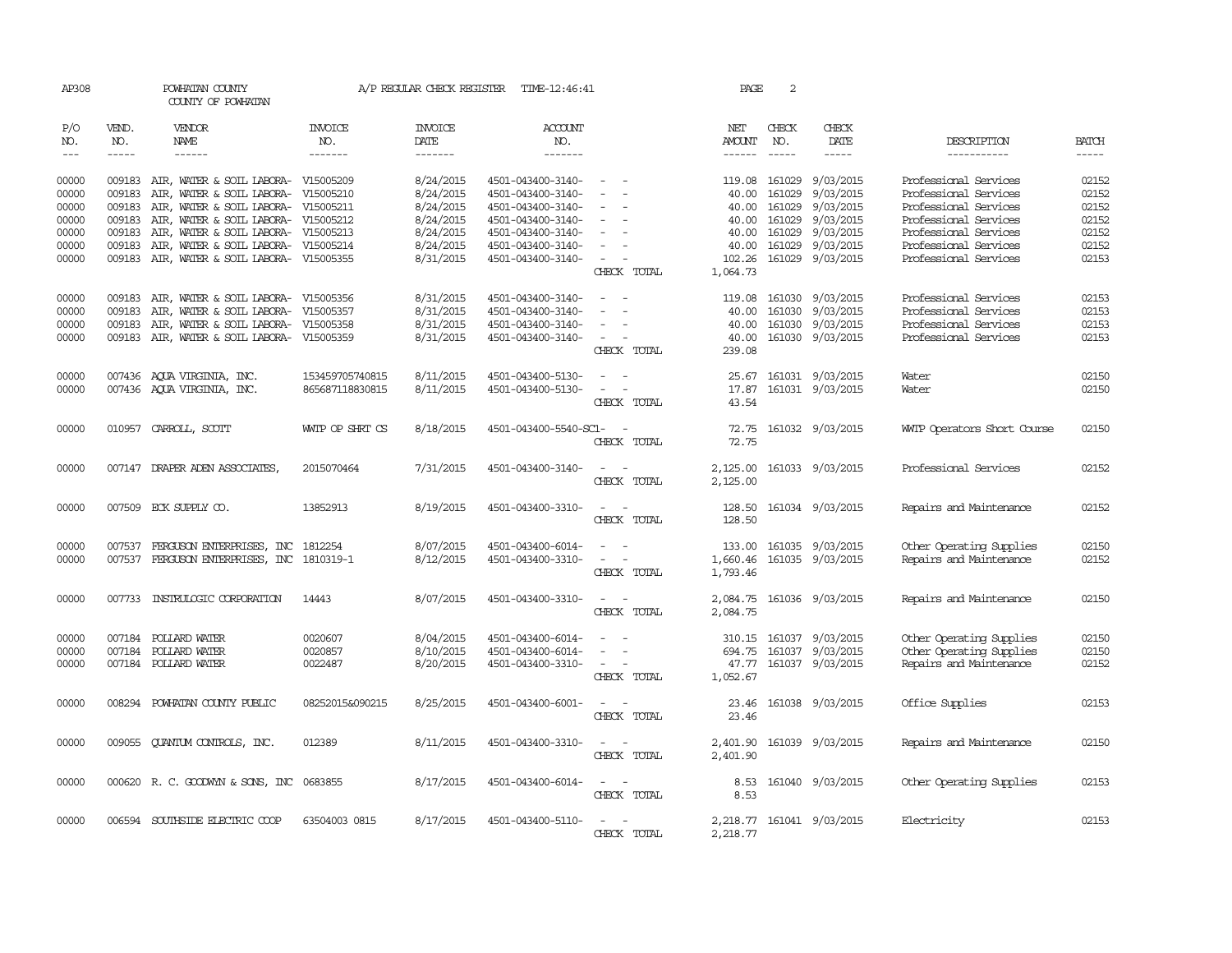| AP308          |                        | POWHATAN COUNTY<br>COUNTY OF POWHATAN                                                                                                                                                                                                                                                                                                                                                                                                                   |                       | A/P REGULAR CHECK REGISTER | TIME-12:46:41                          |                                    | PAGE          | 2                       |                           |                                                |                |
|----------------|------------------------|---------------------------------------------------------------------------------------------------------------------------------------------------------------------------------------------------------------------------------------------------------------------------------------------------------------------------------------------------------------------------------------------------------------------------------------------------------|-----------------------|----------------------------|----------------------------------------|------------------------------------|---------------|-------------------------|---------------------------|------------------------------------------------|----------------|
| P/O<br>NO.     | VEND.<br>NO.           | <b>VENDOR</b><br>NAME                                                                                                                                                                                                                                                                                                                                                                                                                                   | <b>INVOICE</b><br>NO. | <b>INVOICE</b><br>DATE     | ACCOUNT<br>NO.                         |                                    | NET<br>AMOUNT | CHECK<br>NO.            | CHECK<br>DATE             | DESCRIPTION                                    | <b>BATCH</b>   |
| $---$          | $\cdots \cdots \cdots$ | $\begin{tabular}{ccccc} \multicolumn{2}{c }{\multicolumn{2}{c }{\multicolumn{2}{c }{\multicolumn{2}{c}}{\hspace{-2.2cm}}}} \multicolumn{2}{c }{\multicolumn{2}{c }{\hspace{-2.2cm}}\hline} \multicolumn{2}{c }{\hspace{-2.2cm}}\hline \multicolumn{2}{c }{\hspace{-2.2cm}}\hline \multicolumn{2}{c }{\hspace{-2.2cm}}\hline \multicolumn{2}{c }{\hspace{-2.2cm}}\hline \multicolumn{2}{c }{\hspace{-2.2cm}}\hline \multicolumn{2}{c }{\hspace{-2.2cm}}$ | -------               | -------                    | -------                                |                                    |               |                         | -----                     | -----------                                    | $- - - - -$    |
| 00000<br>00000 | 009183                 | 009183 AIR, WATER & SOIL LABORA- V15005209<br>AIR, WATER & SOIL LABORA- V15005210                                                                                                                                                                                                                                                                                                                                                                       |                       | 8/24/2015<br>8/24/2015     | 4501-043400-3140-<br>4501-043400-3140- | $\sim$                             | 40.00         | 119.08 161029<br>161029 | 9/03/2015<br>9/03/2015    | Professional Services<br>Professional Services | 02152<br>02152 |
| 00000          |                        | 009183 AIR, WATER & SOIL LABORA- V15005211                                                                                                                                                                                                                                                                                                                                                                                                              |                       | 8/24/2015                  | 4501-043400-3140-                      |                                    | 40.00         | 161029                  | 9/03/2015                 | Professional Services                          | 02152          |
| 00000          | 009183                 | AIR, WATER & SOIL LABORA- V15005212                                                                                                                                                                                                                                                                                                                                                                                                                     |                       | 8/24/2015                  | 4501-043400-3140-                      | $\overline{\phantom{a}}$           | 40.00         | 161029                  | 9/03/2015                 | Professional Services                          | 02152          |
| 00000          | 009183                 | AIR, WATER & SOIL LABORA- V15005213                                                                                                                                                                                                                                                                                                                                                                                                                     |                       | 8/24/2015                  | 4501-043400-3140-                      | $\overline{\phantom{a}}$           | 40.00         | 161029                  | 9/03/2015                 | Professional Services                          | 02152          |
| 00000          | 009183                 | AIR, WATER & SOIL LABORA- V15005214                                                                                                                                                                                                                                                                                                                                                                                                                     |                       | 8/24/2015                  | 4501-043400-3140-                      |                                    | 40.00         | 161029                  | 9/03/2015                 | Professional Services                          | 02152          |
| 00000          |                        | 009183 AIR, WATER & SOIL LABORA- V15005355                                                                                                                                                                                                                                                                                                                                                                                                              |                       | 8/31/2015                  | 4501-043400-3140-                      |                                    | 102.26        |                         | 161029 9/03/2015          | Professional Services                          | 02153          |
|                |                        |                                                                                                                                                                                                                                                                                                                                                                                                                                                         |                       |                            |                                        | CHECK TOTAL                        | 1,064.73      |                         |                           |                                                |                |
| 00000          | 009183                 | AIR, WATER & SOIL LABORA- V15005356                                                                                                                                                                                                                                                                                                                                                                                                                     |                       | 8/31/2015                  | 4501-043400-3140-                      |                                    |               | 119.08 161030           | 9/03/2015                 | Professional Services                          | 02153          |
| 00000          | 009183                 | AIR, WATER & SOIL LABORA- V15005357                                                                                                                                                                                                                                                                                                                                                                                                                     |                       | 8/31/2015                  | 4501-043400-3140-                      | $\equiv$                           | 40.00         | 161030                  | 9/03/2015                 | Professional Services                          | 02153          |
| 00000          | 009183                 | AIR, WATER & SOIL LABORA- V15005358                                                                                                                                                                                                                                                                                                                                                                                                                     |                       | 8/31/2015                  | 4501-043400-3140-                      | $\overline{\phantom{a}}$           | 40.00         | 161030                  | 9/03/2015                 | Professional Services                          | 02153          |
| 00000          |                        | 009183 AIR, WATER & SOIL LABORA- V15005359                                                                                                                                                                                                                                                                                                                                                                                                              |                       | 8/31/2015                  | 4501-043400-3140-                      | $\sim$                             | 40.00         |                         | 161030 9/03/2015          | Professional Services                          | 02153          |
|                |                        |                                                                                                                                                                                                                                                                                                                                                                                                                                                         |                       |                            |                                        | CHECK TOTAL                        | 239.08        |                         |                           |                                                |                |
| 00000          |                        | 007436 AQUA VIRGINIA, INC.                                                                                                                                                                                                                                                                                                                                                                                                                              | 153459705740815       | 8/11/2015                  | 4501-043400-5130-                      | $\sim$                             | 25.67         |                         | 161031 9/03/2015          | Water                                          | 02150          |
| 00000          |                        | 007436 AQUA VIRGINIA, INC.                                                                                                                                                                                                                                                                                                                                                                                                                              | 865687118830815       | 8/11/2015                  | 4501-043400-5130-                      | $\sim$<br>$\overline{a}$           | 17.87         |                         | 161031 9/03/2015          | Water                                          | 02150          |
|                |                        |                                                                                                                                                                                                                                                                                                                                                                                                                                                         |                       |                            |                                        | CHECK TOTAL                        | 43.54         |                         |                           |                                                |                |
| 00000          | 010957                 | CARROLL, SCOTT                                                                                                                                                                                                                                                                                                                                                                                                                                          | WNIP OP SHRT CS       | 8/18/2015                  | 4501-043400-5540-SC1-                  |                                    | 72.75         |                         | 161032 9/03/2015          | WITP Operators Short Course                    | 02150          |
|                |                        |                                                                                                                                                                                                                                                                                                                                                                                                                                                         |                       |                            |                                        | CHECK TOTAL                        | 72.75         |                         |                           |                                                |                |
| 00000          |                        | 007147 DRAPER ADEN ASSOCIATES                                                                                                                                                                                                                                                                                                                                                                                                                           | 2015070464            | 7/31/2015                  | 4501-043400-3140-                      | $\sim$                             | 2,125.00      |                         | 161033 9/03/2015          | Professional Services                          | 02152          |
|                |                        |                                                                                                                                                                                                                                                                                                                                                                                                                                                         |                       |                            |                                        | CHECK TOTAL                        | 2,125.00      |                         |                           |                                                |                |
| 00000          |                        | 007509 ECK SUPPLY CO.                                                                                                                                                                                                                                                                                                                                                                                                                                   | 13852913              | 8/19/2015                  | 4501-043400-3310-                      | $\sim$<br>- -                      | 128.50        |                         | 161034 9/03/2015          | Repairs and Maintenance                        | 02152          |
|                |                        |                                                                                                                                                                                                                                                                                                                                                                                                                                                         |                       |                            |                                        | CHECK TOTAL                        | 128.50        |                         |                           |                                                |                |
| 00000          |                        | 007537 FERGUSON ENTERPRISES, INC 1812254                                                                                                                                                                                                                                                                                                                                                                                                                |                       | 8/07/2015                  | 4501-043400-6014-                      | $\overline{\phantom{a}}$<br>$\sim$ | 133.00        |                         | 161035 9/03/2015          | Other Operating Supplies                       | 02150          |
| 00000          |                        | 007537 FERGUSON ENTERPRISES, INC 1810319-1                                                                                                                                                                                                                                                                                                                                                                                                              |                       | 8/12/2015                  | 4501-043400-3310-                      | $\sim$<br>$\sim$                   | 1,660.46      | 161035                  | 9/03/2015                 | Repairs and Maintenance                        | 02152          |
|                |                        |                                                                                                                                                                                                                                                                                                                                                                                                                                                         |                       |                            |                                        | CHECK TOTAL                        | 1,793.46      |                         |                           |                                                |                |
| 00000          |                        | 007733 INSTRULOGIC CORPORATION                                                                                                                                                                                                                                                                                                                                                                                                                          | 14443                 | 8/07/2015                  | 4501-043400-3310-                      | $\sim$                             |               |                         | 2,084.75 161036 9/03/2015 | Repairs and Maintenance                        | 02150          |
|                |                        |                                                                                                                                                                                                                                                                                                                                                                                                                                                         |                       |                            |                                        | CHECK TOTAL                        | 2,084.75      |                         |                           |                                                |                |
| 00000          |                        | 007184 POLLARD WATER                                                                                                                                                                                                                                                                                                                                                                                                                                    | 0020607               | 8/04/2015                  | 4501-043400-6014-                      | $\overline{\phantom{a}}$           |               | 310.15 161037           | 9/03/2015                 | Other Operating Supplies                       | 02150          |
| 00000          |                        | 007184 POLLARD WATER                                                                                                                                                                                                                                                                                                                                                                                                                                    | 0020857               | 8/10/2015                  | 4501-043400-6014-                      | $\sim$<br>$\overline{\phantom{a}}$ |               | 694.75 161037           | 9/03/2015                 | Other Operating Supplies                       | 02150          |
| 00000          |                        | 007184 POLLARD WATER                                                                                                                                                                                                                                                                                                                                                                                                                                    | 0022487               | 8/20/2015                  | 4501-043400-3310-                      |                                    | 47.77         |                         | 161037 9/03/2015          | Repairs and Maintenance                        | 02152          |
|                |                        |                                                                                                                                                                                                                                                                                                                                                                                                                                                         |                       |                            |                                        | CHECK TOTAL                        | 1,052.67      |                         |                           |                                                |                |
| 00000          |                        | 008294 POWHATAN COUNTY PUBLIC                                                                                                                                                                                                                                                                                                                                                                                                                           | 08252015&090215       | 8/25/2015                  | 4501-043400-6001-                      |                                    | 23.46         |                         | 161038 9/03/2015          | Office Supplies                                | 02153          |
|                |                        |                                                                                                                                                                                                                                                                                                                                                                                                                                                         |                       |                            |                                        | CHECK TOTAL                        | 23.46         |                         |                           |                                                |                |
| 00000          |                        | 009055 QUANTUM CONTROLS, INC.                                                                                                                                                                                                                                                                                                                                                                                                                           | 012389                | 8/11/2015                  | 4501-043400-3310-                      | $\sim$<br>$\sim$                   | 2,401.90      |                         | 161039 9/03/2015          | Repairs and Maintenance                        | 02150          |
|                |                        |                                                                                                                                                                                                                                                                                                                                                                                                                                                         |                       |                            |                                        | CHECK TOTAL                        | 2,401.90      |                         |                           |                                                |                |
| 00000          |                        | 000620 R. C. GOODWYN & SONS, INC 0683855                                                                                                                                                                                                                                                                                                                                                                                                                |                       | 8/17/2015                  | 4501-043400-6014-                      | $\sim$<br>$\sim$                   | 8.53          |                         | 161040 9/03/2015          | Other Operating Supplies                       | 02153          |
|                |                        |                                                                                                                                                                                                                                                                                                                                                                                                                                                         |                       |                            |                                        | CHECK TOTAL                        | 8.53          |                         |                           |                                                |                |
| 00000          |                        | 006594 SOUTHSIDE ELECTRIC COOP                                                                                                                                                                                                                                                                                                                                                                                                                          | 63504003 0815         | 8/17/2015                  | 4501-043400-5110-                      | $\sim$                             |               |                         | 2,218.77 161041 9/03/2015 | Electricity                                    | 02153          |
|                |                        |                                                                                                                                                                                                                                                                                                                                                                                                                                                         |                       |                            |                                        | CHECK TOTAL                        | 2,218.77      |                         |                           |                                                |                |
|                |                        |                                                                                                                                                                                                                                                                                                                                                                                                                                                         |                       |                            |                                        |                                    |               |                         |                           |                                                |                |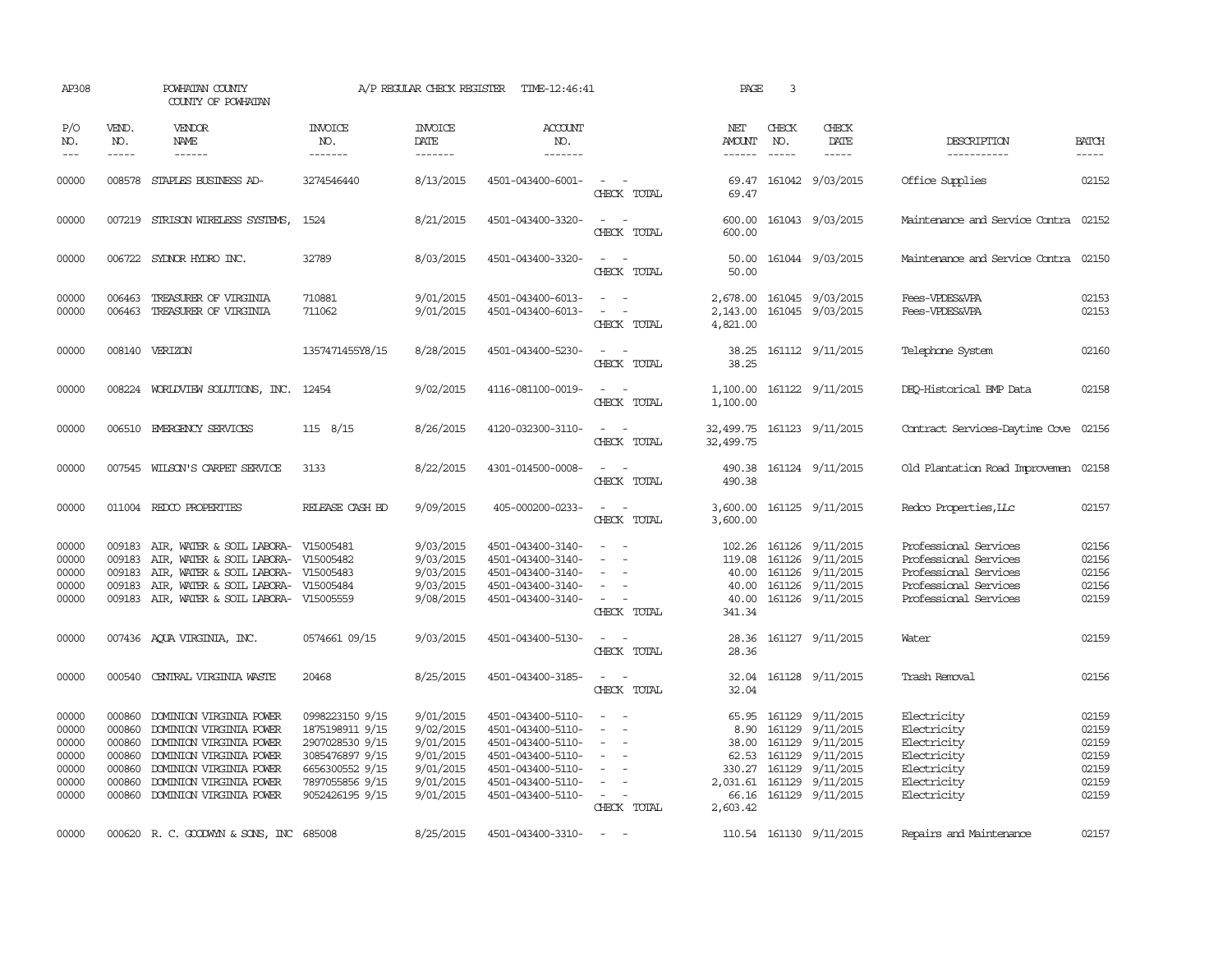| AP308                                                       |                                                                    | POWHATAN COUNTY<br>COUNTY OF POWHATAN                                                                                                                                                        |                                                                                                                                   | A/P REGULAR CHECK REGISTER                                                              | TIME-12:46:41                                                                                                                                   |                                                                                         | PAGE                                                     | 3                                          |                                                                                                                     |                                                                                                                           |                                                             |
|-------------------------------------------------------------|--------------------------------------------------------------------|----------------------------------------------------------------------------------------------------------------------------------------------------------------------------------------------|-----------------------------------------------------------------------------------------------------------------------------------|-----------------------------------------------------------------------------------------|-------------------------------------------------------------------------------------------------------------------------------------------------|-----------------------------------------------------------------------------------------|----------------------------------------------------------|--------------------------------------------|---------------------------------------------------------------------------------------------------------------------|---------------------------------------------------------------------------------------------------------------------------|-------------------------------------------------------------|
| P/O<br>NO.<br>$ -$                                          | VEND.<br>NO.<br>$- - - - -$                                        | <b>VENDOR</b><br>NAME<br>$- - - - - -$                                                                                                                                                       | <b>INVOICE</b><br>NO.<br>-------                                                                                                  | <b>INVOICE</b><br><b>DATE</b><br>-------                                                | <b>ACCOUNT</b><br>NO.<br>-------                                                                                                                |                                                                                         | NET<br>AMOUNT<br>$- - - - - -$                           | CHECK<br>NO.<br>$- - - - -$                | CHECK<br>DATE<br>$- - - - -$                                                                                        | DESCRIPTION<br>-----------                                                                                                | <b>BATCH</b><br>-----                                       |
| 00000                                                       | 008578                                                             | STAPLES BUSINESS AD-                                                                                                                                                                         | 3274546440                                                                                                                        | 8/13/2015                                                                               | 4501-043400-6001-                                                                                                                               | $\sim$<br>CHECK TOTAL                                                                   | 69.47<br>69.47                                           |                                            | 161042 9/03/2015                                                                                                    | Office Supplies                                                                                                           | 02152                                                       |
| 00000                                                       |                                                                    | 007219 STRISON WIRELESS SYSTEMS,                                                                                                                                                             | 1524                                                                                                                              | 8/21/2015                                                                               | 4501-043400-3320-                                                                                                                               | CHECK TOTAL                                                                             | 600.00                                                   |                                            | 600.00 161043 9/03/2015                                                                                             | Maintenance and Service Contra 02152                                                                                      |                                                             |
| 00000                                                       |                                                                    | 006722 SYLNOR HYDRO INC.                                                                                                                                                                     | 32789                                                                                                                             | 8/03/2015                                                                               | 4501-043400-3320-                                                                                                                               | $\sim$ 10 $\sim$ 10 $\sim$<br>CHECK TOTAL                                               | 50.00<br>50.00                                           |                                            | 161044 9/03/2015                                                                                                    | Maintenance and Service Contra 02150                                                                                      |                                                             |
| 00000<br>00000                                              | 006463<br>006463                                                   | TREASURER OF VIRGINIA<br>TREASURER OF VIRGINIA                                                                                                                                               | 710881<br>711062                                                                                                                  | 9/01/2015<br>9/01/2015                                                                  | 4501-043400-6013-<br>4501-043400-6013-                                                                                                          | $\overline{\phantom{a}}$<br>CHECK TOTAL                                                 | 2,143.00<br>4,821.00                                     |                                            | 2,678.00 161045 9/03/2015<br>161045 9/03/2015                                                                       | Fees-VPDES&VPA<br>Fees-VPDES&VPA                                                                                          | 02153<br>02153                                              |
| 00000                                                       |                                                                    | 008140 VERIZON                                                                                                                                                                               | 1357471455Y8/15                                                                                                                   | 8/28/2015                                                                               | 4501-043400-5230-                                                                                                                               | CHECK TOTAL                                                                             | 38.25<br>38.25                                           |                                            | 161112 9/11/2015                                                                                                    | Telephone System                                                                                                          | 02160                                                       |
| 00000                                                       |                                                                    | 008224 WORLDVIEW SOLUTIONS, INC. 12454                                                                                                                                                       |                                                                                                                                   | 9/02/2015                                                                               | 4116-081100-0019-                                                                                                                               | CHECK TOTAL                                                                             | 1,100.00<br>1,100.00                                     |                                            | 161122 9/11/2015                                                                                                    | DEO-Historical BMP Data                                                                                                   | 02158                                                       |
| 00000                                                       | 006510                                                             | EMERGENCY SERVICES                                                                                                                                                                           | $115 \quad 8/15$                                                                                                                  | 8/26/2015                                                                               | 4120-032300-3110-                                                                                                                               | CHECK TOTAL                                                                             | 32,499.75<br>32,499.75                                   |                                            | 161123 9/11/2015                                                                                                    | Contract Services-Daytime Cove                                                                                            | 02156                                                       |
| 00000                                                       |                                                                    | 007545 WILSON'S CARPET SERVICE                                                                                                                                                               | 3133                                                                                                                              | 8/22/2015                                                                               | 4301-014500-0008-                                                                                                                               | CHECK TOTAL                                                                             | 490.38<br>490.38                                         |                                            | 161124 9/11/2015                                                                                                    | Old Plantation Road Improvemen 02158                                                                                      |                                                             |
| 00000                                                       |                                                                    | 011004 REDCO PROPERTIES                                                                                                                                                                      | RELEASE CASH BD                                                                                                                   | 9/09/2015                                                                               | 405-000200-0233-                                                                                                                                | $\sim$<br>CHECK TOTAL                                                                   | 3,600.00                                                 |                                            | 3,600.00 161125 9/11/2015                                                                                           | Redco Properties, LLC                                                                                                     | 02157                                                       |
| 00000<br>00000<br>00000<br>00000<br>00000                   | 009183<br>009183<br>009183<br>009183                               | AIR, WATER & SOIL LABORA- V15005481<br>AIR, WATER & SOIL LABORA- V15005482<br>AIR, WATER & SOIL LABORA- V15005483<br>AIR, WATER & SOIL LABORA-<br>009183 AIR, WATER & SOIL LABORA- V15005559 | V15005484                                                                                                                         | 9/03/2015<br>9/03/2015<br>9/03/2015<br>9/03/2015<br>9/08/2015                           | 4501-043400-3140-<br>4501-043400-3140-<br>4501-043400-3140-<br>4501-043400-3140-<br>4501-043400-3140-                                           | $\overline{\phantom{a}}$<br>$\sim$<br>$\overline{\phantom{a}}$<br>CHECK TOTAL           | 119.08<br>40.00<br>341.34                                |                                            | 102.26 161126 9/11/2015<br>161126 9/11/2015<br>40.00 161126 9/11/2015<br>161126 9/11/2015<br>40.00 161126 9/11/2015 | Professional Services<br>Professional Services<br>Professional Services<br>Professional Services<br>Professional Services | 02156<br>02156<br>02156<br>02156<br>02159                   |
| 00000                                                       |                                                                    | 007436 AQUA VIRGINIA, INC.                                                                                                                                                                   | 0574661 09/15                                                                                                                     | 9/03/2015                                                                               | 4501-043400-5130-                                                                                                                               | CHECK TOTAL                                                                             | 28.36<br>28.36                                           |                                            | 161127 9/11/2015                                                                                                    | Water                                                                                                                     | 02159                                                       |
| 00000                                                       | 000540                                                             | CENTRAL VIRGINIA WASTE                                                                                                                                                                       | 20468                                                                                                                             | 8/25/2015                                                                               | 4501-043400-3185-                                                                                                                               | $\sim$ $  -$<br>CHECK TOTAL                                                             | 32.04                                                    |                                            | 32.04 161128 9/11/2015                                                                                              | Trash Removal                                                                                                             | 02156                                                       |
| 00000<br>00000<br>00000<br>00000<br>00000<br>00000<br>00000 | 000860<br>000860<br>000860<br>000860<br>000860<br>000860<br>000860 | DOMINION VIRGINIA POWER<br>DOMINION VIRGINIA POWER<br>DOMINION VIRGINIA POWER<br>DOMINION VIRGINIA POWER<br>DOMINION VIRGINIA POWER<br>DOMINION VIRGINIA POWER<br>DOMINION VIRGINIA POWER    | 0998223150 9/15<br>1875198911 9/15<br>2907028530 9/15<br>3085476897 9/15<br>6656300552 9/15<br>7897055856 9/15<br>9052426195 9/15 | 9/01/2015<br>9/02/2015<br>9/01/2015<br>9/01/2015<br>9/01/2015<br>9/01/2015<br>9/01/2015 | 4501-043400-5110-<br>4501-043400-5110-<br>4501-043400-5110-<br>4501-043400-5110-<br>4501-043400-5110-<br>4501-043400-5110-<br>4501-043400-5110- | $\sim$<br>$\overline{\phantom{a}}$<br>$\sim$<br>$\overline{\phantom{a}}$<br>CHECK TOTAL | 8.90<br>62.53<br>330.27<br>2,031.61<br>66.16<br>2,603.42 | 38.00 161129<br>161129<br>161129<br>161129 | 65.95 161129 9/11/2015<br>161129 9/11/2015<br>9/11/2015<br>9/11/2015<br>9/11/2015<br>9/11/2015<br>161129 9/11/2015  | Electricity<br>Electricity<br>Electricity<br>Electricity<br>Electricity<br>Electricity<br>Electricity                     | 02159<br>02159<br>02159<br>02159<br>02159<br>02159<br>02159 |
| 00000                                                       |                                                                    | 000620 R. C. GOODWYN & SONS, INC 685008                                                                                                                                                      |                                                                                                                                   | 8/25/2015                                                                               | 4501-043400-3310-                                                                                                                               | $\sim$ 100 $\mu$                                                                        |                                                          |                                            | 110.54 161130 9/11/2015                                                                                             | Repairs and Maintenance                                                                                                   | 02157                                                       |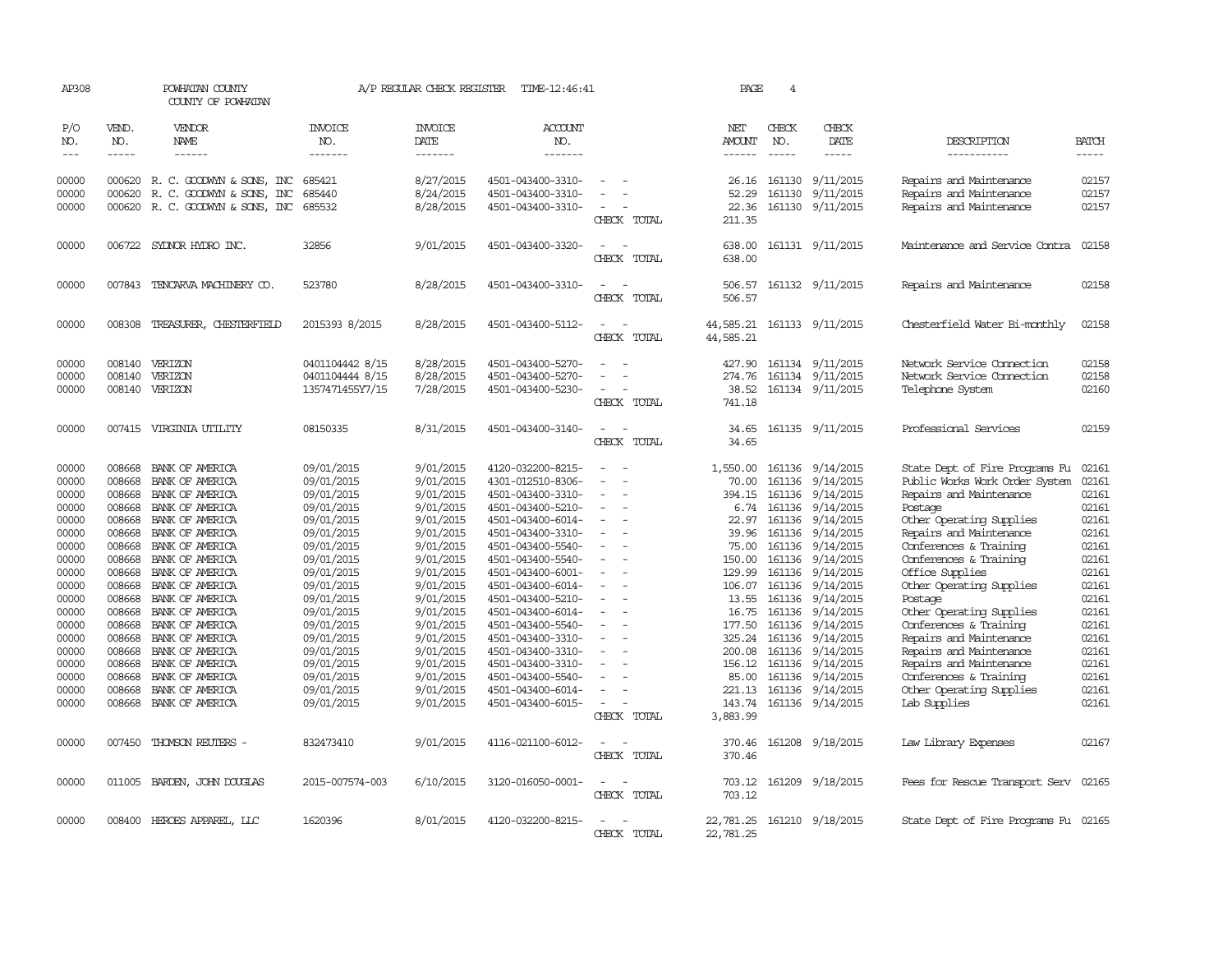| AP308          |                  | POWHATAN COUNTY<br>COUNTY OF POWHATAN                         |                          | A/P REGULAR CHECK REGISTER | TIME-12:46:41                          |                                         | PAGE                   | 4             |                                      |                                                    |                |
|----------------|------------------|---------------------------------------------------------------|--------------------------|----------------------------|----------------------------------------|-----------------------------------------|------------------------|---------------|--------------------------------------|----------------------------------------------------|----------------|
| P/O<br>NO.     | VEND.<br>NO.     | VENDOR<br>NAME                                                | <b>INVOICE</b><br>NO.    | <b>INVOICE</b><br>DATE     | <b>ACCOUNT</b><br>NO.                  |                                         | NET<br>AMOUNT          | CHECK<br>NO.  | CHECK<br>DATE                        | DESCRIPTION                                        | <b>BATCH</b>   |
| $- - -$        | $\frac{1}{2}$    | ------                                                        | -------                  | -------                    | -------                                |                                         | $- - - - - -$          | $\frac{1}{2}$ | $\frac{1}{2}$                        | -----------                                        | -----          |
| 00000<br>00000 | 000620           | 000620 R. C. GOODWYN & SONS, INC<br>R. C. GOODWYN & SONS, INC | 685421<br>685440         | 8/27/2015<br>8/24/2015     | 4501-043400-3310-<br>4501-043400-3310- | $\overline{\phantom{a}}$                | 26.16<br>52.29         | 161130        | 161130 9/11/2015<br>9/11/2015        | Repairs and Maintenance<br>Repairs and Maintenance | 02157<br>02157 |
| 00000          |                  | 000620 R. C. GOODWYN & SONS, INC                              | 685532                   | 8/28/2015                  | 4501-043400-3310-                      | CHECK TOTAL                             | 22.36<br>211.35        |               | 161130 9/11/2015                     | Repairs and Maintenance                            | 02157          |
| 00000          |                  | 006722 SYDNOR HYDRO INC.                                      | 32856                    | 9/01/2015                  | 4501-043400-3320-                      | CHECK TOTAL                             | 638.00<br>638.00       |               | 161131 9/11/2015                     | Maintenance and Service Contra                     | 02158          |
| 00000          | 007843           | TENCARVA MACHINERY CO.                                        | 523780                   | 8/28/2015                  | 4501-043400-3310-                      | CHECK TOTAL                             | 506.57<br>506.57       |               | 161132 9/11/2015                     | Repairs and Maintenance                            | 02158          |
| 00000          | 008308           | TREASURER, CHESTERFIELD                                       | 2015393 8/2015           | 8/28/2015                  | 4501-043400-5112-                      | $\overline{\phantom{a}}$<br>CHECK TOTAL | 44,585.21<br>44,585.21 |               | 161133 9/11/2015                     | Chesterfield Water Bi-monthly                      | 02158          |
| 00000          |                  | 008140 VERIZON                                                | 0401104442 8/15          | 8/28/2015                  | 4501-043400-5270-                      |                                         | 427.90                 |               | 161134 9/11/2015                     | Network Service Connection                         | 02158          |
| 00000          | 008140           | VERIZON                                                       | 0401104444 8/15          | 8/28/2015                  | 4501-043400-5270-                      |                                         | 274.76                 |               | 161134 9/11/2015                     | Network Service Cornection                         | 02158          |
| 00000          | 008140           | VERIZON                                                       | 1357471455Y7/15          | 7/28/2015                  | 4501-043400-5230-                      | CHECK TOTAL                             | 38.52<br>741.18        |               | 161134 9/11/2015                     | Telephone System                                   | 02160          |
| 00000          |                  | 007415 VIRGINIA UTILITY                                       | 08150335                 | 8/31/2015                  | 4501-043400-3140-                      | CHECK TOTAL                             | 34.65<br>34.65         |               | 161135 9/11/2015                     | Professional Services                              | 02159          |
| 00000          | 008668           | BANK OF AMERICA                                               | 09/01/2015               | 9/01/2015                  | 4120-032200-8215-                      |                                         | 1,550.00               |               | 161136 9/14/2015                     | State Dept of Fire Programs Fu                     | 02161          |
| 00000          | 008668           | BANK OF AMERICA                                               | 09/01/2015               | 9/01/2015                  | 4301-012510-8306-                      |                                         | 70.00                  | 161136        | 9/14/2015                            | Public Works Work Order System                     | 02161          |
| 00000          | 008668           | BANK OF AMERICA                                               | 09/01/2015               | 9/01/2015                  | 4501-043400-3310-                      |                                         | 394.15                 |               | 161136 9/14/2015                     | Repairs and Maintenance                            | 02161          |
| 00000          | 008668           | BANK OF AMERICA                                               | 09/01/2015               | 9/01/2015                  | 4501-043400-5210-                      |                                         | 6.74                   |               | 161136 9/14/2015                     | Postage                                            | 02161          |
| 00000          | 008668           | BANK OF AMERICA                                               | 09/01/2015               | 9/01/2015                  | 4501-043400-6014-                      |                                         | 22.97                  | 161136        | 9/14/2015                            | Other Operating Supplies                           | 02161          |
| 00000          | 008668           | BANK OF AMERICA                                               | 09/01/2015               | 9/01/2015                  | 4501-043400-3310-                      | $\overline{\phantom{a}}$                | 39.96                  |               | 161136 9/14/2015                     | Repairs and Maintenance                            | 02161          |
| 00000<br>00000 | 008668<br>008668 | BANK OF AMERICA<br>BANK OF AMERICA                            | 09/01/2015<br>09/01/2015 | 9/01/2015<br>9/01/2015     | 4501-043400-5540-<br>4501-043400-5540- |                                         | 75.00<br>150.00        |               | 161136 9/14/2015<br>161136 9/14/2015 | Conferences & Training<br>Conferences & Training   | 02161<br>02161 |
| 00000          | 008668           | BANK OF AMERICA                                               | 09/01/2015               | 9/01/2015                  | 4501-043400-6001-                      |                                         | 129.99                 | 161136        | 9/14/2015                            | Office Supplies                                    | 02161          |
| 00000          | 008668           | BANK OF AMERICA                                               | 09/01/2015               | 9/01/2015                  | 4501-043400-6014-                      |                                         | 106.07                 |               | 161136 9/14/2015                     | Other Operating Supplies                           | 02161          |
| 00000          | 008668           | BANK OF AMERICA                                               | 09/01/2015               | 9/01/2015                  | 4501-043400-5210-                      |                                         | 13.55                  |               | 161136 9/14/2015                     | Postage                                            | 02161          |
| 00000          | 008668           | BANK OF AMERICA                                               | 09/01/2015               | 9/01/2015                  | 4501-043400-6014-                      |                                         | 16.75                  | 161136        | 9/14/2015                            | Other Operating Supplies                           | 02161          |
| 00000          | 008668           | BANK OF AMERICA                                               | 09/01/2015               | 9/01/2015                  | 4501-043400-5540-                      |                                         | 177.50                 |               | 161136 9/14/2015                     | Conferences & Training                             | 02161          |
| 00000          | 008668           | BANK OF AMERICA                                               | 09/01/2015               | 9/01/2015                  | 4501-043400-3310-                      | $\overline{\phantom{a}}$                |                        |               | 325.24 161136 9/14/2015              | Repairs and Maintenance                            | 02161          |
| 00000          | 008668           | BANK OF AMERICA                                               | 09/01/2015               | 9/01/2015                  | 4501-043400-3310-                      |                                         | 200.08                 | 161136        | 9/14/2015                            | Repairs and Maintenance                            | 02161          |
| 00000          | 008668           | BANK OF AMERICA                                               | 09/01/2015               | 9/01/2015                  | 4501-043400-3310-                      |                                         |                        |               | 156.12 161136 9/14/2015              | Repairs and Maintenance                            | 02161          |
| 00000          | 008668           | BANK OF AMERICA                                               | 09/01/2015               | 9/01/2015                  | 4501-043400-5540-                      |                                         | 85.00                  |               | 161136 9/14/2015                     | Conferences & Training                             | 02161          |
| 00000          | 008668           | BANK OF AMERICA                                               | 09/01/2015               | 9/01/2015                  | 4501-043400-6014-                      |                                         | 221.13                 |               | 161136 9/14/2015                     | Other Operating Supplies                           | 02161          |
| 00000          |                  | 008668 BANK OF AMERICA                                        | 09/01/2015               | 9/01/2015                  | 4501-043400-6015-                      | $\overline{\phantom{a}}$<br>CHECK TOTAL | 143.74<br>3,883.99     |               | 161136 9/14/2015                     | Lab Supplies                                       | 02161          |
| 00000          | 007450           | THOMSON REUTERS -                                             | 832473410                | 9/01/2015                  | 4116-021100-6012-                      | CHECK TOTAL                             | 370.46<br>370.46       |               | 161208 9/18/2015                     | Law Library Expenses                               | 02167          |
| 00000          | 011005           | BARDEN, JOHN DOUGLAS                                          | 2015-007574-003          | 6/10/2015                  | 3120-016050-0001-                      | $\overline{\phantom{a}}$<br>CHECK TOTAL | 703.12<br>703.12       |               | 161209 9/18/2015                     | Fees for Rescue Transport Serv                     | 02165          |
| 00000          |                  | 008400 HEROES APPAREL, LLC                                    | 1620396                  | 8/01/2015                  | 4120-032200-8215-                      | CHECK TOTAL                             | 22,781.25              |               | 22,781.25 161210 9/18/2015           | State Dept of Fire Programs Fu 02165               |                |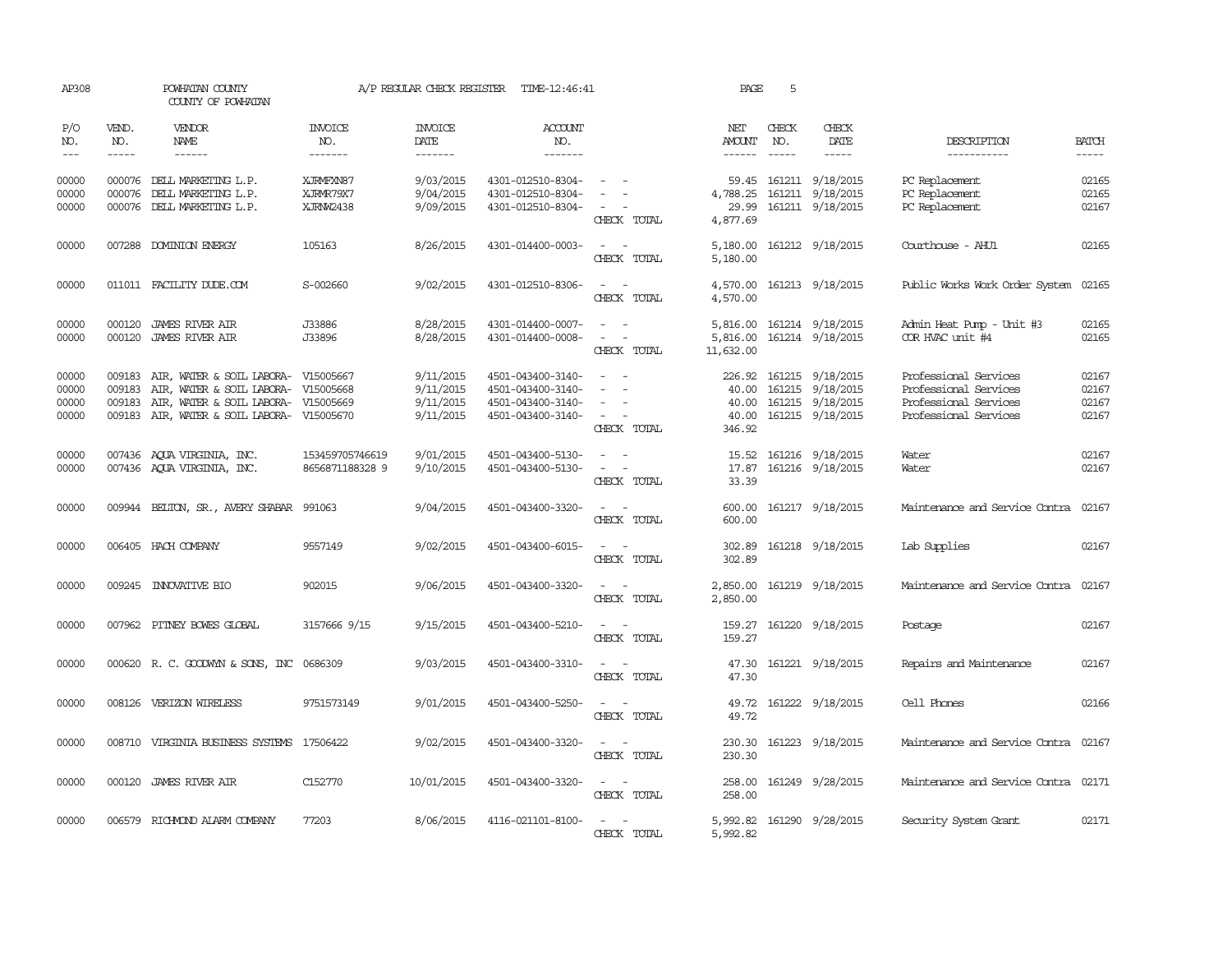| AP308                            |                             | POWHATAN COUNTY<br>COUNTY OF POWHATAN                                                                                                                                                                                                                                             |                                     |                                                  | A/P REGULAR CHECK REGISTER TIME-12:46:41                                         |                                                                                                                                                                                                                                                          | PAGE                                  | 5                           |                                                                                                                                                                                                                                                                                                                                                                                                                                                                                                      |                                                                                                  |                                                                                                                                                                                                                                                                                                                                                                                                                                                                                               |
|----------------------------------|-----------------------------|-----------------------------------------------------------------------------------------------------------------------------------------------------------------------------------------------------------------------------------------------------------------------------------|-------------------------------------|--------------------------------------------------|----------------------------------------------------------------------------------|----------------------------------------------------------------------------------------------------------------------------------------------------------------------------------------------------------------------------------------------------------|---------------------------------------|-----------------------------|------------------------------------------------------------------------------------------------------------------------------------------------------------------------------------------------------------------------------------------------------------------------------------------------------------------------------------------------------------------------------------------------------------------------------------------------------------------------------------------------------|--------------------------------------------------------------------------------------------------|-----------------------------------------------------------------------------------------------------------------------------------------------------------------------------------------------------------------------------------------------------------------------------------------------------------------------------------------------------------------------------------------------------------------------------------------------------------------------------------------------|
| P/O<br>NO.<br>$---$              | VEND.<br>NO.<br>$- - - - -$ | VENDOR<br>NAME<br>$\begin{tabular}{ccccc} \multicolumn{2}{c }{\multicolumn{2}{c }{\multicolumn{2}{c }{\multicolumn{2}{c}}}{\multicolumn{2}{c }{\multicolumn{2}{c}}}{\multicolumn{2}{c }{\multicolumn{2}{c}}}{\multicolumn{2}{c }{\multicolumn{2}{c}}}\end{tabular} \end{tabular}$ | <b>INVOICE</b><br>NO.<br>-------    | <b>INVOICE</b><br><b>DATE</b><br>--------        | <b>ACCOUNT</b><br>NO.<br>-------                                                 |                                                                                                                                                                                                                                                          | NET<br><b>AMOUNT</b><br>$- - - - - -$ | CHECK<br>NO.<br>$- - - - -$ | CHECK<br>DATE<br>$\begin{tabular}{ccccc} \multicolumn{2}{c}{} & \multicolumn{2}{c}{} & \multicolumn{2}{c}{} & \multicolumn{2}{c}{} & \multicolumn{2}{c}{} & \multicolumn{2}{c}{} & \multicolumn{2}{c}{} & \multicolumn{2}{c}{} & \multicolumn{2}{c}{} & \multicolumn{2}{c}{} & \multicolumn{2}{c}{} & \multicolumn{2}{c}{} & \multicolumn{2}{c}{} & \multicolumn{2}{c}{} & \multicolumn{2}{c}{} & \multicolumn{2}{c}{} & \multicolumn{2}{c}{} & \multicolumn{2}{c}{} & \multicolumn{2}{c}{} & \mult$ | DESCRIPTION<br>-----------                                                                       | <b>BATCH</b><br>$\begin{tabular}{ccccc} \multicolumn{2}{c }{\multicolumn{2}{c }{\multicolumn{2}{c }{\multicolumn{2}{c}}}{\multicolumn{2}{c }{\multicolumn{2}{c}}}\end{tabular} \end{tabular} \begin{tabular}{c c }{\multicolumn{2}{c }{\multicolumn{2}{c }{\multicolumn{2}{c}}}{\multicolumn{2}{c }{\multicolumn{2}{c}}}{\multicolumn{2}{c }{\multicolumn{2}{c}}}{\multicolumn{2}{c }{\multicolumn{2}{c}}}{\end{tabular} \begin{tabular}{c c }{\multicolumn{2}{c }{\multicolumn{2}{c }{\mult$ |
| 00000<br>00000<br>00000          |                             | 000076 DELL MARKETING L.P.<br>000076 DELL MARKETING L.P.<br>000076 DELL MARKETING L.P.                                                                                                                                                                                            | XJRMFXN87<br>XJRMR79X7<br>XJRNW2438 | 9/03/2015<br>9/04/2015<br>9/09/2015              | 4301-012510-8304-<br>4301-012510-8304-<br>4301-012510-8304-                      | $\sim$ 100 $\sim$<br>$\sim$ 100 $\mu$<br>CHECK TOTAL                                                                                                                                                                                                     | 4,788.25<br>29.99<br>4,877.69         |                             | 59.45 161211 9/18/2015<br>161211 9/18/2015<br>161211 9/18/2015                                                                                                                                                                                                                                                                                                                                                                                                                                       | PC Replacement<br>PC Replacement<br>PC Replacement                                               | 02165<br>02165<br>02167                                                                                                                                                                                                                                                                                                                                                                                                                                                                       |
| 00000                            |                             | 007288 DOMINION ENERGY                                                                                                                                                                                                                                                            | 105163                              | 8/26/2015                                        | 4301-014400-0003-                                                                | $\sim$ $  -$<br>CHECK TOTAL                                                                                                                                                                                                                              | 5,180.00                              |                             | 5,180.00 161212 9/18/2015                                                                                                                                                                                                                                                                                                                                                                                                                                                                            | Courthouse - AHU1                                                                                | 02165                                                                                                                                                                                                                                                                                                                                                                                                                                                                                         |
| 00000                            |                             | 011011 FACILITY DUDE.COM                                                                                                                                                                                                                                                          | S-002660                            | 9/02/2015                                        | 4301-012510-8306-                                                                | $\frac{1}{2} \left( \frac{1}{2} \right) \left( \frac{1}{2} \right) = \frac{1}{2} \left( \frac{1}{2} \right)$<br>CHECK TOTAL                                                                                                                              | 4,570.00                              |                             | 4,570.00 161213 9/18/2015                                                                                                                                                                                                                                                                                                                                                                                                                                                                            | Public Works Work Order System                                                                   | 02165                                                                                                                                                                                                                                                                                                                                                                                                                                                                                         |
| 00000<br>00000                   | 000120                      | <b>JAMES RIVER AIR</b><br>000120 JAMES RIVER AIR                                                                                                                                                                                                                                  | J33886<br>J33896                    | 8/28/2015<br>8/28/2015                           | 4301-014400-0007-<br>4301-014400-0008-                                           | $\hspace{0.1mm}-\hspace{0.1mm}$<br>$\sim$<br>$\omega_{\rm{max}}$ and $\omega_{\rm{max}}$<br>CHECK TOTAL                                                                                                                                                  | 5,816.00<br>5,816.00<br>11,632.00     |                             | 161214 9/18/2015<br>161214 9/18/2015                                                                                                                                                                                                                                                                                                                                                                                                                                                                 | Admin Heat Pump - Unit #3<br>COR HVAC unit #4                                                    | 02165<br>02165                                                                                                                                                                                                                                                                                                                                                                                                                                                                                |
| 00000<br>00000<br>00000<br>00000 | 009183<br>009183            | AIR, WATER & SOIL LABORA- V15005667<br>AIR, WATER & SOIL LABORA- V15005668<br>009183 AIR, WATER & SOIL LABORA- V15005669<br>009183 AIR, WATER & SOIL LABORA- V15005670                                                                                                            |                                     | 9/11/2015<br>9/11/2015<br>9/11/2015<br>9/11/2015 | 4501-043400-3140-<br>4501-043400-3140-<br>4501-043400-3140-<br>4501-043400-3140- | $\overline{\phantom{a}}$<br>$\sim$<br>CHECK TOTAL                                                                                                                                                                                                        | 40.00<br>40.00<br>40.00<br>346.92     |                             | 226.92 161215 9/18/2015<br>161215 9/18/2015<br>161215 9/18/2015<br>161215 9/18/2015                                                                                                                                                                                                                                                                                                                                                                                                                  | Professional Services<br>Professional Services<br>Professional Services<br>Professional Services | 02167<br>02167<br>02167<br>02167                                                                                                                                                                                                                                                                                                                                                                                                                                                              |
| 00000<br>00000                   |                             | 007436 AQUA VIRGINIA, INC.<br>007436 AQUA VIRGINIA, INC.                                                                                                                                                                                                                          | 153459705746619<br>8656871188328 9  | 9/01/2015<br>9/10/2015                           | 4501-043400-5130-<br>4501-043400-5130-                                           | $\frac{1}{2} \left( \frac{1}{2} \right) \left( \frac{1}{2} \right) = \frac{1}{2} \left( \frac{1}{2} \right)$<br>$\frac{1}{2} \left( \frac{1}{2} \right) \left( \frac{1}{2} \right) \left( \frac{1}{2} \right) \left( \frac{1}{2} \right)$<br>CHECK TOTAL | 15.52<br>17.87<br>33.39               |                             | 161216 9/18/2015<br>161216 9/18/2015                                                                                                                                                                                                                                                                                                                                                                                                                                                                 | Water<br>Water                                                                                   | 02167<br>02167                                                                                                                                                                                                                                                                                                                                                                                                                                                                                |
| 00000                            |                             | 009944 BELTON, SR., AVERY SHABAR 991063                                                                                                                                                                                                                                           |                                     | 9/04/2015                                        | 4501-043400-3320-                                                                | CHECK TOTAL                                                                                                                                                                                                                                              | 600.00<br>600.00                      |                             | 161217 9/18/2015                                                                                                                                                                                                                                                                                                                                                                                                                                                                                     | Maintenance and Service Contra                                                                   | 02167                                                                                                                                                                                                                                                                                                                                                                                                                                                                                         |
| 00000                            |                             | 006405 HACH COMPANY                                                                                                                                                                                                                                                               | 9557149                             | 9/02/2015                                        | 4501-043400-6015-                                                                | $\sim$ $\sim$<br>CHECK TOTAL                                                                                                                                                                                                                             | 302.89<br>302.89                      |                             | 161218 9/18/2015                                                                                                                                                                                                                                                                                                                                                                                                                                                                                     | Lab Supplies                                                                                     | 02167                                                                                                                                                                                                                                                                                                                                                                                                                                                                                         |
| 00000                            |                             | 009245 INNOVATIVE BIO                                                                                                                                                                                                                                                             | 902015                              | 9/06/2015                                        | 4501-043400-3320-                                                                | $\frac{1}{2} \left( \frac{1}{2} \right) \left( \frac{1}{2} \right) = \frac{1}{2} \left( \frac{1}{2} \right)$<br>CHECK TOTAL                                                                                                                              | 2,850.00<br>2,850.00                  |                             | 161219 9/18/2015                                                                                                                                                                                                                                                                                                                                                                                                                                                                                     | Maintenance and Service Contra                                                                   | 02167                                                                                                                                                                                                                                                                                                                                                                                                                                                                                         |
| 00000                            |                             | 007962 PITNEY BOWES GLOBAL                                                                                                                                                                                                                                                        | 3157666 9/15                        | 9/15/2015                                        | 4501-043400-5210-                                                                | CHECK TOTAL                                                                                                                                                                                                                                              | 159.27                                |                             | 159.27 161220 9/18/2015                                                                                                                                                                                                                                                                                                                                                                                                                                                                              | Postage                                                                                          | 02167                                                                                                                                                                                                                                                                                                                                                                                                                                                                                         |
| 00000                            |                             | 000620 R. C. GOODWYN & SONS, INC 0686309                                                                                                                                                                                                                                          |                                     | 9/03/2015                                        | 4501-043400-3310-                                                                | $\sim$ $ \sim$<br>CHECK TOTAL                                                                                                                                                                                                                            | 47.30                                 |                             | 47.30 161221 9/18/2015                                                                                                                                                                                                                                                                                                                                                                                                                                                                               | Repairs and Maintenance                                                                          | 02167                                                                                                                                                                                                                                                                                                                                                                                                                                                                                         |
| 00000                            |                             | 008126 VERIZON WIRELESS                                                                                                                                                                                                                                                           | 9751573149                          | 9/01/2015                                        | 4501-043400-5250-                                                                | $\sim$ $ \sim$<br>CHECK TOTAL                                                                                                                                                                                                                            | 49.72                                 |                             | 49.72 161222 9/18/2015                                                                                                                                                                                                                                                                                                                                                                                                                                                                               | Cell Phones                                                                                      | 02166                                                                                                                                                                                                                                                                                                                                                                                                                                                                                         |
| 00000                            |                             | 008710 VIRGINIA BUSINESS SYSTEMS 17506422                                                                                                                                                                                                                                         |                                     | 9/02/2015                                        | 4501-043400-3320-                                                                | $\sim$ $ \sim$<br>CHECK TOTAL                                                                                                                                                                                                                            | 230.30                                |                             | 230.30 161223 9/18/2015                                                                                                                                                                                                                                                                                                                                                                                                                                                                              | Maintenance and Service Contra 02167                                                             |                                                                                                                                                                                                                                                                                                                                                                                                                                                                                               |
| 00000                            |                             | 000120 JAMES RIVER AIR                                                                                                                                                                                                                                                            | C152770                             | 10/01/2015                                       | 4501-043400-3320-                                                                | $\sim$ $ \sim$<br>CHECK TOTAL                                                                                                                                                                                                                            | 258.00<br>258.00                      |                             | 161249 9/28/2015                                                                                                                                                                                                                                                                                                                                                                                                                                                                                     | Maintenance and Service Contra 02171                                                             |                                                                                                                                                                                                                                                                                                                                                                                                                                                                                               |
| 00000                            |                             | 006579 RICHMOND ALARM COMPANY                                                                                                                                                                                                                                                     | 77203                               | 8/06/2015                                        | 4116-021101-8100-                                                                | $\sim$ $ -$<br>CHECK TOTAL                                                                                                                                                                                                                               | 5,992.82<br>5,992.82                  |                             | 161290 9/28/2015                                                                                                                                                                                                                                                                                                                                                                                                                                                                                     | Security System Grant                                                                            | 02171                                                                                                                                                                                                                                                                                                                                                                                                                                                                                         |